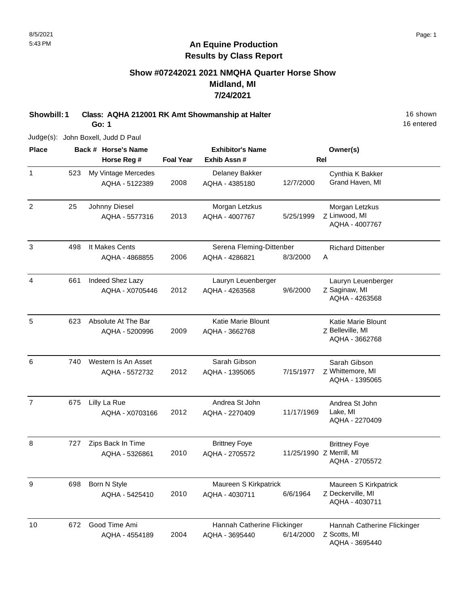# **Show #07242021 2021 NMQHA Quarter Horse Show Midland, MI 7/24/2021**

**Showbill: 1 Class: AQHA 212001 RK Amt Showmanship at Halter** 18 Shown 16 shown

**Go: 1**

Judge(s): John Boxell, Judd D Paul

| <b>Place</b>   |     | Back # Horse's Name                   |                  | <b>Exhibitor's Name</b>                       |            | Owner(s)                                                           |
|----------------|-----|---------------------------------------|------------------|-----------------------------------------------|------------|--------------------------------------------------------------------|
|                |     | Horse Reg #                           | <b>Foal Year</b> | Exhib Assn#                                   |            | Rel                                                                |
| $\mathbf{1}$   | 523 | My Vintage Mercedes<br>AQHA - 5122389 | 2008             | Delaney Bakker<br>AQHA - 4385180              | 12/7/2000  | Cynthia K Bakker<br>Grand Haven, MI                                |
| $\overline{2}$ | 25  | Johnny Diesel<br>AQHA - 5577316       | 2013             | Morgan Letzkus<br>AQHA - 4007767              | 5/25/1999  | Morgan Letzkus<br>Z Linwood, MI<br>AQHA - 4007767                  |
| $\mathbf{3}$   | 498 | It Makes Cents<br>AQHA - 4868855      | 2006             | Serena Fleming-Dittenber<br>AQHA - 4286821    | 8/3/2000   | <b>Richard Dittenber</b><br>Α                                      |
| 4              | 661 | Indeed Shez Lazy<br>AQHA - X0705446   | 2012             | Lauryn Leuenberger<br>AQHA - 4263568          | 9/6/2000   | Lauryn Leuenberger<br>Z Saginaw, MI<br>AQHA - 4263568              |
| 5              | 623 | Absolute At The Bar<br>AQHA - 5200996 | 2009             | Katie Marie Blount<br>AQHA - 3662768          |            | <b>Katie Marie Blount</b><br>Z Belleville, MI<br>AQHA - 3662768    |
| 6              | 740 | Western Is An Asset<br>AQHA - 5572732 | 2012             | Sarah Gibson<br>AQHA - 1395065                | 7/15/1977  | Sarah Gibson<br>Z Whittemore, MI<br>AQHA - 1395065                 |
| $\overline{7}$ | 675 | Lilly La Rue<br>AQHA - X0703166       | 2012             | Andrea St John<br>AQHA - 2270409              | 11/17/1969 | Andrea St John<br>Lake, MI<br>AQHA - 2270409                       |
| 8              | 727 | Zips Back In Time<br>AQHA - 5326861   | 2010             | <b>Brittney Foye</b><br>AQHA - 2705572        |            | <b>Brittney Foye</b><br>11/25/1990 Z Merrill, MI<br>AQHA - 2705572 |
| 9              | 698 | Born N Style<br>AQHA - 5425410        | 2010             | Maureen S Kirkpatrick<br>AQHA - 4030711       | 6/6/1964   | Maureen S Kirkpatrick<br>Z Deckerville, MI<br>AQHA - 4030711       |
| 10             | 672 | Good Time Ami<br>AQHA - 4554189       | 2004             | Hannah Catherine Flickinger<br>AQHA - 3695440 | 6/14/2000  | Hannah Catherine Flickinger<br>Z Scotts, MI<br>AQHA - 3695440      |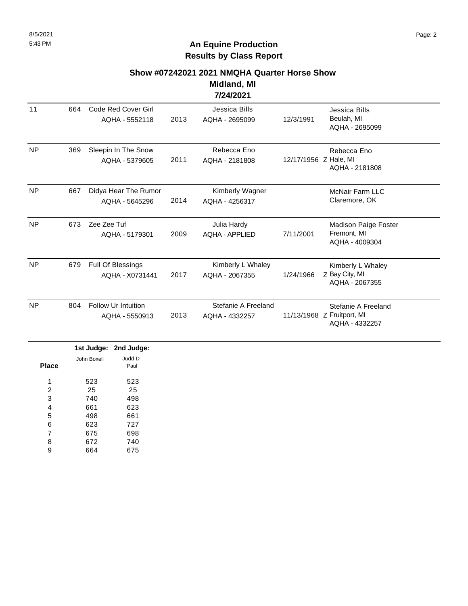**Midland, MI 7/24/2021**

| 11        | 664 | Code Red Cover Girl<br>AQHA - 5552118        | 2013 | Jessica Bills<br>AQHA - 2695099       | 12/3/1991             | Jessica Bills<br>Beulah, MI<br>AQHA - 2695099                       |
|-----------|-----|----------------------------------------------|------|---------------------------------------|-----------------------|---------------------------------------------------------------------|
| <b>NP</b> | 369 | Sleepin In The Snow<br>AQHA - 5379605        | 2011 | Rebecca Eno<br>AQHA - 2181808         | 12/17/1956 Z Hale, MI | Rebecca Eno<br>AQHA - 2181808                                       |
| <b>NP</b> | 667 | Didya Hear The Rumor<br>AQHA - 5645296       | 2014 | Kimberly Wagner<br>AQHA - 4256317     |                       | <b>McNair Farm LLC</b><br>Claremore, OK                             |
| <b>NP</b> | 673 | Zee Zee Tuf<br>AQHA - 5179301                | 2009 | Julia Hardy<br><b>AQHA - APPLIED</b>  | 7/11/2001             | Madison Paige Foster<br>Fremont, MI<br>AQHA - 4009304               |
| <b>NP</b> | 679 | Full Of Blessings<br>AQHA - X0731441         | 2017 | Kimberly L Whaley<br>AQHA - 2067355   | 1/24/1966             | Kimberly L Whaley<br>Z Bay City, MI<br>AQHA - 2067355               |
| <b>NP</b> | 804 | <b>Follow Ur Intuition</b><br>AQHA - 5550913 | 2013 | Stefanie A Freeland<br>AQHA - 4332257 |                       | Stefanie A Freeland<br>11/13/1968 Z Fruitport, MI<br>AQHA - 4332257 |

|              |             | 1st Judge: 2nd Judge: |
|--------------|-------------|-----------------------|
|              | John Boxell | Judd D                |
| <b>Place</b> |             | Paul                  |
| 4            | 523         | 523                   |
| 2            | 25          | 25                    |
| 3            | 740         | 498                   |
| 4            | 661         | 623                   |
| 5            | 498         | 661                   |
| 6            | 623         | 727                   |
| 7            | 675         | 698                   |
| 8            | 672         | 740                   |
| 9            | 664         | 675                   |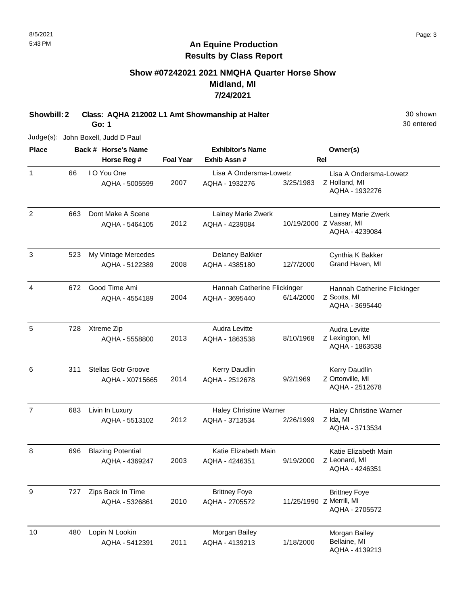# **Show #07242021 2021 NMQHA Quarter Horse Show Midland, MI 7/24/2021**

**Showbill: 2 Class: AQHA 212002 L1 Amt Showmanship at Halter** 30 shown 30 shown

**Go: 1**

30 entered

Judge(s): John Boxell, Judd D Paul

| <b>Place</b>   |     | Back # Horse's Name                           |                  | <b>Exhibitor's Name</b>                         |           | Owner(s)                                                           |
|----------------|-----|-----------------------------------------------|------------------|-------------------------------------------------|-----------|--------------------------------------------------------------------|
|                |     | Horse Reg #                                   | <b>Foal Year</b> | Exhib Assn#                                     |           | <b>Rel</b>                                                         |
| 1              | 66  | I O You One<br>AQHA - 5005599                 | 2007             | Lisa A Ondersma-Lowetz<br>AQHA - 1932276        | 3/25/1983 | Lisa A Ondersma-Lowetz<br>Z Holland, MI<br>AQHA - 1932276          |
| $\overline{2}$ | 663 | Dont Make A Scene<br>AQHA - 5464105           | 2012             | Lainey Marie Zwerk<br>AQHA - 4239084            |           | Lainey Marie Zwerk<br>10/19/2000 Z Vassar, MI<br>AQHA - 4239084    |
| $\sqrt{3}$     | 523 | My Vintage Mercedes<br>AQHA - 5122389         | 2008             | Delaney Bakker<br>AQHA - 4385180                | 12/7/2000 | Cynthia K Bakker<br>Grand Haven, MI                                |
| 4              | 672 | Good Time Ami<br>AQHA - 4554189               | 2004             | Hannah Catherine Flickinger<br>AQHA - 3695440   | 6/14/2000 | Hannah Catherine Flickinger<br>Z Scotts, MI<br>AQHA - 3695440      |
| 5              | 728 | Xtreme Zip<br>AQHA - 5558800                  | 2013             | Audra Levitte<br>AQHA - 1863538                 | 8/10/1968 | Audra Levitte<br>Z Lexington, MI<br>AQHA - 1863538                 |
| 6              | 311 | <b>Stellas Gotr Groove</b><br>AQHA - X0715665 | 2014             | Kerry Daudlin<br>AQHA - 2512678                 | 9/2/1969  | Kerry Daudlin<br>Z Ortonville, MI<br>AQHA - 2512678                |
| $\overline{7}$ | 683 | Livin In Luxury<br>AQHA - 5513102             | 2012             | <b>Haley Christine Warner</b><br>AQHA - 3713534 | 2/26/1999 | <b>Haley Christine Warner</b><br>Z Ida, MI<br>AQHA - 3713534       |
| 8              | 696 | <b>Blazing Potential</b><br>AQHA - 4369247    | 2003             | Katie Elizabeth Main<br>AQHA - 4246351          | 9/19/2000 | Katie Elizabeth Main<br>Z Leonard, MI<br>AQHA - 4246351            |
| 9              | 727 | Zips Back In Time<br>AQHA - 5326861           | 2010             | <b>Brittney Foye</b><br>AQHA - 2705572          |           | <b>Brittney Foye</b><br>11/25/1990 Z Merrill, MI<br>AQHA - 2705572 |
| 10             | 480 | Lopin N Lookin<br>AQHA - 5412391              | 2011             | Morgan Bailey<br>AQHA - 4139213                 | 1/18/2000 | Morgan Bailey<br>Bellaine, MI<br>AQHA - 4139213                    |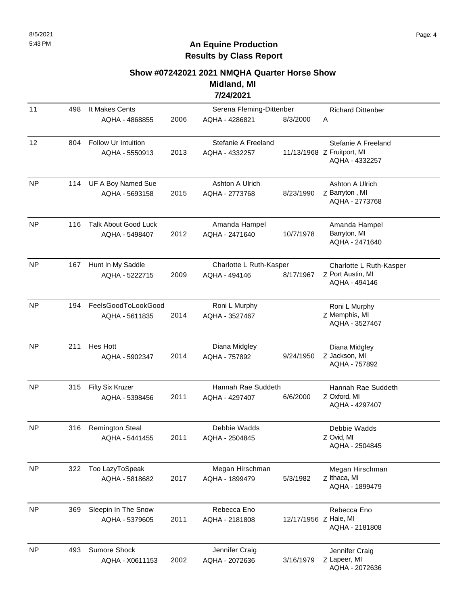#### **Show #07242021 2021 NMQHA Quarter Horse Show Midland, MI**

**7/24/2021**

| 11        | 498 | It Makes Cents<br>AQHA - 4868855              | 2006 | Serena Fleming-Dittenber<br>AQHA - 4286821 | 8/3/2000              | <b>Richard Dittenber</b><br>A                                       |
|-----------|-----|-----------------------------------------------|------|--------------------------------------------|-----------------------|---------------------------------------------------------------------|
| 12        | 804 | Follow Ur Intuition<br>AQHA - 5550913         | 2013 | Stefanie A Freeland<br>AQHA - 4332257      |                       | Stefanie A Freeland<br>11/13/1968 Z Fruitport, MI<br>AQHA - 4332257 |
| <b>NP</b> | 114 | UF A Boy Named Sue<br>AQHA - 5693158          | 2015 | Ashton A Ulrich<br>AQHA - 2773768          | 8/23/1990             | Ashton A Ulrich<br>Z Barryton, MI<br>AQHA - 2773768                 |
| <b>NP</b> | 116 | <b>Talk About Good Luck</b><br>AQHA - 5498407 | 2012 | Amanda Hampel<br>AQHA - 2471640            | 10/7/1978             | Amanda Hampel<br>Barryton, MI<br>AQHA - 2471640                     |
| <b>NP</b> | 167 | Hunt In My Saddle<br>AQHA - 5222715           | 2009 | Charlotte L Ruth-Kasper<br>AQHA - 494146   | 8/17/1967             | Charlotte L Ruth-Kasper<br>Z Port Austin, MI<br>AQHA - 494146       |
| <b>NP</b> | 194 | FeelsGoodToLookGood<br>AQHA - 5611835         | 2014 | Roni L Murphy<br>AQHA - 3527467            |                       | Roni L Murphy<br>Z Memphis, MI<br>AQHA - 3527467                    |
| <b>NP</b> | 211 | <b>Hes Hott</b><br>AQHA - 5902347             | 2014 | Diana Midgley<br>AQHA - 757892             | 9/24/1950             | Diana Midgley<br>Z Jackson, MI<br>AQHA - 757892                     |
| <b>NP</b> | 315 | Fifty Six Kruzer<br>AQHA - 5398456            | 2011 | Hannah Rae Suddeth<br>AQHA - 4297407       | 6/6/2000              | Hannah Rae Suddeth<br>Z Oxford, MI<br>AQHA - 4297407                |
| <b>NP</b> | 316 | <b>Remington Steal</b><br>AQHA - 5441455      | 2011 | Debbie Wadds<br>AQHA - 2504845             |                       | Debbie Wadds<br>Z Ovid, MI<br>AQHA - 2504845                        |
| <b>NP</b> | 322 | Too LazyToSpeak<br>AQHA - 5818682             | 2017 | Megan Hirschman<br>AQHA - 1899479          | 5/3/1982              | Megan Hirschman<br>Z Ithaca, MI<br>AQHA - 1899479                   |
| <b>NP</b> | 369 | Sleepin In The Snow<br>AQHA - 5379605         | 2011 | Rebecca Eno<br>AQHA - 2181808              | 12/17/1956 Z Hale, MI | Rebecca Eno<br>AQHA - 2181808                                       |
| <b>NP</b> | 493 | Sumore Shock<br>AQHA - X0611153               | 2002 | Jennifer Craig<br>AQHA - 2072636           | 3/16/1979             | Jennifer Craig<br>Z Lapeer, MI<br>AQHA - 2072636                    |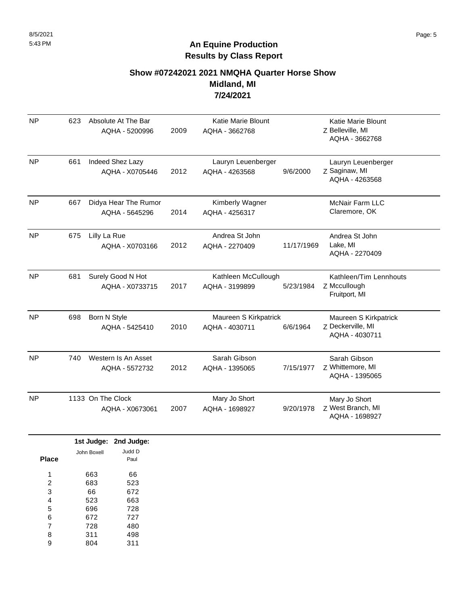# **Show #07242021 2021 NMQHA Quarter Horse Show Midland, MI 7/24/2021**

| <b>NP</b>        | 623 |                         | Absolute At The Bar<br>AQHA - 5200996  | 2009 | <b>Katie Marie Blount</b><br>AQHA - 3662768 |            | Katie Marie Blount<br>Z Belleville, MI<br>AQHA - 3662768     |
|------------------|-----|-------------------------|----------------------------------------|------|---------------------------------------------|------------|--------------------------------------------------------------|
| <b>NP</b>        | 661 |                         | Indeed Shez Lazy<br>AQHA - X0705446    | 2012 | Lauryn Leuenberger<br>AQHA - 4263568        | 9/6/2000   | Lauryn Leuenberger<br>Z Saginaw, MI<br>AQHA - 4263568        |
| NP               | 667 |                         | Didya Hear The Rumor<br>AQHA - 5645296 | 2014 | Kimberly Wagner<br>AQHA - 4256317           |            | <b>McNair Farm LLC</b><br>Claremore, OK                      |
| <b>NP</b>        | 675 | Lilly La Rue            | AQHA - X0703166                        | 2012 | Andrea St John<br>AQHA - 2270409            | 11/17/1969 | Andrea St John<br>Lake, MI<br>AQHA - 2270409                 |
| NP               | 681 |                         | Surely Good N Hot<br>AQHA - X0733715   | 2017 | Kathleen McCullough<br>AQHA - 3199899       | 5/23/1984  | Kathleen/Tim Lennhouts<br>Z Mccullough<br>Fruitport, MI      |
| <b>NP</b>        | 698 | Born N Style            | AQHA - 5425410                         | 2010 | Maureen S Kirkpatrick<br>AQHA - 4030711     | 6/6/1964   | Maureen S Kirkpatrick<br>Z Deckerville, MI<br>AQHA - 4030711 |
| NP               | 740 |                         | Western Is An Asset<br>AQHA - 5572732  | 2012 | Sarah Gibson<br>AQHA - 1395065              | 7/15/1977  | Sarah Gibson<br>Z Whittemore, MI<br>AQHA - 1395065           |
| NP               |     | 1133 On The Clock       | AQHA - X0673061                        | 2007 | Mary Jo Short<br>AQHA - 1698927             | 9/20/1978  | Mary Jo Short<br>Z West Branch, MI<br>AQHA - 1698927         |
|                  |     |                         | 1st Judge: 2nd Judge:                  |      |                                             |            |                                                              |
| <b>Place</b>     |     | John Boxell             | Judd D<br>Paul                         |      |                                             |            |                                                              |
| 1<br>2<br>3<br>4 |     | 663<br>683<br>66<br>523 | 66<br>523<br>672<br>663                |      |                                             |            |                                                              |

696 672 728 727 480 5 6

728 7

311 804 498 311 8 9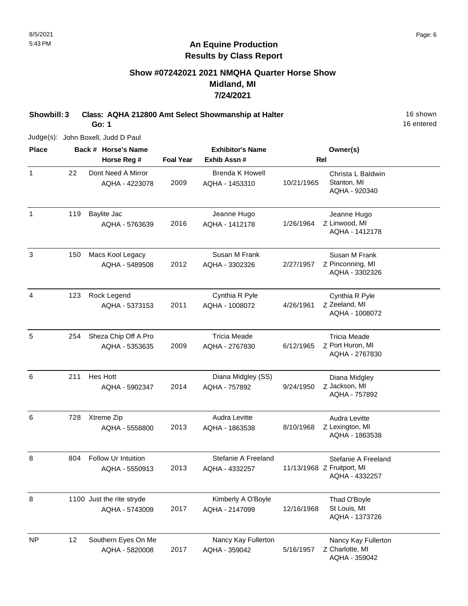### **Show #07242021 2021 NMQHA Quarter Horse Show Midland, MI 7/24/2021**

**Showbill: 3 Class: AQHA 212800 Amt Select Showmanship at Halter** 16 Shown 16 shown

**Go: 1**

16 entered

Judge(s): John Boxell, Judd D Paul

| <b>Place</b>   |     | Back # Horse's Name                         |                  | <b>Exhibitor's Name</b>               |            | Owner(s)                                                            |
|----------------|-----|---------------------------------------------|------------------|---------------------------------------|------------|---------------------------------------------------------------------|
|                |     | Horse Reg #                                 | <b>Foal Year</b> | Exhib Assn#                           |            | <b>Rel</b>                                                          |
| $\mathbf{1}$   | 22  | Dont Need A Mirror<br>AQHA - 4223078        | 2009             | Brenda K Howell<br>AQHA - 1453310     | 10/21/1965 | Christa L Baldwin<br>Stanton, MI<br>AQHA - 920340                   |
| $\mathbf{1}$   | 119 | <b>Baylite Jac</b><br>AQHA - 5763639        | 2016             | Jeanne Hugo<br>AQHA - 1412178         | 1/26/1964  | Jeanne Hugo<br>Z Linwood, MI<br>AQHA - 1412178                      |
| $\mathfrak{Z}$ | 150 | Macs Kool Legacy<br>AQHA - 5489508          | 2012             | Susan M Frank<br>AQHA - 3302326       | 2/27/1957  | Susan M Frank<br>Z Pinconning, MI<br>AQHA - 3302326                 |
| $\overline{4}$ | 123 | Rock Legend<br>AQHA - 5373153               | 2011             | Cynthia R Pyle<br>AQHA - 1008072      | 4/26/1961  | Cynthia R Pyle<br>Z Zeeland, MI<br>AQHA - 1008072                   |
| 5              | 254 | Sheza Chip Off A Pro<br>AQHA - 5353635      | 2009             | <b>Tricia Meade</b><br>AQHA - 2767830 | 6/12/1965  | <b>Tricia Meade</b><br>Z Port Huron, MI<br>AQHA - 2767830           |
| 6              | 211 | <b>Hes Hott</b><br>AQHA - 5902347           | 2014             | Diana Midgley (SS)<br>AQHA - 757892   | 9/24/1950  | Diana Midgley<br>Z Jackson, MI<br>AQHA - 757892                     |
| 6              | 728 | Xtreme Zip<br>AQHA - 5558800                | 2013             | Audra Levitte<br>AQHA - 1863538       | 8/10/1968  | Audra Levitte<br>Z Lexington, MI<br>AQHA - 1863538                  |
| 8              | 804 | Follow Ur Intuition<br>AQHA - 5550913       | 2013             | Stefanie A Freeland<br>AQHA - 4332257 |            | Stefanie A Freeland<br>11/13/1968 Z Fruitport, MI<br>AQHA - 4332257 |
| 8              |     | 1100 Just the rite stryde<br>AQHA - 5743009 | 2017             | Kimberly A O'Boyle<br>AQHA - 2147099  | 12/16/1968 | Thad O'Boyle<br>St Louis, MI<br>AQHA - 1373726                      |
| <b>NP</b>      | 12  | Southern Eyes On Me<br>AQHA - 5820008       | 2017             | Nancy Kay Fullerton<br>AQHA - 359042  | 5/16/1957  | Nancy Kay Fullerton<br>Z Charlotte, MI<br>AQHA - 359042             |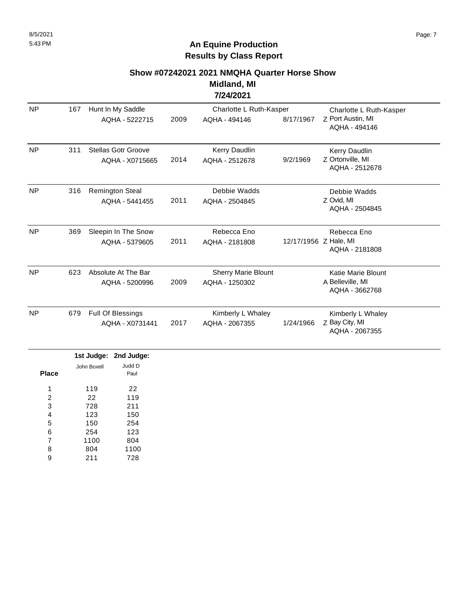**Midland, MI 7/24/2021**

| <b>NP</b> | 167 | Hunt In My Saddle                        |      | Charlotte L Ruth-Kasper                      |                       | Charlotte L Ruth-Kasper                                  |
|-----------|-----|------------------------------------------|------|----------------------------------------------|-----------------------|----------------------------------------------------------|
|           |     | AQHA - 5222715                           | 2009 | AQHA - 494146                                | 8/17/1967             | Z Port Austin, MI<br>AQHA - 494146                       |
| <b>NP</b> | 311 | Stellas Gotr Groove<br>AQHA - X0715665   | 2014 | Kerry Daudlin<br>AQHA - 2512678              | 9/2/1969              | Kerry Daudlin<br>Z Ortonville, MI<br>AQHA - 2512678      |
| <b>NP</b> | 316 | <b>Remington Steal</b><br>AQHA - 5441455 | 2011 | Debbie Wadds<br>AQHA - 2504845               |                       | Debbie Wadds<br>Z Ovid, MI<br>AQHA - 2504845             |
| <b>NP</b> | 369 | Sleepin In The Snow<br>AQHA - 5379605    | 2011 | Rebecca Eno<br>AQHA - 2181808                | 12/17/1956 Z Hale, MI | Rebecca Eno<br>AQHA - 2181808                            |
| <b>NP</b> | 623 | Absolute At The Bar<br>AQHA - 5200996    | 2009 | <b>Sherry Marie Blount</b><br>AQHA - 1250302 |                       | Katie Marie Blount<br>A Belleville, MI<br>AQHA - 3662768 |
| <b>NP</b> | 679 | Full Of Blessings<br>AQHA - X0731441     | 2017 | Kimberly L Whaley<br>AQHA - 2067355          | 1/24/1966             | Kimberly L Whaley<br>Z Bay City, MI<br>AQHA - 2067355    |

|       |             | 1st Judge: 2nd Judge: |
|-------|-------------|-----------------------|
|       | John Boxell | Judd D                |
| Place |             | Paul                  |
| 1     | 119         | 22                    |
|       |             |                       |
| 2     | 22          | 119                   |
| 3     | 728         | 211                   |
| 4     | 123         | 150                   |
| 5     | 150         | 254                   |
| 6     | 254         | 123                   |
| 7     | 1100        | 804                   |
| 8     | 804         | 1100                  |
| 9     | 211         | 728                   |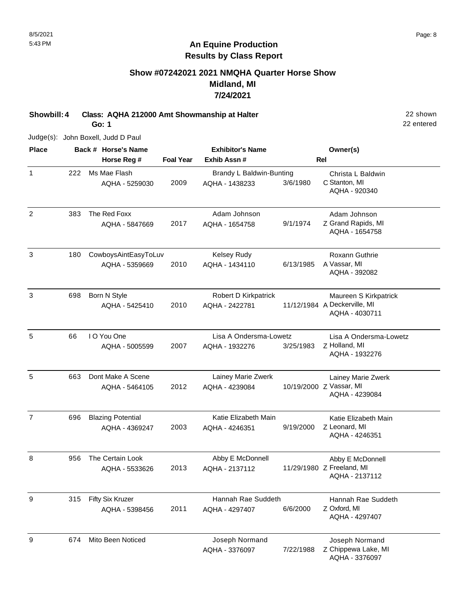# **Show #07242021 2021 NMQHA Quarter Horse Show Midland, MI 7/24/2021**

**Showbill: 4 Class: AQHA 212000 Amt Showmanship at Halter** 22 shown

**Go: 1**

Judge(s): John Boxell, Judd D Paul

| <b>Place</b>   |     | Back # Horse's Name      |                  | <b>Exhibitor's Name</b>  |           | Owner(s)                     |
|----------------|-----|--------------------------|------------------|--------------------------|-----------|------------------------------|
|                |     | Horse Reg #              | <b>Foal Year</b> | Exhib Assn#              |           | <b>Rel</b>                   |
| $\mathbf{1}$   | 222 | Ms Mae Flash             |                  | Brandy L Baldwin-Bunting |           | Christa L Baldwin            |
|                |     | AQHA - 5259030           | 2009             | AQHA - 1438233           | 3/6/1980  | C Stanton, MI                |
|                |     |                          |                  |                          |           | AQHA - 920340                |
| 2              | 383 | The Red Foxx             |                  | Adam Johnson             |           | Adam Johnson                 |
|                |     | AQHA - 5847669           | 2017             | AQHA - 1654758           | 9/1/1974  | Z Grand Rapids, MI           |
|                |     |                          |                  |                          |           | AQHA - 1654758               |
| $\mathsf 3$    | 180 | CowboysAintEasyToLuv     |                  | Kelsey Rudy              |           | Roxann Guthrie               |
|                |     | AQHA - 5359669           | 2010             | AQHA - 1434110           | 6/13/1985 | A Vassar, MI                 |
|                |     |                          |                  |                          |           | AQHA - 392082                |
| 3              | 698 | Born N Style             |                  | Robert D Kirkpatrick     |           | Maureen S Kirkpatrick        |
|                |     | AQHA - 5425410           | 2010             | AQHA - 2422781           |           | 11/12/1984 A Deckerville, MI |
|                |     |                          |                  |                          |           | AQHA - 4030711               |
| 5              | 66  | I O You One              |                  | Lisa A Ondersma-Lowetz   |           | Lisa A Ondersma-Lowetz       |
|                |     | AQHA - 5005599           | 2007             | AQHA - 1932276           | 3/25/1983 | Z Holland, MI                |
|                |     |                          |                  |                          |           | AQHA - 1932276               |
| 5              | 663 | Dont Make A Scene        |                  | Lainey Marie Zwerk       |           | Lainey Marie Zwerk           |
|                |     | AQHA - 5464105           | 2012             | AQHA - 4239084           |           | 10/19/2000 Z Vassar, MI      |
|                |     |                          |                  |                          |           | AQHA - 4239084               |
| $\overline{7}$ | 696 | <b>Blazing Potential</b> |                  | Katie Elizabeth Main     |           | Katie Elizabeth Main         |
|                |     | AQHA - 4369247           | 2003             | AQHA - 4246351           | 9/19/2000 | Z Leonard, MI                |
|                |     |                          |                  |                          |           | AQHA - 4246351               |
| 8              | 956 | The Certain Look         |                  | Abby E McDonnell         |           | Abby E McDonnell             |
|                |     | AQHA - 5533626           | 2013             | AQHA - 2137112           |           | 11/29/1980 Z Freeland, MI    |
|                |     |                          |                  |                          |           | AQHA - 2137112               |
| 9              | 315 | <b>Fifty Six Kruzer</b>  |                  | Hannah Rae Suddeth       |           | Hannah Rae Suddeth           |
|                |     | AQHA - 5398456           | 2011             | AQHA - 4297407           | 6/6/2000  | Z Oxford, MI                 |
|                |     |                          |                  |                          |           | AQHA - 4297407               |
| 9              | 674 | Mito Been Noticed        |                  | Joseph Normand           |           | Joseph Normand               |
|                |     |                          |                  | AQHA - 3376097           | 7/22/1988 | Z Chippewa Lake, MI          |
|                |     |                          |                  |                          |           | AQHA - 3376097               |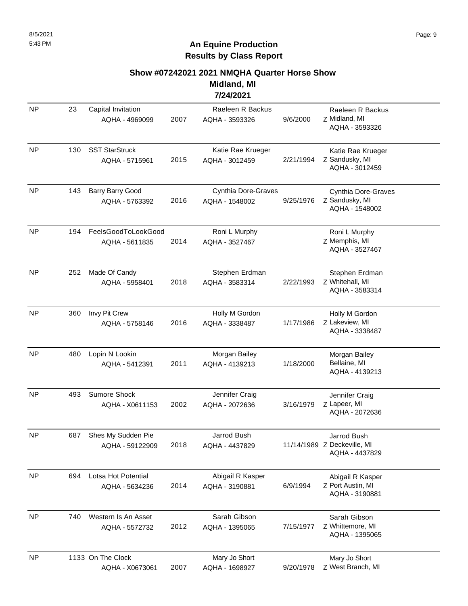#### **Show #07242021 2021 NMQHA Quarter Horse Show**

**Midland, MI 7/24/2021**

| <b>NP</b> | 23  | Capital Invitation<br>AQHA - 4969099    | 2007 | Raeleen R Backus<br>AQHA - 3593326    | 9/6/2000  | Raeleen R Backus<br>Z Midland, MI<br>AQHA - 3593326          |
|-----------|-----|-----------------------------------------|------|---------------------------------------|-----------|--------------------------------------------------------------|
| <b>NP</b> | 130 | <b>SST StarStruck</b><br>AQHA - 5715961 | 2015 | Katie Rae Krueger<br>AQHA - 3012459   | 2/21/1994 | Katie Rae Krueger<br>Z Sandusky, MI<br>AQHA - 3012459        |
| <b>NP</b> | 143 | Barry Barry Good<br>AQHA - 5763392      | 2016 | Cynthia Dore-Graves<br>AQHA - 1548002 | 9/25/1976 | Cynthia Dore-Graves<br>Z Sandusky, MI<br>AQHA - 1548002      |
| <b>NP</b> | 194 | FeelsGoodToLookGood<br>AQHA - 5611835   | 2014 | Roni L Murphy<br>AQHA - 3527467       |           | Roni L Murphy<br>Z Memphis, MI<br>AQHA - 3527467             |
| <b>NP</b> | 252 | Made Of Candy<br>AQHA - 5958401         | 2018 | Stephen Erdman<br>AQHA - 3583314      | 2/22/1993 | Stephen Erdman<br>Z Whitehall, MI<br>AQHA - 3583314          |
| <b>NP</b> | 360 | Invy Pit Crew<br>AQHA - 5758146         | 2016 | Holly M Gordon<br>AQHA - 3338487      | 1/17/1986 | Holly M Gordon<br>Z Lakeview, MI<br>AQHA - 3338487           |
| <b>NP</b> | 480 | Lopin N Lookin<br>AQHA - 5412391        | 2011 | Morgan Bailey<br>AQHA - 4139213       | 1/18/2000 | Morgan Bailey<br>Bellaine, MI<br>AQHA - 4139213              |
| <b>NP</b> | 493 | Sumore Shock<br>AQHA - X0611153         | 2002 | Jennifer Craig<br>AQHA - 2072636      | 3/16/1979 | Jennifer Craig<br>Z Lapeer, MI<br>AQHA - 2072636             |
| <b>NP</b> | 687 | Shes My Sudden Pie<br>AQHA - 59122909   | 2018 | Jarrod Bush<br>AQHA - 4437829         |           | Jarrod Bush<br>11/14/1989 Z Deckeville, MI<br>AQHA - 4437829 |
| <b>NP</b> | 694 | Lotsa Hot Potential<br>AQHA - 5634236   | 2014 | Abigail R Kasper<br>AQHA - 3190881    | 6/9/1994  | Abigail R Kasper<br>Z Port Austin, MI<br>AQHA - 3190881      |
| <b>NP</b> | 740 | Western Is An Asset<br>AQHA - 5572732   | 2012 | Sarah Gibson<br>AQHA - 1395065        | 7/15/1977 | Sarah Gibson<br>Z Whittemore, MI<br>AQHA - 1395065           |
| <b>NP</b> |     | 1133 On The Clock<br>AQHA - X0673061    | 2007 | Mary Jo Short<br>AQHA - 1698927       | 9/20/1978 | Mary Jo Short<br>Z West Branch, MI                           |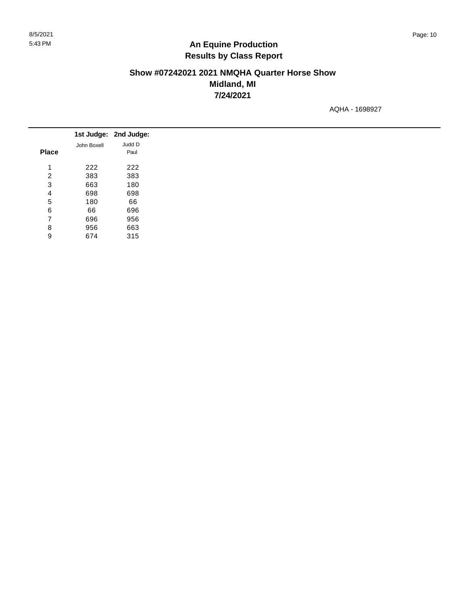$\frac{1}{2}$ 

# **An Equine Production Results by Class Report**

# **Show #07242021 2021 NMQHA Quarter Horse Show Midland, MI 7/24/2021**

AQHA - 1698927

|              |             | 1st Judge: 2nd Judge: |
|--------------|-------------|-----------------------|
|              | John Boxell | Judd D                |
| <b>Place</b> |             | Paul                  |
| 4            | 222         | 222                   |
| 2            | 383         | 383                   |
| 3            | 663         | 180                   |
| 4            | 698         | 698                   |
| 5            | 180         | 66                    |
| 6            | 66          | 696                   |
| 7            | 696         | 956                   |
| 8            | 956         | 663                   |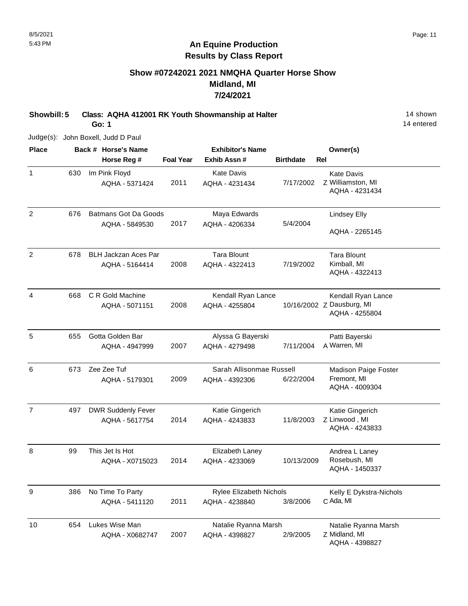# **Show #07242021 2021 NMQHA Quarter Horse Show Midland, MI 7/24/2021**

**Showbill: 5 Class: AQHA 412001 RK Youth Showmanship at Halter** 14 Shown 14 shown

**Go: 1**

14 entered

Judge(s): John Boxell, Judd D Paul

| <b>Place</b>   |     | Back # Horse's Name         |                  | <b>Exhibitor's Name</b>        |                  | Owner(s)                        |
|----------------|-----|-----------------------------|------------------|--------------------------------|------------------|---------------------------------|
|                |     | Horse Reg #                 | <b>Foal Year</b> | Exhib Assn#                    | <b>Birthdate</b> | Rel                             |
| $\mathbf{1}$   | 630 | Im Pink Floyd               |                  | <b>Kate Davis</b>              |                  | <b>Kate Davis</b>               |
|                |     | AQHA - 5371424              | 2011             | AQHA - 4231434                 | 7/17/2002        | Z Williamston, MI               |
|                |     |                             |                  |                                |                  | AQHA - 4231434                  |
| $\overline{c}$ | 676 | <b>Batmans Got Da Goods</b> |                  | Maya Edwards                   |                  | Lindsey Elly                    |
|                |     | AQHA - 5849530              | 2017             | AQHA - 4206334                 | 5/4/2004         |                                 |
|                |     |                             |                  |                                |                  | AQHA - 2265145                  |
| 2              | 678 | <b>BLH Jackzan Aces Par</b> |                  | <b>Tara Blount</b>             |                  | <b>Tara Blount</b>              |
|                |     | AQHA - 5164414              | 2008             | AQHA - 4322413                 | 7/19/2002        | Kimball, MI                     |
|                |     |                             |                  |                                |                  | AQHA - 4322413                  |
| 4              | 668 | C R Gold Machine            |                  | Kendall Ryan Lance             |                  | Kendall Ryan Lance              |
|                |     | AQHA - 5071151              | 2008             | AQHA - 4255804                 |                  | 10/16/2002 Z Dausburg, MI       |
|                |     |                             |                  |                                |                  | AQHA - 4255804                  |
| 5              | 655 | Gotta Golden Bar            |                  | Alyssa G Bayerski              |                  | Patti Bayerski                  |
|                |     | AQHA - 4947999              | 2007             | AQHA - 4279498                 | 7/11/2004        | A Warren, MI                    |
| 6              | 673 | Zee Zee Tuf                 |                  | Sarah Allisonmae Russell       |                  | <b>Madison Paige Foster</b>     |
|                |     | AQHA - 5179301              | 2009             | AQHA - 4392306                 | 6/22/2004        | Fremont, MI                     |
|                |     |                             |                  |                                |                  | AQHA - 4009304                  |
| $\overline{7}$ | 497 | <b>DWR Suddenly Fever</b>   |                  | Katie Gingerich                |                  | Katie Gingerich                 |
|                |     | AQHA - 5617754              | 2014             | AQHA - 4243833                 | 11/8/2003        | Z Linwood, MI                   |
|                |     |                             |                  |                                |                  | AQHA - 4243833                  |
| 8              | 99  | This Jet Is Hot             |                  | Elizabeth Laney                |                  | Andrea L Laney                  |
|                |     | AQHA - X0715023             | 2014             | AQHA - 4233069                 | 10/13/2009       | Rosebush, MI                    |
|                |     |                             |                  |                                |                  | AQHA - 1450337                  |
| 9              | 386 | No Time To Party            |                  | <b>Rylee Elizabeth Nichols</b> |                  | Kelly E Dykstra-Nichols         |
|                |     | AQHA - 5411120              | 2011             | AQHA - 4238840                 | 3/8/2006         | C Ada, MI                       |
| 10             | 654 | Lukes Wise Man              |                  | Natalie Ryanna Marsh           |                  | Natalie Ryanna Marsh            |
|                |     | AQHA - X0682747             | 2007             | AQHA - 4398827                 | 2/9/2005         | Z Midland, MI<br>AQHA - 4398827 |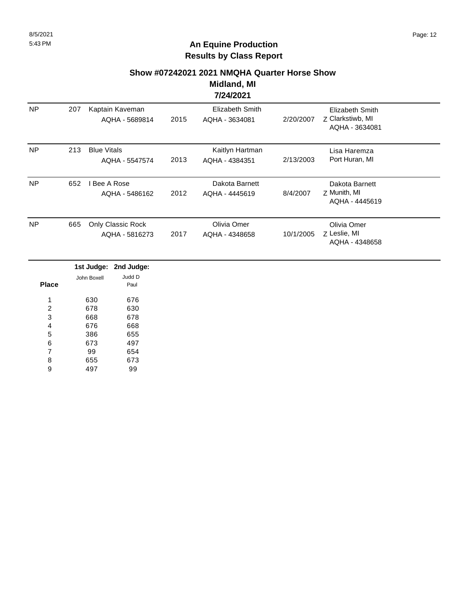#### **Show #07242021 2021 NMQHA Quarter Horse Show**

**Midland, MI 7/24/2021**

| <b>NP</b> | 207 | Kaptain Kaveman<br>AQHA - 5689814    | 2015 | Elizabeth Smith<br>AQHA - 3634081 | 2/20/2007 | Elizabeth Smith<br>Z Clarkstiwb, MI<br>AQHA - 3634081 |  |
|-----------|-----|--------------------------------------|------|-----------------------------------|-----------|-------------------------------------------------------|--|
| <b>NP</b> | 213 | <b>Blue Vitals</b><br>AQHA - 5547574 | 2013 | Kaitlyn Hartman<br>AQHA - 4384351 | 2/13/2003 | Lisa Haremza<br>Port Huran, MI                        |  |
| <b>NP</b> | 652 | Bee A Rose<br>AQHA - 5486162         | 2012 | Dakota Barnett<br>AQHA - 4445619  | 8/4/2007  | Dakota Barnett<br>Z Munith, MI<br>AQHA - 4445619      |  |
| <b>NP</b> | 665 | Only Classic Rock<br>AQHA - 5816273  | 2017 | Olivia Omer<br>AQHA - 4348658     | 10/1/2005 | Olivia Omer<br>Z Leslie, MI<br>AQHA - 4348658         |  |

|       |             | 1st Judge: 2nd Judge: |
|-------|-------------|-----------------------|
|       | John Boxell | Judd D                |
| Place |             | Paul                  |
|       |             |                       |
| 1     | 630         | 676                   |
| 2     | 678         | 630                   |
| 3     | 668         | 678                   |
| 4     | 676         | 668                   |
| 5     | 386         | 655                   |
| 6     | 673         | 497                   |
| 7     | 99          | 654                   |
| 8     | 655         | 673                   |
| g     | 497         | 99                    |
|       |             |                       |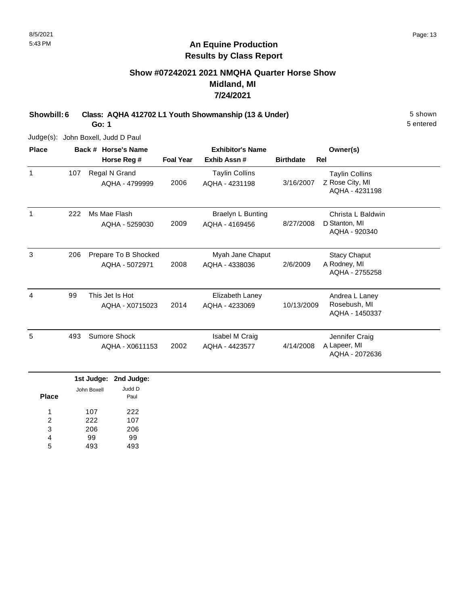# **Show #07242021 2021 NMQHA Quarter Horse Show Midland, MI 7/24/2021**

**Showbill: 6 Class: AQHA 412702 L1 Youth Showmanship (13 & Under)** 5 shown

**Go: 1**

Judge(s): John Boxell, Judd D Paul

| <b>Place</b> |     | Back # Horse's Name                    | <b>Exhibitor's Name</b> |                                         |                  | Owner(s)                                                   |
|--------------|-----|----------------------------------------|-------------------------|-----------------------------------------|------------------|------------------------------------------------------------|
|              |     | Horse Reg #                            | <b>Foal Year</b>        | Exhib Assn#                             | <b>Birthdate</b> | <b>Rel</b>                                                 |
| 1            | 107 | Regal N Grand<br>AQHA - 4799999        | 2006                    | <b>Taylin Collins</b><br>AQHA - 4231198 | 3/16/2007        | <b>Taylin Collins</b><br>Z Rose City, MI<br>AQHA - 4231198 |
| 1            | 222 | Ms Mae Flash<br>AQHA - 5259030         | 2009                    | Braelyn L Bunting<br>AQHA - 4169456     | 8/27/2008        | Christa L Baldwin<br>D Stanton, MI<br>AQHA - 920340        |
| 3            | 206 | Prepare To B Shocked<br>AQHA - 5072971 | 2008                    | Myah Jane Chaput<br>AQHA - 4338036      | 2/6/2009         | <b>Stacy Chaput</b><br>A Rodney, MI<br>AQHA - 2755258      |
| 4            | 99  | This Jet Is Hot<br>AQHA - X0715023     | 2014                    | Elizabeth Laney<br>AQHA - 4233069       | 10/13/2009       | Andrea L Laney<br>Rosebush, MI<br>AQHA - 1450337           |
| 5            | 493 | Sumore Shock<br>AQHA - X0611153        | 2002                    | Isabel M Craig<br>AQHA - 4423577        | 4/14/2008        | Jennifer Craig<br>A Lapeer, MI<br>AQHA - 2072636           |

|             | 1st Judge: 2nd Judge: |
|-------------|-----------------------|
| John Boxell | Judd D<br>Paul        |
| 107         | 222                   |
| 222         | 107                   |
| 206         | 206                   |
| 99          | 99                    |
| 493         | 193                   |
|             |                       |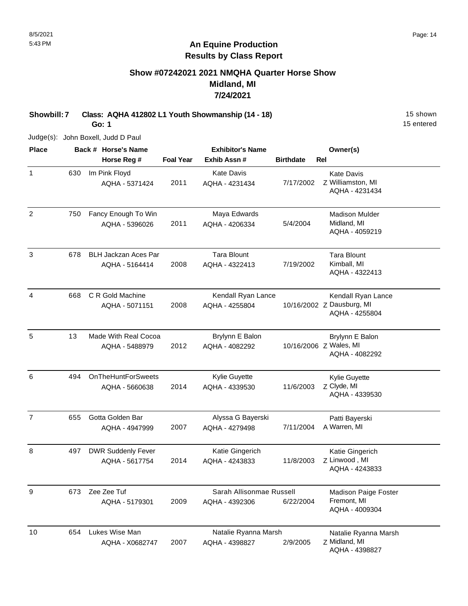# **Show #07242021 2021 NMQHA Quarter Horse Show Midland, MI 7/24/2021**

**Showbill: 7 Class: AQHA 412802 L1 Youth Showmanship (14 - 18)** 15 Shown **Go: 1**

Judge(s): John Boxell, Judd D Paul

| <b>Place</b>   |     | Back # Horse's Name                           |                  | <b>Exhibitor's Name</b>                    |                  | Owner(s)                                                          |
|----------------|-----|-----------------------------------------------|------------------|--------------------------------------------|------------------|-------------------------------------------------------------------|
|                |     | Horse Reg #                                   | <b>Foal Year</b> | Exhib Assn #                               | <b>Birthdate</b> | Rel                                                               |
| $\mathbf{1}$   | 630 | Im Pink Floyd<br>AQHA - 5371424               | 2011             | <b>Kate Davis</b><br>AQHA - 4231434        | 7/17/2002        | <b>Kate Davis</b><br>Z Williamston, MI<br>AQHA - 4231434          |
| $\overline{c}$ | 750 | Fancy Enough To Win<br>AQHA - 5396026         | 2011             | Maya Edwards<br>AQHA - 4206334             | 5/4/2004         | <b>Madison Mulder</b><br>Midland, MI<br>AQHA - 4059219            |
| 3              | 678 | <b>BLH Jackzan Aces Par</b><br>AQHA - 5164414 | 2008             | <b>Tara Blount</b><br>AQHA - 4322413       | 7/19/2002        | <b>Tara Blount</b><br>Kimball, MI<br>AQHA - 4322413               |
| 4              | 668 | C R Gold Machine<br>AQHA - 5071151            | 2008             | Kendall Ryan Lance<br>AQHA - 4255804       |                  | Kendall Ryan Lance<br>10/16/2002 Z Dausburg, MI<br>AQHA - 4255804 |
| 5              | 13  | Made With Real Cocoa<br>AQHA - 5488979        | 2012             | Brylynn E Balon<br>AQHA - 4082292          |                  | Brylynn E Balon<br>10/16/2006 Z Wales, MI<br>AQHA - 4082292       |
| 6              | 494 | <b>OnTheHuntForSweets</b><br>AQHA - 5660638   | 2014             | Kylie Guyette<br>AQHA - 4339530            | 11/6/2003        | Kylie Guyette<br>Z Clyde, MI<br>AQHA - 4339530                    |
| $\overline{7}$ | 655 | Gotta Golden Bar<br>AQHA - 4947999            | 2007             | Alyssa G Bayerski<br>AQHA - 4279498        | 7/11/2004        | Patti Bayerski<br>A Warren, MI                                    |
| 8              | 497 | <b>DWR Suddenly Fever</b><br>AQHA - 5617754   | 2014             | Katie Gingerich<br>AQHA - 4243833          | 11/8/2003        | Katie Gingerich<br>Z Linwood, MI<br>AQHA - 4243833                |
| 9              | 673 | Zee Zee Tuf<br>AQHA - 5179301                 | 2009             | Sarah Allisonmae Russell<br>AQHA - 4392306 | 6/22/2004        | <b>Madison Paige Foster</b><br>Fremont, MI<br>AQHA - 4009304      |
| 10             | 654 | Lukes Wise Man<br>AQHA - X0682747             | 2007             | Natalie Ryanna Marsh<br>AQHA - 4398827     | 2/9/2005         | Natalie Ryanna Marsh<br>Z Midland, MI<br>AQHA - 4398827           |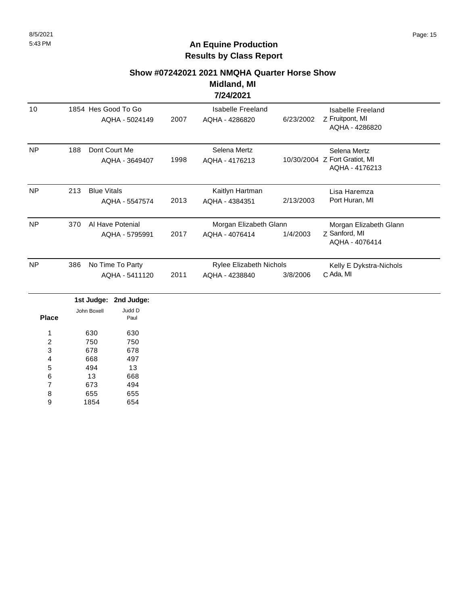#### **Show #07242021 2021 NMQHA Quarter Horse Show**

#### **Midland, MI 7/24/2021**

|           |     |                                       |      | 176776V6 I                                |           |                                                                 |  |
|-----------|-----|---------------------------------------|------|-------------------------------------------|-----------|-----------------------------------------------------------------|--|
| 10        |     | 1854 Hes Good To Go<br>AQHA - 5024149 | 2007 | Isabelle Freeland<br>AQHA - 4286820       | 6/23/2002 | Isabelle Freeland<br>Z Fruitpont, MI<br>AQHA - 4286820          |  |
| NP        | 188 | Dont Court Me<br>AQHA - 3649407       | 1998 | Selena Mertz<br>AQHA - 4176213            |           | Selena Mertz<br>10/30/2004 Z Fort Gratiot, MI<br>AQHA - 4176213 |  |
| <b>NP</b> | 213 | <b>Blue Vitals</b><br>AQHA - 5547574  | 2013 | Kaitlyn Hartman<br>AQHA - 4384351         | 2/13/2003 | Lisa Haremza<br>Port Huran, MI                                  |  |
| <b>NP</b> | 370 | Al Have Potenial<br>AQHA - 5795991    | 2017 | Morgan Elizabeth Glann<br>AQHA - 4076414  | 1/4/2003  | Morgan Elizabeth Glann<br>Z Sanford, MI<br>AQHA - 4076414       |  |
| <b>NP</b> | 386 | No Time To Party<br>AQHA - 5411120    | 2011 | Rylee Elizabeth Nichols<br>AQHA - 4238840 | 3/8/2006  | Kelly E Dykstra-Nichols<br>C Ada, MI                            |  |

|              |             | 1st Judge: 2nd Judge: |
|--------------|-------------|-----------------------|
|              | John Boxell | Judd D                |
| <b>Place</b> |             | Paul                  |
|              | 630         | 630                   |
| 2            | 750         | 750                   |
| 3            | 678         | 678                   |
| 4            | 668         | 497                   |
| 5            | 494         | 13                    |
| 6            | 13          | 668                   |
| 7            | 673         | 494                   |
| 8            | 655         | 655                   |
| 9            | 1854        | 654                   |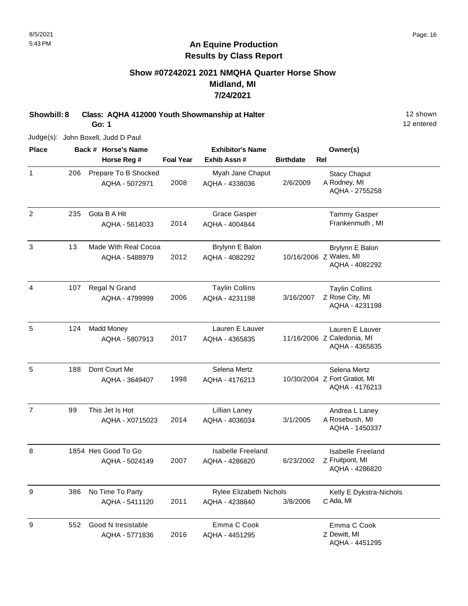# **Show #07242021 2021 NMQHA Quarter Horse Show Midland, MI 7/24/2021**

**Showbill: 8 Class: AQHA 412000 Youth Showmanship at Halter** 12 Shown 12 shown

**Go: 1**

Judge(s): John Boxell, Judd D Paul

| <b>Place</b>   |     | Back # Horse's Name                    |                  | <b>Exhibitor's Name</b>                          |                  | Owner(s)                                                        |
|----------------|-----|----------------------------------------|------------------|--------------------------------------------------|------------------|-----------------------------------------------------------------|
|                |     | Horse Reg #                            | <b>Foal Year</b> | Exhib Assn#                                      | <b>Birthdate</b> | Rel                                                             |
| $\mathbf{1}$   | 206 | Prepare To B Shocked<br>AQHA - 5072971 | 2008             | Myah Jane Chaput<br>AQHA - 4338036               | 2/6/2009         | <b>Stacy Chaput</b><br>A Rodney, MI<br>AQHA - 2755258           |
| $\overline{2}$ | 235 | Gota B A Hit<br>AQHA - 5614033         | 2014             | <b>Grace Gasper</b><br>AQHA - 4004844            |                  | <b>Tammy Gasper</b><br>Frankenmuth, MI                          |
| $\mathfrak{Z}$ | 13  | Made With Real Cocoa<br>AQHA - 5488979 | 2012             | Brylynn E Balon<br>AQHA - 4082292                |                  | Brylynn E Balon<br>10/16/2006 Z Wales, MI<br>AQHA - 4082292     |
| 4              | 107 | Regal N Grand<br>AQHA - 4799999        | 2006             | <b>Taylin Collins</b><br>AQHA - 4231198          | 3/16/2007        | <b>Taylin Collins</b><br>Z Rose City, MI<br>AQHA - 4231198      |
| 5              | 124 | <b>Madd Money</b><br>AQHA - 5807913    | 2017             | Lauren E Lauver<br>AQHA - 4365835                |                  | Lauren E Lauver<br>11/16/2006 Z Caledonia, MI<br>AQHA - 4365835 |
| 5              | 188 | Dont Court Me<br>AQHA - 3649407        | 1998             | Selena Mertz<br>AQHA - 4176213                   |                  | Selena Mertz<br>10/30/2004 Z Fort Gratiot, MI<br>AQHA - 4176213 |
| $\overline{7}$ | 99  | This Jet Is Hot<br>AQHA - X0715023     | 2014             | Lillian Laney<br>AQHA - 4036034                  | 3/1/2005         | Andrea L Laney<br>A Rosebush, MI<br>AQHA - 1450337              |
| 8              |     | 1854 Hes Good To Go<br>AQHA - 5024149  | 2007             | Isabelle Freeland<br>AQHA - 4286820              | 6/23/2002        | <b>Isabelle Freeland</b><br>Z Fruitpont, MI<br>AQHA - 4286820   |
| 9              | 386 | No Time To Party<br>AQHA - 5411120     | 2011             | <b>Rylee Elizabeth Nichols</b><br>AQHA - 4238840 | 3/8/2006         | Kelly E Dykstra-Nichols<br>C Ada, MI                            |
| 9              | 552 | Good N Iresistable<br>AQHA - 5771836   | 2016             | Emma C Cook<br>AQHA - 4451295                    |                  | Emma C Cook<br>Z Dewitt, MI<br>AQHA - 4451295                   |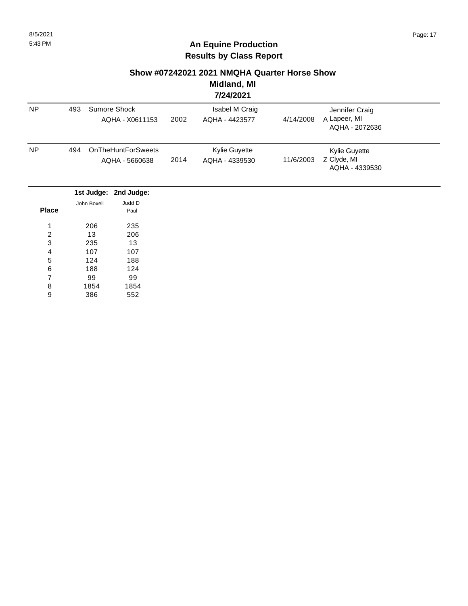#### **Show #07242021 2021 NMQHA Quarter Horse Show**

**Midland, MI 7/24/2021**

|                  |     |             |                           |      | 774772021      |           |                                |  |
|------------------|-----|-------------|---------------------------|------|----------------|-----------|--------------------------------|--|
| <b>NP</b>        | 493 |             | Sumore Shock              |      | Isabel M Craig |           | Jennifer Craig                 |  |
|                  |     |             | AQHA - X0611153           | 2002 | AQHA - 4423577 | 4/14/2008 | A Lapeer, MI<br>AQHA - 2072636 |  |
| <b>NP</b>        | 494 |             | <b>OnTheHuntForSweets</b> |      | Kylie Guyette  |           | Kylie Guyette                  |  |
|                  |     |             | AQHA - 5660638            | 2014 | AQHA - 4339530 | 11/6/2003 | Z Clyde, MI<br>AQHA - 4339530  |  |
|                  |     | 1st Judge:  | 2nd Judge:                |      |                |           |                                |  |
|                  |     | John Boxell | Judd D                    |      |                |           |                                |  |
| <b>Place</b>     |     |             | Paul                      |      |                |           |                                |  |
| 1                |     | 206         | 235                       |      |                |           |                                |  |
| $\boldsymbol{2}$ |     | 13          | 206                       |      |                |           |                                |  |
| 3                |     | 235         | 13                        |      |                |           |                                |  |
| 4                |     | 107         | 107                       |      |                |           |                                |  |
| 5                |     | 124         | 188                       |      |                |           |                                |  |
| 6                |     | 188         | 124                       |      |                |           |                                |  |
| 7                |     | 99          | 99                        |      |                |           |                                |  |
| 8                |     | 1854        | 1854                      |      |                |           |                                |  |
| 9                |     | 386         | 552                       |      |                |           |                                |  |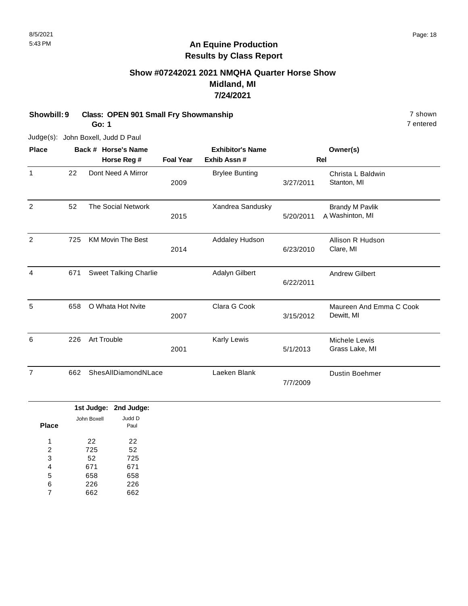# **Show #07242021 2021 NMQHA Quarter Horse Show Midland, MI 7/24/2021**

| Showbill: 9    |     | <b>Class: OPEN 901 Small Fry Showmanship</b><br>Go: 1 |                                    |                  |                                        |                        |                                           |  |  |
|----------------|-----|-------------------------------------------------------|------------------------------------|------------------|----------------------------------------|------------------------|-------------------------------------------|--|--|
|                |     |                                                       | Judge(s): John Boxell, Judd D Paul |                  |                                        |                        |                                           |  |  |
| <b>Place</b>   |     |                                                       | Back # Horse's Name<br>Horse Reg # | <b>Foal Year</b> | <b>Exhibitor's Name</b><br>Exhib Assn# | Owner(s)<br><b>Rel</b> |                                           |  |  |
| 1              | 22  |                                                       | Dont Need A Mirror                 | 2009             | <b>Brylee Bunting</b>                  | 3/27/2011              | Christa L Baldwin<br>Stanton, MI          |  |  |
| $\overline{2}$ | 52  |                                                       | <b>The Social Network</b>          | 2015             | Xandrea Sandusky                       | 5/20/2011              | <b>Brandy M Pavlik</b><br>A Washinton, MI |  |  |
| $\overline{2}$ | 725 |                                                       | <b>KM Movin The Best</b>           | 2014             | Addaley Hudson                         | 6/23/2010              | Allison R Hudson<br>Clare, MI             |  |  |
| 4              | 671 |                                                       | <b>Sweet Talking Charlie</b>       |                  | Adalyn Gilbert                         | 6/22/2011              | <b>Andrew Gilbert</b>                     |  |  |
| 5              | 658 |                                                       | O Whata Hot Nvite                  | 2007             | Clara G Cook                           | 3/15/2012              | Maureen And Emma C Cook<br>Dewitt, MI     |  |  |
| 6              | 226 |                                                       | Art Trouble                        | 2001             | Karly Lewis                            | 5/1/2013               | Michele Lewis<br>Grass Lake, MI           |  |  |
| $\overline{7}$ | 662 |                                                       | ShesAllDiamondNLace                |                  | Laeken Blank                           | 7/7/2009               | <b>Dustin Boehmer</b>                     |  |  |
|                |     |                                                       |                                    |                  |                                        |                        |                                           |  |  |

|       |             | 1st Judge: 2nd Judge: |
|-------|-------------|-----------------------|
|       | John Boxell | Judd D                |
| Place |             | Paul                  |
|       |             |                       |
| 1     | 22          | 22                    |
| 2     | 725         | 52                    |
| 3     | 52          | 725                   |
| 4     | 671         | 671                   |
| 5     | 658         | 658                   |
| 6     | 226         | 226                   |
|       | 662         | 662                   |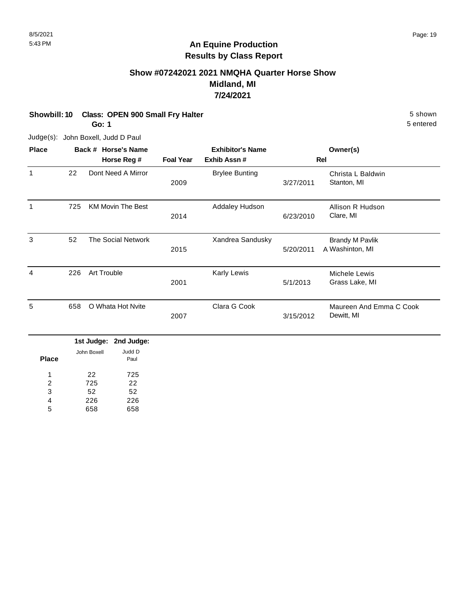# **Show #07242021 2021 NMQHA Quarter Horse Show Midland, MI 7/24/2021**

**Showbill: 10 Class: OPEN 900 Small Fry Halter** 5 shown **Go: 1**

Judge(s): John Boxell, Judd D Paul

| <b>Place</b> |     | Back # Horse's Name      |                  | <b>Exhibitor's Name</b> |           | Owner(s)                                  |
|--------------|-----|--------------------------|------------------|-------------------------|-----------|-------------------------------------------|
|              |     | Horse Reg #              | <b>Foal Year</b> | Exhib Assn#             |           | Rel                                       |
| 1            | 22  | Dont Need A Mirror       | 2009             | <b>Brylee Bunting</b>   | 3/27/2011 | Christa L Baldwin<br>Stanton, MI          |
| 1            | 725 | <b>KM Movin The Best</b> | 2014             | Addaley Hudson          | 6/23/2010 | Allison R Hudson<br>Clare, MI             |
| 3            | 52  | The Social Network       | 2015             | Xandrea Sandusky        | 5/20/2011 | <b>Brandy M Pavlik</b><br>A Washinton, MI |
| 4            | 226 | <b>Art Trouble</b>       | 2001             | Karly Lewis             | 5/1/2013  | Michele Lewis<br>Grass Lake, MI           |
| 5            | 658 | O Whata Hot Nvite        | 2007             | Clara G Cook            | 3/15/2012 | Maureen And Emma C Cook<br>Dewitt, MI     |
|              |     | .<br>.                   |                  |                         |           |                                           |

|              |             | 1st Judge: 2nd Judge: |
|--------------|-------------|-----------------------|
| <b>Place</b> | John Boxell | Judd D<br>Paul        |
| 1            | 22          | 725                   |
| 2            | 725         | 22                    |
| 3            | 52          | 52                    |
| 4            | 226         | 226                   |
| 5            | 658         | 658                   |
|              |             |                       |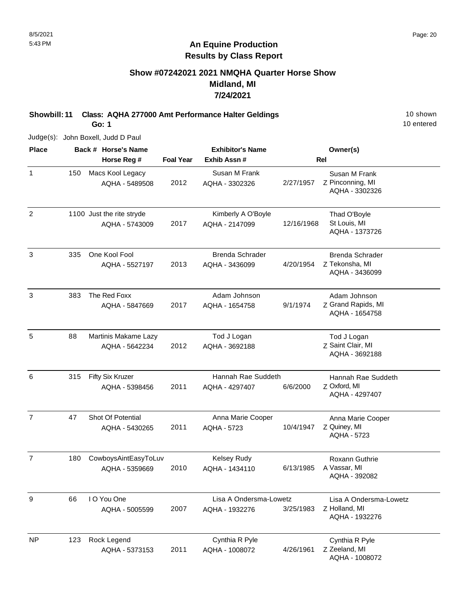### **Show #07242021 2021 NMQHA Quarter Horse Show Midland, MI 7/24/2021**

**Showbill: 11 Class: AQHA 277000 Amt Performance Halter Geldings** 10 Shown 10 shown

**Go: 1**

| <b>Place</b>   |     | Back # Horse's Name                         |                  | <b>Exhibitor's Name</b>                  |            | Owner(s)                                                  |
|----------------|-----|---------------------------------------------|------------------|------------------------------------------|------------|-----------------------------------------------------------|
|                |     | Horse Reg #                                 | <b>Foal Year</b> | Exhib Assn #                             |            | <b>Rel</b>                                                |
| $\mathbf{1}$   | 150 | Macs Kool Legacy<br>AQHA - 5489508          | 2012             | Susan M Frank<br>AQHA - 3302326          | 2/27/1957  | Susan M Frank<br>Z Pinconning, MI<br>AQHA - 3302326       |
| $\overline{2}$ |     | 1100 Just the rite stryde<br>AQHA - 5743009 | 2017             | Kimberly A O'Boyle<br>AQHA - 2147099     | 12/16/1968 | Thad O'Boyle<br>St Louis, MI<br>AQHA - 1373726            |
| 3              | 335 | One Kool Fool<br>AQHA - 5527197             | 2013             | <b>Brenda Schrader</b><br>AQHA - 3436099 | 4/20/1954  | Brenda Schrader<br>Z Tekonsha, MI<br>AQHA - 3436099       |
| 3              | 383 | The Red Foxx<br>AQHA - 5847669              | 2017             | Adam Johnson<br>AQHA - 1654758           | 9/1/1974   | Adam Johnson<br>Z Grand Rapids, MI<br>AQHA - 1654758      |
| 5              | 88  | Martinis Makame Lazy<br>AQHA - 5642234      | 2012             | Tod J Logan<br>AQHA - 3692188            |            | Tod J Logan<br>Z Saint Clair, MI<br>AQHA - 3692188        |
| 6              | 315 | Fifty Six Kruzer<br>AQHA - 5398456          | 2011             | Hannah Rae Suddeth<br>AQHA - 4297407     | 6/6/2000   | Hannah Rae Suddeth<br>Z Oxford, MI<br>AQHA - 4297407      |
| $\overline{7}$ | 47  | Shot Of Potential<br>AQHA - 5430265         | 2011             | Anna Marie Cooper<br><b>AQHA - 5723</b>  | 10/4/1947  | Anna Marie Cooper<br>Z Quiney, MI<br><b>AQHA - 5723</b>   |
| $\overline{7}$ | 180 | CowboysAintEasyToLuv<br>AQHA - 5359669      | 2010             | Kelsey Rudy<br>AQHA - 1434110            | 6/13/1985  | Roxann Guthrie<br>A Vassar, MI<br>AQHA - 392082           |
| 9              | 66  | I O You One<br>AQHA - 5005599               | 2007             | Lisa A Ondersma-Lowetz<br>AQHA - 1932276 | 3/25/1983  | Lisa A Ondersma-Lowetz<br>Z Holland, MI<br>AQHA - 1932276 |
| <b>NP</b>      | 123 | Rock Legend                                 |                  | Cynthia R Pyle                           |            | Cynthia R Pyle                                            |

AQHA - 1008072

2011

AQHA - 5373153

Z Zeeland, MI

AQHA - 1008072

10 entered

Judge(s): John Boxell, Judd D Paul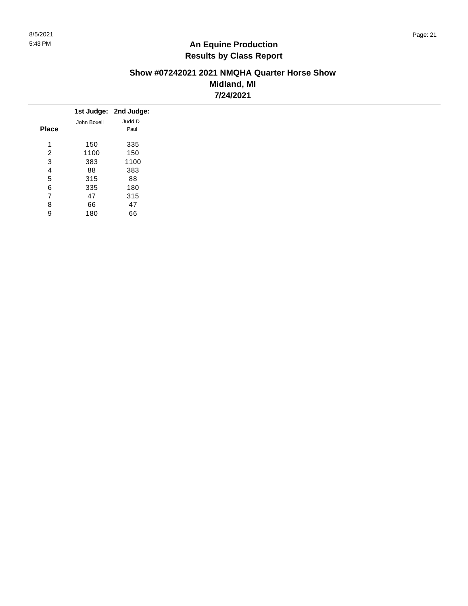#### **Show #07242021 2021 NMQHA Quarter Horse Show Midland, MI 7/24/2021**

|              |             | 1st Judge: 2nd Judge: |
|--------------|-------------|-----------------------|
|              | John Boxell | Judd D                |
| <b>Place</b> |             | Paul                  |
| 4            | 150         | 335                   |
| 2            | 1100        | 150                   |
| 3            | 383         | 1100                  |
| 4            | 88          | 383                   |
| 5            | 315         | 88                    |
| 6            | 335         | 180                   |
| 7            | 47          | 315                   |
| 8            | 66          | 47                    |
| 9            | 180         | 66                    |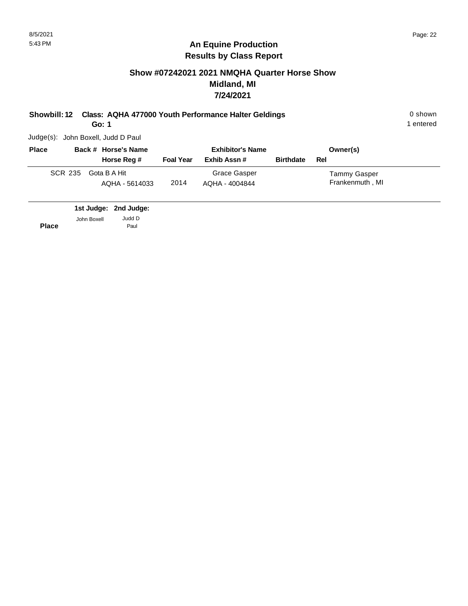#### **Show #07242021 2021 NMQHA Quarter Horse Show Midland, MI 7/24/2021**

**Showbill: 12 Class: AQHA 477000 Youth Performance Halter Geldings** 0 shown

**Go: 1**

1 entered

Judge(s): John Boxell, Judd D Paul

| <b>Place</b> |         | Back # Horse's Name            |                  | <b>Exhibitor's Name</b>        |                  | Owner(s)                        |
|--------------|---------|--------------------------------|------------------|--------------------------------|------------------|---------------------------------|
|              |         | Horse Reg #                    | <b>Foal Year</b> | Exhib Assn #                   | <b>Birthdate</b> | Rel                             |
|              | SCR 235 | Gota B A Hit<br>AQHA - 5614033 | 2014             | Grace Gasper<br>AQHA - 4004844 |                  | Tammy Gasper<br>Frankenmuth, MI |

**2nd Judge: 1st Judge: Place** John Boxell Judd D Paul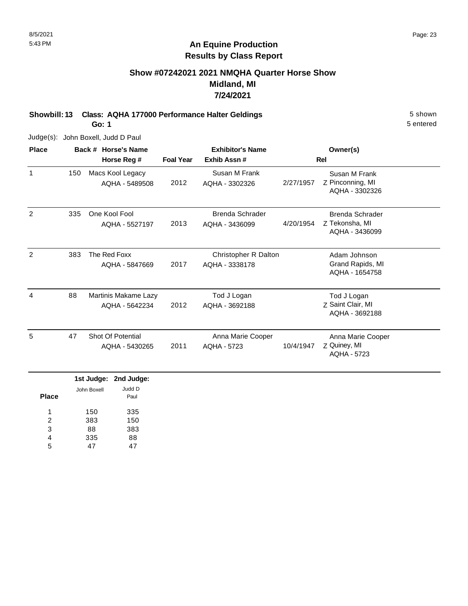# **Show #07242021 2021 NMQHA Quarter Horse Show Midland, MI 7/24/2021**

**Showbill: 13 Class: AQHA 177000 Performance Halter Geldings** 5 Shown 5 shown

**Go: 1**

Judge(s): John Boxell, Judd D Paul

| <b>Place</b> |     | Back # Horse's Name                    |                  | <b>Exhibitor's Name</b>                |           | Owner(s)                                            |  |
|--------------|-----|----------------------------------------|------------------|----------------------------------------|-----------|-----------------------------------------------------|--|
|              |     | Horse Reg #                            | <b>Foal Year</b> | Exhib Assn#                            |           | Rel                                                 |  |
| $\mathbf 1$  | 150 | Macs Kool Legacy<br>AQHA - 5489508     | 2012             | Susan M Frank<br>AQHA - 3302326        | 2/27/1957 | Susan M Frank<br>Z Pinconning, MI<br>AQHA - 3302326 |  |
| 2            | 335 | One Kool Fool<br>AQHA - 5527197        | 2013             | Brenda Schrader<br>AQHA - 3436099      | 4/20/1954 | Brenda Schrader<br>Z Tekonsha, MI<br>AQHA - 3436099 |  |
| 2            | 383 | The Red Foxx<br>AQHA - 5847669         | 2017             | Christopher R Dalton<br>AQHA - 3338178 |           | Adam Johnson<br>Grand Rapids, MI<br>AQHA - 1654758  |  |
| 4            | 88  | Martinis Makame Lazy<br>AQHA - 5642234 | 2012             | Tod J Logan<br>AQHA - 3692188          |           | Tod J Logan<br>Z Saint Clair, MI<br>AQHA - 3692188  |  |
| 5            | 47  | Shot Of Potential<br>AQHA - 5430265    | 2011             | Anna Marie Cooper<br>AQHA - 5723       | 10/4/1947 | Anna Marie Cooper<br>Z Quiney, MI<br>AQHA - 5723    |  |

|              |             | 1st Judge: 2nd Judge: |
|--------------|-------------|-----------------------|
| <b>Place</b> | John Boxell | Judd D<br>Paul        |
| 1            | 150         | 335                   |
| 2            | 383         | 150                   |
| 3            | 88          | 383                   |
| 4            | 335         | 88                    |
| 5            |             |                       |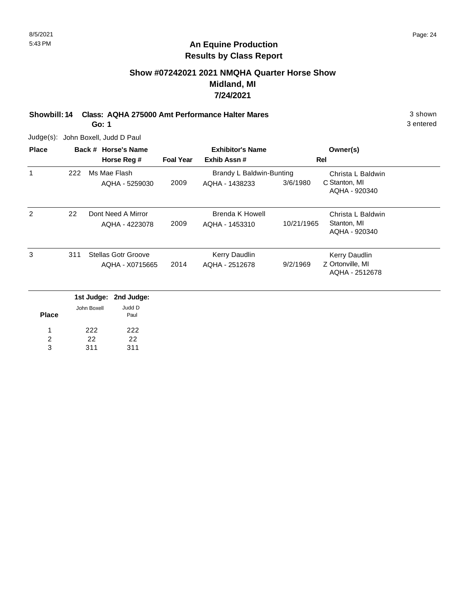# **Show #07242021 2021 NMQHA Quarter Horse Show Midland, MI 7/24/2021**

**Showbill: 14 Class: AQHA 275000 Amt Performance Halter Mares** 3 shown

**Go: 1**

Judge(s): John Boxell, Judd D Paul

22 311

2 3

22 311

| <b>Place</b> |     |             | Back # Horse's Name        |                  | <b>Exhibitor's Name</b>  |            | Owner(s)                           |  |
|--------------|-----|-------------|----------------------------|------------------|--------------------------|------------|------------------------------------|--|
|              |     |             | Horse Reg #                | <b>Foal Year</b> | Exhib Assn#              |            | Rel                                |  |
| 1            | 222 |             | Ms Mae Flash               |                  | Brandy L Baldwin-Bunting |            | Christa L Baldwin                  |  |
|              |     |             | AQHA - 5259030             | 2009             | AQHA - 1438233           | 3/6/1980   | C Stanton, MI<br>AQHA - 920340     |  |
| 2            | 22  |             | Dont Need A Mirror         |                  | <b>Brenda K Howell</b>   |            | Christa L Baldwin                  |  |
|              |     |             | AQHA - 4223078             | 2009             | AQHA - 1453310           | 10/21/1965 | Stanton, MI<br>AQHA - 920340       |  |
| 3            | 311 |             | <b>Stellas Gotr Groove</b> |                  | Kerry Daudlin            |            | Kerry Daudlin                      |  |
|              |     |             | AQHA - X0715665            | 2014             | AQHA - 2512678           | 9/2/1969   | Z Ortonville, MI<br>AQHA - 2512678 |  |
|              |     | 1st Judge:  | 2nd Judge:                 |                  |                          |            |                                    |  |
| <b>Place</b> |     | John Boxell | Judd D<br>Paul             |                  |                          |            |                                    |  |
|              |     | 222         | 222                        |                  |                          |            |                                    |  |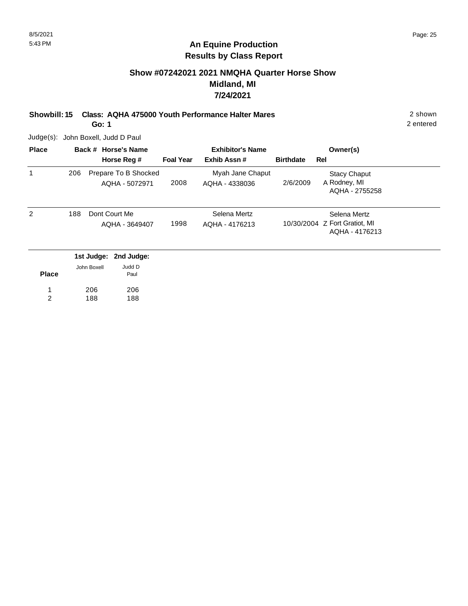# **Show #07242021 2021 NMQHA Quarter Horse Show Midland, MI 7/24/2021**

**Showbill: 15 Class: AQHA 475000 Youth Performance Halter Mares** 2 shown

**Go: 1**

Judge(s): John Boxell, Judd D Paul

| <b>Place</b> |     |             | Back # Horse's Name                    |                  | <b>Exhibitor's Name</b>            |                  | Owner(s)                                                        |  |
|--------------|-----|-------------|----------------------------------------|------------------|------------------------------------|------------------|-----------------------------------------------------------------|--|
|              |     |             | Horse Reg #                            | <b>Foal Year</b> | Exhib Assn#                        | <b>Birthdate</b> | Rel                                                             |  |
| 1            | 206 |             | Prepare To B Shocked<br>AQHA - 5072971 | 2008             | Myah Jane Chaput<br>AQHA - 4338036 | 2/6/2009         | <b>Stacy Chaput</b><br>A Rodney, MI<br>AQHA - 2755258           |  |
| 2            | 188 |             | Dont Court Me<br>AQHA - 3649407        | 1998             | Selena Mertz<br>AQHA - 4176213     |                  | Selena Mertz<br>10/30/2004 Z Fort Gratiot, MI<br>AQHA - 4176213 |  |
|              |     | 1st Judge:  | 2nd Judge:                             |                  |                                    |                  |                                                                 |  |
| <b>Place</b> |     | John Boxell | Judd D<br>Paul                         |                  |                                    |                  |                                                                 |  |
|              |     | 206         | 206                                    |                  |                                    |                  |                                                                 |  |

206 188 2

188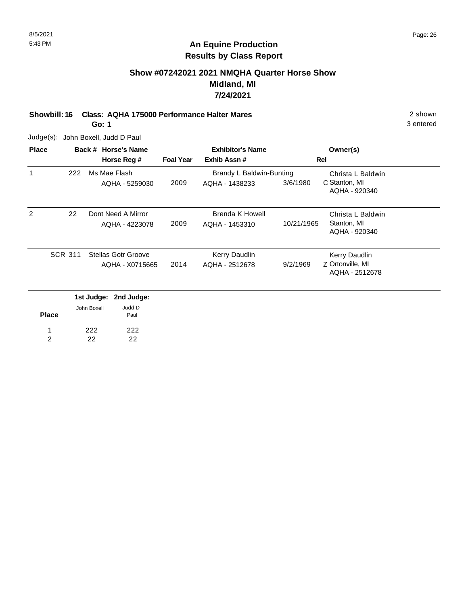# **Show #07242021 2021 NMQHA Quarter Horse Show Midland, MI 7/24/2021**

**Showbill: 16 Class: AQHA 175000 Performance Halter Mares** 2 shown

**Go: 1**

Judge(s): John Boxell, Judd D Paul

| <b>Place</b> |                |             | Back # Horse's Name        |                  | <b>Exhibitor's Name</b>  |            | Owner(s)                           |  |
|--------------|----------------|-------------|----------------------------|------------------|--------------------------|------------|------------------------------------|--|
|              |                |             | Horse Reg #                | <b>Foal Year</b> | Exhib Assn#              |            | Rel                                |  |
| 1            | 222            |             | Ms Mae Flash               |                  | Brandy L Baldwin-Bunting |            | Christa L Baldwin                  |  |
|              |                |             | AQHA - 5259030             | 2009             | AQHA - 1438233           | 3/6/1980   | C Stanton, MI<br>AQHA - 920340     |  |
| 2            | 22             |             | Dont Need A Mirror         |                  | <b>Brenda K Howell</b>   |            | Christa L Baldwin                  |  |
|              |                |             | AQHA - 4223078             | 2009             | AQHA - 1453310           | 10/21/1965 | Stanton, MI<br>AQHA - 920340       |  |
|              | <b>SCR 311</b> |             | <b>Stellas Gotr Groove</b> |                  | Kerry Daudlin            |            | Kerry Daudlin                      |  |
|              |                |             | AQHA - X0715665            | 2014             | AQHA - 2512678           | 9/2/1969   | Z Ortonville, MI<br>AQHA - 2512678 |  |
|              |                |             | 1st Judge: 2nd Judge:      |                  |                          |            |                                    |  |
| <b>Place</b> |                | John Boxell | Judd D<br>Paul             |                  |                          |            |                                    |  |
|              |                | 222         | 222                        |                  |                          |            |                                    |  |
| 2            |                | 22          | 22                         |                  |                          |            |                                    |  |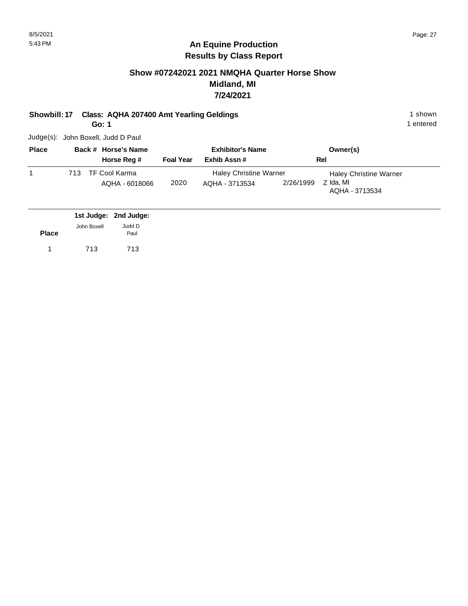# **Show #07242021 2021 NMQHA Quarter Horse Show Midland, MI 7/24/2021**

**Showbill: 17 Class: AQHA 207400 Amt Yearling Geldings** 1 Shown 1 shown

**Go: 1**

1 entered

Judge(s): John Boxell, Judd D Paul

| <b>Place</b> |     | Back # Horse's Name |                  | <b>Exhibitor's Name</b>       |           | Owner(s)                      |
|--------------|-----|---------------------|------------------|-------------------------------|-----------|-------------------------------|
|              |     | Horse Reg #         | <b>Foal Year</b> | Exhib Assn#                   |           | Rel                           |
|              | 713 | TF Cool Karma       |                  | <b>Haley Christine Warner</b> |           | <b>Haley Christine Warner</b> |
|              |     | AQHA - 6018066      | 2020             | AQHA - 3713534                | 2/26/1999 | Z Ida, MI<br>AQHA - 3713534   |

|              |             | 1st Judge: 2nd Judge: |
|--------------|-------------|-----------------------|
|              | John Boxell | Judd D                |
| <b>Place</b> |             | Paul                  |
| $1 \quad$    | 713         | 713                   |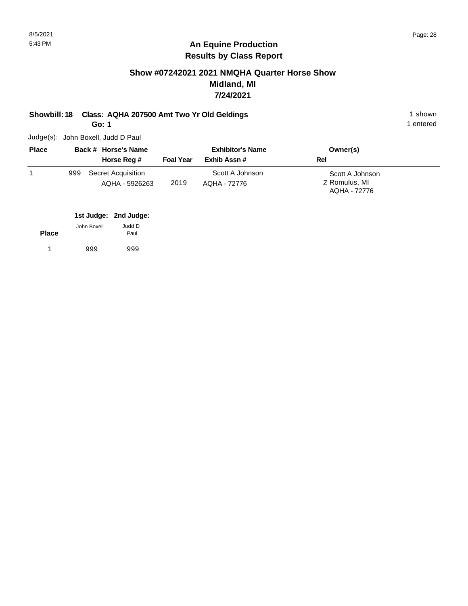# **Show #07242021 2021 NMQHA Quarter Horse Show Midland, MI 7/24/2021**

# **Showbill: 18 Class: AQHA 207500 Amt Two Yr Old Geldings** 1 Shown 1 shown

**Go: 1**

Judge(s): John Boxell, Judd D Paul

| <b>Place</b> | Back # Horse's Name |                                      | <b>Exhibitor's Name</b> |                                 | Owner(s)                                         |
|--------------|---------------------|--------------------------------------|-------------------------|---------------------------------|--------------------------------------------------|
|              |                     | Horse Reg #                          | <b>Foal Year</b>        | Exhib Assn#                     | Rel                                              |
|              | 999                 | Secret Acquisition<br>AQHA - 5926263 | 2019                    | Scott A Johnson<br>AQHA - 72776 | Scott A Johnson<br>Z Romulus, MI<br>AQHA - 72776 |

|              |             | 1st Judge: 2nd Judge: |
|--------------|-------------|-----------------------|
|              | John Boxell | Judd D                |
| <b>Place</b> |             | Paul                  |
|              | 999         | 999                   |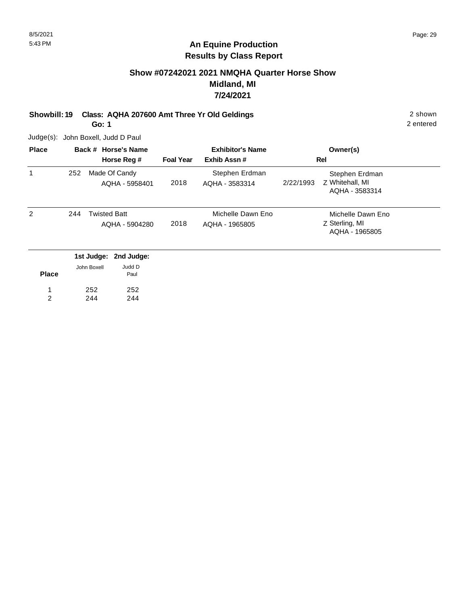# **Show #07242021 2021 NMQHA Quarter Horse Show Midland, MI 7/24/2021**

**Showbill: 19 Class: AQHA 207600 Amt Three Yr Old Geldings** 2 shown 2 shown

**Go: 1**

Judge(s): John Boxell, Judd D Paul

252 244

1 2 252 244

| <b>Place</b>   |     | Back # Horse's Name                                    |                  | <b>Exhibitor's Name</b>             | Owner(s)                                                         |  |
|----------------|-----|--------------------------------------------------------|------------------|-------------------------------------|------------------------------------------------------------------|--|
|                |     | Horse Reg #                                            | <b>Foal Year</b> | Exhib Assn#                         | Rel                                                              |  |
| 1              | 252 | Made Of Candy<br>AQHA - 5958401                        | 2018             | Stephen Erdman<br>AQHA - 3583314    | Stephen Erdman<br>Z Whitehall, MI<br>2/22/1993<br>AQHA - 3583314 |  |
| $\overline{2}$ | 244 | <b>Twisted Batt</b><br>AQHA - 5904280                  | 2018             | Michelle Dawn Eno<br>AQHA - 1965805 | Michelle Dawn Eno<br>Z Sterling, MI<br>AQHA - 1965805            |  |
| <b>Place</b>   |     | 1st Judge: 2nd Judge:<br>Judd D<br>John Boxell<br>Paul |                  |                                     |                                                                  |  |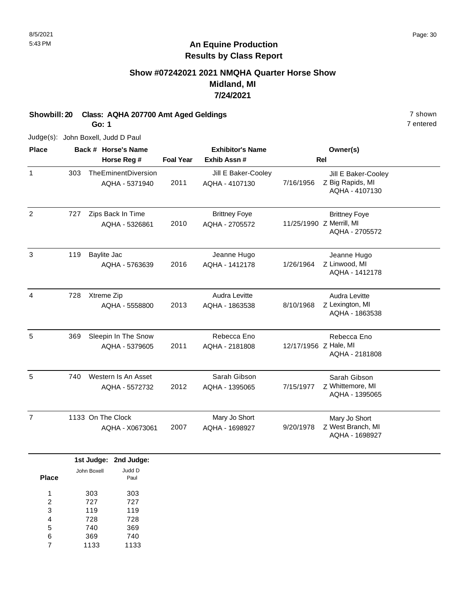# **Show #07242021 2021 NMQHA Quarter Horse Show Midland, MI 7/24/2021**

**Showbill: 20 Class: AQHA 207700 Amt Aged Geldings 7 shown** 7 shown

**Go: 1**

Judge(s): John Boxell, Judd D Paul

| <b>Place</b>   |     | Back # Horse's Name                   |                  | <b>Exhibitor's Name</b>                |                       | Owner(s)                                                           |
|----------------|-----|---------------------------------------|------------------|----------------------------------------|-----------------------|--------------------------------------------------------------------|
|                |     | Horse Reg #                           | <b>Foal Year</b> | Exhib Assn #                           |                       | Rel                                                                |
| $\mathbf{1}$   | 303 | TheEminentDiversion<br>AQHA - 5371940 | 2011             | Jill E Baker-Cooley<br>AQHA - 4107130  | 7/16/1956             | Jill E Baker-Cooley<br>Z Big Rapids, MI<br>AQHA - 4107130          |
| $\overline{2}$ | 727 | Zips Back In Time<br>AQHA - 5326861   | 2010             | <b>Brittney Foye</b><br>AQHA - 2705572 |                       | <b>Brittney Foye</b><br>11/25/1990 Z Merrill, MI<br>AQHA - 2705572 |
| 3              | 119 | Baylite Jac<br>AQHA - 5763639         | 2016             | Jeanne Hugo<br>AQHA - 1412178          | 1/26/1964             | Jeanne Hugo<br>Z Linwood, MI<br>AQHA - 1412178                     |
| 4              | 728 | Xtreme Zip<br>AQHA - 5558800          | 2013             | Audra Levitte<br>AQHA - 1863538        | 8/10/1968             | Audra Levitte<br>Z Lexington, MI<br>AQHA - 1863538                 |
| 5              | 369 | Sleepin In The Snow<br>AQHA - 5379605 | 2011             | Rebecca Eno<br>AQHA - 2181808          | 12/17/1956 Z Hale, MI | Rebecca Eno<br>AQHA - 2181808                                      |
| 5              | 740 | Western Is An Asset<br>AQHA - 5572732 | 2012             | Sarah Gibson<br>AQHA - 1395065         | 7/15/1977             | Sarah Gibson<br>Z Whittemore, MI<br>AQHA - 1395065                 |
| $\overline{7}$ |     | 1133 On The Clock<br>AQHA - X0673061  | 2007             | Mary Jo Short<br>AQHA - 1698927        | 9/20/1978             | Mary Jo Short<br>Z West Branch, MI<br>AQHA - 1698927               |

|       |             | 1st Judge: 2nd Judge: |
|-------|-------------|-----------------------|
|       | John Boxell | Judd D                |
| Place |             | Paul                  |
| 1     | 303         | 303                   |
| 2     | 727         | 727                   |
| 3     | 119         | 119                   |
| 4     | 728         | 728                   |
| 5     | 740         | 369                   |
| 6     | 369         | 740                   |
|       | 1133        | 1133                  |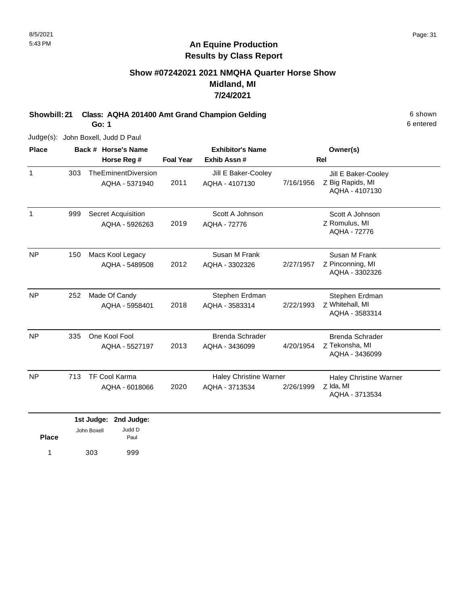# **Show #07242021 2021 NMQHA Quarter Horse Show Midland, MI 7/24/2021**

**Showbill: 21 Class: AQHA 201400 Amt Grand Champion Gelding 6 Shown 6 shown** 

**Go: 1**

Judge(s): John Boxell, Judd D Paul

| <b>Place</b> |     | Back # Horse's Name                         | <b>Exhibitor's Name</b> |                                                 |           | Owner(s)                                                     |
|--------------|-----|---------------------------------------------|-------------------------|-------------------------------------------------|-----------|--------------------------------------------------------------|
|              |     | Horse Reg #                                 | <b>Foal Year</b>        | Exhib Assn#                                     |           | <b>Rel</b>                                                   |
| $\mathbf{1}$ | 303 | TheEminentDiversion<br>AQHA - 5371940       | 2011                    | Jill E Baker-Cooley<br>AQHA - 4107130           | 7/16/1956 | Jill E Baker-Cooley<br>Z Big Rapids, MI<br>AQHA - 4107130    |
| 1            | 999 | <b>Secret Acquisition</b><br>AQHA - 5926263 | 2019                    | Scott A Johnson<br>AQHA - 72776                 |           | Scott A Johnson<br>Z Romulus, MI<br>AQHA - 72776             |
| <b>NP</b>    | 150 | Macs Kool Legacy<br>AQHA - 5489508          | 2012                    | Susan M Frank<br>AQHA - 3302326                 | 2/27/1957 | Susan M Frank<br>Z Pinconning, MI<br>AQHA - 3302326          |
| <b>NP</b>    | 252 | Made Of Candy<br>AQHA - 5958401             | 2018                    | Stephen Erdman<br>AQHA - 3583314                | 2/22/1993 | Stephen Erdman<br>Z Whitehall, MI<br>AQHA - 3583314          |
| <b>NP</b>    | 335 | One Kool Fool<br>AQHA - 5527197             | 2013                    | Brenda Schrader<br>AQHA - 3436099               | 4/20/1954 | <b>Brenda Schrader</b><br>Z Tekonsha, MI<br>AQHA - 3436099   |
| <b>NP</b>    | 713 | <b>TF Cool Karma</b><br>AQHA - 6018066      | 2020                    | <b>Haley Christine Warner</b><br>AQHA - 3713534 | 2/26/1999 | <b>Haley Christine Warner</b><br>Z Ida, MI<br>AQHA - 3713534 |
|              |     | diam'r bailed an<br>And the day             |                         |                                                 |           |                                                              |

|              |             | 1st Judge: 2nd Judge: |
|--------------|-------------|-----------------------|
| <b>Place</b> | John Boxell | Judd D<br>Paul        |
| 1            | 303         | 999                   |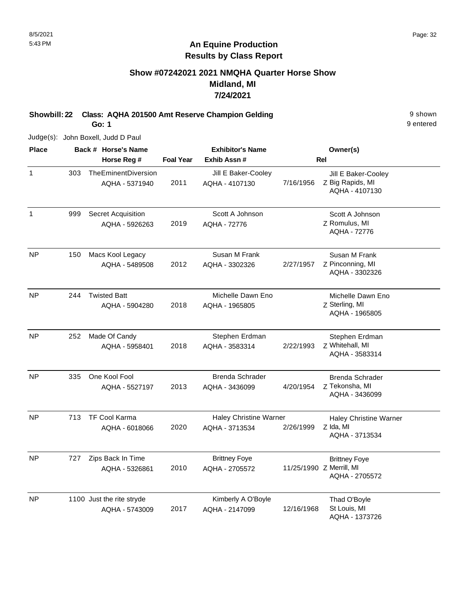# **Show #07242021 2021 NMQHA Quarter Horse Show Midland, MI 7/24/2021**

**Showbill: 22 Class: AQHA 201500 Amt Reserve Champion Gelding 3 Shown 9 shown** 

**Go: 1**

Judge(s): John Boxell, Judd D Paul

| <b>Place</b>   |     | Back # Horse's Name                         |                  | <b>Exhibitor's Name</b>                         |            | Owner(s)                                                           |
|----------------|-----|---------------------------------------------|------------------|-------------------------------------------------|------------|--------------------------------------------------------------------|
|                |     | Horse Reg #                                 | <b>Foal Year</b> | Exhib Assn#                                     |            | <b>Rel</b>                                                         |
| $\mathbf{1}$   | 303 | TheEminentDiversion<br>AQHA - 5371940       | 2011             | Jill E Baker-Cooley<br>AQHA - 4107130           | 7/16/1956  | Jill E Baker-Cooley<br>Z Big Rapids, MI<br>AQHA - 4107130          |
| $\mathbf{1}$   | 999 | <b>Secret Acquisition</b><br>AQHA - 5926263 | 2019             | Scott A Johnson<br>AQHA - 72776                 |            | Scott A Johnson<br>Z Romulus, MI<br>AQHA - 72776                   |
| <b>NP</b>      | 150 | Macs Kool Legacy<br>AQHA - 5489508          | 2012             | Susan M Frank<br>AQHA - 3302326                 | 2/27/1957  | Susan M Frank<br>Z Pinconning, MI<br>AQHA - 3302326                |
| <b>NP</b>      | 244 | <b>Twisted Batt</b><br>AQHA - 5904280       | 2018             | Michelle Dawn Eno<br>AQHA - 1965805             |            | Michelle Dawn Eno<br>Z Sterling, MI<br>AQHA - 1965805              |
| NP             | 252 | Made Of Candy<br>AQHA - 5958401             | 2018             | Stephen Erdman<br>AQHA - 3583314                | 2/22/1993  | Stephen Erdman<br>Z Whitehall, MI<br>AQHA - 3583314                |
| N <sub>P</sub> | 335 | One Kool Fool<br>AQHA - 5527197             | 2013             | <b>Brenda Schrader</b><br>AQHA - 3436099        | 4/20/1954  | <b>Brenda Schrader</b><br>Z Tekonsha, MI<br>AQHA - 3436099         |
| <b>NP</b>      | 713 | <b>TF Cool Karma</b><br>AQHA - 6018066      | 2020             | <b>Haley Christine Warner</b><br>AQHA - 3713534 | 2/26/1999  | <b>Haley Christine Warner</b><br>Z Ida, MI<br>AQHA - 3713534       |
| NP.            | 727 | Zips Back In Time<br>AQHA - 5326861         | 2010             | <b>Brittney Foye</b><br>AQHA - 2705572          |            | <b>Brittney Foye</b><br>11/25/1990 Z Merrill, MI<br>AQHA - 2705572 |
| <b>NP</b>      |     | 1100 Just the rite stryde<br>AQHA - 5743009 | 2017             | Kimberly A O'Boyle<br>AQHA - 2147099            | 12/16/1968 | Thad O'Boyle<br>St Louis, MI<br>AQHA - 1373726                     |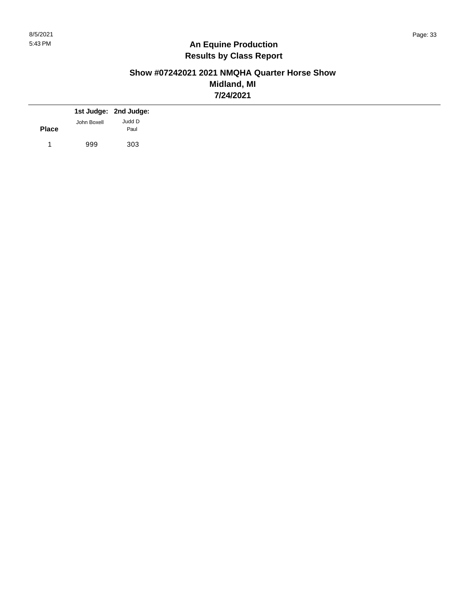# **Show #07242021 2021 NMQHA Quarter Horse Show Midland, MI 7/24/2021**

|              |             | 1st Judge: 2nd Judge: |
|--------------|-------------|-----------------------|
| <b>Place</b> | John Boxell | Judd D<br>Paul        |
|              | 999         | 303                   |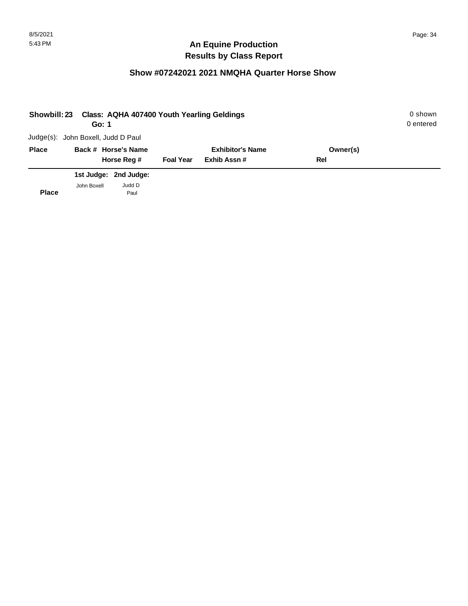# **Show #07242021 2021 NMQHA Quarter Horse Show**

| Showbill: 23 | Go: 1                              |                       |                  | Class: AQHA 407400 Youth Yearling Geldings |          | 0 shown<br>0 entered |
|--------------|------------------------------------|-----------------------|------------------|--------------------------------------------|----------|----------------------|
|              | Judge(s): John Boxell, Judd D Paul |                       |                  |                                            |          |                      |
| <b>Place</b> |                                    | Back # Horse's Name   |                  | <b>Exhibitor's Name</b>                    | Owner(s) |                      |
|              |                                    | Horse Reg #           | <b>Foal Year</b> | Exhib Assn#                                | Rel      |                      |
|              |                                    | 1st Judge: 2nd Judge: |                  |                                            |          |                      |
| <b>Place</b> | John Boxell                        | Judd D<br>Paul        |                  |                                            |          |                      |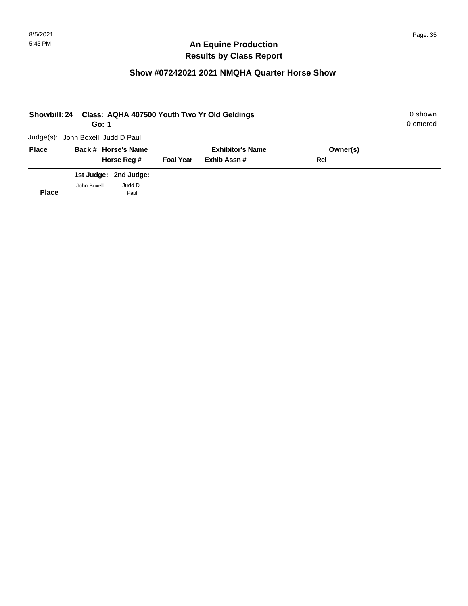# **Show #07242021 2021 NMQHA Quarter Horse Show**

| <b>Showbill: 24</b> | Go: 1                              |                       |                  | Class: AQHA 407500 Youth Two Yr Old Geldings |          | 0 shown<br>0 entered |
|---------------------|------------------------------------|-----------------------|------------------|----------------------------------------------|----------|----------------------|
|                     | Judge(s): John Boxell, Judd D Paul |                       |                  |                                              |          |                      |
| <b>Place</b>        |                                    | Back # Horse's Name   |                  | <b>Exhibitor's Name</b>                      | Owner(s) |                      |
|                     |                                    | Horse Reg #           | <b>Foal Year</b> | Exhib Assn#                                  | Rel      |                      |
|                     |                                    | 1st Judge: 2nd Judge: |                  |                                              |          |                      |
| <b>Place</b>        | John Boxell                        | Judd D<br>Paul        |                  |                                              |          |                      |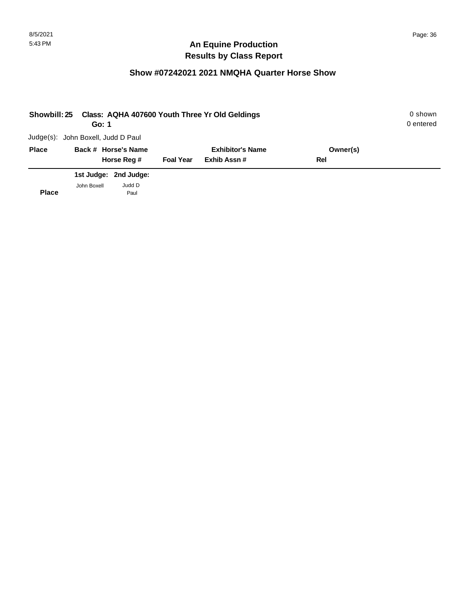# **Show #07242021 2021 NMQHA Quarter Horse Show**

| <b>Showbill: 25</b> | Go: 1                              |                       |                         | Class: AQHA 407600 Youth Three Yr Old Geldings |     | 0 shown<br>0 entered |
|---------------------|------------------------------------|-----------------------|-------------------------|------------------------------------------------|-----|----------------------|
|                     | Judge(s): John Boxell, Judd D Paul |                       |                         |                                                |     |                      |
| <b>Place</b>        |                                    | Back # Horse's Name   | <b>Exhibitor's Name</b> | Owner(s)                                       |     |                      |
|                     |                                    | Horse Reg #           | <b>Foal Year</b>        | Exhib Assn#                                    | Rel |                      |
|                     |                                    | 1st Judge: 2nd Judge: |                         |                                                |     |                      |
| <b>Place</b>        | John Boxell                        | Judd D<br>Paul        |                         |                                                |     |                      |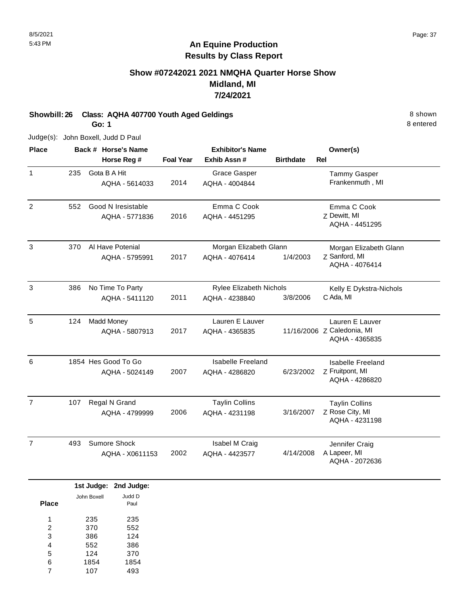# **Show #07242021 2021 NMQHA Quarter Horse Show Midland, MI 7/24/2021**

**Showbill: 26 Class: AQHA 407700 Youth Aged Geldings** 8 Shown 8 shown **Go: 1**

8 entered

Judge(s): John Boxell, Judd D Paul

| <b>Place</b>   |     | Back # Horse's Name |                  | <b>Exhibitor's Name</b>  | Owner(s)         |                                              |
|----------------|-----|---------------------|------------------|--------------------------|------------------|----------------------------------------------|
|                |     | Horse Reg #         | <b>Foal Year</b> | Exhib Assn#              | <b>Birthdate</b> | <b>Rel</b>                                   |
| $\mathbf{1}$   | 235 | Gota B A Hit        |                  | Grace Gasper             |                  | <b>Tammy Gasper</b>                          |
|                |     | AQHA - 5614033      | 2014             | AQHA - 4004844           |                  | Frankenmuth, MI                              |
| 2              | 552 | Good N Iresistable  |                  | Emma C Cook              |                  | Emma C Cook                                  |
|                |     | AQHA - 5771836      | 2016             | AQHA - 4451295           |                  | Z Dewitt, MI<br>AQHA - 4451295               |
| 3              | 370 | Al Have Potenial    |                  | Morgan Elizabeth Glann   |                  | Morgan Elizabeth Glann                       |
|                |     | AQHA - 5795991      | 2017             | AQHA - 4076414           | 1/4/2003         | Z Sanford, MI<br>AQHA - 4076414              |
| 3              | 386 | No Time To Party    |                  | Rylee Elizabeth Nichols  |                  | Kelly E Dykstra-Nichols                      |
|                |     | AQHA - 5411120      | 2011             | AQHA - 4238840           | 3/8/2006         | C Ada, MI                                    |
| 5              | 124 | <b>Madd Money</b>   |                  | Lauren E Lauver          |                  | Lauren E Lauver                              |
|                |     | AQHA - 5807913      | 2017             | AQHA - 4365835           |                  | 11/16/2006 Z Caledonia, MI<br>AQHA - 4365835 |
| 6              |     | 1854 Hes Good To Go |                  | <b>Isabelle Freeland</b> |                  | <b>Isabelle Freeland</b>                     |
|                |     | AQHA - 5024149      | 2007             | AQHA - 4286820           | 6/23/2002        | Z Fruitpont, MI<br>AQHA - 4286820            |
| $\overline{7}$ | 107 | Regal N Grand       |                  | <b>Taylin Collins</b>    |                  | <b>Taylin Collins</b>                        |
|                |     | AQHA - 4799999      | 2006             | AQHA - 4231198           | 3/16/2007        | Z Rose City, MI<br>AQHA - 4231198            |
| $\overline{7}$ | 493 | Sumore Shock        |                  | Isabel M Craig           |                  | Jennifer Craig                               |
|                |     | AQHA - X0611153     | 2002             | AQHA - 4423577           | 4/14/2008        | A Lapeer, MI<br>AQHA - 2072636               |

|       |             | 1st Judge: 2nd Judge: |
|-------|-------------|-----------------------|
|       | John Boxell | Judd D                |
| Place |             | Paul                  |
|       |             |                       |
| 1     | 235         | 235                   |
| 2     | 370         | 552                   |
| 3     | 386         | 124                   |
| 4     | 552         | 386                   |
| 5     | 124         | 370                   |
| 6     | 1854        | 1854                  |
| 7     | 107         | 493                   |
|       |             |                       |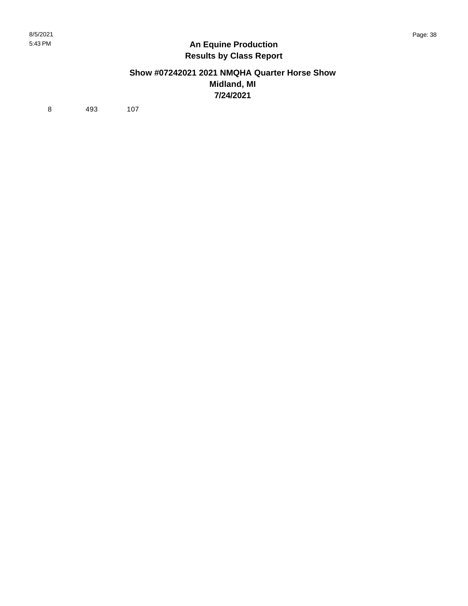#### **Show #07242021 2021 NMQHA Quarter Horse Show Midland, MI 7/24/2021**

8 493 107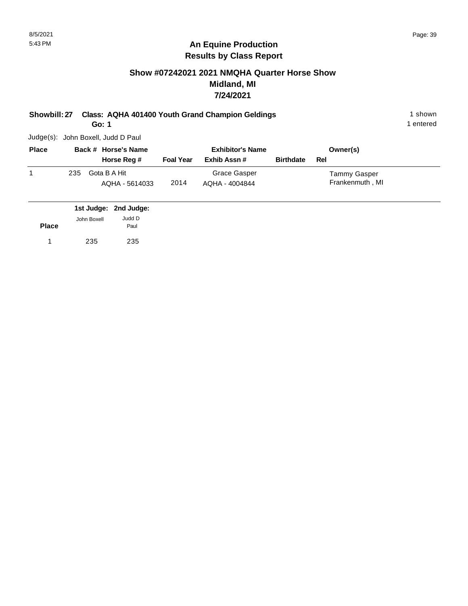# **Show #07242021 2021 NMQHA Quarter Horse Show Midland, MI 7/24/2021**

**Showbill: 27 Class: AQHA 401400 Youth Grand Champion Geldings** 1 Shown 1 shown

**Go: 1**

Judge(s): John Boxell, Judd D Paul

| <b>Place</b> | Back # Horse's Name |                                | <b>Exhibitor's Name</b> |                                |                  | Owner(s)                        |  |
|--------------|---------------------|--------------------------------|-------------------------|--------------------------------|------------------|---------------------------------|--|
|              |                     | Horse Reg #                    | <b>Foal Year</b>        | Exhib Assn#                    | <b>Birthdate</b> | Rel                             |  |
|              | 235                 | Gota B A Hit<br>AQHA - 5614033 | 2014                    | Grace Gasper<br>AQHA - 4004844 |                  | Tammy Gasper<br>Frankenmuth, MI |  |

|              |             | 1st Judge: 2nd Judge: |
|--------------|-------------|-----------------------|
| <b>Place</b> | John Boxell | Judd D<br>Paul        |
| 1            | 235         | 235                   |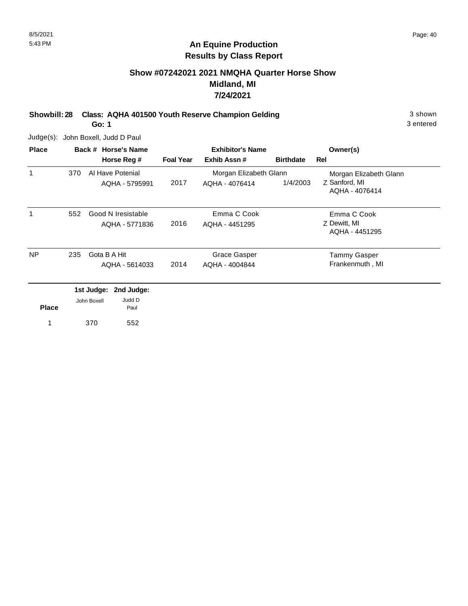# **Show #07242021 2021 NMQHA Quarter Horse Show Midland, MI 7/24/2021**

**Showbill: 28 Class: AQHA 401500 Youth Reserve Champion Gelding 3 Shown 3 shown** 

**Go: 1**

3 entered

Judge(s): John Boxell, Judd D Paul

| <b>Place</b> | Back # Horse's Name |             |                       | <b>Exhibitor's Name</b> |                        |                     | Owner(s)                        |
|--------------|---------------------|-------------|-----------------------|-------------------------|------------------------|---------------------|---------------------------------|
|              |                     |             | Horse Reg #           | <b>Foal Year</b>        | Exhib Assn#            | <b>Birthdate</b>    | Rel                             |
| 1            | 370                 |             | Al Have Potenial      |                         | Morgan Elizabeth Glann |                     | Morgan Elizabeth Glann          |
|              |                     |             | AQHA - 5795991        | 2017                    | AQHA - 4076414         | 1/4/2003            | Z Sanford, MI<br>AQHA - 4076414 |
| 1            | 552                 |             | Good N Iresistable    |                         | Emma C Cook            |                     | Emma C Cook                     |
|              |                     |             | AQHA - 5771836        | 2016                    | AQHA - 4451295         |                     | Z Dewitt, MI                    |
|              |                     |             |                       |                         |                        |                     | AQHA - 4451295                  |
| NP.          | 235<br>Gota B A Hit |             |                       | Grace Gasper            |                        | <b>Tammy Gasper</b> |                                 |
|              |                     |             | AQHA - 5614033        | 2014                    | AQHA - 4004844         |                     | Frankenmuth, MI                 |
|              |                     |             | 1st Judge: 2nd Judge: |                         |                        |                     |                                 |
| <b>Place</b> |                     | John Boxell | Judd D<br>Paul        |                         |                        |                     |                                 |
| 1            |                     | 370         | 552                   |                         |                        |                     |                                 |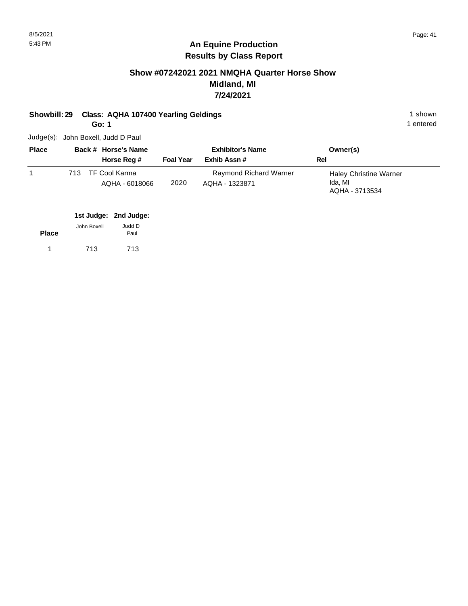# **Show #07242021 2021 NMQHA Quarter Horse Show Midland, MI 7/24/2021**

**Showbill: 29 Class: AQHA 107400 Yearling Geldings 1 shown 1 shown 1 shown** 

**Go: 1**

1 entered

Judge(s): John Boxell, Judd D Paul

| <b>Place</b> |      | Back # Horse's Name             |                  | <b>Exhibitor's Name</b>                  | Owner(s)                                                   |
|--------------|------|---------------------------------|------------------|------------------------------------------|------------------------------------------------------------|
|              |      | Horse Reg #                     | <b>Foal Year</b> | Exhib Assn#                              | Rel                                                        |
|              | 713. | TF Cool Karma<br>AQHA - 6018066 | 2020             | Raymond Richard Warner<br>AQHA - 1323871 | <b>Haley Christine Warner</b><br>Ida, MI<br>AQHA - 3713534 |

|              |             | 1st Judge: 2nd Judge: |
|--------------|-------------|-----------------------|
|              | John Boxell | Judd D                |
| <b>Place</b> |             | Paul                  |
|              | 713         | 713                   |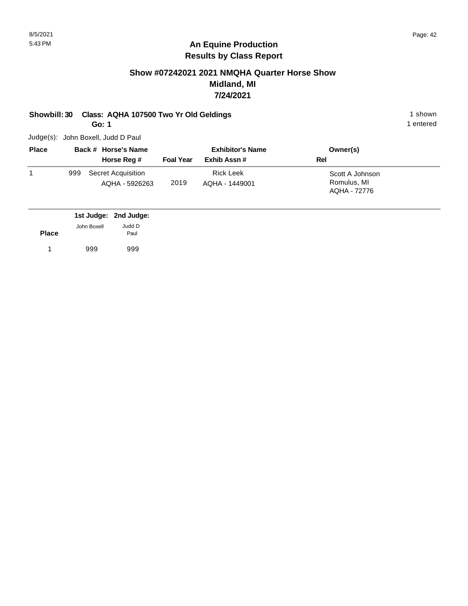# **Show #07242021 2021 NMQHA Quarter Horse Show Midland, MI 7/24/2021**

#### **Showbill: 30 Class: AQHA 107500 Two Yr Old Geldings** 1 Shown 1 shown

**Go: 1**

Judge(s): John Boxell, Judd D Paul

| <b>Place</b> | Back # Horse's Name |                                      | <b>Exhibitor's Name</b> |                                    | Owner(s)                                       |
|--------------|---------------------|--------------------------------------|-------------------------|------------------------------------|------------------------------------------------|
|              |                     | Horse Reg #                          | <b>Foal Year</b>        | Exhib Assn#                        | Rel                                            |
|              | 999                 | Secret Acquisition<br>AQHA - 5926263 | 2019                    | <b>Rick Leek</b><br>AQHA - 1449001 | Scott A Johnson<br>Romulus, MI<br>AQHA - 72776 |

|              |             | 1st Judge: 2nd Judge: |
|--------------|-------------|-----------------------|
|              | John Boxell | Judd D                |
| <b>Place</b> |             | Paul                  |
|              | 999         | 999                   |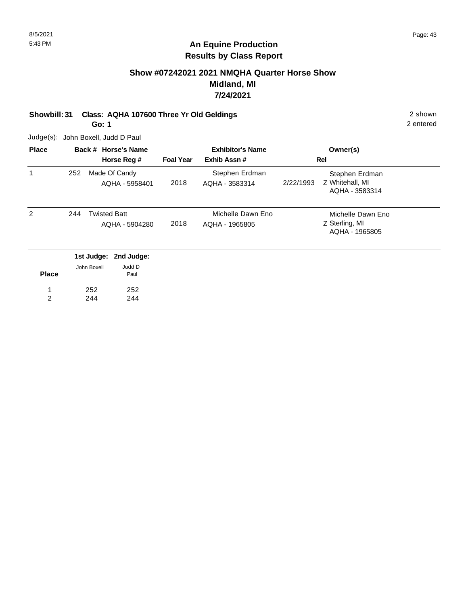# **Show #07242021 2021 NMQHA Quarter Horse Show Midland, MI 7/24/2021**

# **Showbill: 31 Class: AQHA 107600 Three Yr Old Geldings** 2 Shown 2 shown

252 244

**Go: 1**

Judge(s): John Boxell, Judd D Paul

252 244

1 2

| <b>Place</b> | Back # Horse's Name |                                                | <b>Exhibitor's Name</b> |                                     | Owner(s)                                                         |  |
|--------------|---------------------|------------------------------------------------|-------------------------|-------------------------------------|------------------------------------------------------------------|--|
|              |                     | Horse Reg #                                    | <b>Foal Year</b>        | Exhib Assn#                         | <b>Rel</b>                                                       |  |
| 1            | 252                 | Made Of Candy<br>AQHA - 5958401                | 2018                    | Stephen Erdman<br>AQHA - 3583314    | Stephen Erdman<br>Z Whitehall, MI<br>2/22/1993<br>AQHA - 3583314 |  |
| 2            | 244                 | <b>Twisted Batt</b><br>AQHA - 5904280          | 2018                    | Michelle Dawn Eno<br>AQHA - 1965805 | Michelle Dawn Eno<br>Z Sterling, MI<br>AQHA - 1965805            |  |
|              |                     | 1st Judge: 2nd Judge:<br>Judd D<br>John Boxell |                         |                                     |                                                                  |  |
| <b>Place</b> |                     | Paul                                           |                         |                                     |                                                                  |  |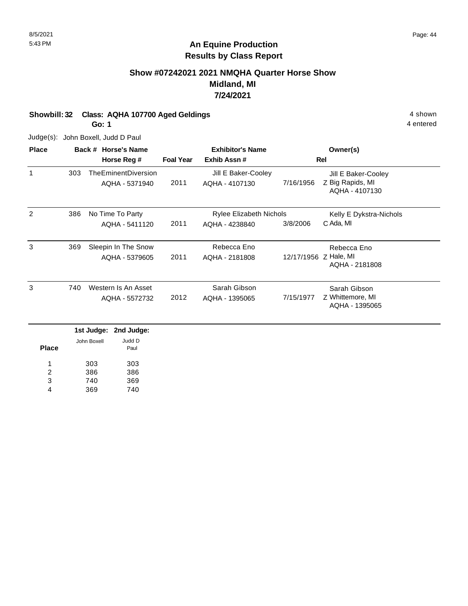# **Show #07242021 2021 NMQHA Quarter Horse Show Midland, MI 7/24/2021**

**Showbill: 32 Class: AQHA 107700 Aged Geldings** 4 shown

**Go: 1**

Judge(s): John Boxell, Judd D Paul

| 303 | Horse Reg #<br>TheEminentDiversion<br>AQHA - 5371940 | <b>Foal Year</b>                                               | Exhib Assn#<br>Jill E Baker-Cooley |           | Rel                                                     |
|-----|------------------------------------------------------|----------------------------------------------------------------|------------------------------------|-----------|---------------------------------------------------------|
|     |                                                      |                                                                |                                    |           |                                                         |
|     |                                                      |                                                                |                                    |           | Jill E Baker-Cooley                                     |
|     |                                                      | 2011                                                           | AQHA - 4107130                     | 7/16/1956 | Z Big Rapids, MI<br>AQHA - 4107130                      |
| 386 |                                                      |                                                                |                                    |           | Kelly E Dykstra-Nichols                                 |
|     | AQHA - 5411120                                       | 2011                                                           | AQHA - 4238840                     | 3/8/2006  | C Ada, MI                                               |
| 369 |                                                      |                                                                | Rebecca Eno                        |           | Rebecca Eno                                             |
|     | AQHA - 5379605                                       | 2011                                                           | AQHA - 2181808                     |           | AQHA - 2181808                                          |
| 740 |                                                      |                                                                | Sarah Gibson                       |           | Sarah Gibson                                            |
|     | AQHA - 5572732                                       | 2012                                                           | AQHA - 1395065                     | 7/15/1977 | Z Whittemore, MI<br>AQHA - 1395065                      |
|     |                                                      | No Time To Party<br>Sleepin In The Snow<br>Western Is An Asset |                                    |           | <b>Rylee Elizabeth Nichols</b><br>12/17/1956 Z Hale, MI |

|              |             | ist Juuye. Liiu Juuye. |
|--------------|-------------|------------------------|
| <b>Place</b> | John Boxell | Judd D<br>Paul         |
| 1            | 303         | 303                    |
| 2            | 386         | 386                    |
| 3            | 740         | 369                    |
| 4            | 369         | 740                    |
|              |             |                        |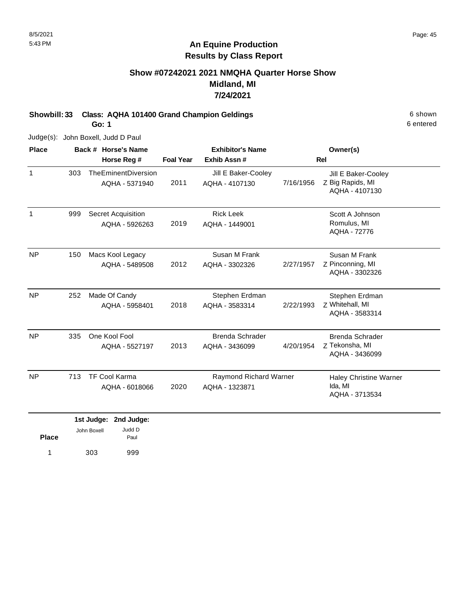# **Show #07242021 2021 NMQHA Quarter Horse Show Midland, MI 7/24/2021**

**Showbill: 33 Class: AQHA 101400 Grand Champion Geldings** 6 Shown

**Go: 1**

Judge(s): John Boxell, Judd D Paul

| <b>Place</b> |     | Back # Horse's Name                    |                  | <b>Exhibitor's Name</b>                  | Owner(s)  |                                                            |  |
|--------------|-----|----------------------------------------|------------------|------------------------------------------|-----------|------------------------------------------------------------|--|
|              |     | Horse Reg #                            | <b>Foal Year</b> | Exhib Assn#                              |           | <b>Rel</b>                                                 |  |
| $\mathbf{1}$ | 303 | TheEminentDiversion<br>AQHA - 5371940  | 2011             | Jill E Baker-Cooley<br>AQHA - 4107130    | 7/16/1956 | Jill E Baker-Cooley<br>Z Big Rapids, MI<br>AQHA - 4107130  |  |
| $\mathbf{1}$ | 999 | Secret Acquisition<br>AQHA - 5926263   | 2019             | <b>Rick Leek</b><br>AQHA - 1449001       |           | Scott A Johnson<br>Romulus, MI<br>AQHA - 72776             |  |
| <b>NP</b>    | 150 | Macs Kool Legacy<br>AQHA - 5489508     | 2012             | Susan M Frank<br>AQHA - 3302326          | 2/27/1957 | Susan M Frank<br>Z Pinconning, MI<br>AQHA - 3302326        |  |
| <b>NP</b>    | 252 | Made Of Candy<br>AQHA - 5958401        | 2018             | Stephen Erdman<br>AQHA - 3583314         | 2/22/1993 | Stephen Erdman<br>Z Whitehall, MI<br>AQHA - 3583314        |  |
| <b>NP</b>    | 335 | One Kool Fool<br>AQHA - 5527197        | 2013             | Brenda Schrader<br>AQHA - 3436099        | 4/20/1954 | <b>Brenda Schrader</b><br>Z Tekonsha, MI<br>AQHA - 3436099 |  |
| <b>NP</b>    | 713 | <b>TF Cool Karma</b><br>AQHA - 6018066 | 2020             | Raymond Richard Warner<br>AQHA - 1323871 |           | <b>Haley Christine Warner</b><br>Ida, MI<br>AQHA - 3713534 |  |
|              |     | 1st Judge: 2nd Judge:                  |                  |                                          |           |                                                            |  |

|              | .           | --------- |
|--------------|-------------|-----------|
|              | John Boxell | Judd D    |
| <b>Place</b> |             | Paul      |
| 1            | 303         | 999       |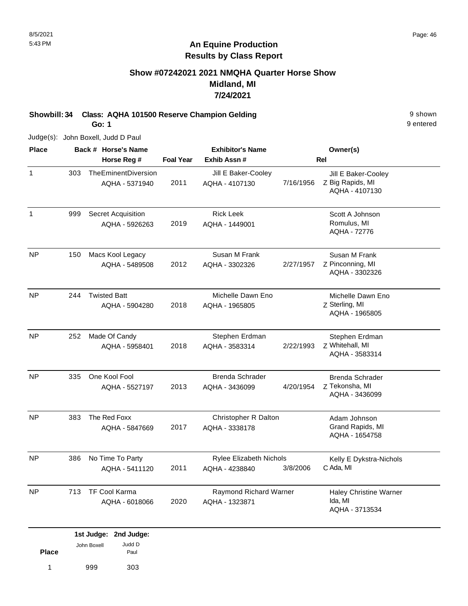**Place**

1 999 303

Paul

# **An Equine Production Results by Class Report**

# **Show #07242021 2021 NMQHA Quarter Horse Show Midland, MI 7/24/2021**

**Showbill: 34 Class: AQHA 101500 Reserve Champion Gelding Property Class: AQHA 101500 Reserve Champion Gelding** 

**Go: 1**

Judge(s): John Boxell, Judd D Paul

| <b>Place</b> |     | Back # Horse's Name                   |                  | <b>Exhibitor's Name</b>                          |            | Owner(s)                                                   |  |
|--------------|-----|---------------------------------------|------------------|--------------------------------------------------|------------|------------------------------------------------------------|--|
|              |     | Horse Reg #                           | <b>Foal Year</b> | Exhib Assn#                                      | <b>Rel</b> |                                                            |  |
| 1            | 303 | TheEminentDiversion<br>AQHA - 5371940 | 2011             | Jill E Baker-Cooley<br>AQHA - 4107130            | 7/16/1956  | Jill E Baker-Cooley<br>Z Big Rapids, MI<br>AQHA - 4107130  |  |
| 1            | 999 | Secret Acquisition<br>AQHA - 5926263  | 2019             | <b>Rick Leek</b><br>AQHA - 1449001               |            | Scott A Johnson<br>Romulus, MI<br>AQHA - 72776             |  |
| <b>NP</b>    | 150 | Macs Kool Legacy<br>AQHA - 5489508    | 2012             | Susan M Frank<br>AQHA - 3302326                  | 2/27/1957  | Susan M Frank<br>Z Pinconning, MI<br>AQHA - 3302326        |  |
| <b>NP</b>    | 244 | <b>Twisted Batt</b><br>AQHA - 5904280 | 2018             | Michelle Dawn Eno<br>AQHA - 1965805              |            | Michelle Dawn Eno<br>Z Sterling, MI<br>AQHA - 1965805      |  |
| <b>NP</b>    | 252 | Made Of Candy<br>AQHA - 5958401       | 2018             | Stephen Erdman<br>AQHA - 3583314                 | 2/22/1993  | Stephen Erdman<br>Z Whitehall, MI<br>AQHA - 3583314        |  |
| <b>NP</b>    | 335 | One Kool Fool<br>AQHA - 5527197       | 2013             | <b>Brenda Schrader</b><br>AQHA - 3436099         | 4/20/1954  | <b>Brenda Schrader</b><br>Z Tekonsha, MI<br>AQHA - 3436099 |  |
| NP           | 383 | The Red Foxx<br>AQHA - 5847669        | 2017             | Christopher R Dalton<br>AQHA - 3338178           |            | Adam Johnson<br>Grand Rapids, MI<br>AQHA - 1654758         |  |
| <b>NP</b>    | 386 | No Time To Party<br>AQHA - 5411120    | 2011             | <b>Rylee Elizabeth Nichols</b><br>AQHA - 4238840 | 3/8/2006   | Kelly E Dykstra-Nichols<br>C Ada, MI                       |  |
| <b>NP</b>    | 713 | TF Cool Karma<br>AQHA - 6018066       | 2020             | Raymond Richard Warner<br>AQHA - 1323871         |            | <b>Haley Christine Warner</b><br>Ida, MI<br>AQHA - 3713534 |  |

| Page: 46 |  |
|----------|--|
|          |  |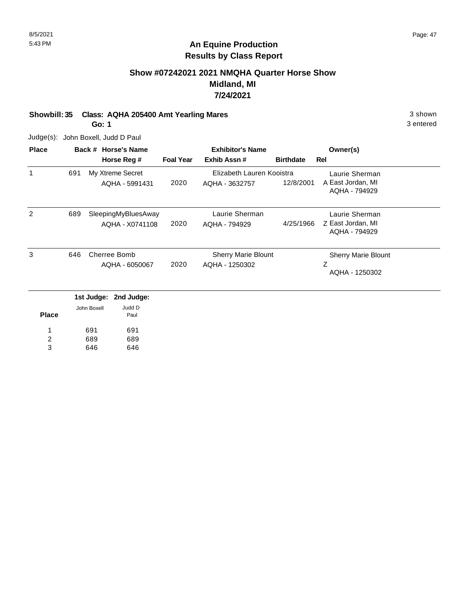# **Show #07242021 2021 NMQHA Quarter Horse Show Midland, MI 7/24/2021**

**Showbill: 35 Class: AQHA 205400 Amt Yearling Mares** 3 shown 3 shown

**Go: 1**

Judge(s): John Boxell, Judd D Paul

| <b>Place</b>   |     |             | Back # Horse's Name | <b>Exhibitor's Name</b> |                            |                  | Owner(s)                           |
|----------------|-----|-------------|---------------------|-------------------------|----------------------------|------------------|------------------------------------|
|                |     |             | Horse Reg #         | <b>Foal Year</b>        | Exhib Assn #               | <b>Birthdate</b> | Rel                                |
| $\mathbf 1$    | 691 |             | My Xtreme Secret    |                         | Elizabeth Lauren Kooistra  |                  | Laurie Sherman                     |
|                |     |             | AQHA - 5991431      | 2020                    | AQHA - 3632757             | 12/8/2001        | A East Jordan, MI<br>AQHA - 794929 |
| 2              | 689 |             | SleepingMyBluesAway |                         | Laurie Sherman             |                  | Laurie Sherman                     |
|                |     |             | AQHA - X0741108     | 2020                    | AQHA - 794929              | 4/25/1966        | Z East Jordan, MI<br>AQHA - 794929 |
| 3              | 646 |             | Cherree Bomb        |                         | <b>Sherry Marie Blount</b> |                  | <b>Sherry Marie Blount</b>         |
|                |     |             | AQHA - 6050067      | 2020                    | AQHA - 1250302             |                  | Ζ<br>AQHA - 1250302                |
|                |     | 1st Judge:  | 2nd Judge:          |                         |                            |                  |                                    |
| <b>Place</b>   |     | John Boxell | Judd D<br>Paul      |                         |                            |                  |                                    |
|                |     | 691         | 691                 |                         |                            |                  |                                    |
| $\overline{c}$ |     | 689         | 689                 |                         |                            |                  |                                    |
| 3              |     | 646         | 646                 |                         |                            |                  |                                    |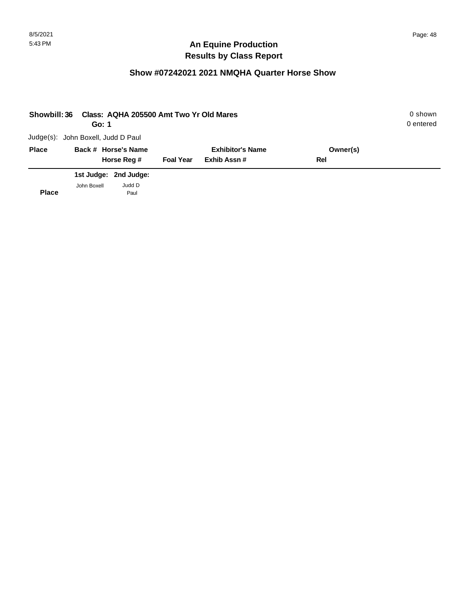| <b>Showbill: 36</b> | Go: 1                              | Class: AQHA 205500 Amt Two Yr Old Mares |                         |             |          | 0 shown<br>0 entered |
|---------------------|------------------------------------|-----------------------------------------|-------------------------|-------------|----------|----------------------|
|                     | Judge(s): John Boxell, Judd D Paul |                                         |                         |             |          |                      |
| <b>Place</b>        |                                    | Back # Horse's Name                     | <b>Exhibitor's Name</b> |             | Owner(s) |                      |
|                     |                                    | Horse Reg #                             | <b>Foal Year</b>        | Exhib Assn# | Rel      |                      |
|                     |                                    | 1st Judge: 2nd Judge:                   |                         |             |          |                      |
| <b>Place</b>        | John Boxell                        | Judd D<br>Paul                          |                         |             |          |                      |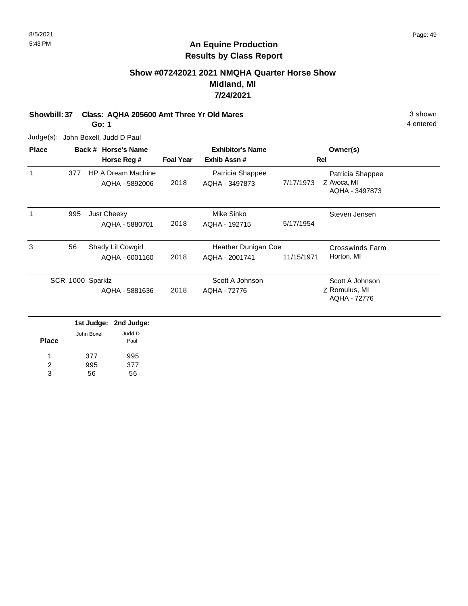# **Show #07242021 2021 NMQHA Quarter Horse Show Midland, MI 7/24/2021**

**Showbill: 37 Class: AQHA 205600 Amt Three Yr Old Mares** 3 Shown 3 shown

**Go: 1**

Judge(s): John Boxell, Judd D Paul

| <b>Place</b> |                  | Back # Horse's Name                         |                  | <b>Exhibitor's Name</b>               |            | Owner(s)                                          |  |
|--------------|------------------|---------------------------------------------|------------------|---------------------------------------|------------|---------------------------------------------------|--|
|              |                  | Horse Reg #                                 | <b>Foal Year</b> | Exhib Assn#                           |            | Rel                                               |  |
| 1            | 377              | <b>HP A Dream Machine</b><br>AQHA - 5892006 | 2018             | Patricia Shappee<br>AQHA - 3497873    | 7/17/1973  | Patricia Shappee<br>Z Avoca, MI<br>AQHA - 3497873 |  |
| 1            | 995              | Just Cheeky<br>AQHA - 5880701               | 2018             | Mike Sinko<br>AQHA - 192715           | 5/17/1954  | Steven Jensen                                     |  |
| 3            | 56               | Shady Lil Cowgirl<br>AQHA - 6001160         | 2018             | Heather Dunigan Coe<br>AQHA - 2001741 | 11/15/1971 | <b>Crosswinds Farm</b><br>Horton, MI              |  |
|              | SCR 1000 Sparklz | AQHA - 5881636                              | 2018             | Scott A Johnson<br>AQHA - 72776       |            | Scott A Johnson<br>Z Romulus, MI<br>AQHA - 72776  |  |

|              |             | 1st Judge: 2nd Judge: |
|--------------|-------------|-----------------------|
| <b>Place</b> | John Boxell | Judd D<br>Paul        |
| 1            | 377         | 995                   |
| 2            | 995         | 377                   |
| з            | 56          | 56                    |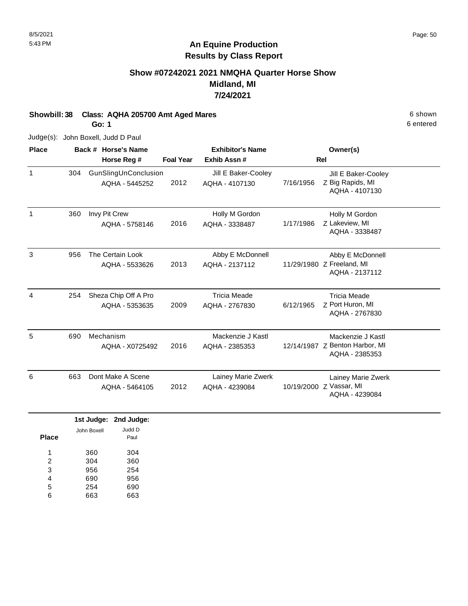# **Show #07242021 2021 NMQHA Quarter Horse Show Midland, MI 7/24/2021**

**Showbill: 38 Class: AQHA 205700 Amt Aged Mares** 6 shown **Go: 1**

Judge(s): John Boxell, Judd D Paul

| <b>Place</b> |     | Back # Horse's Name                    |                  | <b>Exhibitor's Name</b>               |           | Owner(s)                                                              |
|--------------|-----|----------------------------------------|------------------|---------------------------------------|-----------|-----------------------------------------------------------------------|
|              |     | Horse Reg #                            | <b>Foal Year</b> | Exhib Assn #                          |           | <b>Rel</b>                                                            |
| $\mathbf{1}$ | 304 | GunSlingUnConclusion<br>AQHA - 5445252 | 2012             | Jill E Baker-Cooley<br>AQHA - 4107130 | 7/16/1956 | Jill E Baker-Cooley<br>Z Big Rapids, MI<br>AQHA - 4107130             |
| 1            | 360 | Invy Pit Crew<br>AQHA - 5758146        | 2016             | Holly M Gordon<br>AQHA - 3338487      | 1/17/1986 | Holly M Gordon<br>Z Lakeview, MI<br>AQHA - 3338487                    |
| 3            | 956 | The Certain Look<br>AQHA - 5533626     | 2013             | Abby E McDonnell<br>AQHA - 2137112    |           | Abby E McDonnell<br>11/29/1980 Z Freeland, MI<br>AQHA - 2137112       |
| 4            | 254 | Sheza Chip Off A Pro<br>AQHA - 5353635 | 2009             | <b>Tricia Meade</b><br>AQHA - 2767830 | 6/12/1965 | <b>Tricia Meade</b><br>Z Port Huron, MI<br>AQHA - 2767830             |
| 5            | 690 | Mechanism<br>AQHA - X0725492           | 2016             | Mackenzie J Kastl<br>AQHA - 2385353   |           | Mackenzie J Kastl<br>12/14/1987 Z Benton Harbor, MI<br>AQHA - 2385353 |
| 6            | 663 | Dont Make A Scene<br>AQHA - 5464105    | 2012             | Lainey Marie Zwerk<br>AQHA - 4239084  |           | Lainey Marie Zwerk<br>10/19/2000 Z Vassar, MI<br>AQHA - 4239084       |

|       |             | 1st Judge: 2nd Judge: |
|-------|-------------|-----------------------|
| Place | John Boxell | Judd D<br>Paul        |
| 1     | 360         | 304                   |
| 2     | 304         | 360                   |
| 3     | 956         | 254                   |
| 4     | 690         | 956                   |
| 5     | 254         | 690                   |
| 6     | 663         | 663                   |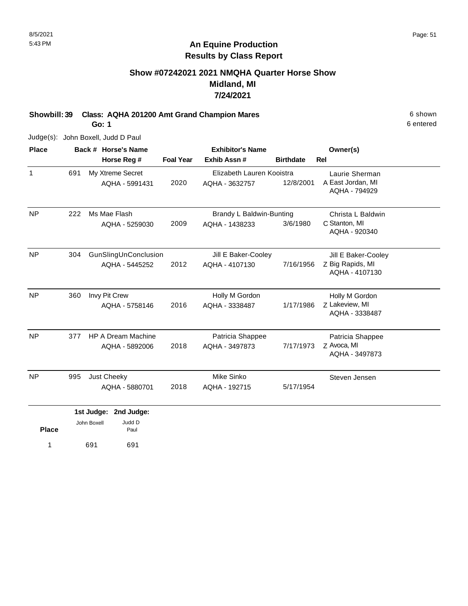# **Show #07242021 2021 NMQHA Quarter Horse Show Midland, MI 7/24/2021**

**Showbill: 39 Class: AQHA 201200 Amt Grand Champion Mares** 6 Shown 6 shown

**Go: 1**

6 entered

Judge(s): John Boxell, Judd D Paul

| <b>Place</b> |     | Back # Horse's Name       |                  | <b>Exhibitor's Name</b>   |                  | Owner(s)                           |  |
|--------------|-----|---------------------------|------------------|---------------------------|------------------|------------------------------------|--|
|              |     | Horse Reg #               | <b>Foal Year</b> | Exhib Assn#               | <b>Birthdate</b> | <b>Rel</b>                         |  |
| $\mathbf{1}$ | 691 | My Xtreme Secret          |                  | Elizabeth Lauren Kooistra |                  | Laurie Sherman                     |  |
|              |     | AQHA - 5991431            | 2020             | AQHA - 3632757            | 12/8/2001        | A East Jordan, MI<br>AQHA - 794929 |  |
| <b>NP</b>    | 222 | Ms Mae Flash              |                  | Brandy L Baldwin-Bunting  |                  | Christa L Baldwin                  |  |
|              |     | AQHA - 5259030            | 2009             | AQHA - 1438233            | 3/6/1980         | C Stanton, MI<br>AQHA - 920340     |  |
| <b>NP</b>    | 304 | GunSlingUnConclusion      |                  | Jill E Baker-Cooley       |                  | Jill E Baker-Cooley                |  |
|              |     | AQHA - 5445252            | 2012             | AQHA - 4107130            | 7/16/1956        | Z Big Rapids, MI                   |  |
|              |     |                           |                  |                           |                  | AQHA - 4107130                     |  |
| <b>NP</b>    | 360 | Invy Pit Crew             |                  | Holly M Gordon            |                  | Holly M Gordon                     |  |
|              |     | AQHA - 5758146            | 2016             | AQHA - 3338487            | 1/17/1986        | Z Lakeview, MI                     |  |
|              |     |                           |                  |                           |                  | AQHA - 3338487                     |  |
| <b>NP</b>    | 377 | <b>HP A Dream Machine</b> |                  | Patricia Shappee          |                  | Patricia Shappee                   |  |
|              |     | AQHA - 5892006            | 2018             | AQHA - 3497873            | 7/17/1973        | Z Avoca, MI                        |  |
|              |     |                           |                  |                           |                  | AQHA - 3497873                     |  |
| <b>NP</b>    | 995 | Just Cheeky               |                  | Mike Sinko                |                  | Steven Jensen                      |  |
|              |     | AQHA - 5880701            | 2018             | AQHA - 192715             | 5/17/1954        |                                    |  |
|              |     | 1st Judge:<br>2nd Judge:  |                  |                           |                  |                                    |  |
|              |     | Judd D<br>John Boxell     |                  |                           |                  |                                    |  |
| <b>Place</b> |     | Paul                      |                  |                           |                  |                                    |  |

1 691 691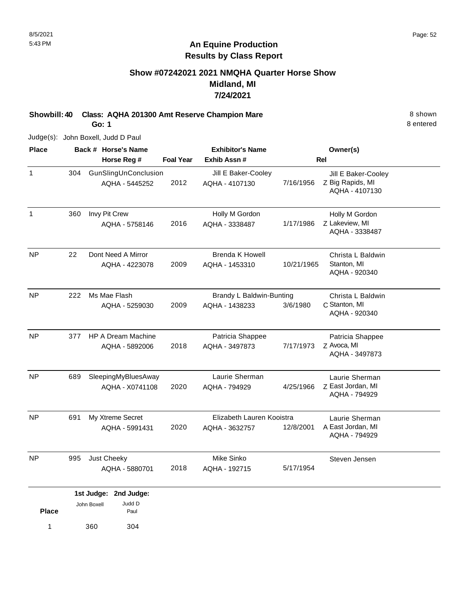# **Show #07242021 2021 NMQHA Quarter Horse Show Midland, MI 7/24/2021**

**Showbill: 40 Class: AQHA 201300 Amt Reserve Champion Mare** 8 Shown 8 shown

**Go: 1**

Judge(s): John Boxell, Judd D Paul

| <b>Place</b> |     |             | Back # Horse's Name                     | <b>Exhibitor's Name</b> |                                             |            | Owner(s)                                                  |
|--------------|-----|-------------|-----------------------------------------|-------------------------|---------------------------------------------|------------|-----------------------------------------------------------|
|              |     |             | Horse Reg #                             | <b>Foal Year</b>        | Exhib Assn#                                 |            | <b>Rel</b>                                                |
| $\mathbf{1}$ | 304 |             | GunSlingUnConclusion<br>AQHA - 5445252  | 2012                    | Jill E Baker-Cooley<br>AQHA - 4107130       | 7/16/1956  | Jill E Baker-Cooley<br>Z Big Rapids, MI<br>AQHA - 4107130 |
| $\mathbf{1}$ | 360 |             | Invy Pit Crew<br>AQHA - 5758146         | 2016                    | Holly M Gordon<br>AQHA - 3338487            | 1/17/1986  | Holly M Gordon<br>Z Lakeview, MI<br>AQHA - 3338487        |
| <b>NP</b>    | 22  |             | Dont Need A Mirror<br>AQHA - 4223078    | 2009                    | <b>Brenda K Howell</b><br>AQHA - 1453310    | 10/21/1965 | Christa L Baldwin<br>Stanton, MI<br>AQHA - 920340         |
| <b>NP</b>    | 222 |             | Ms Mae Flash<br>AQHA - 5259030          | 2009                    | Brandy L Baldwin-Bunting<br>AQHA - 1438233  | 3/6/1980   | Christa L Baldwin<br>C Stanton, MI<br>AQHA - 920340       |
| <b>NP</b>    | 377 |             | HP A Dream Machine<br>AQHA - 5892006    | 2018                    | Patricia Shappee<br>AQHA - 3497873          | 7/17/1973  | Patricia Shappee<br>Z Avoca, MI<br>AQHA - 3497873         |
| <b>NP</b>    | 689 |             | SleepingMyBluesAway<br>AQHA - X0741108  | 2020                    | Laurie Sherman<br>AQHA - 794929             | 4/25/1966  | Laurie Sherman<br>Z East Jordan, MI<br>AQHA - 794929      |
| <b>NP</b>    | 691 |             | My Xtreme Secret<br>AQHA - 5991431      | 2020                    | Elizabeth Lauren Kooistra<br>AQHA - 3632757 | 12/8/2001  | Laurie Sherman<br>A East Jordan, MI<br>AQHA - 794929      |
| NP.          | 995 |             | Just Cheeky<br>AQHA - 5880701           | 2018                    | Mike Sinko<br>AQHA - 192715                 | 5/17/1954  | Steven Jensen                                             |
| <b>Place</b> |     | John Boxell | 1st Judge: 2nd Judge:<br>Judd D<br>Paul |                         |                                             |            |                                                           |
| $\mathbf{1}$ |     | 360         | 304                                     |                         |                                             |            |                                                           |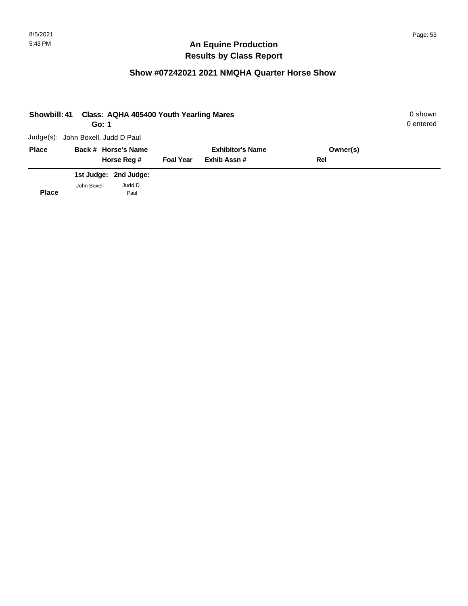| <b>Showbill: 41</b> | Go: 1                              | Class: AQHA 405400 Youth Yearling Mares |                  |                         |          | 0 shown<br>0 entered |
|---------------------|------------------------------------|-----------------------------------------|------------------|-------------------------|----------|----------------------|
|                     | Judge(s): John Boxell, Judd D Paul |                                         |                  |                         |          |                      |
| <b>Place</b>        |                                    | Back # Horse's Name                     |                  | <b>Exhibitor's Name</b> | Owner(s) |                      |
|                     |                                    | Horse Reg #                             | <b>Foal Year</b> | Exhib Assn#             | Rel      |                      |
|                     |                                    | 1st Judge: 2nd Judge:                   |                  |                         |          |                      |
| <b>Place</b>        | John Boxell                        | Judd D<br>Paul                          |                  |                         |          |                      |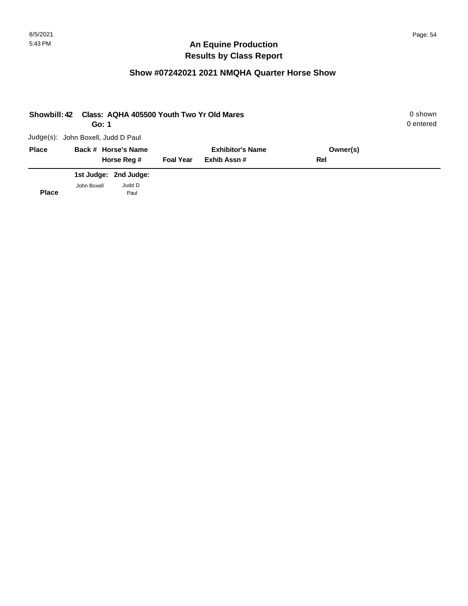| <b>Showbill: 42</b> | Go: 1                              |                       |                  | Class: AQHA 405500 Youth Two Yr Old Mares |          | 0 shown<br>0 entered |
|---------------------|------------------------------------|-----------------------|------------------|-------------------------------------------|----------|----------------------|
|                     | Judge(s): John Boxell, Judd D Paul |                       |                  |                                           |          |                      |
| <b>Place</b>        |                                    | Back # Horse's Name   |                  | <b>Exhibitor's Name</b>                   | Owner(s) |                      |
|                     |                                    | Horse Reg #           | <b>Foal Year</b> | Exhib Assn#                               | Rel      |                      |
|                     |                                    | 1st Judge: 2nd Judge: |                  |                                           |          |                      |
| <b>Place</b>        | John Boxell                        | Judd D<br>Paul        |                  |                                           |          |                      |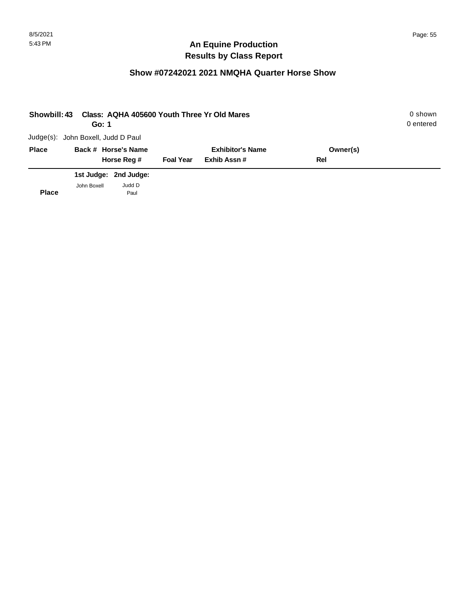| <b>Showbill: 43</b> | Go: 1                              |                       |                  | Class: AQHA 405600 Youth Three Yr Old Mares |          | 0 shown<br>0 entered |
|---------------------|------------------------------------|-----------------------|------------------|---------------------------------------------|----------|----------------------|
|                     | Judge(s): John Boxell, Judd D Paul |                       |                  |                                             |          |                      |
| <b>Place</b>        |                                    | Back # Horse's Name   |                  | <b>Exhibitor's Name</b>                     | Owner(s) |                      |
|                     |                                    | Horse Reg #           | <b>Foal Year</b> | Exhib Assn#                                 | Rel      |                      |
|                     |                                    | 1st Judge: 2nd Judge: |                  |                                             |          |                      |
| <b>Place</b>        | John Boxell                        | Judd D<br>Paul        |                  |                                             |          |                      |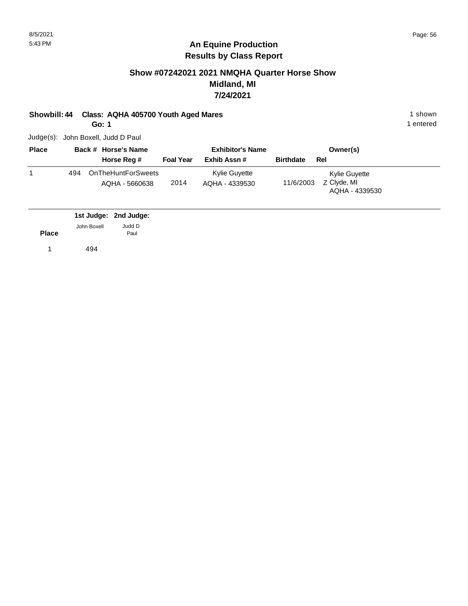# **Show #07242021 2021 NMQHA Quarter Horse Show Midland, MI 7/24/2021**

# **Showbill: 44 Class: AQHA 405700 Youth Aged Mares** 1 shown 1 shown

**Go: 1**

1 entered

Judge(s): John Boxell, Judd D Paul

| <b>Place</b> |     | Back # Horse's Name                  |                  | <b>Exhibitor's Name</b>         |                  | Owner(s)                                       |
|--------------|-----|--------------------------------------|------------------|---------------------------------|------------------|------------------------------------------------|
|              |     | Horse Reg #                          | <b>Foal Year</b> | Exhib Assn#                     | <b>Birthdate</b> | Rel                                            |
|              | 494 | OnTheHuntForSweets<br>AQHA - 5660638 | 2014             | Kylie Guyette<br>AOHA - 4339530 | 11/6/2003        | Kylie Guyette<br>Z Clyde, MI<br>AQHA - 4339530 |

|              |             | 1st Judge: 2nd Judge: |
|--------------|-------------|-----------------------|
|              | John Boxell | Judd D                |
| <b>Place</b> |             | Paul                  |
|              | 494         |                       |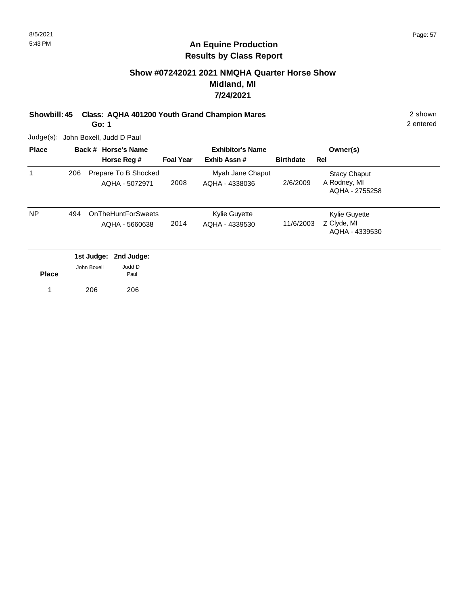# **Show #07242021 2021 NMQHA Quarter Horse Show Midland, MI 7/24/2021**

**Showbill: 45 Class: AQHA 401200 Youth Grand Champion Mares** 2 shown

**Go: 1**

2 entered

Judge(s): John Boxell, Judd D Paul

| <b>Place</b> |     |             | Back # Horse's Name                         | <b>Exhibitor's Name</b> |                                    | Owner(s)         |                                                       |  |
|--------------|-----|-------------|---------------------------------------------|-------------------------|------------------------------------|------------------|-------------------------------------------------------|--|
|              |     |             | Horse Reg #                                 | <b>Foal Year</b>        | Exhib Assn#                        | <b>Birthdate</b> | Rel                                                   |  |
| 1            | 206 |             | Prepare To B Shocked<br>AQHA - 5072971      | 2008                    | Myah Jane Chaput<br>AQHA - 4338036 | 2/6/2009         | <b>Stacy Chaput</b><br>A Rodney, MI<br>AQHA - 2755258 |  |
| <b>NP</b>    | 494 |             | <b>OnTheHuntForSweets</b><br>AQHA - 5660638 | 2014                    | Kylie Guyette<br>AQHA - 4339530    | 11/6/2003        | <b>Kylie Guyette</b><br>Z Clyde, MI<br>AQHA - 4339530 |  |
|              |     |             | 1st Judge: 2nd Judge:                       |                         |                                    |                  |                                                       |  |
| <b>Place</b> |     | John Boxell | Judd D<br>Paul                              |                         |                                    |                  |                                                       |  |

1 206 206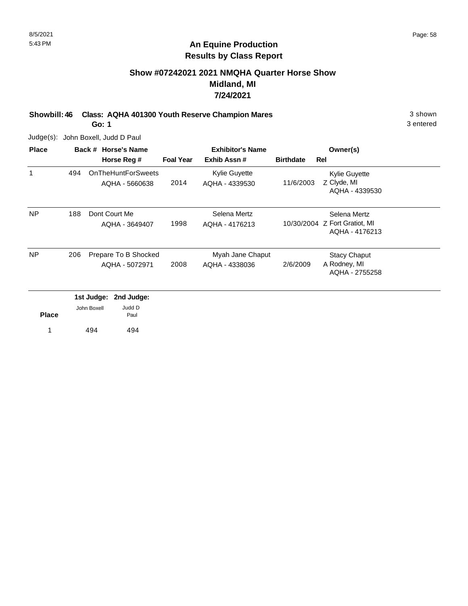# **Show #07242021 2021 NMQHA Quarter Horse Show Midland, MI 7/24/2021**

**Showbill: 46 Class: AQHA 401300 Youth Reserve Champion Mares** 3 shown

**Go: 1**

Judge(s): John Boxell, Judd D Paul

| <b>Place</b> |     |             | Back # Horse's Name                         |                  | <b>Exhibitor's Name</b>         |                  | Owner(s)                                        |
|--------------|-----|-------------|---------------------------------------------|------------------|---------------------------------|------------------|-------------------------------------------------|
|              |     |             | Horse Reg #                                 | <b>Foal Year</b> | Exhib Assn#                     | <b>Birthdate</b> | Rel                                             |
| 1            | 494 |             | <b>OnTheHuntForSweets</b><br>AQHA - 5660638 | 2014             | Kylie Guyette<br>AQHA - 4339530 | 11/6/2003        | Kylie Guyette<br>Z Clyde, MI                    |
|              |     |             |                                             |                  |                                 |                  | AQHA - 4339530                                  |
| <b>NP</b>    | 188 |             | Dont Court Me                               |                  | Selena Mertz                    |                  | Selena Mertz                                    |
|              |     |             | AQHA - 3649407                              | 1998             | AQHA - 4176213                  |                  | 10/30/2004 Z Fort Gratiot, MI<br>AQHA - 4176213 |
| <b>NP</b>    | 206 |             | Prepare To B Shocked                        |                  | Myah Jane Chaput                |                  | <b>Stacy Chaput</b>                             |
|              |     |             | AQHA - 5072971                              | 2008             | AQHA - 4338036                  | 2/6/2009         | A Rodney, MI<br>AQHA - 2755258                  |
|              |     | 1st Judge:  | 2nd Judge:                                  |                  |                                 |                  |                                                 |
| <b>Place</b> |     | John Boxell | Judd D<br>Paul                              |                  |                                 |                  |                                                 |
|              |     | 494         | 494                                         |                  |                                 |                  |                                                 |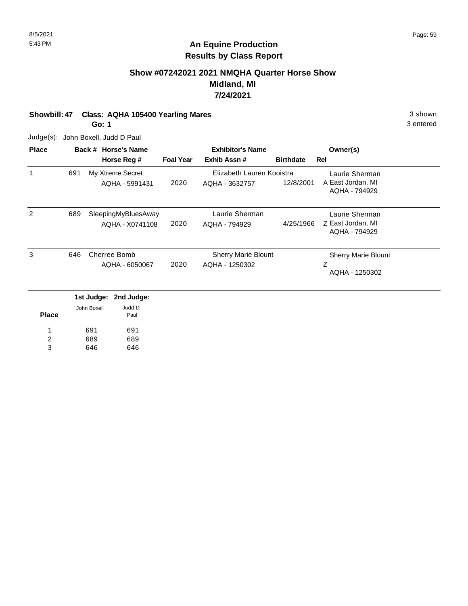# **Show #07242021 2021 NMQHA Quarter Horse Show Midland, MI 7/24/2021**

**Showbill: 47 Class: AQHA 105400 Yearling Mares** 3 shown

**Go: 1**

Judge(s): John Boxell, Judd D Paul

646

3

646

| <b>Place</b> |     | Back # Horse's Name |                     |                  | <b>Exhibitor's Name</b>   | Owner(s)         |                                    |
|--------------|-----|---------------------|---------------------|------------------|---------------------------|------------------|------------------------------------|
|              |     |                     | Horse Reg #         | <b>Foal Year</b> | Exhib Assn#               | <b>Birthdate</b> | Rel                                |
| 1            | 691 |                     | My Xtreme Secret    |                  | Elizabeth Lauren Kooistra |                  | Laurie Sherman                     |
|              |     |                     | AQHA - 5991431      | 2020             | AQHA - 3632757            | 12/8/2001        | A East Jordan, MI<br>AQHA - 794929 |
| 2            | 689 |                     | SleepingMyBluesAway |                  | Laurie Sherman            |                  | Laurie Sherman                     |
|              |     |                     | AQHA - X0741108     | 2020             | AQHA - 794929             | 4/25/1966        | Z East Jordan, MI<br>AQHA - 794929 |
| 3            | 646 |                     | Cherree Bomb        |                  | Sherry Marie Blount       |                  | <b>Sherry Marie Blount</b>         |
|              |     |                     | AQHA - 6050067      | 2020             | AQHA - 1250302            |                  | Z<br>AQHA - 1250302                |
|              |     | 1st Judge:          | 2nd Judge:          |                  |                           |                  |                                    |
| <b>Place</b> |     | John Boxell         | Judd D<br>Paul      |                  |                           |                  |                                    |
| 1            |     | 691                 | 691                 |                  |                           |                  |                                    |
| 2            |     | 689                 | 689                 |                  |                           |                  |                                    |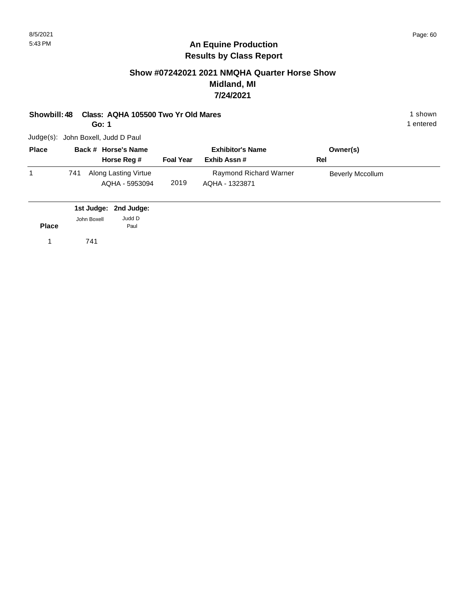# **Show #07242021 2021 NMQHA Quarter Horse Show Midland, MI 7/24/2021**

**Showbill: 48 Class: AQHA 105500 Two Yr Old Mares** 1 Shown 1 shown

**Go: 1**

Judge(s): John Boxell, Judd D Paul

| <b>Place</b> |     | Back # Horse's Name                    |                  | <b>Exhibitor's Name</b>                  | Owner(s)         |  |
|--------------|-----|----------------------------------------|------------------|------------------------------------------|------------------|--|
|              |     | Horse Reg #                            | <b>Foal Year</b> | Exhib Assn#                              | Rel              |  |
|              | 741 | Along Lasting Virtue<br>AQHA - 5953094 | 2019             | Raymond Richard Warner<br>AQHA - 1323871 | Beverly Mccollum |  |

|              |             | 1st Judge: 2nd Judge: |  |
|--------------|-------------|-----------------------|--|
| <b>Place</b> | John Boxell | Judd D<br>Paul        |  |
| 1            | 741         |                       |  |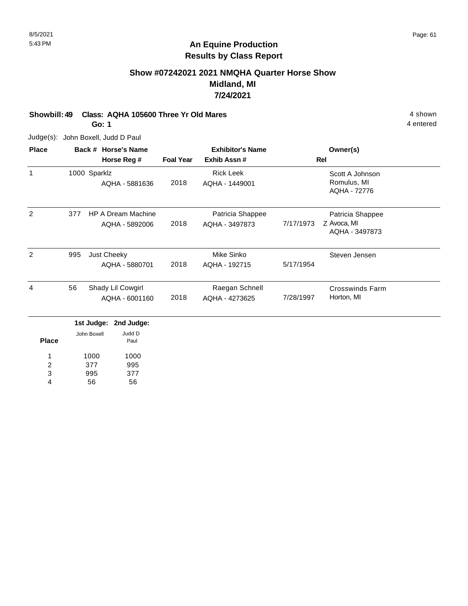# **Show #07242021 2021 NMQHA Quarter Horse Show Midland, MI 7/24/2021**

# **Showbill: 49 Class: AQHA 105600 Three Yr Old Mares 4 shown**

**Go: 1**

Judge(s): John Boxell, Judd D Paul

| <b>Place</b> |     | Back # Horse's Name<br>Horse Reg #                        | <b>Foal Year</b> | <b>Exhibitor's Name</b><br>Exhib Assn# |           | Owner(s)<br>Rel                                   |
|--------------|-----|-----------------------------------------------------------|------------------|----------------------------------------|-----------|---------------------------------------------------|
| 1            |     | 1000 Sparklz<br>AQHA - 5881636                            | 2018             | <b>Rick Leek</b><br>AQHA - 1449001     |           | Scott A Johnson<br>Romulus, MI<br>AQHA - 72776    |
| 2            | 377 | <b>HP A Dream Machine</b><br>AQHA - 5892006               | 2018             | Patricia Shappee<br>AQHA - 3497873     | 7/17/1973 | Patricia Shappee<br>Z Avoca, MI<br>AQHA - 3497873 |
| 2            | 995 | Just Cheeky<br>AQHA - 5880701                             | 2018             | Mike Sinko<br>AQHA - 192715            | 5/17/1954 | Steven Jensen                                     |
| 4            | 56  | Shady Lil Cowgirl<br>AQHA - 6001160                       | 2018             | Raegan Schnell<br>AQHA - 4273625       | 7/28/1997 | <b>Crosswinds Farm</b><br>Horton, MI              |
| <b>Place</b> |     | 1st Judge:<br>2nd Judge:<br>Judd D<br>John Boxell<br>Paul |                  |                                        |           |                                                   |

| <b>Place</b> |      | Paul |
|--------------|------|------|
| 1            | 1000 | 1000 |
| 2            | 377  | 995  |
| 3            | 995  | 377  |
|              | 56   | 56   |
|              |      |      |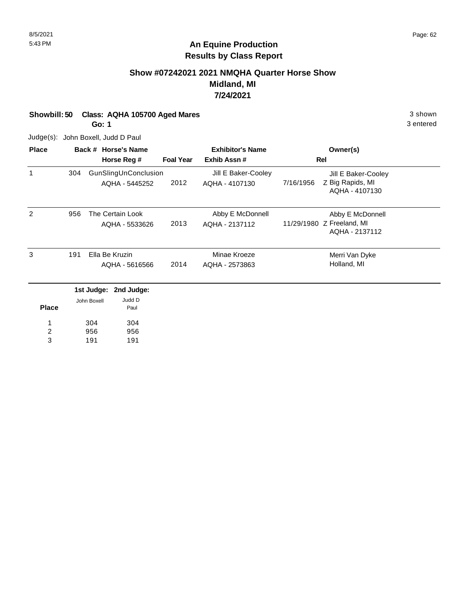# **An Equine Production Results by Class Report**

# **Show #07242021 2021 NMQHA Quarter Horse Show Midland, MI 7/24/2021**

| Showbill: 50 Class: AQHA 105700 Aged Mares | 3 shown   |
|--------------------------------------------|-----------|
| Go: 1                                      | 3 entered |

Judge(s): John Boxell, Judd D Paul

| <b>Place</b>          |     |                   | Back # Horse's Name                    |                  | <b>Exhibitor's Name</b>               |           | Owner(s)                                                        |  |
|-----------------------|-----|-------------------|----------------------------------------|------------------|---------------------------------------|-----------|-----------------------------------------------------------------|--|
|                       |     |                   | Horse Reg #                            | <b>Foal Year</b> | Exhib Assn #                          |           | Rel                                                             |  |
| 1                     | 304 |                   | GunSlingUnConclusion<br>AQHA - 5445252 | 2012             | Jill E Baker-Cooley<br>AQHA - 4107130 | 7/16/1956 | Jill E Baker-Cooley<br>Z Big Rapids, MI<br>AQHA - 4107130       |  |
| 2                     | 956 |                   | The Certain Look<br>AQHA - 5533626     | 2013             | Abby E McDonnell<br>AQHA - 2137112    |           | Abby E McDonnell<br>11/29/1980 Z Freeland, MI<br>AQHA - 2137112 |  |
| 3                     | 191 |                   | Ella Be Kruzin<br>AQHA - 5616566       | 2014             | Minae Kroeze<br>AQHA - 2573863        |           | Merri Van Dyke<br>Holland, MI                                   |  |
|                       |     |                   | 1st Judge: 2nd Judge:                  |                  |                                       |           |                                                                 |  |
| <b>Place</b>          |     | John Boxell       | Judd D<br>Paul                         |                  |                                       |           |                                                                 |  |
| $\boldsymbol{2}$<br>3 |     | 304<br>956<br>191 | 304<br>956<br>191                      |                  |                                       |           |                                                                 |  |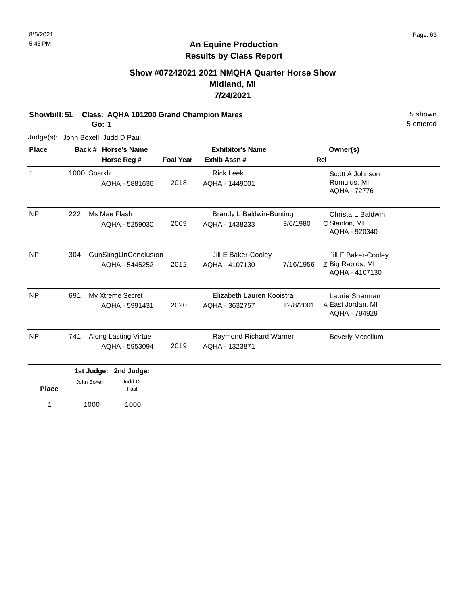# **Show #07242021 2021 NMQHA Quarter Horse Show Midland, MI 7/24/2021**

#### **Showbill: 51 Class: AQHA 101200 Grand Champion Mares** 5 Shown 5 shown **Go: 1**

5 entered

Judge(s): John Boxell, Judd D Paul

| <b>Place</b>     |     | Back # Horse's Name            |                  | <b>Exhibitor's Name</b>            |           | Owner(s)                                       |  |
|------------------|-----|--------------------------------|------------------|------------------------------------|-----------|------------------------------------------------|--|
|                  |     | Horse Reg #                    | <b>Foal Year</b> | Exhib Assn#                        |           | <b>Rel</b>                                     |  |
| $\mathbf{1}$     |     | 1000 Sparklz<br>AQHA - 5881636 | 2018             | <b>Rick Leek</b><br>AQHA - 1449001 |           | Scott A Johnson<br>Romulus, MI<br>AQHA - 72776 |  |
| <b>NP</b><br>222 |     | Ms Mae Flash                   |                  | Brandy L Baldwin-Bunting           |           | Christa L Baldwin                              |  |
|                  |     | AQHA - 5259030                 | 2009             | AQHA - 1438233                     | 3/6/1980  | C Stanton, MI<br>AQHA - 920340                 |  |
| <b>NP</b>        | 304 | GunSlingUnConclusion           |                  | Jill E Baker-Cooley                |           | Jill E Baker-Cooley                            |  |
|                  |     | AQHA - 5445252                 | 2012             | AQHA - 4107130                     | 7/16/1956 | Z Big Rapids, MI<br>AQHA - 4107130             |  |
| NP               | 691 | My Xtreme Secret               |                  | Elizabeth Lauren Kooistra          |           | Laurie Sherman                                 |  |
|                  |     | AQHA - 5991431                 | 2020             | AQHA - 3632757                     | 12/8/2001 | A East Jordan, MI<br>AQHA - 794929             |  |
| <b>NP</b>        | 741 | Along Lasting Virtue           |                  | <b>Raymond Richard Warner</b>      |           | <b>Beverly Mccollum</b>                        |  |
|                  |     | AQHA - 5953094                 | 2019             | AQHA - 1323871                     |           |                                                |  |
|                  |     | 1st Judge:<br>2nd Judge:       |                  |                                    |           |                                                |  |
| <b>Place</b>     |     | Judd D<br>John Boxell<br>Paul  |                  |                                    |           |                                                |  |

1 1000 1000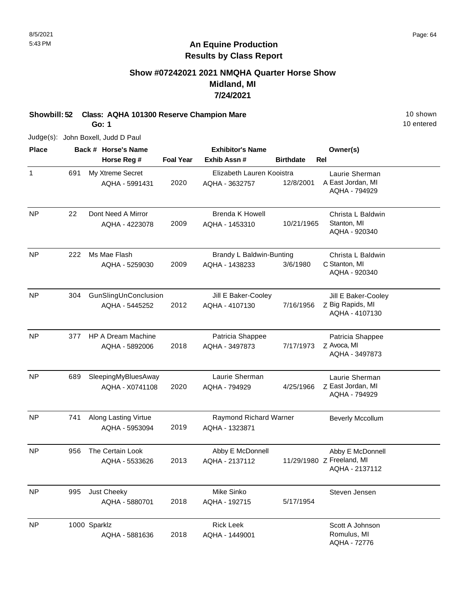# **Show #07242021 2021 NMQHA Quarter Horse Show Midland, MI 7/24/2021**

**Showbill: 52 Class: AQHA 101300 Reserve Champion Mare** 10 Shown 10 shown

**Go: 1**

10 entered

Judge(s): John Boxell, Judd D Paul

| <b>Place</b>   |              | Back # Horse's Name  |                  | <b>Exhibitor's Name</b>   |                  |            | Owner(s)                           |  |
|----------------|--------------|----------------------|------------------|---------------------------|------------------|------------|------------------------------------|--|
|                |              | Horse Reg #          | <b>Foal Year</b> | Exhib Assn #              | <b>Birthdate</b> | <b>Rel</b> |                                    |  |
| $\mathbf{1}$   | 691          | My Xtreme Secret     |                  | Elizabeth Lauren Kooistra |                  |            | Laurie Sherman                     |  |
|                |              | AQHA - 5991431       | 2020             | AQHA - 3632757            | 12/8/2001        |            | A East Jordan, MI                  |  |
|                |              |                      |                  |                           |                  |            | AQHA - 794929                      |  |
| <b>NP</b>      | 22           | Dont Need A Mirror   |                  | <b>Brenda K Howell</b>    |                  |            | Christa L Baldwin                  |  |
|                |              | AQHA - 4223078       | 2009             | AQHA - 1453310            | 10/21/1965       |            | Stanton, MI                        |  |
|                |              |                      |                  |                           |                  |            | AQHA - 920340                      |  |
| <b>NP</b>      | 222          | Ms Mae Flash         |                  | Brandy L Baldwin-Bunting  |                  |            | Christa L Baldwin                  |  |
|                |              | AQHA - 5259030       | 2009             | AQHA - 1438233            | 3/6/1980         |            | C Stanton, MI                      |  |
|                |              |                      |                  |                           |                  |            | AQHA - 920340                      |  |
| <b>NP</b>      | 304          | GunSlingUnConclusion |                  | Jill E Baker-Cooley       |                  |            | Jill E Baker-Cooley                |  |
|                |              | AQHA - 5445252       | 2012             | AQHA - 4107130            | 7/16/1956        |            | Z Big Rapids, MI                   |  |
|                |              |                      |                  |                           |                  |            | AQHA - 4107130                     |  |
| NP             | 377          | HP A Dream Machine   |                  | Patricia Shappee          |                  |            | Patricia Shappee                   |  |
|                |              | AQHA - 5892006       | 2018             | AQHA - 3497873            | 7/17/1973        |            | Z Avoca, MI<br>AQHA - 3497873      |  |
|                |              |                      |                  |                           |                  |            |                                    |  |
| N <sub>P</sub> | 689          | SleepingMyBluesAway  |                  | Laurie Sherman            |                  |            | Laurie Sherman                     |  |
|                |              | AQHA - X0741108      | 2020             | AQHA - 794929             | 4/25/1966        |            | Z East Jordan, MI<br>AQHA - 794929 |  |
|                |              |                      |                  |                           |                  |            |                                    |  |
| <b>NP</b>      | 741          | Along Lasting Virtue |                  | Raymond Richard Warner    |                  |            | <b>Beverly Mccollum</b>            |  |
|                |              | AQHA - 5953094       | 2019             | AQHA - 1323871            |                  |            |                                    |  |
| NP             | 956          | The Certain Look     |                  | Abby E McDonnell          |                  |            | Abby E McDonnell                   |  |
|                |              | AQHA - 5533626       | 2013             | AQHA - 2137112            |                  |            | 11/29/1980 Z Freeland, MI          |  |
|                |              |                      |                  |                           |                  |            | AQHA - 2137112                     |  |
| <b>NP</b>      | 995          | Just Cheeky          |                  | Mike Sinko                |                  |            | Steven Jensen                      |  |
|                |              | AQHA - 5880701       | 2018             | AQHA - 192715             | 5/17/1954        |            |                                    |  |
| <b>NP</b>      | 1000 Sparklz |                      |                  | <b>Rick Leek</b>          |                  |            | Scott A Johnson                    |  |
|                |              | AQHA - 5881636       | 2018             | AQHA - 1449001            |                  |            | Romulus, MI                        |  |
|                |              |                      |                  |                           |                  |            | AQHA - 72776                       |  |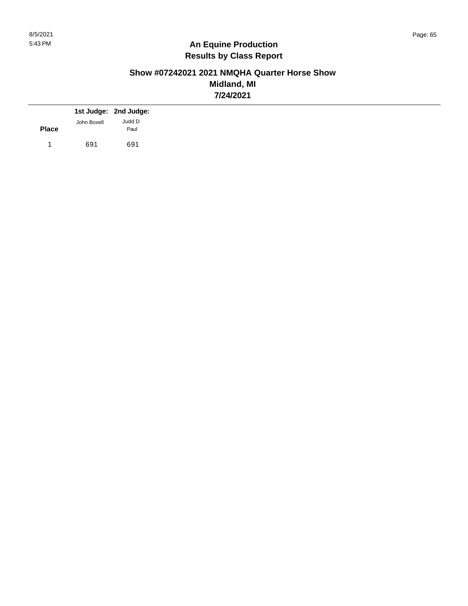# **Show #07242021 2021 NMQHA Quarter Horse Show Midland, MI 7/24/2021**

|              |             | 1st Judge: 2nd Judge: |
|--------------|-------------|-----------------------|
| <b>Place</b> | John Boxell | Judd D<br>Paul        |
|              | 691         | 691                   |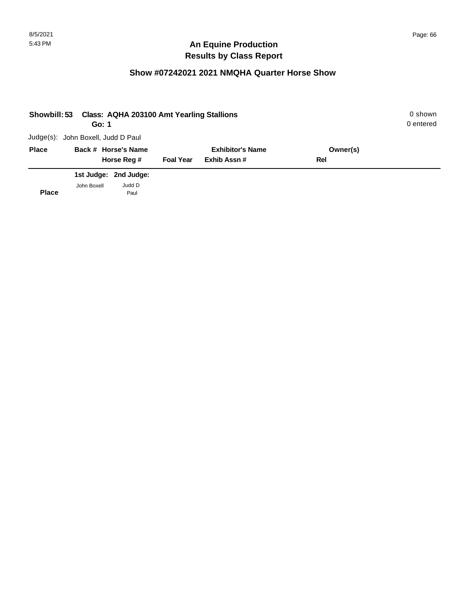| Showbill: 53 | Go: 1                              | <b>Class: AQHA 203100 Amt Yearling Stallions</b> |                  |                         |          | 0 shown<br>0 entered |
|--------------|------------------------------------|--------------------------------------------------|------------------|-------------------------|----------|----------------------|
|              | Judge(s): John Boxell, Judd D Paul |                                                  |                  |                         |          |                      |
| <b>Place</b> |                                    | Back # Horse's Name                              |                  | <b>Exhibitor's Name</b> | Owner(s) |                      |
|              |                                    | Horse Reg #                                      | <b>Foal Year</b> | Exhib Assn#             | Rel      |                      |
|              |                                    | 1st Judge: 2nd Judge:                            |                  |                         |          |                      |
| <b>Place</b> | John Boxell                        | Judd D<br>Paul                                   |                  |                         |          |                      |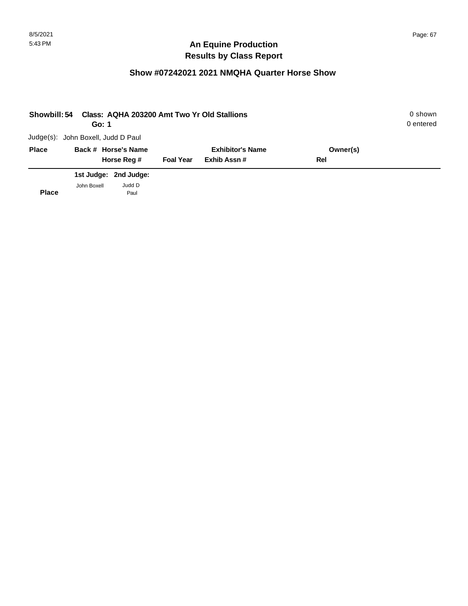| Showbill: 54 | Go: 1                              |                       |                  | Class: AQHA 203200 Amt Two Yr Old Stallions |          | 0 shown<br>0 entered |
|--------------|------------------------------------|-----------------------|------------------|---------------------------------------------|----------|----------------------|
|              | Judge(s): John Boxell, Judd D Paul |                       |                  |                                             |          |                      |
| <b>Place</b> | Back # Horse's Name                |                       |                  | <b>Exhibitor's Name</b>                     | Owner(s) |                      |
|              |                                    | Horse Reg #           | <b>Foal Year</b> | Exhib Assn#                                 | Rel      |                      |
|              |                                    | 1st Judge: 2nd Judge: |                  |                                             |          |                      |
| <b>Place</b> | John Boxell                        | Judd D<br>Paul        |                  |                                             |          |                      |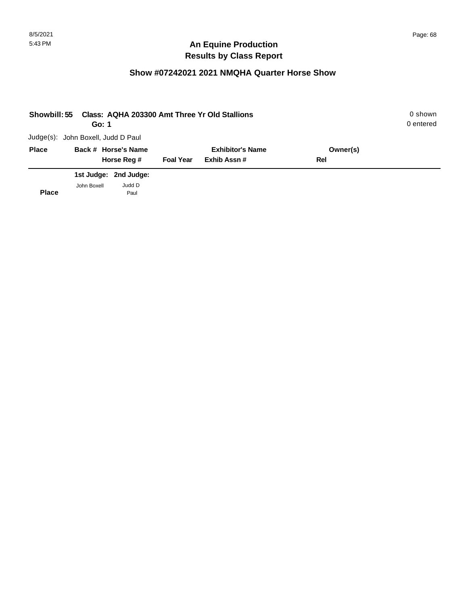| Showbill: 55 | Go: 1                              |                       |                  | Class: AQHA 203300 Amt Three Yr Old Stallions |          | 0 shown<br>0 entered |
|--------------|------------------------------------|-----------------------|------------------|-----------------------------------------------|----------|----------------------|
|              | Judge(s): John Boxell, Judd D Paul |                       |                  |                                               |          |                      |
| <b>Place</b> |                                    | Back # Horse's Name   |                  | <b>Exhibitor's Name</b>                       | Owner(s) |                      |
|              |                                    | Horse Reg #           | <b>Foal Year</b> | Exhib Assn#                                   | Rel      |                      |
|              |                                    | 1st Judge: 2nd Judge: |                  |                                               |          |                      |
| <b>Place</b> | John Boxell                        | Judd D<br>Paul        |                  |                                               |          |                      |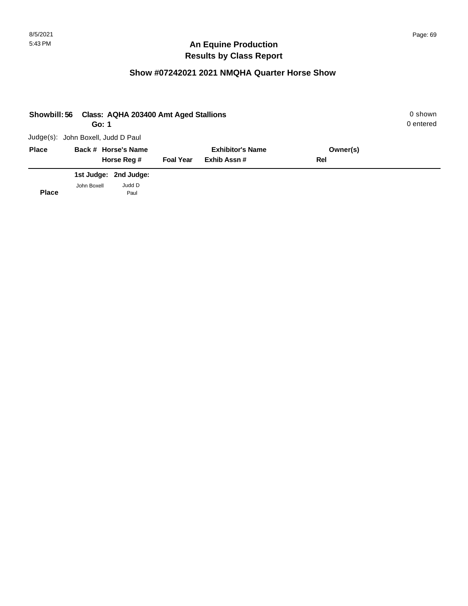| Showbill: 56 | Go: 1                              | Class: AQHA 203400 Amt Aged Stallions |                  |                         |          | 0 shown<br>0 entered |
|--------------|------------------------------------|---------------------------------------|------------------|-------------------------|----------|----------------------|
|              | Judge(s): John Boxell, Judd D Paul |                                       |                  |                         |          |                      |
| <b>Place</b> |                                    | Back # Horse's Name                   |                  | <b>Exhibitor's Name</b> | Owner(s) |                      |
|              |                                    | Horse Reg #                           | <b>Foal Year</b> | Exhib Assn#             | Rel      |                      |
|              |                                    | 1st Judge: 2nd Judge:                 |                  |                         |          |                      |
| <b>Place</b> | John Boxell                        | Judd D<br>Paul                        |                  |                         |          |                      |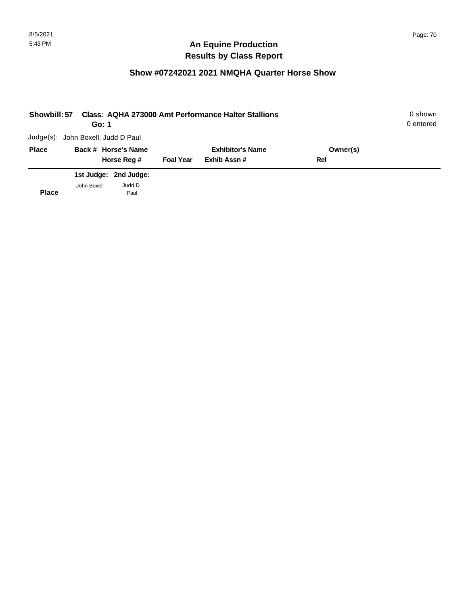| Showbill: 57 | Go: 1                              |                       |                  | <b>Class: AQHA 273000 Amt Performance Halter Stallions</b> |          | 0 shown<br>0 entered |
|--------------|------------------------------------|-----------------------|------------------|------------------------------------------------------------|----------|----------------------|
|              | Judge(s): John Boxell, Judd D Paul |                       |                  |                                                            |          |                      |
| <b>Place</b> |                                    | Back # Horse's Name   |                  | <b>Exhibitor's Name</b>                                    | Owner(s) |                      |
|              |                                    | Horse Reg #           | <b>Foal Year</b> | Exhib Assn#                                                | Rel      |                      |
|              |                                    | 1st Judge: 2nd Judge: |                  |                                                            |          |                      |
| <b>Place</b> | John Boxell                        | Judd D<br>Paul        |                  |                                                            |          |                      |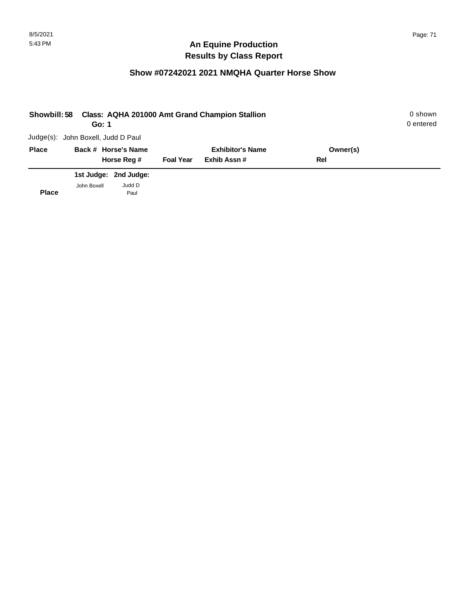| Showbill: 58 | Go: 1                              |                       |                  | Class: AQHA 201000 Amt Grand Champion Stallion |          | 0 shown<br>0 entered |
|--------------|------------------------------------|-----------------------|------------------|------------------------------------------------|----------|----------------------|
|              | Judge(s): John Boxell, Judd D Paul |                       |                  |                                                |          |                      |
| <b>Place</b> |                                    | Back # Horse's Name   |                  | <b>Exhibitor's Name</b>                        | Owner(s) |                      |
|              |                                    | Horse Reg #           | <b>Foal Year</b> | Exhib Assn#                                    | Rel      |                      |
|              |                                    | 1st Judge: 2nd Judge: |                  |                                                |          |                      |
| <b>Place</b> | John Boxell                        | Judd D<br>Paul        |                  |                                                |          |                      |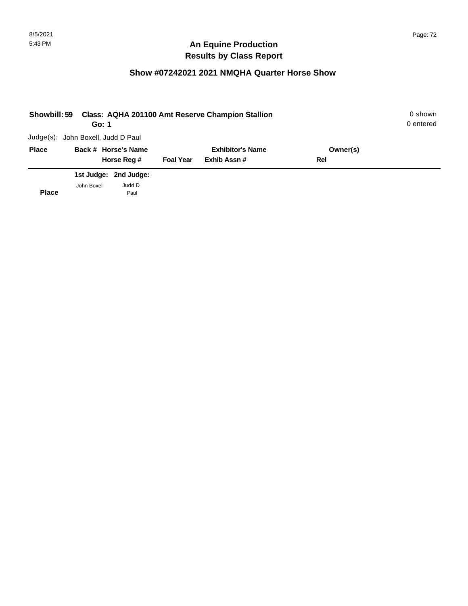| Showbill: 59 | Go: 1                              |                       |                  | <b>Class: AQHA 201100 Amt Reserve Champion Stallion</b> |          | 0 shown<br>0 entered |
|--------------|------------------------------------|-----------------------|------------------|---------------------------------------------------------|----------|----------------------|
|              | Judge(s): John Boxell, Judd D Paul |                       |                  |                                                         |          |                      |
| <b>Place</b> |                                    | Back # Horse's Name   |                  | <b>Exhibitor's Name</b>                                 | Owner(s) |                      |
|              |                                    | Horse Reg #           | <b>Foal Year</b> | Exhib Assn#                                             | Rel      |                      |
|              |                                    | 1st Judge: 2nd Judge: |                  |                                                         |          |                      |
| <b>Place</b> | John Boxell                        | Judd D<br>Paul        |                  |                                                         |          |                      |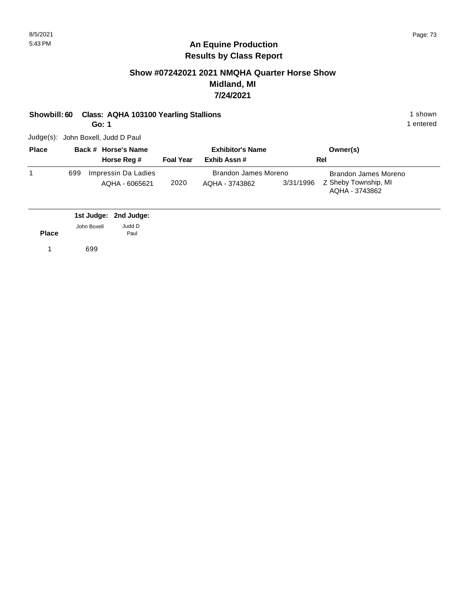#### **Show #07242021 2021 NMQHA Quarter Horse Show Midland, MI 7/24/2021**

| Showbill: 60 Class: AQHA 103100 Yearling Stallions | ∣shown    |
|----------------------------------------------------|-----------|
| Go: 1                                              | 1 entered |

Judge(s): John Boxell, Judd D Paul

| <b>Place</b> |     | Back # Horse's Name                   | <b>Exhibitor's Name</b> |                                        | Owner(s)  |                                                                |
|--------------|-----|---------------------------------------|-------------------------|----------------------------------------|-----------|----------------------------------------------------------------|
|              |     | Horse Reg #                           | <b>Foal Year</b>        | Exhib Assn#                            |           | Rel                                                            |
|              | 699 | Impressin Da Ladies<br>AQHA - 6065621 | 2020                    | Brandon James Moreno<br>AQHA - 3743862 | 3/31/1996 | Brandon James Moreno<br>Z Sheby Township, MI<br>AQHA - 3743862 |

|              |             | 1st Judge: 2nd Judge: |
|--------------|-------------|-----------------------|
|              | John Boxell | Judd D                |
| <b>Place</b> |             | Paul                  |
|              | 699         |                       |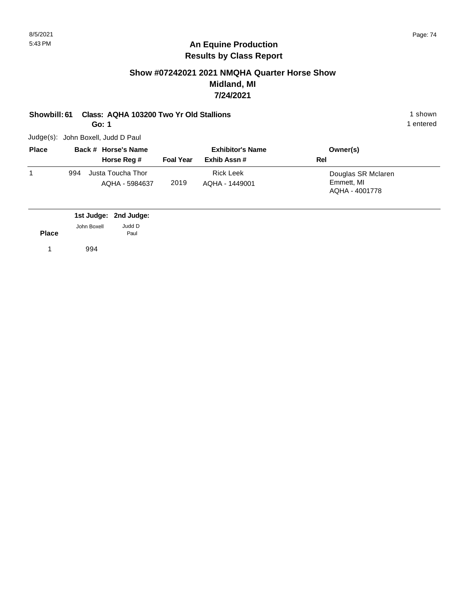### **Show #07242021 2021 NMQHA Quarter Horse Show Midland, MI 7/24/2021**

| Showbill: 61 | Class: AQHA 103200 Two Yr Old Stallions |                         | 1 shown   |  |
|--------------|-----------------------------------------|-------------------------|-----------|--|
|              | Go: 1                                   |                         | l entered |  |
|              | Judge(s):  John Boxell, Judd D Paul     |                         |           |  |
| <b>Place</b> | Back # Horse's Name                     | <b>Exhibitor's Name</b> | Owner(s)  |  |

| <b>Place</b> |     | Back # Horse's Name                 | <b>Exhibitor's Name</b> |                                    | Owner(s)                                           |  |  |
|--------------|-----|-------------------------------------|-------------------------|------------------------------------|----------------------------------------------------|--|--|
|              |     | Horse Reg #                         | <b>Foal Year</b>        | Exhib Assn #                       | Rel                                                |  |  |
|              | 994 | Justa Toucha Thor<br>AQHA - 5984637 | 2019                    | <b>Rick Leek</b><br>AQHA - 1449001 | Douglas SR Mclaren<br>Emmett, MI<br>AQHA - 4001778 |  |  |

|              |             | 1st Judge: 2nd Judge: |
|--------------|-------------|-----------------------|
|              | John Boxell | Judd D                |
| <b>Place</b> |             | Paul                  |
|              | 994         |                       |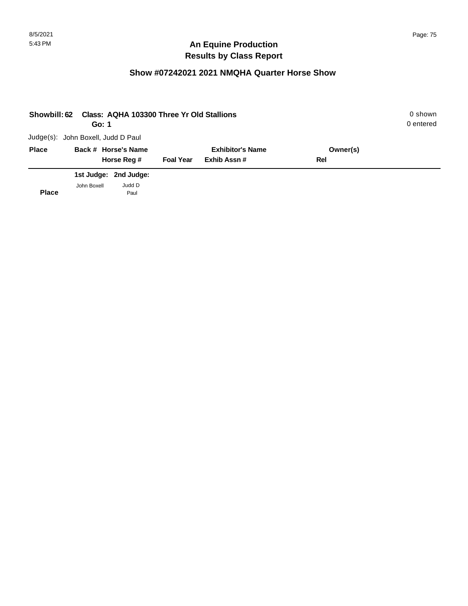| <b>Showbill: 62</b> | Go: 1                              | Class: AQHA 103300 Three Yr Old Stallions |                         |             |          | 0 shown<br>0 entered |
|---------------------|------------------------------------|-------------------------------------------|-------------------------|-------------|----------|----------------------|
|                     | Judge(s): John Boxell, Judd D Paul |                                           |                         |             |          |                      |
| <b>Place</b>        |                                    | Back # Horse's Name                       | <b>Exhibitor's Name</b> |             | Owner(s) |                      |
|                     |                                    | Horse Reg #                               | <b>Foal Year</b>        | Exhib Assn# | Rel      |                      |
|                     |                                    | 1st Judge: 2nd Judge:                     |                         |             |          |                      |
| <b>Place</b>        | John Boxell                        | Judd D<br>Paul                            |                         |             |          |                      |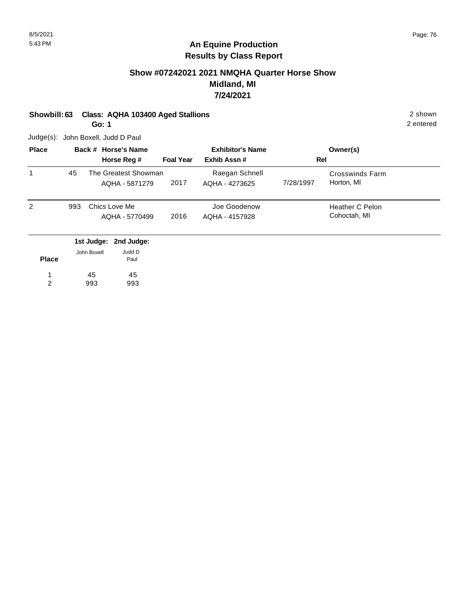### **Show #07242021 2021 NMQHA Quarter Horse Show Midland, MI 7/24/2021**

**Showbill: 63 Class: AQHA 103400 Aged Stallions** 2 shown

**Go: 1**

Judge(s): John Boxell, Judd D Paul

| <b>Place</b> |     | Back # Horse's Name                    |                  | <b>Exhibitor's Name</b>          |           | Owner(s)                        |  |
|--------------|-----|----------------------------------------|------------------|----------------------------------|-----------|---------------------------------|--|
|              |     | Horse Reg #                            | <b>Foal Year</b> | Exhib Assn#                      |           | Rel                             |  |
| 1            | 45  | The Greatest Showman<br>AQHA - 5871279 | 2017             | Raegan Schnell<br>AQHA - 4273625 | 7/28/1997 | Crosswinds Farm<br>Horton, MI   |  |
| 2            | 993 | Chics Love Me<br>AQHA - 5770499        | 2016             | Joe Goodenow<br>AQHA - 4157928   |           | Heather C Pelon<br>Cohoctah, MI |  |
|              |     | 1st Judge: 2nd Judge:                  |                  |                                  |           |                                 |  |

| <b>Place</b> | John Boxell | Judd D<br>Paul |
|--------------|-------------|----------------|
| 1            | 45          | 45             |
| 2            | 993         | 993            |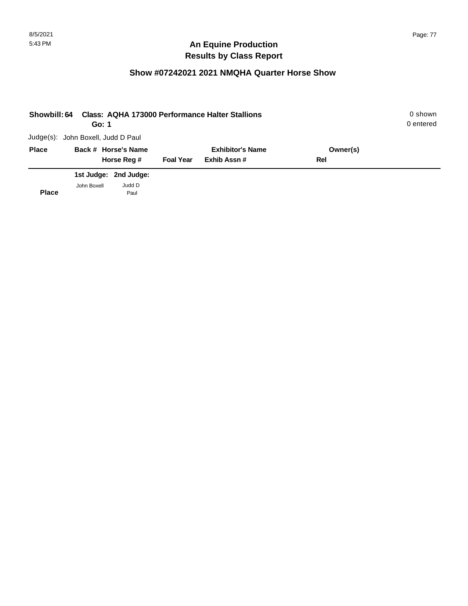| Showbill: 64 | Go: 1                              |                       |                  | <b>Class: AQHA 173000 Performance Halter Stallions</b> |          | 0 shown<br>0 entered |
|--------------|------------------------------------|-----------------------|------------------|--------------------------------------------------------|----------|----------------------|
|              | Judge(s): John Boxell, Judd D Paul |                       |                  |                                                        |          |                      |
| <b>Place</b> |                                    | Back # Horse's Name   |                  | <b>Exhibitor's Name</b>                                | Owner(s) |                      |
|              |                                    | Horse Reg #           | <b>Foal Year</b> | Exhib Assn#                                            | Rel      |                      |
|              |                                    | 1st Judge: 2nd Judge: |                  |                                                        |          |                      |
| <b>Place</b> | John Boxell                        | Judd D<br>Paul        |                  |                                                        |          |                      |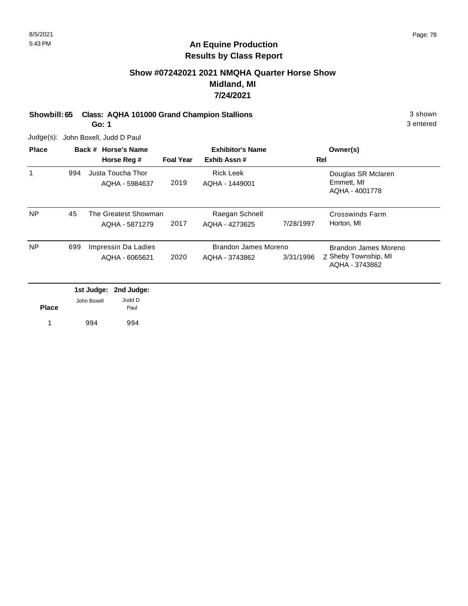### **Show #07242021 2021 NMQHA Quarter Horse Show Midland, MI 7/24/2021**

**Showbill: 65 Class: AQHA 101000 Grand Champion Stallions** 3 shown

**Go: 1**

Judge(s): John Boxell, Judd D Paul

| <b>Place</b> |                          | Back # Horse's Name |                                        |                  | <b>Exhibitor's Name</b>                | Owner(s)  |                                                                |
|--------------|--------------------------|---------------------|----------------------------------------|------------------|----------------------------------------|-----------|----------------------------------------------------------------|
|              |                          |                     | Horse Reg #                            | <b>Foal Year</b> | Exhib Assn#                            |           | Rel                                                            |
| 1            | 994                      |                     | Justa Toucha Thor<br>AQHA - 5984637    | 2019             | <b>Rick Leek</b><br>AQHA - 1449001     |           | Douglas SR Mclaren<br>Emmett, MI<br>AQHA - 4001778             |
| <b>NP</b>    | 45                       |                     | The Greatest Showman<br>AQHA - 5871279 | 2017             | Raegan Schnell<br>AQHA - 4273625       | 7/28/1997 | <b>Crosswinds Farm</b><br>Horton, MI                           |
| <b>NP</b>    | 699                      |                     | Impressin Da Ladies<br>AQHA - 6065621  | 2020             | Brandon James Moreno<br>AQHA - 3743862 | 3/31/1996 | Brandon James Moreno<br>Z Sheby Township, MI<br>AQHA - 3743862 |
|              | 1st Judge:<br>2nd Judge: |                     |                                        |                  |                                        |           |                                                                |
| <b>Place</b> |                          | John Boxell         | Judd D<br>Paul                         |                  |                                        |           |                                                                |
|              |                          | 994                 | 994                                    |                  |                                        |           |                                                                |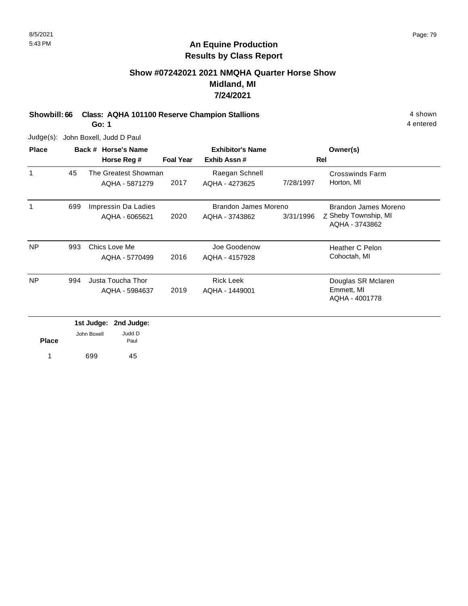### **Show #07242021 2021 NMQHA Quarter Horse Show Midland, MI 7/24/2021**

**Showbill: 66 Class: AQHA 101100 Reserve Champion Stallions** 4 Shown 4 shown

**Go: 1**

Judge(s): John Boxell, Judd D Paul

| <b>Place</b> |     | Back # Horse's Name                    |                  | <b>Exhibitor's Name</b>                |           | Owner(s)                                                       |  |
|--------------|-----|----------------------------------------|------------------|----------------------------------------|-----------|----------------------------------------------------------------|--|
|              |     | Horse Reg #                            | <b>Foal Year</b> | Exhib Assn#                            |           | <b>Rel</b>                                                     |  |
| 1            | 45  | The Greatest Showman<br>AQHA - 5871279 | 2017             | Raegan Schnell<br>AQHA - 4273625       | 7/28/1997 | Crosswinds Farm<br>Horton, MI                                  |  |
| 1            | 699 | Impressin Da Ladies<br>AQHA - 6065621  | 2020             | Brandon James Moreno<br>AQHA - 3743862 | 3/31/1996 | Brandon James Moreno<br>Z Sheby Township, MI<br>AQHA - 3743862 |  |
| <b>NP</b>    | 993 | Chics Love Me<br>AQHA - 5770499        | 2016             | Joe Goodenow<br>AQHA - 4157928         |           | <b>Heather C Pelon</b><br>Cohoctah, MI                         |  |
| <b>NP</b>    | 994 | Justa Toucha Thor<br>AQHA - 5984637    | 2019             | <b>Rick Leek</b><br>AQHA - 1449001     |           | Douglas SR Mclaren<br>Emmett, MI<br>AQHA - 4001778             |  |

|              |             | 1st Judge: 2nd Judge: |
|--------------|-------------|-----------------------|
| <b>Place</b> | John Boxell | Judd D<br>Paul        |
| 1            | 699         | 45                    |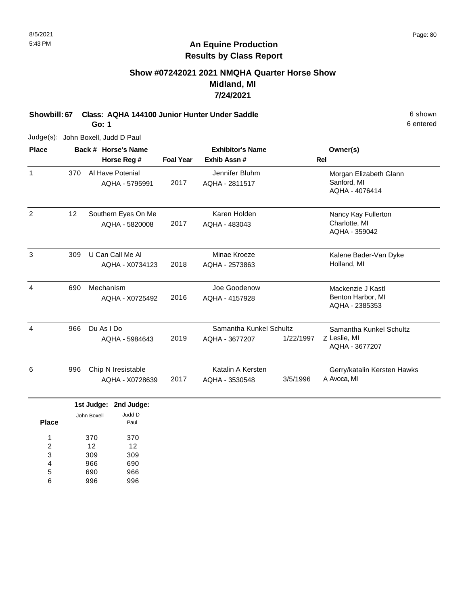#### **Show #07242021 2021 NMQHA Quarter Horse Show Midland, MI 7/24/2021**

**Showbill: 67 Class: AQHA 144100 Junior Hunter Under Saddle** 6 shown

**Go: 1**

Judge(s): John Boxell, Judd D Paul

| <b>Place</b> |     | Back # Horse's Name           |                  | <b>Exhibitor's Name</b> |           | Owner(s)                            |
|--------------|-----|-------------------------------|------------------|-------------------------|-----------|-------------------------------------|
|              |     | Horse Reg #                   | <b>Foal Year</b> | Exhib Assn #            |           | <b>Rel</b>                          |
| $\mathbf{1}$ | 370 | Al Have Potenial              |                  | Jennifer Bluhm          |           | Morgan Elizabeth Glann              |
|              |     | AQHA - 5795991                | 2017             | AQHA - 2811517          |           | Sanford, MI<br>AQHA - 4076414       |
| 2            | 12  | Southern Eyes On Me           |                  | Karen Holden            |           | Nancy Kay Fullerton                 |
|              |     | AQHA - 5820008                | 2017             | AQHA - 483043           |           | Charlotte, MI<br>AQHA - 359042      |
| 3            | 309 | U Can Call Me Al              |                  | Minae Kroeze            |           | Kalene Bader-Van Dyke               |
|              |     | AQHA - X0734123               | 2018             | AQHA - 2573863          |           | Holland, MI                         |
| 4            | 690 | Mechanism                     |                  | Joe Goodenow            |           | Mackenzie J Kastl                   |
|              |     | AQHA - X0725492               | 2016             | AQHA - 4157928          |           | Benton Harbor, MI<br>AQHA - 2385353 |
| 4            | 966 | Du As I Do                    |                  | Samantha Kunkel Schultz |           | Samantha Kunkel Schultz             |
|              |     | AQHA - 5984643                | 2019             | AQHA - 3677207          | 1/22/1997 | Z Leslie, MI<br>AQHA - 3677207      |
| 6            | 996 | Chip N Iresistable            |                  | Katalin A Kersten       |           | Gerry/katalin Kersten Hawks         |
|              |     | AQHA - X0728639               | 2017             | AQHA - 3530548          | 3/5/1996  | A Avoca, MI                         |
|              |     | 1st Judge:<br>2nd Judge:      |                  |                         |           |                                     |
| <b>Place</b> |     | Judd D<br>John Boxell<br>Paul |                  |                         |           |                                     |
|              |     | $\sim$ $\sim$<br>070          |                  |                         |           |                                     |

370 12 309 966 690 996 370 12 309 690 966 996 1 2 3 4 5 6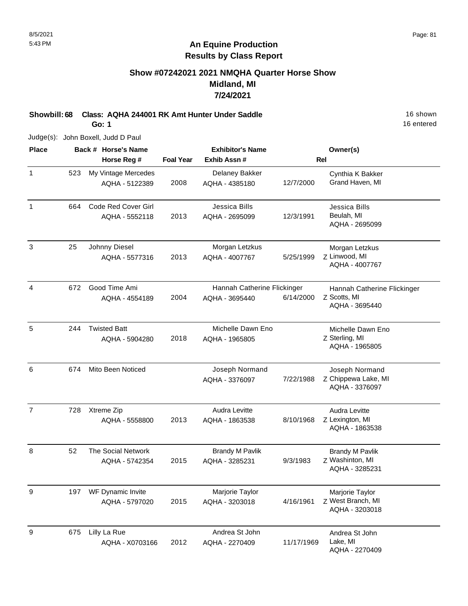#### **Show #07242021 2021 NMQHA Quarter Horse Show Midland, MI 7/24/2021**

**Showbill: 68 Class: AQHA 244001 RK Amt Hunter Under Saddle** 16 Shown 16 shown

**Go: 1**

Judge(s): John Boxell, Judd D Paul

| <b>Place</b>   |     | Back # Horse's Name                         |                  | <b>Exhibitor's Name</b>                       |            | Owner(s)                                                      |
|----------------|-----|---------------------------------------------|------------------|-----------------------------------------------|------------|---------------------------------------------------------------|
|                |     | Horse Reg #                                 | <b>Foal Year</b> | Exhib Assn #                                  |            | <b>Rel</b>                                                    |
| $\mathbf{1}$   | 523 | My Vintage Mercedes<br>AQHA - 5122389       | 2008             | Delaney Bakker<br>AQHA - 4385180              | 12/7/2000  | Cynthia K Bakker<br>Grand Haven, MI                           |
| $\mathbf{1}$   | 664 | Code Red Cover Girl<br>AQHA - 5552118       | 2013             | Jessica Bills<br>AQHA - 2695099               | 12/3/1991  | Jessica Bills<br>Beulah, MI<br>AQHA - 2695099                 |
| 3              | 25  | Johnny Diesel<br>AQHA - 5577316             | 2013             | Morgan Letzkus<br>AQHA - 4007767              | 5/25/1999  | Morgan Letzkus<br>Z Linwood, MI<br>AQHA - 4007767             |
| 4              | 672 | Good Time Ami<br>AQHA - 4554189             | 2004             | Hannah Catherine Flickinger<br>AQHA - 3695440 | 6/14/2000  | Hannah Catherine Flickinger<br>Z Scotts, MI<br>AQHA - 3695440 |
| 5              | 244 | <b>Twisted Batt</b><br>AQHA - 5904280       | 2018             | Michelle Dawn Eno<br>AQHA - 1965805           |            | Michelle Dawn Eno<br>Z Sterling, MI<br>AQHA - 1965805         |
| 6              | 674 | Mito Been Noticed                           |                  | Joseph Normand<br>AQHA - 3376097              | 7/22/1988  | Joseph Normand<br>Z Chippewa Lake, MI<br>AQHA - 3376097       |
| $\overline{7}$ | 728 | Xtreme Zip<br>AQHA - 5558800                | 2013             | Audra Levitte<br>AQHA - 1863538               | 8/10/1968  | Audra Levitte<br>Z Lexington, MI<br>AQHA - 1863538            |
| 8              | 52  | <b>The Social Network</b><br>AQHA - 5742354 | 2015             | <b>Brandy M Pavlik</b><br>AQHA - 3285231      | 9/3/1983   | <b>Brandy M Pavlik</b><br>Z Washinton, MI<br>AQHA - 3285231   |
| 9              | 197 | WF Dynamic Invite<br>AQHA - 5797020         | 2015             | Marjorie Taylor<br>AQHA - 3203018             | 4/16/1961  | Marjorie Taylor<br>Z West Branch, MI<br>AQHA - 3203018        |
| 9              | 675 | Lilly La Rue<br>AQHA - X0703166             | 2012             | Andrea St John<br>AQHA - 2270409              | 11/17/1969 | Andrea St John<br>Lake, MI<br>AQHA - 2270409                  |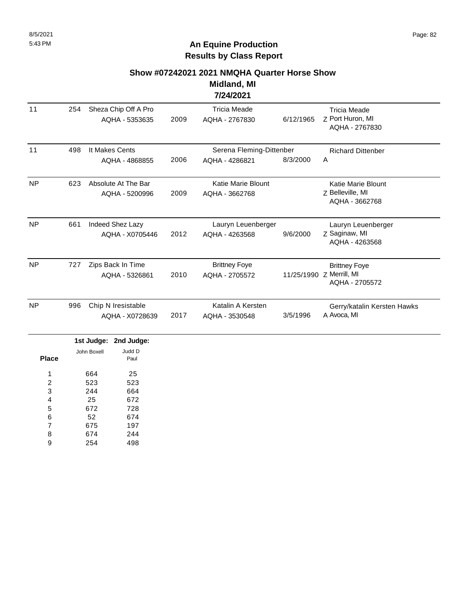#### **Show #07242021 2021 NMQHA Quarter Horse Show**

**Midland, MI 7/24/2021**

| 11                      | 254 |             | Sheza Chip Off A Pro<br>AQHA - 5353635 | 2009 | <b>Tricia Meade</b><br>AQHA - 2767830       | 6/12/1965 | <b>Tricia Meade</b><br>Z Port Huron, MI<br>AQHA - 2767830          |
|-------------------------|-----|-------------|----------------------------------------|------|---------------------------------------------|-----------|--------------------------------------------------------------------|
| 11                      | 498 |             | It Makes Cents<br>AQHA - 4868855       | 2006 | Serena Fleming-Dittenber<br>AQHA - 4286821  | 8/3/2000  | <b>Richard Dittenber</b><br>Α                                      |
| <b>NP</b>               | 623 |             | Absolute At The Bar<br>AQHA - 5200996  | 2009 | <b>Katie Marie Blount</b><br>AQHA - 3662768 |           | Katie Marie Blount<br>Z Belleville, MI<br>AQHA - 3662768           |
| <b>NP</b>               | 661 |             | Indeed Shez Lazy<br>AQHA - X0705446    | 2012 | Lauryn Leuenberger<br>AQHA - 4263568        | 9/6/2000  | Lauryn Leuenberger<br>Z Saginaw, MI<br>AQHA - 4263568              |
| <b>NP</b>               | 727 |             | Zips Back In Time<br>AQHA - 5326861    | 2010 | <b>Brittney Foye</b><br>AQHA - 2705572      |           | <b>Brittney Foye</b><br>11/25/1990 Z Merrill, MI<br>AQHA - 2705572 |
| <b>NP</b>               | 996 |             | Chip N Iresistable<br>AQHA - X0728639  | 2017 | Katalin A Kersten<br>AQHA - 3530548         | 3/5/1996  | Gerry/katalin Kersten Hawks<br>A Avoca, MI                         |
|                         |     | 1st Judge:  | 2nd Judge:                             |      |                                             |           |                                                                    |
| <b>Place</b>            |     | John Boxell | Judd D<br>Paul                         |      |                                             |           |                                                                    |
| 1                       |     | 664         | 25                                     |      |                                             |           |                                                                    |
| $\overline{\mathbf{c}}$ |     | 523         | 523                                    |      |                                             |           |                                                                    |
| 3                       |     | 244         | 664                                    |      |                                             |           |                                                                    |
| 4                       |     | 25          | 672                                    |      |                                             |           |                                                                    |
| 5                       |     | 672         | 728                                    |      |                                             |           |                                                                    |
| 6                       |     | 52          | 674                                    |      |                                             |           |                                                                    |
| $\overline{7}$          |     | 675         | 197                                    |      |                                             |           |                                                                    |
| 8                       |     | 674         | 244                                    |      |                                             |           |                                                                    |
| 9                       |     | 254         | 498                                    |      |                                             |           |                                                                    |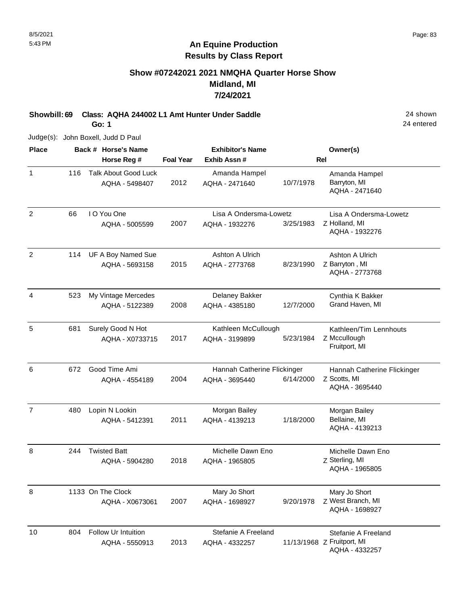## **Show #07242021 2021 NMQHA Quarter Horse Show Midland, MI 7/24/2021**

**Showbill: 69 Class: AQHA 244002 L1 Amt Hunter Under Saddle** 24 shown

**Go: 1**

Judge(s): John Boxell, Judd D Paul

| <b>Place</b>   |     | Back # Horse's Name                           |                  | <b>Exhibitor's Name</b>         |           | Owner(s)                                        |
|----------------|-----|-----------------------------------------------|------------------|---------------------------------|-----------|-------------------------------------------------|
|                |     | Horse Reg #                                   | <b>Foal Year</b> | Exhib Assn#                     |           | <b>Rel</b>                                      |
| $\mathbf{1}$   | 116 | <b>Talk About Good Luck</b><br>AQHA - 5498407 | 2012             | Amanda Hampel<br>AQHA - 2471640 | 10/7/1978 | Amanda Hampel<br>Barryton, MI<br>AQHA - 2471640 |
| 2              | 66  | I O You One                                   |                  | Lisa A Ondersma-Lowetz          |           | Lisa A Ondersma-Lowetz                          |
|                |     | AQHA - 5005599                                | 2007             | AQHA - 1932276                  | 3/25/1983 | Z Holland, MI<br>AQHA - 1932276                 |
| $\overline{2}$ | 114 | UF A Boy Named Sue                            |                  | Ashton A Ulrich                 |           | Ashton A Ulrich                                 |
|                |     | AQHA - 5693158                                | 2015             | AQHA - 2773768                  | 8/23/1990 | Z Barryton, MI<br>AQHA - 2773768                |
| 4              | 523 | My Vintage Mercedes                           |                  | Delaney Bakker                  |           | Cynthia K Bakker                                |
|                |     | AQHA - 5122389                                | 2008             | AQHA - 4385180                  | 12/7/2000 | Grand Haven, MI                                 |
| 5              | 681 | Surely Good N Hot                             |                  | Kathleen McCullough             |           | Kathleen/Tim Lennhouts                          |
|                |     | AQHA - X0733715                               | 2017             | AQHA - 3199899                  | 5/23/1984 | Z Mccullough<br>Fruitport, MI                   |
| 6              | 672 | Good Time Ami                                 |                  | Hannah Catherine Flickinger     |           | Hannah Catherine Flickinger                     |
|                |     | AQHA - 4554189                                | 2004             | AQHA - 3695440                  | 6/14/2000 | Z Scotts, MI<br>AQHA - 3695440                  |
| $\overline{7}$ | 480 | Lopin N Lookin                                |                  | Morgan Bailey                   |           | Morgan Bailey                                   |
|                |     | AQHA - 5412391                                | 2011             | AQHA - 4139213                  | 1/18/2000 | Bellaine, MI<br>AQHA - 4139213                  |
| 8              | 244 | <b>Twisted Batt</b>                           |                  | Michelle Dawn Eno               |           | Michelle Dawn Eno                               |
|                |     | AQHA - 5904280                                | 2018             | AQHA - 1965805                  |           | Z Sterling, MI<br>AQHA - 1965805                |
| 8              |     | 1133 On The Clock                             |                  | Mary Jo Short                   |           | Mary Jo Short                                   |
|                |     | AQHA - X0673061                               | 2007             | AQHA - 1698927                  | 9/20/1978 | Z West Branch, MI<br>AQHA - 1698927             |
| 10             | 804 | Follow Ur Intuition                           |                  | Stefanie A Freeland             |           | Stefanie A Freeland                             |
|                |     | AQHA - 5550913                                | 2013             | AQHA - 4332257                  |           | 11/13/1968 Z Fruitport, MI<br>AQHA - 4332257    |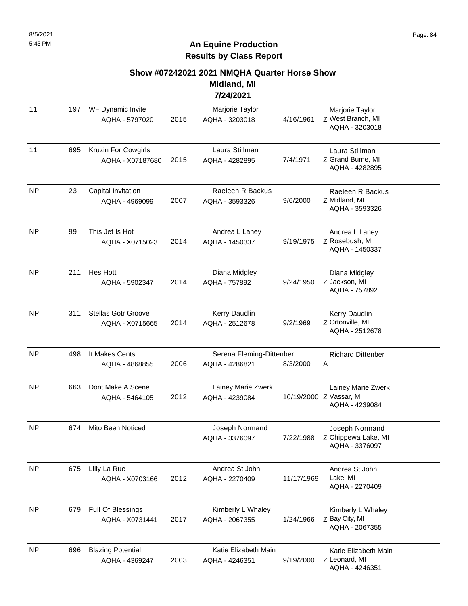#### **Show #07242021 2021 NMQHA Quarter Horse Show**

**Midland, MI 7/24/2021**

|           |     |                                               |      | 77477494                                   |            |                                                                 |
|-----------|-----|-----------------------------------------------|------|--------------------------------------------|------------|-----------------------------------------------------------------|
| 11        | 197 | WF Dynamic Invite<br>AQHA - 5797020           | 2015 | Marjorie Taylor<br>AQHA - 3203018          | 4/16/1961  | Marjorie Taylor<br>Z West Branch, MI<br>AQHA - 3203018          |
| 11        | 695 | Kruzin For Cowgirls<br>AQHA - X07187680       | 2015 | Laura Stillman<br>AQHA - 4282895           | 7/4/1971   | Laura Stillman<br>Z Grand Bume, MI<br>AQHA - 4282895            |
| <b>NP</b> | 23  | Capital Invitation<br>AQHA - 4969099          | 2007 | Raeleen R Backus<br>AQHA - 3593326         | 9/6/2000   | Raeleen R Backus<br>Z Midland, MI<br>AQHA - 3593326             |
| <b>NP</b> | 99  | This Jet Is Hot<br>AQHA - X0715023            | 2014 | Andrea L Laney<br>AQHA - 1450337           | 9/19/1975  | Andrea L Laney<br>Z Rosebush, MI<br>AQHA - 1450337              |
| <b>NP</b> | 211 | <b>Hes Hott</b><br>AQHA - 5902347             | 2014 | Diana Midgley<br>AQHA - 757892             | 9/24/1950  | Diana Midgley<br>Z Jackson, MI<br>AQHA - 757892                 |
| <b>NP</b> | 311 | <b>Stellas Gotr Groove</b><br>AQHA - X0715665 | 2014 | Kerry Daudlin<br>AQHA - 2512678            | 9/2/1969   | Kerry Daudlin<br>Z Ortonville, MI<br>AQHA - 2512678             |
| <b>NP</b> | 498 | It Makes Cents<br>AQHA - 4868855              | 2006 | Serena Fleming-Dittenber<br>AQHA - 4286821 | 8/3/2000   | <b>Richard Dittenber</b><br>Α                                   |
| <b>NP</b> | 663 | Dont Make A Scene<br>AQHA - 5464105           | 2012 | Lainey Marie Zwerk<br>AQHA - 4239084       |            | Lainey Marie Zwerk<br>10/19/2000 Z Vassar, MI<br>AQHA - 4239084 |
| <b>NP</b> | 674 | Mito Been Noticed                             |      | Joseph Normand<br>AQHA - 3376097           | 7/22/1988  | Joseph Normand<br>Z Chippewa Lake, MI<br>AQHA - 3376097         |
| <b>NP</b> | 675 | Lilly La Rue<br>AQHA - X0703166               | 2012 | Andrea St John<br>AQHA - 2270409           | 11/17/1969 | Andrea St John<br>Lake, MI<br>AQHA - 2270409                    |
| NP        | 679 | Full Of Blessings<br>AQHA - X0731441          | 2017 | Kimberly L Whaley<br>AQHA - 2067355        | 1/24/1966  | Kimberly L Whaley<br>Z Bay City, MI<br>AQHA - 2067355           |
| <b>NP</b> | 696 | <b>Blazing Potential</b><br>AQHA - 4369247    | 2003 | Katie Elizabeth Main<br>AQHA - 4246351     | 9/19/2000  | Katie Elizabeth Main<br>Z Leonard, MI<br>AQHA - 4246351         |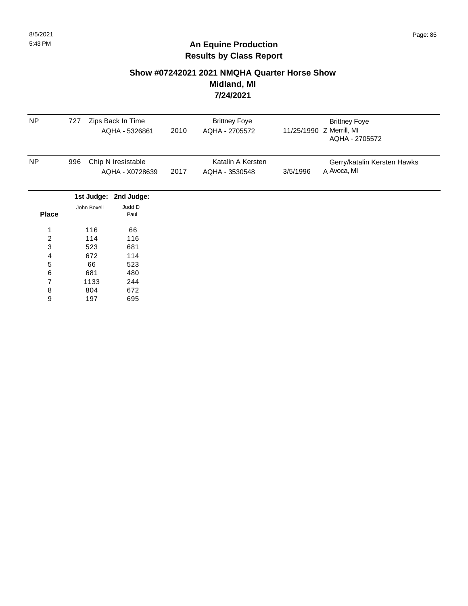#### **Show #07242021 2021 NMQHA Quarter Horse Show Midland, MI 7/24/2021**

| <b>NP</b>      | 727 |             | Zips Back In Time  |      | <b>Brittney Foye</b> |          | <b>Brittney Foye</b>        |
|----------------|-----|-------------|--------------------|------|----------------------|----------|-----------------------------|
|                |     |             | AQHA - 5326861     | 2010 | AQHA - 2705572       |          | 11/25/1990 Z Merrill, MI    |
|                |     |             |                    |      |                      |          | AQHA - 2705572              |
| <b>NP</b>      | 996 |             | Chip N Iresistable |      | Katalin A Kersten    |          | Gerry/katalin Kersten Hawks |
|                |     |             | AQHA - X0728639    | 2017 | AQHA - 3530548       | 3/5/1996 | A Avoca, MI                 |
|                |     | 1st Judge:  | 2nd Judge:         |      |                      |          |                             |
|                |     | John Boxell | Judd D             |      |                      |          |                             |
| <b>Place</b>   |     |             | Paul               |      |                      |          |                             |
| 1              |     | 116         | 66                 |      |                      |          |                             |
| $\overline{c}$ |     | 114         | 116                |      |                      |          |                             |
| 3              |     | 523         | 681                |      |                      |          |                             |
| 4              |     | 672         | 114                |      |                      |          |                             |
| 5              |     | 66          | 523                |      |                      |          |                             |
| 6              |     | 681         | 480                |      |                      |          |                             |
| 7              |     | 1133        | 244                |      |                      |          |                             |
| 8              |     | 804         | 672                |      |                      |          |                             |
| 9              |     | 197         | 695                |      |                      |          |                             |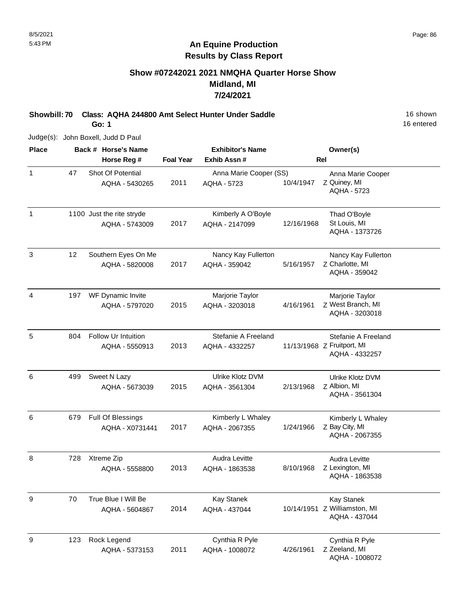#### **Show #07242021 2021 NMQHA Quarter Horse Show Midland, MI 7/24/2021**

**Showbill: 70 Class: AQHA 244800 Amt Select Hunter Under Saddle** 16 Shown 16 shown

**Go: 1**

16 entered

Judge(s): John Boxell, Judd D Paul

| <b>Place</b> |     | Back # Horse's Name       |                  | <b>Exhibitor's Name</b> |            | Owner(s)                        |
|--------------|-----|---------------------------|------------------|-------------------------|------------|---------------------------------|
|              |     | Horse Reg #               | <b>Foal Year</b> | Exhib Assn#             |            | <b>Rel</b>                      |
| $\mathbf{1}$ | 47  | Shot Of Potential         |                  | Anna Marie Cooper (SS)  |            | Anna Marie Cooper               |
|              |     | AQHA - 5430265            | 2011             | AQHA - 5723             | 10/4/1947  | Z Quiney, MI                    |
|              |     |                           |                  |                         |            | <b>AQHA - 5723</b>              |
| $\mathbf{1}$ |     | 1100 Just the rite stryde |                  | Kimberly A O'Boyle      |            | Thad O'Boyle                    |
|              |     | AQHA - 5743009            | 2017             | AQHA - 2147099          | 12/16/1968 | St Louis, MI                    |
|              |     |                           |                  |                         |            | AQHA - 1373726                  |
| $\sqrt{3}$   | 12  | Southern Eyes On Me       |                  | Nancy Kay Fullerton     |            | Nancy Kay Fullerton             |
|              |     | AQHA - 5820008            | 2017             | AQHA - 359042           | 5/16/1957  | Z Charlotte, MI                 |
|              |     |                           |                  |                         |            | AQHA - 359042                   |
| 4            | 197 | WF Dynamic Invite         |                  | Marjorie Taylor         |            | Marjorie Taylor                 |
|              |     | AQHA - 5797020            | 2015             | AQHA - 3203018          | 4/16/1961  | Z West Branch, MI               |
|              |     |                           |                  |                         |            | AQHA - 3203018                  |
| $\sqrt{5}$   | 804 | Follow Ur Intuition       |                  | Stefanie A Freeland     |            | Stefanie A Freeland             |
|              |     | AQHA - 5550913            | 2013             | AQHA - 4332257          |            | 11/13/1968 Z Fruitport, MI      |
|              |     |                           |                  |                         |            | AQHA - 4332257                  |
| 6            | 499 | Sweet N Lazy              |                  | Ulrike Klotz DVM        |            | Ulrike Klotz DVM                |
|              |     | AQHA - 5673039            | 2015             | AQHA - 3561304          | 2/13/1968  | Z Albion, MI                    |
|              |     |                           |                  |                         |            | AQHA - 3561304                  |
| 6            | 679 | Full Of Blessings         |                  | Kimberly L Whaley       |            | Kimberly L Whaley               |
|              |     | AQHA - X0731441           | 2017             | AQHA - 2067355          | 1/24/1966  | Z Bay City, MI                  |
|              |     |                           |                  |                         |            | AQHA - 2067355                  |
| 8            | 728 | Xtreme Zip                |                  | Audra Levitte           |            | Audra Levitte                   |
|              |     | AQHA - 5558800            | 2013             | AQHA - 1863538          | 8/10/1968  | Z Lexington, MI                 |
|              |     |                           |                  |                         |            | AQHA - 1863538                  |
| 9            | 70  | True Blue I Will Be       |                  | <b>Kay Stanek</b>       |            | <b>Kay Stanek</b>               |
|              |     | AQHA - 5604867            | 2014             | AQHA - 437044           |            | 10/14/1951 Z Williamston, MI    |
|              |     |                           |                  |                         |            | AQHA - 437044                   |
| $9\,$        | 123 | Rock Legend               |                  | Cynthia R Pyle          |            | Cynthia R Pyle                  |
|              |     | AQHA - 5373153            | 2011             | AQHA - 1008072          | 4/26/1961  | Z Zeeland, MI<br>AQHA - 1008072 |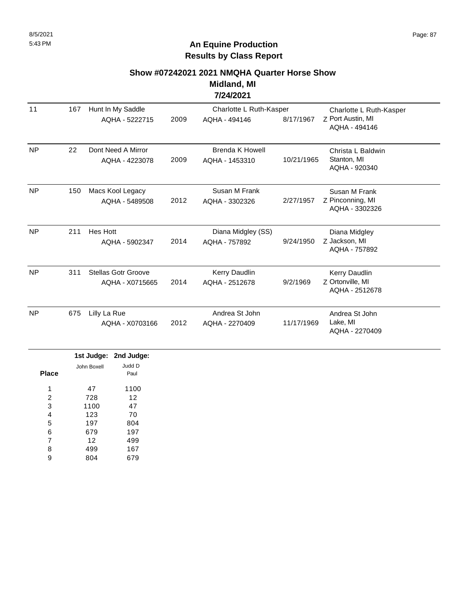#### **Show #07242021 2021 NMQHA Quarter Horse Show**

**Midland, MI 7/24/2021**

| 11        | 167 | Hunt In My Saddle                             |      | Charlotte L Ruth-Kasper                  |            | Charlotte L Ruth-Kasper                             |
|-----------|-----|-----------------------------------------------|------|------------------------------------------|------------|-----------------------------------------------------|
|           |     | AQHA - 5222715                                | 2009 | AQHA - 494146                            | 8/17/1967  | Z Port Austin, MI<br>AQHA - 494146                  |
| <b>NP</b> | 22  | Dont Need A Mirror<br>AQHA - 4223078          | 2009 | <b>Brenda K Howell</b><br>AQHA - 1453310 | 10/21/1965 | Christa L Baldwin<br>Stanton, MI<br>AQHA - 920340   |
| <b>NP</b> | 150 | Macs Kool Legacy<br>AQHA - 5489508            | 2012 | Susan M Frank<br>AQHA - 3302326          | 2/27/1957  | Susan M Frank<br>Z Pinconning, MI<br>AQHA - 3302326 |
| <b>NP</b> | 211 | <b>Hes Hott</b><br>AQHA - 5902347             | 2014 | Diana Midgley (SS)<br>AQHA - 757892      | 9/24/1950  | Diana Midgley<br>Z Jackson, MI<br>AQHA - 757892     |
| <b>NP</b> | 311 | <b>Stellas Gotr Groove</b><br>AQHA - X0715665 | 2014 | Kerry Daudlin<br>AQHA - 2512678          | 9/2/1969   | Kerry Daudlin<br>Z Ortonville, MI<br>AQHA - 2512678 |
| <b>NP</b> | 675 | Lilly La Rue<br>AQHA - X0703166               | 2012 | Andrea St John<br>AQHA - 2270409         | 11/17/1969 | Andrea St John<br>Lake, MI<br>AQHA - 2270409        |

|       |             | 1st Judge: 2nd Judge: |
|-------|-------------|-----------------------|
|       | John Boxell | Judd D                |
| Place |             | Paul                  |
|       |             |                       |
| 1     | 47          | 1100                  |
| 2     | 728         | 12                    |
| 3     | 1100        | 47                    |
| 4     | 123         | 70                    |
| 5     | 197         | 804                   |
| 6     | 679         | 197                   |
| 7     | 12          | 499                   |
| 8     | 499         | 167                   |
| 9     | 804         | 679                   |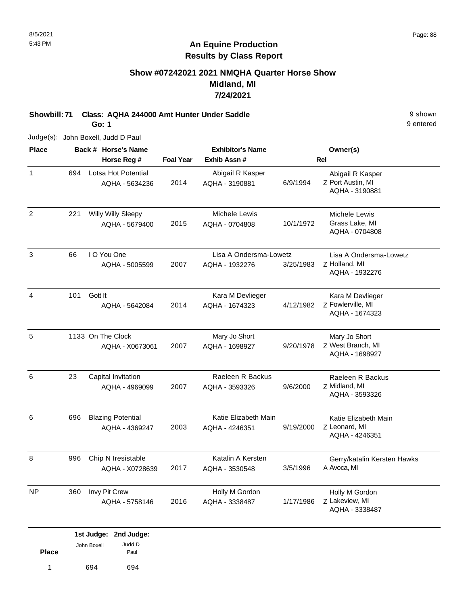#### **Show #07242021 2021 NMQHA Quarter Horse Show Midland, MI 7/24/2021**

**Showbill: 71 Class: AQHA 244000 Amt Hunter Under Saddle** 9 shown **Go: 1**

Judge(s): John Boxell, Judd D Paul

| <b>Place</b>   |     | Back # Horse's Name                                    |                  | <b>Exhibitor's Name</b>                  |           | Owner(s)                                                  |
|----------------|-----|--------------------------------------------------------|------------------|------------------------------------------|-----------|-----------------------------------------------------------|
|                |     | Horse Reg #                                            | <b>Foal Year</b> | Exhib Assn#                              |           | <b>Rel</b>                                                |
| $\mathbf{1}$   | 694 | Lotsa Hot Potential<br>AQHA - 5634236                  | 2014             | Abigail R Kasper<br>AQHA - 3190881       | 6/9/1994  | Abigail R Kasper<br>Z Port Austin, MI<br>AQHA - 3190881   |
| $\overline{2}$ | 221 | <b>Willy Willy Sleepy</b><br>AQHA - 5679400            | 2015             | Michele Lewis<br>AQHA - 0704808          | 10/1/1972 | Michele Lewis<br>Grass Lake, MI<br>AQHA - 0704808         |
| $\mathbf{3}$   | 66  | I O You One<br>AQHA - 5005599                          | 2007             | Lisa A Ondersma-Lowetz<br>AQHA - 1932276 | 3/25/1983 | Lisa A Ondersma-Lowetz<br>Z Holland, MI<br>AQHA - 1932276 |
| 4              | 101 | Gott It<br>AQHA - 5642084                              | 2014             | Kara M Devlieger<br>AQHA - 1674323       | 4/12/1982 | Kara M Devlieger<br>Z Fowlerville, MI<br>AQHA - 1674323   |
| 5              |     | 1133 On The Clock<br>AQHA - X0673061                   | 2007             | Mary Jo Short<br>AQHA - 1698927          | 9/20/1978 | Mary Jo Short<br>Z West Branch, MI<br>AQHA - 1698927      |
| 6              | 23  | Capital Invitation<br>AQHA - 4969099                   | 2007             | Raeleen R Backus<br>AQHA - 3593326       | 9/6/2000  | Raeleen R Backus<br>Z Midland, MI<br>AQHA - 3593326       |
| 6              | 696 | <b>Blazing Potential</b><br>AQHA - 4369247             | 2003             | Katie Elizabeth Main<br>AQHA - 4246351   | 9/19/2000 | Katie Elizabeth Main<br>Z Leonard, MI<br>AQHA - 4246351   |
| 8              | 996 | Chip N Iresistable<br>AQHA - X0728639                  | 2017             | Katalin A Kersten<br>AQHA - 3530548      | 3/5/1996  | Gerry/katalin Kersten Hawks<br>A Avoca, MI                |
| <b>NP</b>      | 360 | Invy Pit Crew<br>AQHA - 5758146                        | 2016             | Holly M Gordon<br>AQHA - 3338487         | 1/17/1986 | Holly M Gordon<br>Z Lakeview, MI<br>AQHA - 3338487        |
| <b>Place</b>   |     | 1st Judge: 2nd Judge:<br>Judd D<br>John Boxell<br>Paul |                  |                                          |           |                                                           |

1 694 694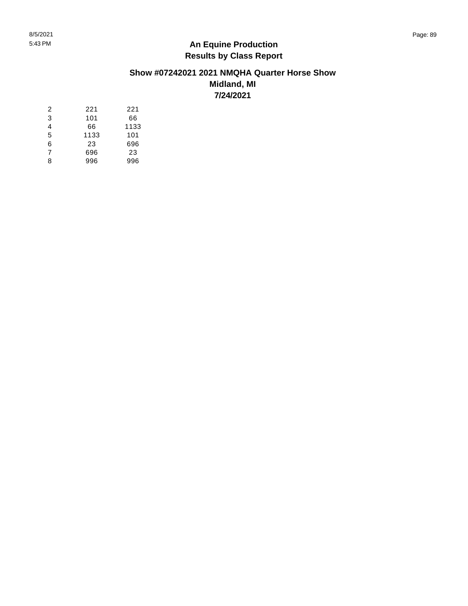#### **Show #07242021 2021 NMQHA Quarter Horse Show Midland, MI 7/24/2021**

| 2              | 221  | 221  |
|----------------|------|------|
| 3              | 101  | 66   |
| 4              | 66   | 1133 |
| 5              | 1133 | 101  |
| 6              | 23   | 696  |
| $\overline{7}$ | 696  | 23   |
| 8              | 996  | 996  |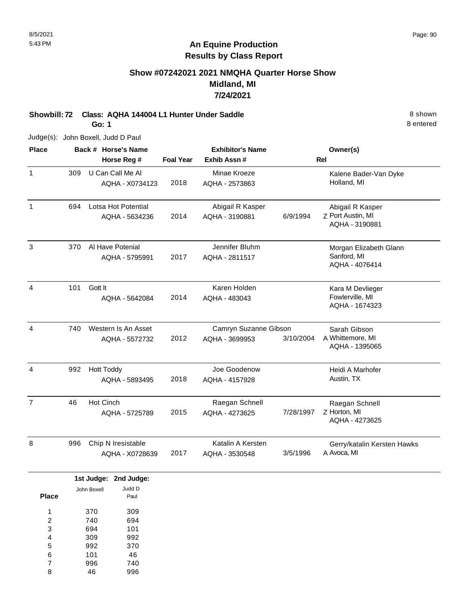### **Show #07242021 2021 NMQHA Quarter Horse Show Midland, MI 7/24/2021**

**Showbill: 72 Class: AQHA 144004 L1 Hunter Under Saddle** 8 shown **Go: 1**

Judge(s): John Boxell, Judd D Paul

| <b>Place</b>   |     | Back # Horse's Name<br>Horse Reg #             | <b>Foal Year</b> | <b>Exhibitor's Name</b><br>Exhib Assn # |           | Owner(s)<br>Rel                                         |
|----------------|-----|------------------------------------------------|------------------|-----------------------------------------|-----------|---------------------------------------------------------|
| $\mathbf{1}$   | 309 | U Can Call Me Al<br>AQHA - X0734123            | 2018             | Minae Kroeze<br>AQHA - 2573863          |           | Kalene Bader-Van Dyke<br>Holland, MI                    |
| $\mathbf{1}$   | 694 | Lotsa Hot Potential<br>AQHA - 5634236          | 2014             | Abigail R Kasper<br>AQHA - 3190881      | 6/9/1994  | Abigail R Kasper<br>Z Port Austin, MI<br>AQHA - 3190881 |
| 3              | 370 | Al Have Potenial<br>AQHA - 5795991             | 2017             | Jennifer Bluhm<br>AQHA - 2811517        |           | Morgan Elizabeth Glann<br>Sanford, MI<br>AQHA - 4076414 |
| 4              | 101 | Gott It<br>AQHA - 5642084                      | 2014             | Karen Holden<br>AQHA - 483043           |           | Kara M Devlieger<br>Fowlerville, MI<br>AQHA - 1674323   |
| $\overline{4}$ | 740 | Western Is An Asset<br>AQHA - 5572732          | 2012             | Camryn Suzanne Gibson<br>AQHA - 3699953 | 3/10/2004 | Sarah Gibson<br>A Whittemore, MI<br>AQHA - 1395065      |
| 4              | 992 | <b>Hott Toddy</b><br>AQHA - 5893495            | 2018             | Joe Goodenow<br>AQHA - 4157928          |           | Heidi A Marhofer<br>Austin, TX                          |
| $\overline{7}$ | 46  | Hot Cinch<br>AQHA - 5725789                    | 2015             | Raegan Schnell<br>AQHA - 4273625        | 7/28/1997 | Raegan Schnell<br>Z Horton, MI<br>AQHA - 4273625        |
| 8              | 996 | Chip N Iresistable<br>AQHA - X0728639          | 2017             | Katalin A Kersten<br>AQHA - 3530548     | 3/5/1996  | Gerry/katalin Kersten Hawks<br>A Avoca, MI              |
|                |     | 1st Judge: 2nd Judge:<br>Judd D<br>John Boxell |                  |                                         |           |                                                         |

| <b>Place</b> | יוטגעש ווויט | Paul |
|--------------|--------------|------|
| 1            | 370          | 309  |
| 2            | 740          | 694  |
| 3            | 694          | 101  |
| 4            | 309          | 992  |
| 5            | 992          | 370  |
| 6            | 101          | 46   |
| 7            | 996          | 740  |
| 8            | 46           | 996  |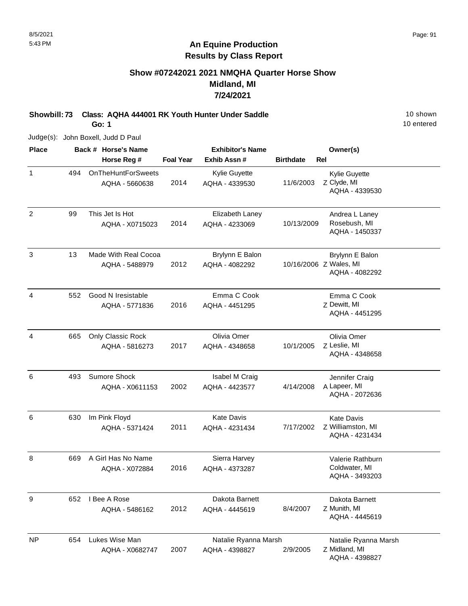#### **Show #07242021 2021 NMQHA Quarter Horse Show Midland, MI 7/24/2021**

**Showbill: 73 Class: AQHA 444001 RK Youth Hunter Under Saddle** 10 shown **Go: 1**

Judge(s): John Boxell, Judd D Paul

**Back # Horse's Name Place Owner(s) Horse Reg # Exhib Assn # Foal Year Birthdate Rel Exhibitor's Name** 1 Z Clyde, MI Kylie Guyette AQHA - 4339530 2014 OnTheHuntForSweets AQHA - 5660638 Kylie Guyette AQHA - 4339530 11/6/2003 494 2 99 This Jet Is Hot **Elizabeth Laney Constant Constructs** 2 Rosebush, MI AQHA - 1450337 2014 This Jet Is Hot AQHA - X0715023 Elizabeth Laney AQHA - 4233069 10/13/2009 99 3 Z Wales, MI Brylynn E Balon AQHA - 4082292 2012 Made With Real Cocoa AQHA - 5488979 Brylynn E Balon AQHA - 4082292 13 4 Z Dewitt, MI Emma C Cook AQHA - 4451295 2016 Good N Iresistable AQHA - 5771836 Emma C Cook AQHA - 4451295 552 4 Z Leslie, MI Olivia Omer AQHA - 4348658 2017 Only Classic Rock AQHA - 5816273 Olivia Omer AQHA - 4348658 10/1/2005 665 6 A Lapeer, MI Jennifer Craig AQHA - 2072636 2002 Sumore Shock AQHA - X0611153 Isabel M Craig AQHA - 4423577 4/14/2008 493 6 Z Williamston, MI Kate Davis AQHA - 4231434 2011 Im Pink Floyd AQHA - 5371424 Kate Davis AQHA - 4231434 7/17/2002 630 8 669 A Girl Has No Name **Sierra Harvey Communist Channel And A** Valerie Rathburn Coldwater, MI AQHA - 3493203 2016 AQHA - X072884 Sierra Harvey AQHA - 4373287 669 9 Z Munith, MI Dakota Barnett AQHA - 4445619 2012 I Bee A Rose AQHA - 5486162 Dakota Barnett AQHA - 4445619 8/4/2007 652 NP Natalie Ryanna Marsh Lukes Wise Man Natalie Ryanna Marsh 654

AQHA - 4398827 2/9/2005

2007

AQHA - X0682747

Z Midland, MI

AQHA - 4398827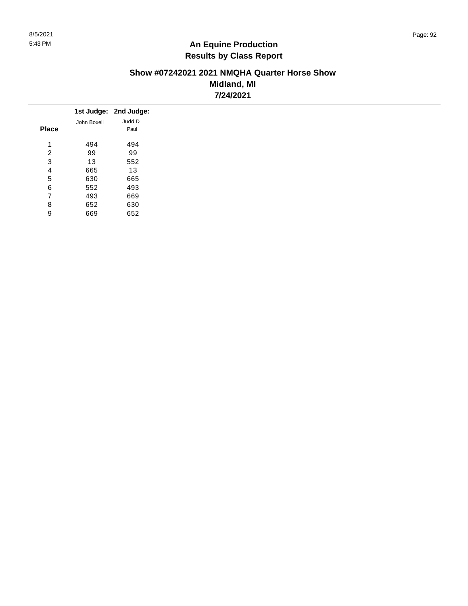#### **Show #07242021 2021 NMQHA Quarter Horse Show Midland, MI 7/24/2021**

|              |             | 1st Judge: 2nd Judge: |
|--------------|-------------|-----------------------|
|              | John Boxell | Judd D                |
| <b>Place</b> |             | Paul                  |
| 4            | 494         | 494                   |
| 2            | 99          | 99                    |
| 3            | 13          | 552                   |
| 4            | 665         | 13                    |
| 5            | 630         | 665                   |
| 6            | 552         | 493                   |
| 7            | 493         | 669                   |
| 8            | 652         | 630                   |
| 9            | 669         | 652                   |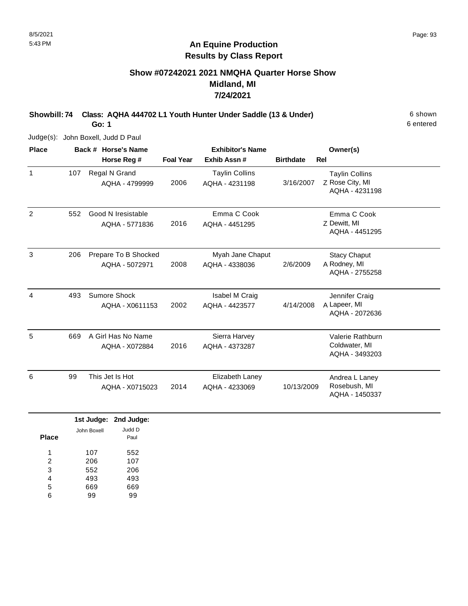# **Show #07242021 2021 NMQHA Quarter Horse Show Midland, MI 7/24/2021**

**Showbill: 74 Class: AQHA 444702 L1 Youth Hunter Under Saddle (13 & Under)** 6 shown **Go: 1**

Judge(s): John Boxell, Judd D Paul

| <b>Place</b> |     | Back # Horse's Name                    |                  | <b>Exhibitor's Name</b>                 |                  | Owner(s)                                                   |  |
|--------------|-----|----------------------------------------|------------------|-----------------------------------------|------------------|------------------------------------------------------------|--|
|              |     | Horse Reg #                            | <b>Foal Year</b> | Exhib Assn#                             | <b>Birthdate</b> | <b>Rel</b>                                                 |  |
| $\mathbf{1}$ | 107 | Regal N Grand<br>AQHA - 4799999        | 2006             | <b>Taylin Collins</b><br>AQHA - 4231198 | 3/16/2007        | <b>Taylin Collins</b><br>Z Rose City, MI<br>AQHA - 4231198 |  |
| 2            | 552 | Good N Iresistable<br>AQHA - 5771836   | 2016             | Emma C Cook<br>AQHA - 4451295           |                  | Emma C Cook<br>Z Dewitt, MI<br>AQHA - 4451295              |  |
| 3            | 206 | Prepare To B Shocked<br>AQHA - 5072971 | 2008             | Myah Jane Chaput<br>AQHA - 4338036      | 2/6/2009         | <b>Stacy Chaput</b><br>A Rodney, MI<br>AQHA - 2755258      |  |
| 4            | 493 | Sumore Shock<br>AQHA - X0611153        | 2002             | Isabel M Craig<br>AQHA - 4423577        | 4/14/2008        | Jennifer Craig<br>A Lapeer, MI<br>AQHA - 2072636           |  |
| 5            | 669 | A Girl Has No Name<br>AQHA - X072884   | 2016             | Sierra Harvey<br>AQHA - 4373287         |                  | Valerie Rathburn<br>Coldwater, MI<br>AQHA - 3493203        |  |
| 6            | 99  | This Jet Is Hot<br>AQHA - X0715023     | 2014             | Elizabeth Laney<br>AQHA - 4233069       | 10/13/2009       | Andrea L Laney<br>Rosebush, MI<br>AQHA - 1450337           |  |

|       |             | 1st Judge: 2nd Judge: |
|-------|-------------|-----------------------|
| Place | John Boxell | Judd D<br>Paul        |
| 1     | 107         | 552                   |
| 2     | 206         | 107                   |
| 3     | 552         | 206                   |
| 4     | 493         | 493                   |
| 5     | 669         | 669                   |
| 6     |             |                       |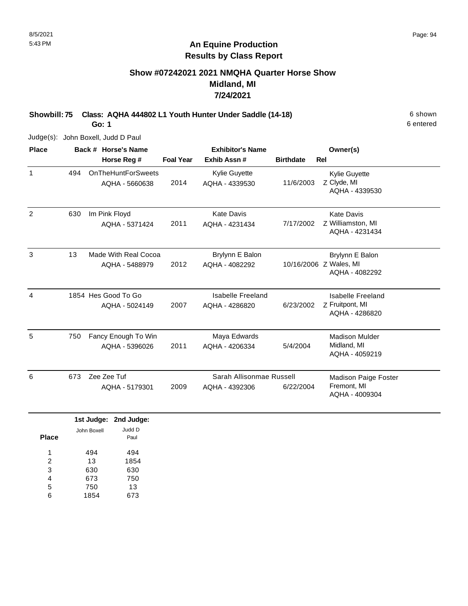# **Show #07242021 2021 NMQHA Quarter Horse Show Midland, MI 7/24/2021**

**Showbill: 75 Class: AQHA 444802 L1 Youth Hunter Under Saddle (14-18)** 6 shown

**Go: 1**

Judge(s): John Boxell, Judd D Paul

| <b>Place</b> |     | Back # Horse's Name                         |                  | <b>Exhibitor's Name</b>                    |                  | Owner(s)                                                     |
|--------------|-----|---------------------------------------------|------------------|--------------------------------------------|------------------|--------------------------------------------------------------|
|              |     | Horse Reg #                                 | <b>Foal Year</b> | Exhib Assn#                                | <b>Birthdate</b> | <b>Rel</b>                                                   |
| 1            | 494 | <b>OnTheHuntForSweets</b><br>AQHA - 5660638 | 2014             | Kylie Guyette<br>AQHA - 4339530            | 11/6/2003        | <b>Kylie Guyette</b><br>Z Clyde, MI<br>AQHA - 4339530        |
| 2            | 630 | Im Pink Floyd<br>AQHA - 5371424             | 2011             | <b>Kate Davis</b><br>AQHA - 4231434        | 7/17/2002        | <b>Kate Davis</b><br>Z Williamston, MI<br>AQHA - 4231434     |
| 3            | 13  | Made With Real Cocoa<br>AQHA - 5488979      | 2012             | Brylynn E Balon<br>AQHA - 4082292          |                  | Brylynn E Balon<br>10/16/2006 Z Wales, MI<br>AQHA - 4082292  |
| 4            |     | 1854 Hes Good To Go<br>AQHA - 5024149       | 2007             | Isabelle Freeland<br>AQHA - 4286820        | 6/23/2002        | Isabelle Freeland<br>Z Fruitpont, MI<br>AQHA - 4286820       |
| 5            | 750 | Fancy Enough To Win<br>AQHA - 5396026       | 2011             | Maya Edwards<br>AQHA - 4206334             | 5/4/2004         | <b>Madison Mulder</b><br>Midland, MI<br>AQHA - 4059219       |
| 6            | 673 | Zee Zee Tuf<br>AQHA - 5179301               | 2009             | Sarah Allisonmae Russell<br>AQHA - 4392306 | 6/22/2004        | <b>Madison Paige Foster</b><br>Fremont, MI<br>AQHA - 4009304 |

|       |             | 1st Judge: 2nd Judge: |
|-------|-------------|-----------------------|
| Place | John Boxell | Judd D<br>Paul        |
| 1     | 494         | 494                   |
| 2     | 13          | 1854                  |
| 3     | 630         | 630                   |
| 4     | 673         | 750                   |
| 5     | 750         | 13                    |
| 6     | 1854        | 673                   |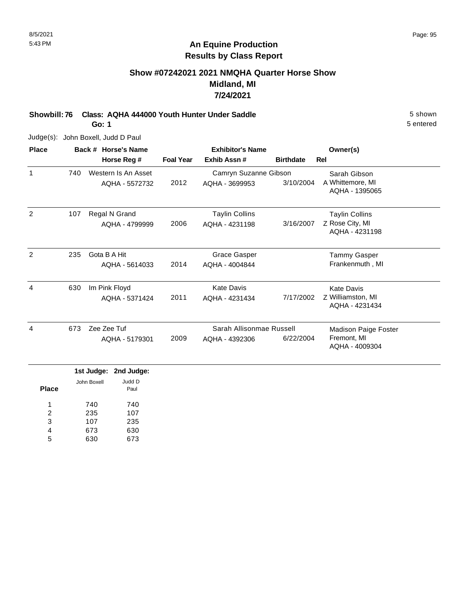### **Show #07242021 2021 NMQHA Quarter Horse Show Midland, MI 7/24/2021**

**Showbill: 76 Class: AQHA 444000 Youth Hunter Under Saddle** 5 shown **Go: 1**

Judge(s): John Boxell, Judd D Paul

| <b>Place</b> |     | Back # Horse's Name |                  | <b>Exhibitor's Name</b>  |                  | Owner(s)                            |
|--------------|-----|---------------------|------------------|--------------------------|------------------|-------------------------------------|
|              |     | Horse Reg #         | <b>Foal Year</b> | Exhib Assn#              | <b>Birthdate</b> | <b>Rel</b>                          |
| $\mathbf{1}$ | 740 | Western Is An Asset |                  | Camryn Suzanne Gibson    |                  | Sarah Gibson                        |
|              |     | AQHA - 5572732      | 2012             | AQHA - 3699953           | 3/10/2004        | A Whittemore, MI<br>AQHA - 1395065  |
| 2            | 107 | Regal N Grand       |                  | <b>Taylin Collins</b>    |                  | <b>Taylin Collins</b>               |
|              |     | AQHA - 4799999      | 2006             | AQHA - 4231198           | 3/16/2007        | Z Rose City, MI<br>AQHA - 4231198   |
| 2            | 235 | Gota B A Hit        |                  | <b>Grace Gasper</b>      |                  | Tammy Gasper                        |
|              |     | AQHA - 5614033      | 2014             | AQHA - 4004844           |                  | Frankenmuth, MI                     |
| 4            | 630 | Im Pink Floyd       |                  | Kate Davis               |                  | <b>Kate Davis</b>                   |
|              |     | AQHA - 5371424      | 2011             | AQHA - 4231434           | 7/17/2002        | Z Williamston, MI<br>AQHA - 4231434 |
| 4            | 673 | Zee Zee Tuf         |                  | Sarah Allisonmae Russell |                  | Madison Paige Foster                |
|              |     | AQHA - 5179301      | 2009             | AQHA - 4392306           | 6/22/2004        | Fremont, MI<br>AQHA - 4009304       |

|              |             | 1st Judge: 2nd Judge: |
|--------------|-------------|-----------------------|
| <b>Place</b> | John Boxell | Judd D<br>Paul        |
| 1            | 740         | 740                   |
| 2            | 235         | 107                   |
| 3            | 107         | 235                   |
| 4            | 673         | 630                   |
| 5            |             | 673                   |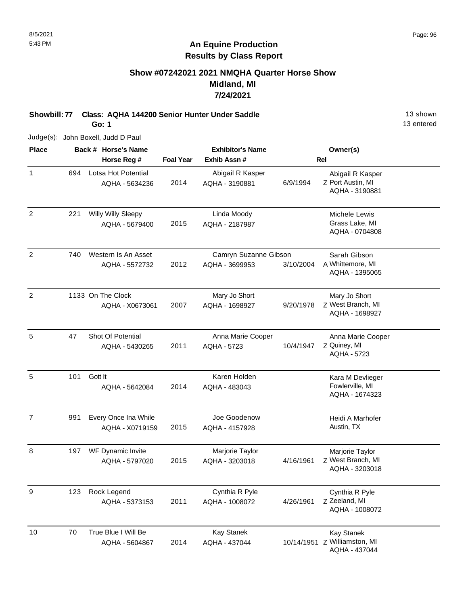### **Show #07242021 2021 NMQHA Quarter Horse Show Midland, MI 7/24/2021**

**Showbill: 77 Class: AQHA 144200 Senior Hunter Under Saddle** 13 Shown **Go: 1**

Judge(s): John Boxell, Judd D Paul

| <b>Place</b>   |     | Back # Horse's Name                     |                  | <b>Exhibitor's Name</b>                 |            | Owner(s)                                                           |
|----------------|-----|-----------------------------------------|------------------|-----------------------------------------|------------|--------------------------------------------------------------------|
|                |     | Horse Reg #                             | <b>Foal Year</b> | Exhib Assn#                             | <b>Rel</b> |                                                                    |
| $\mathbf{1}$   | 694 | Lotsa Hot Potential<br>AQHA - 5634236   | 2014             | Abigail R Kasper<br>AQHA - 3190881      | 6/9/1994   | Abigail R Kasper<br>Z Port Austin, MI<br>AQHA - 3190881            |
| 2              | 221 | Willy Willy Sleepy<br>AQHA - 5679400    | 2015             | Linda Moody<br>AQHA - 2187987           |            | Michele Lewis<br>Grass Lake, MI<br>AQHA - 0704808                  |
| $\overline{2}$ | 740 | Western Is An Asset<br>AQHA - 5572732   | 2012             | Camryn Suzanne Gibson<br>AQHA - 3699953 | 3/10/2004  | Sarah Gibson<br>A Whittemore, MI<br>AQHA - 1395065                 |
| $\overline{2}$ |     | 1133 On The Clock<br>AQHA - X0673061    | 2007             | Mary Jo Short<br>AQHA - 1698927         | 9/20/1978  | Mary Jo Short<br>Z West Branch, MI<br>AQHA - 1698927               |
| 5              | 47  | Shot Of Potential<br>AQHA - 5430265     | 2011             | Anna Marie Cooper<br><b>AQHA - 5723</b> | 10/4/1947  | Anna Marie Cooper<br>Z Quiney, MI<br><b>AQHA - 5723</b>            |
| 5              | 101 | Gott It<br>AQHA - 5642084               | 2014             | Karen Holden<br>AQHA - 483043           |            | Kara M Devlieger<br>Fowlerville, MI<br>AQHA - 1674323              |
| $\overline{7}$ | 991 | Every Once Ina While<br>AQHA - X0719159 | 2015             | Joe Goodenow<br>AQHA - 4157928          |            | Heidi A Marhofer<br>Austin, TX                                     |
| 8              | 197 | WF Dynamic Invite<br>AQHA - 5797020     | 2015             | Marjorie Taylor<br>AQHA - 3203018       | 4/16/1961  | Marjorie Taylor<br>Z West Branch, MI<br>AQHA - 3203018             |
| 9              | 123 | Rock Legend<br>AQHA - 5373153           | 2011             | Cynthia R Pyle<br>AQHA - 1008072        | 4/26/1961  | Cynthia R Pyle<br>Z Zeeland, MI<br>AQHA - 1008072                  |
| 10             | 70  | True Blue I Will Be<br>AQHA - 5604867   | 2014             | Kay Stanek<br>AQHA - 437044             |            | <b>Kay Stanek</b><br>10/14/1951 Z Williamston, MI<br>AQHA - 437044 |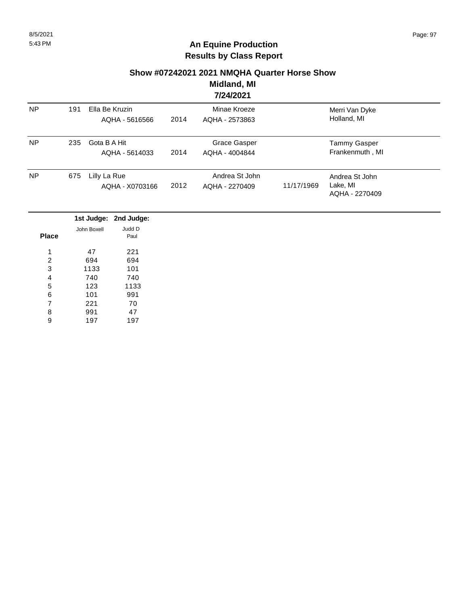#### **Show #07242021 2021 NMQHA Quarter Horse Show**

**Midland, MI 7/24/2021**

|           |     |                                  |      | 774774941                        |            |                                              |  |
|-----------|-----|----------------------------------|------|----------------------------------|------------|----------------------------------------------|--|
| <b>NP</b> | 191 | Ella Be Kruzin<br>AQHA - 5616566 | 2014 | Minae Kroeze<br>AQHA - 2573863   |            | Merri Van Dyke<br>Holland, MI                |  |
| <b>NP</b> | 235 | Gota B A Hit<br>AQHA - 5614033   | 2014 | Grace Gasper<br>AQHA - 4004844   |            | <b>Tammy Gasper</b><br>Frankenmuth, MI       |  |
| <b>NP</b> | 675 | Lilly La Rue<br>AQHA - X0703166  | 2012 | Andrea St John<br>AQHA - 2270409 | 11/17/1969 | Andrea St John<br>Lake, MI<br>AQHA - 2270409 |  |

|       |             | 1st Judge: 2nd Judge: |
|-------|-------------|-----------------------|
|       | John Boxell | Judd D                |
| Place |             | Paul                  |
|       |             |                       |
| 1     | 47          | 221                   |
| 2     | 694         | 694                   |
| 3     | 1133        | 101                   |
| 4     | 740         | 740                   |
| 5     | 123         | 1133                  |
| 6     | 101         | 991                   |
| 7     | 221         | 70                    |
| 8     | 991         | 47                    |
| 9     | 197         | 197                   |
|       |             |                       |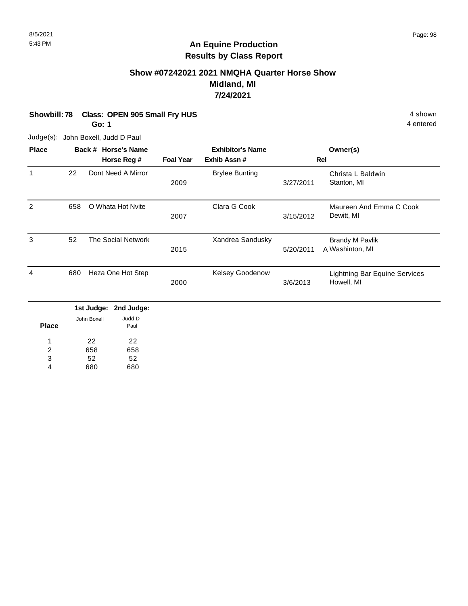# **Show #07242021 2021 NMQHA Quarter Horse Show Midland, MI 7/24/2021**

**Showbill: 78 Class: OPEN 905 Small Fry HUS** 4 shown

**Go: 1**

Judge(s): John Boxell, Judd D Paul

| <b>Place</b> |     | Back # Horse's Name   |                  | <b>Exhibitor's Name</b> |           | Owner(s)                                           |
|--------------|-----|-----------------------|------------------|-------------------------|-----------|----------------------------------------------------|
|              |     | Horse Reg #           | <b>Foal Year</b> | Exhib Assn#             |           | Rel                                                |
| 1            | 22  | Dont Need A Mirror    | 2009             | <b>Brylee Bunting</b>   | 3/27/2011 | Christa L Baldwin<br>Stanton, MI                   |
| 2            | 658 | O Whata Hot Nvite     | 2007             | Clara G Cook            | 3/15/2012 | Maureen And Emma C Cook<br>Dewitt, MI              |
| 3            | 52  | The Social Network    | 2015             | Xandrea Sandusky        | 5/20/2011 | <b>Brandy M Pavlik</b><br>A Washinton, MI          |
| 4            | 680 | Heza One Hot Step     | 2000             | Kelsey Goodenow         | 3/6/2013  | <b>Lightning Bar Equine Services</b><br>Howell, MI |
|              |     | 1st Judge: 2nd Judge: |                  |                         |           |                                                    |

|              |             | rət ouuyu. Lena ouuyu. |
|--------------|-------------|------------------------|
| <b>Place</b> | John Boxell | Judd D<br>Paul         |
| 1            | 22          | 22                     |
| 2            | 658         | 658                    |
| 3            | 52          | 52                     |
| 4            | 680         | 680                    |
|              |             |                        |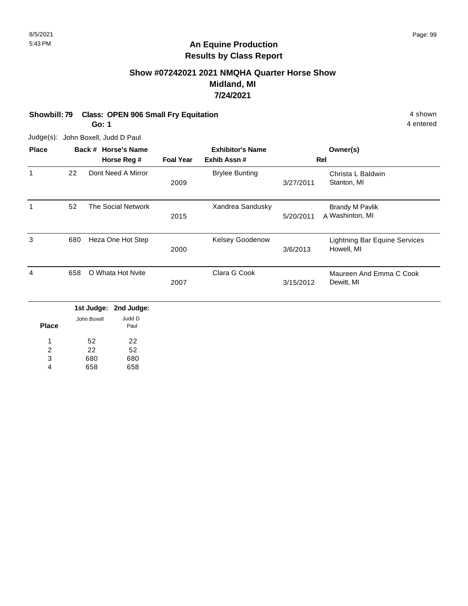### **Show #07242021 2021 NMQHA Quarter Horse Show Midland, MI 7/24/2021**

**Showbill: 79 Class: OPEN 906 Small Fry Equitation** 4 Shown 4 shown

**Go: 1**

4 entered

Judge(s): John Boxell, Judd D Paul

| <b>Place</b> |     | Back # Horse's Name           |                  | <b>Exhibitor's Name</b> |           | Owner(s)                                           |
|--------------|-----|-------------------------------|------------------|-------------------------|-----------|----------------------------------------------------|
|              |     | Horse Reg #                   | <b>Foal Year</b> | Exhib Assn#             |           | <b>Rel</b>                                         |
| 1            | 22  | Dont Need A Mirror            | 2009             | <b>Brylee Bunting</b>   | 3/27/2011 | Christa L Baldwin<br>Stanton, MI                   |
| 1            | 52  | <b>The Social Network</b>     | 2015             | Xandrea Sandusky        | 5/20/2011 | <b>Brandy M Pavlik</b><br>A Washinton, MI          |
| 3            | 680 | Heza One Hot Step             | 2000             | <b>Kelsey Goodenow</b>  | 3/6/2013  | <b>Lightning Bar Equine Services</b><br>Howell, MI |
| 4            | 658 | O Whata Hot Nyite             | 2007             | Clara G Cook            | 3/15/2012 | Maureen And Emma C Cook<br>Dewitt, MI              |
|              |     | 1st Judge:<br>2nd Judge:      |                  |                         |           |                                                    |
| <b>Place</b> |     | Judd D<br>John Boxell<br>Paul |                  |                         |           |                                                    |
| 1            |     | 52<br>22                      |                  |                         |           |                                                    |

52 22 680 52 680 1 2 3

658 658 4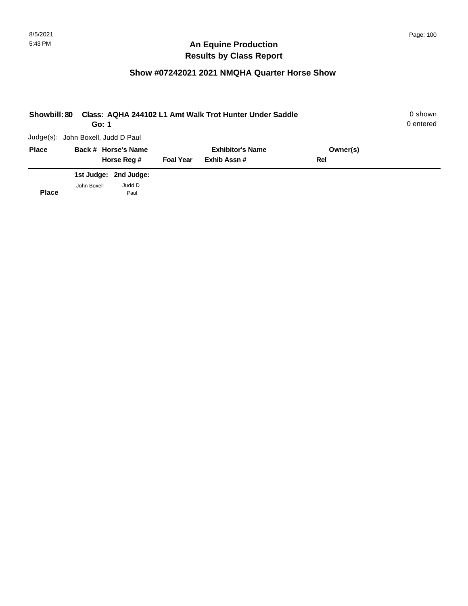| Showbill: 80 | Go: 1       |                                    |                  | Class: AQHA 244102 L1 Amt Walk Trot Hunter Under Saddle |          | 0 shown<br>0 entered |
|--------------|-------------|------------------------------------|------------------|---------------------------------------------------------|----------|----------------------|
|              |             | Judge(s): John Boxell, Judd D Paul |                  |                                                         |          |                      |
| <b>Place</b> |             | Back # Horse's Name                |                  | <b>Exhibitor's Name</b>                                 | Owner(s) |                      |
|              |             | Horse Reg #                        | <b>Foal Year</b> | Exhib Assn#                                             | Rel      |                      |
|              |             | 1st Judge: 2nd Judge:              |                  |                                                         |          |                      |
| <b>Place</b> | John Boxell | Judd D<br>Paul                     |                  |                                                         |          |                      |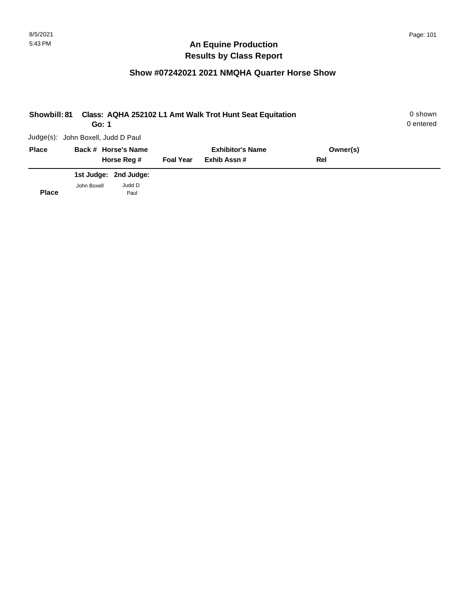| <b>Showbill: 81</b> | Go: 1                              |                       |                  | Class: AQHA 252102 L1 Amt Walk Trot Hunt Seat Equitation |          | 0 shown<br>0 entered |
|---------------------|------------------------------------|-----------------------|------------------|----------------------------------------------------------|----------|----------------------|
|                     | Judge(s): John Boxell, Judd D Paul |                       |                  |                                                          |          |                      |
| <b>Place</b>        |                                    | Back # Horse's Name   |                  | <b>Exhibitor's Name</b>                                  | Owner(s) |                      |
|                     |                                    | Horse Reg #           | <b>Foal Year</b> | Exhib Assn#                                              | Rel      |                      |
|                     |                                    | 1st Judge: 2nd Judge: |                  |                                                          |          |                      |
| <b>Place</b>        | John Boxell                        | Judd D<br>Paul        |                  |                                                          |          |                      |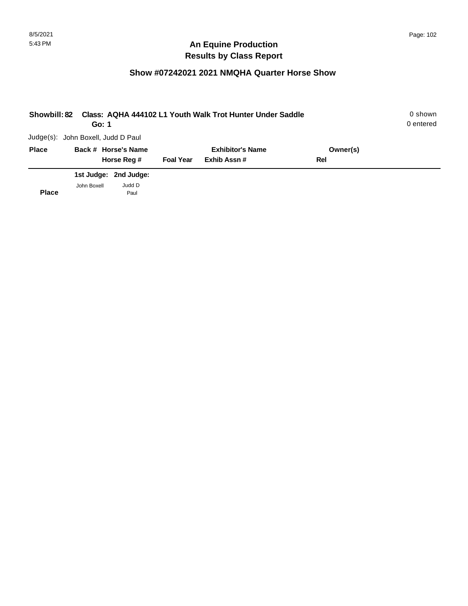| <b>Showbill: 82</b> | Go: 1                              |                       |                  | Class: AQHA 444102 L1 Youth Walk Trot Hunter Under Saddle |          | 0 shown<br>0 entered |
|---------------------|------------------------------------|-----------------------|------------------|-----------------------------------------------------------|----------|----------------------|
|                     | Judge(s): John Boxell, Judd D Paul |                       |                  |                                                           |          |                      |
| <b>Place</b>        |                                    | Back # Horse's Name   |                  | <b>Exhibitor's Name</b>                                   | Owner(s) |                      |
|                     |                                    | Horse Reg #           | <b>Foal Year</b> | Exhib Assn#                                               | Rel      |                      |
|                     |                                    | 1st Judge: 2nd Judge: |                  |                                                           |          |                      |
| <b>Place</b>        | John Boxell                        | Judd D<br>Paul        |                  |                                                           |          |                      |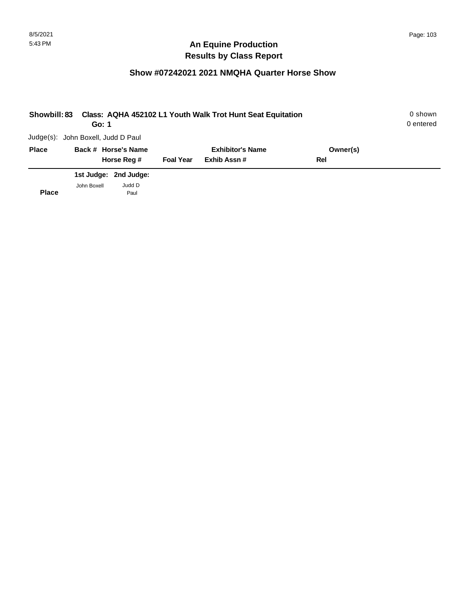| <b>Showbill: 83</b> | Go: 1                              |                       |                  | Class: AQHA 452102 L1 Youth Walk Trot Hunt Seat Equitation |          | 0 shown<br>0 entered |
|---------------------|------------------------------------|-----------------------|------------------|------------------------------------------------------------|----------|----------------------|
|                     | Judge(s): John Boxell, Judd D Paul |                       |                  |                                                            |          |                      |
| <b>Place</b>        |                                    | Back # Horse's Name   |                  | <b>Exhibitor's Name</b>                                    | Owner(s) |                      |
|                     |                                    | Horse Reg #           | <b>Foal Year</b> | Exhib Assn#                                                | Rel      |                      |
|                     |                                    | 1st Judge: 2nd Judge: |                  |                                                            |          |                      |
| <b>Place</b>        | John Boxell                        | Judd D<br>Paul        |                  |                                                            |          |                      |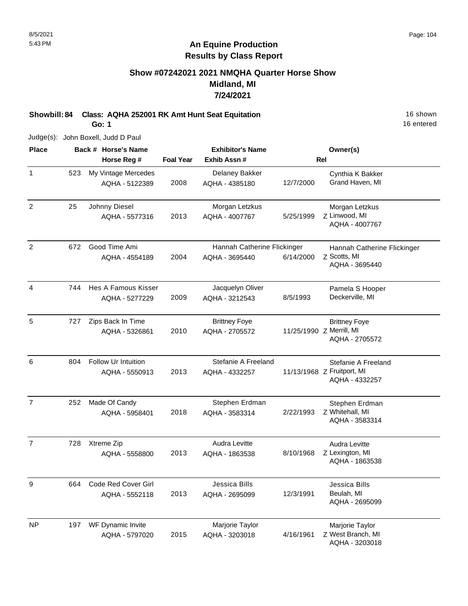# **Show #07242021 2021 NMQHA Quarter Horse Show Midland, MI 7/24/2021**

**Showbill: 84 Class: AQHA 252001 RK Amt Hunt Seat Equitation** 16 Shown 16 shown

**Go: 1**

Judge(s): John Boxell, Judd D Paul

| <b>Place</b>     |     | Back # Horse's Name                          |                  | <b>Exhibitor's Name</b>                       |           | Owner(s)                                                            |
|------------------|-----|----------------------------------------------|------------------|-----------------------------------------------|-----------|---------------------------------------------------------------------|
|                  |     | Horse Reg #                                  | <b>Foal Year</b> | Exhib Assn#                                   |           | <b>Rel</b>                                                          |
| $\mathbf{1}$     | 523 | My Vintage Mercedes<br>AQHA - 5122389        | 2008             | Delaney Bakker<br>AQHA - 4385180              | 12/7/2000 | Cynthia K Bakker<br>Grand Haven, MI                                 |
| $\overline{2}$   | 25  | Johnny Diesel<br>AQHA - 5577316              | 2013             | Morgan Letzkus<br>AQHA - 4007767              | 5/25/1999 | Morgan Letzkus<br>Z Linwood, MI<br>AQHA - 4007767                   |
| $\overline{c}$   | 672 | Good Time Ami<br>AQHA - 4554189              | 2004             | Hannah Catherine Flickinger<br>AQHA - 3695440 | 6/14/2000 | Hannah Catherine Flickinger<br>Z Scotts, MI<br>AQHA - 3695440       |
| $\overline{4}$   | 744 | Hes A Famous Kisser<br>AQHA - 5277229        | 2009             | Jacquelyn Oliver<br>AQHA - 3212543            | 8/5/1993  | Pamela S Hooper<br>Deckerville, MI                                  |
| 5                | 727 | Zips Back In Time<br>AQHA - 5326861          | 2010             | <b>Brittney Foye</b><br>AQHA - 2705572        |           | <b>Brittney Foye</b><br>11/25/1990 Z Merrill, MI<br>AQHA - 2705572  |
| 6                | 804 | <b>Follow Ur Intuition</b><br>AQHA - 5550913 | 2013             | Stefanie A Freeland<br>AQHA - 4332257         |           | Stefanie A Freeland<br>11/13/1968 Z Fruitport, MI<br>AQHA - 4332257 |
| $\overline{7}$   | 252 | Made Of Candy<br>AQHA - 5958401              | 2018             | Stephen Erdman<br>AQHA - 3583314              | 2/22/1993 | Stephen Erdman<br>Z Whitehall, MI<br>AQHA - 3583314                 |
| $\overline{7}$   | 728 | Xtreme Zip<br>AQHA - 5558800                 | 2013             | <b>Audra Levitte</b><br>AQHA - 1863538        | 8/10/1968 | Audra Levitte<br>Z Lexington, MI<br>AQHA - 1863538                  |
| $\boldsymbol{9}$ | 664 | Code Red Cover Girl<br>AQHA - 5552118        | 2013             | Jessica Bills<br>AQHA - 2695099               | 12/3/1991 | Jessica Bills<br>Beulah, MI<br>AQHA - 2695099                       |
| <b>NP</b>        | 197 | WF Dynamic Invite<br>AQHA - 5797020          | 2015             | Marjorie Taylor<br>AQHA - 3203018             | 4/16/1961 | Marjorie Taylor<br>Z West Branch, MI<br>AQHA - 3203018              |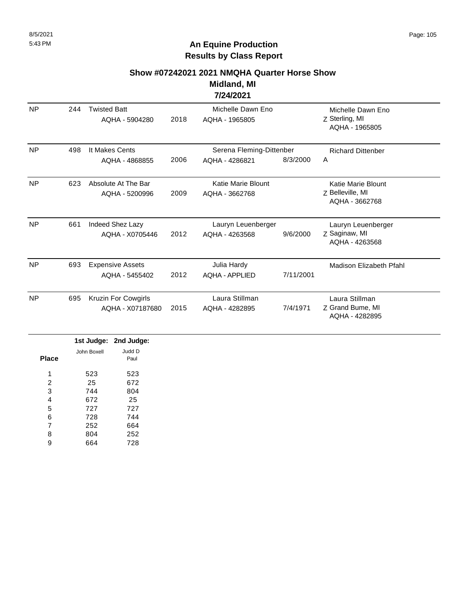#### **Show #07242021 2021 NMQHA Quarter Horse Show**

#### **Midland, MI 7/24/2021**

|           |     |                                           |      | 176776V61                                  |           |                                                          |
|-----------|-----|-------------------------------------------|------|--------------------------------------------|-----------|----------------------------------------------------------|
| <b>NP</b> | 244 | <b>Twisted Batt</b><br>AQHA - 5904280     | 2018 | Michelle Dawn Eno<br>AQHA - 1965805        |           | Michelle Dawn Eno<br>Z Sterling, MI<br>AQHA - 1965805    |
| <b>NP</b> | 498 | It Makes Cents<br>AQHA - 4868855          | 2006 | Serena Fleming-Dittenber<br>AQHA - 4286821 | 8/3/2000  | <b>Richard Dittenber</b><br>Α                            |
| <b>NP</b> | 623 | Absolute At The Bar<br>AQHA - 5200996     | 2009 | Katie Marie Blount<br>AQHA - 3662768       |           | Katie Marie Blount<br>Z Belleville, MI<br>AQHA - 3662768 |
| <b>NP</b> | 661 | Indeed Shez Lazy<br>AQHA - X0705446       | 2012 | Lauryn Leuenberger<br>AQHA - 4263568       | 9/6/2000  | Lauryn Leuenberger<br>Z Saginaw, MI<br>AQHA - 4263568    |
| <b>NP</b> | 693 | <b>Expensive Assets</b><br>AQHA - 5455402 | 2012 | Julia Hardy<br><b>AQHA - APPLIED</b>       | 7/11/2001 | <b>Madison Elizabeth Pfahl</b>                           |
| NP        | 695 | Kruzin For Cowgirls<br>AQHA - X07187680   | 2015 | Laura Stillman<br>AQHA - 4282895           | 7/4/1971  | Laura Stillman<br>Z Grand Bume, MI<br>AQHA - 4282895     |

| 1st Judge: 2nd Judge: |       |  |
|-----------------------|-------|--|
| John Boxell           |       |  |
|                       | Place |  |
|                       |       |  |
| 523                   | 1     |  |
| 25                    | 2     |  |
| 744                   | 3     |  |
| 672                   | 4     |  |
| 727                   | 5     |  |
| 728                   | 6     |  |
| 252                   | 7     |  |
| 804                   | 8     |  |
| 664                   | 9     |  |
|                       |       |  |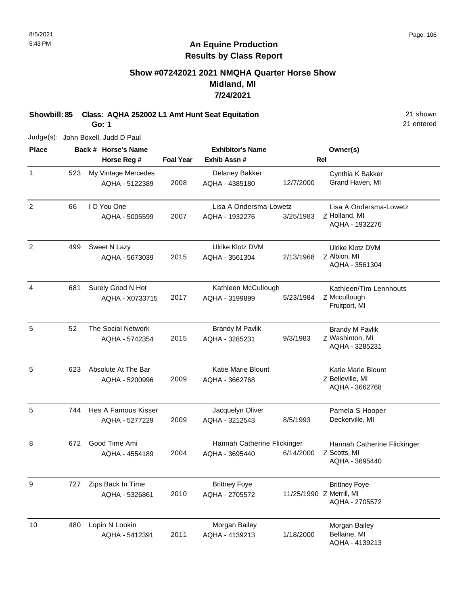#### **Show #07242021 2021 NMQHA Quarter Horse Show Midland, MI 7/24/2021**

**Showbill: 85 Class: AQHA 252002 L1 Amt Hunt Seat Equitation** 21 shown **Go: 1**

Judge(s): John Boxell, Judd D Paul

**Back # Horse's Name Place Owner(s) Horse Reg # Exhib Assn # Foal Year Rel Exhibitor's Name** 1 523 My Vintage Mercedes **1. Example 20 Fernand Containst A Bakker** 65 Cynthia K Bakker 2008 AQHA - 4385180 12/7/2000 Grand Haven, MI AQHA - 5122389 Delaney Bakker 523 2 Z Holland, MI Lisa A Ondersma-Lowetz AQHA - 1932276 2007 I O You One AQHA - 5005599 Lisa A Ondersma-Lowetz AQHA - 1932276 3/25/1983 66  $\mathfrak{p}$ Z Albion, MI Ulrike Klotz DVM AQHA - 3561304 2015 Sweet N Lazy AQHA - 5673039 Ulrike Klotz DVM AQHA - 3561304 2/13/1968 499 4 Z Mccullough Kathleen/Tim Lennhouts Fruitport, MI 2017 Surely Good N Hot AQHA - X0733715 Kathleen McCullough AQHA - 3199899 5/23/1984 681 5 Z Washinton, MI Brandy M Pavlik AQHA - 3285231 2015 The Social Network AQHA - 5742354 Brandy M Pavlik AQHA - 3285231 9/3/1983 52 5 Z Belleville, MI Katie Marie Blount AQHA - 3662768 2009 Absolute At The Bar AQHA - 5200996 Katie Marie Blount AQHA - 3662768 623 5 1990 - Taal Hes A Famous Kisser Theory State University Oliver Channels State Pamela State Pamela State Pamela State Pamela State Pamela State Pamela State Pamela State Pamela State Pamela State Pamela State Pamela State 2009 Deckerville, MI AQHA - 3212543 8/5/1993 AQHA - 5277229 Jacquelyn Oliver 744 8 Z Scotts, MI Hannah Catherine Flickinger AQHA - 3695440 2004 672 Good Time Ami AQHA - 4554189 Hannah Catherine Flickinger AQHA - 3695440 6/14/2000 9 Z Merrill, MI Brittney Foye AQHA - 2705572 2010 Zips Back In Time AQHA - 5326861 Brittney Foye AQHA - 2705572 727 10 Morgan Bailey Lopin N Lookin Bellaine, MI AQHA - 4139213 2011 AQHA - 5412391 Morgan Bailey AQHA - 4139213 1/18/2000 480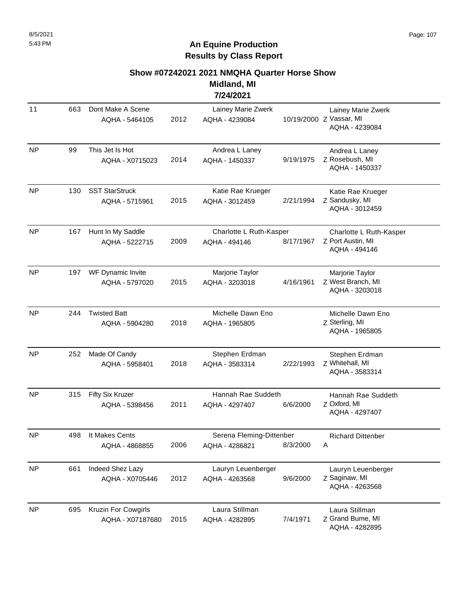#### **Show #07242021 2021 NMQHA Quarter Horse Show**

**Midland, MI 7/24/2021**

| 11        | 663 | Dont Make A Scene<br>AQHA - 5464105     | 2012 | Lainey Marie Zwerk<br>AQHA - 4239084       |           | Lainey Marie Zwerk<br>10/19/2000 Z Vassar, MI<br>AQHA - 4239084 |
|-----------|-----|-----------------------------------------|------|--------------------------------------------|-----------|-----------------------------------------------------------------|
| <b>NP</b> | 99  | This Jet Is Hot<br>AQHA - X0715023      | 2014 | Andrea L Laney<br>AQHA - 1450337           | 9/19/1975 | Andrea L Laney<br>Z Rosebush, MI<br>AQHA - 1450337              |
| <b>NP</b> | 130 | <b>SST StarStruck</b><br>AQHA - 5715961 | 2015 | Katie Rae Krueger<br>AQHA - 3012459        | 2/21/1994 | Katie Rae Krueger<br>Z Sandusky, MI<br>AQHA - 3012459           |
| <b>NP</b> | 167 | Hunt In My Saddle<br>AQHA - 5222715     | 2009 | Charlotte L Ruth-Kasper<br>AQHA - 494146   | 8/17/1967 | Charlotte L Ruth-Kasper<br>Z Port Austin, MI<br>AQHA - 494146   |
| <b>NP</b> | 197 | WF Dynamic Invite<br>AQHA - 5797020     | 2015 | Marjorie Taylor<br>AQHA - 3203018          | 4/16/1961 | Marjorie Taylor<br>Z West Branch, MI<br>AQHA - 3203018          |
| <b>NP</b> | 244 | <b>Twisted Batt</b><br>AQHA - 5904280   | 2018 | Michelle Dawn Eno<br>AQHA - 1965805        |           | Michelle Dawn Eno<br>Z Sterling, MI<br>AQHA - 1965805           |
| <b>NP</b> | 252 | Made Of Candy<br>AQHA - 5958401         | 2018 | Stephen Erdman<br>AQHA - 3583314           | 2/22/1993 | Stephen Erdman<br>Z Whitehall, MI<br>AQHA - 3583314             |
| <b>NP</b> | 315 | Fifty Six Kruzer<br>AQHA - 5398456      | 2011 | Hannah Rae Suddeth<br>AQHA - 4297407       | 6/6/2000  | Hannah Rae Suddeth<br>Z Oxford, MI<br>AQHA - 4297407            |
| <b>NP</b> | 498 | It Makes Cents<br>AQHA - 4868855        | 2006 | Serena Fleming-Dittenber<br>AQHA - 4286821 | 8/3/2000  | <b>Richard Dittenber</b><br>Α                                   |
| <b>NP</b> | 661 | Indeed Shez Lazy<br>AQHA - X0705446     | 2012 | Lauryn Leuenberger<br>AQHA - 4263568       | 9/6/2000  | Lauryn Leuenberger<br>Z Saginaw, MI<br>AQHA - 4263568           |
| <b>NP</b> | 695 | Kruzin For Cowgirls<br>AQHA - X07187680 | 2015 | Laura Stillman<br>AQHA - 4282895           | 7/4/1971  | Laura Stillman<br>Z Grand Bume, MI<br>AQHA - 4282895            |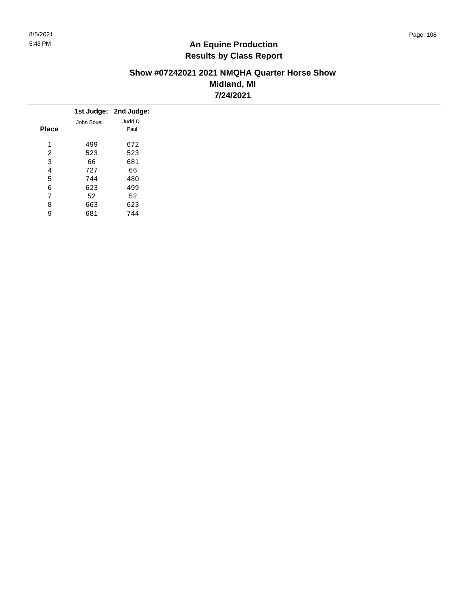#### **Show #07242021 2021 NMQHA Quarter Horse Show Midland, MI 7/24/2021**

|              |             | 1st Judge: 2nd Judge: |
|--------------|-------------|-----------------------|
|              | John Boxell | Judd D                |
| <b>Place</b> |             | Paul                  |
| 4            | 499         | 672                   |
| 2            | 523         | 523                   |
| 3            | 66          | 681                   |
| 4            | 727         | 66                    |
| 5            | 744         | 480                   |
| 6            | 623         | 499                   |
| 7            | 52          | 52                    |
| 8            | 663         | 623                   |
| 9            | 681         | 744                   |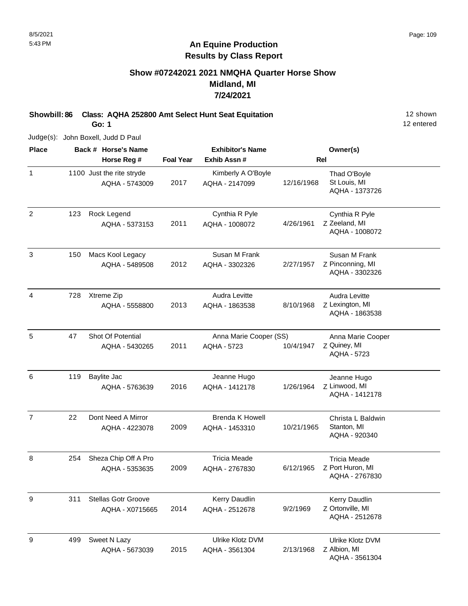#### **Show #07242021 2021 NMQHA Quarter Horse Show Midland, MI 7/24/2021**

**Showbill: 86 Class: AQHA 252800 Amt Select Hunt Seat Equitation** 12 Shown 12 shown

**Go: 1**

12 entered

Judge(s): John Boxell, Judd D Paul

| <b>Place</b>   |     | Back # Horse's Name                           |                  | <b>Exhibitor's Name</b>                  |            | Owner(s)                                                  |
|----------------|-----|-----------------------------------------------|------------------|------------------------------------------|------------|-----------------------------------------------------------|
|                |     | Horse Reg #                                   | <b>Foal Year</b> | Exhib Assn #                             |            | <b>Rel</b>                                                |
| $\mathbf{1}$   |     | 1100 Just the rite stryde<br>AQHA - 5743009   | 2017             | Kimberly A O'Boyle<br>AQHA - 2147099     | 12/16/1968 | Thad O'Boyle<br>St Louis, MI<br>AQHA - 1373726            |
| $\overline{2}$ | 123 | Rock Legend<br>AQHA - 5373153                 | 2011             | Cynthia R Pyle<br>AQHA - 1008072         | 4/26/1961  | Cynthia R Pyle<br>Z Zeeland, MI<br>AQHA - 1008072         |
| $\mathfrak{S}$ | 150 | Macs Kool Legacy<br>AQHA - 5489508            | 2012             | Susan M Frank<br>AQHA - 3302326          | 2/27/1957  | Susan M Frank<br>Z Pinconning, MI<br>AQHA - 3302326       |
| $\overline{4}$ | 728 | Xtreme Zip<br>AQHA - 5558800                  | 2013             | Audra Levitte<br>AQHA - 1863538          | 8/10/1968  | Audra Levitte<br>Z Lexington, MI<br>AQHA - 1863538        |
| 5              | 47  | Shot Of Potential<br>AQHA - 5430265           | 2011             | Anna Marie Cooper (SS)<br>AQHA - 5723    | 10/4/1947  | Anna Marie Cooper<br>Z Quiney, MI<br>AQHA - 5723          |
| 6              | 119 | Baylite Jac<br>AQHA - 5763639                 | 2016             | Jeanne Hugo<br>AQHA - 1412178            | 1/26/1964  | Jeanne Hugo<br>Z Linwood, MI<br>AQHA - 1412178            |
| $\overline{7}$ | 22  | Dont Need A Mirror<br>AQHA - 4223078          | 2009             | <b>Brenda K Howell</b><br>AQHA - 1453310 | 10/21/1965 | Christa L Baldwin<br>Stanton, MI<br>AQHA - 920340         |
| 8              | 254 | Sheza Chip Off A Pro<br>AQHA - 5353635        | 2009             | <b>Tricia Meade</b><br>AQHA - 2767830    | 6/12/1965  | <b>Tricia Meade</b><br>Z Port Huron, MI<br>AQHA - 2767830 |
| 9              | 311 | <b>Stellas Gotr Groove</b><br>AQHA - X0715665 | 2014             | Kerry Daudlin<br>AQHA - 2512678          | 9/2/1969   | Kerry Daudlin<br>Z Ortonville, MI<br>AQHA - 2512678       |
| 9              | 499 | Sweet N Lazy<br>AQHA - 5673039                | 2015             | Ulrike Klotz DVM<br>AQHA - 3561304       | 2/13/1968  | Ulrike Klotz DVM<br>Z Albion, MI<br>AQHA - 3561304        |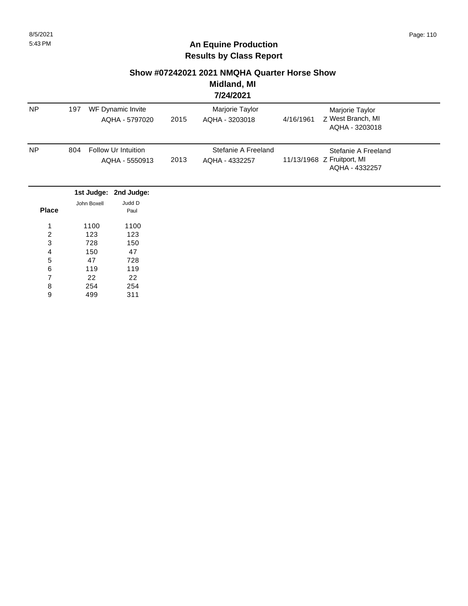# **Show #07242021 2021 NMQHA Quarter Horse Show**

#### **Midland, MI 7/24/2021**

|                |     |             |                                       |      | 77472021                              |           |                                                                     |  |
|----------------|-----|-------------|---------------------------------------|------|---------------------------------------|-----------|---------------------------------------------------------------------|--|
| <b>NP</b>      | 197 |             | WF Dynamic Invite<br>AQHA - 5797020   | 2015 | Marjorie Taylor<br>AQHA - 3203018     | 4/16/1961 | Marjorie Taylor<br>Z West Branch, MI<br>AQHA - 3203018              |  |
| NP             | 804 |             | Follow Ur Intuition<br>AQHA - 5550913 | 2013 | Stefanie A Freeland<br>AQHA - 4332257 |           | Stefanie A Freeland<br>11/13/1968 Z Fruitport, MI<br>AQHA - 4332257 |  |
|                |     | 1st Judge:  | 2nd Judge:                            |      |                                       |           |                                                                     |  |
| <b>Place</b>   |     | John Boxell | Judd D<br>Paul                        |      |                                       |           |                                                                     |  |
| 1              |     | 1100        | 1100                                  |      |                                       |           |                                                                     |  |
| $\overline{c}$ |     | 123         | 123                                   |      |                                       |           |                                                                     |  |
| 3              |     | 728         | 150                                   |      |                                       |           |                                                                     |  |
| 4              |     | 150         | 47                                    |      |                                       |           |                                                                     |  |
| 5              |     | 47          | 728                                   |      |                                       |           |                                                                     |  |
| 6              |     | 119         | 119                                   |      |                                       |           |                                                                     |  |
| $\overline{7}$ |     | 22          | 22                                    |      |                                       |           |                                                                     |  |
| 8              |     | 254         | 254                                   |      |                                       |           |                                                                     |  |
| 9              |     | 499         | 311                                   |      |                                       |           |                                                                     |  |
|                |     |             |                                       |      |                                       |           |                                                                     |  |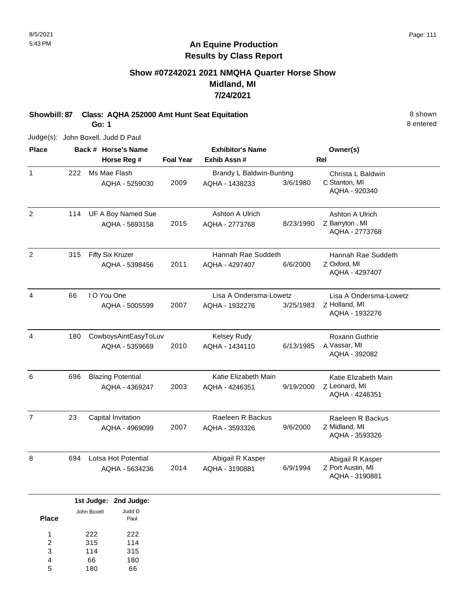# **Show #07242021 2021 NMQHA Quarter Horse Show Midland, MI 7/24/2021**

**Showbill: 87 Class: AQHA 252000 Amt Hunt Seat Equitation** 8 shown **Go: 1**

Judge(s): John Boxell, Judd D Paul

| <b>Place</b>   |     | Back # Horse's Name      |                  | <b>Exhibitor's Name</b>  |           | Owner(s)               |
|----------------|-----|--------------------------|------------------|--------------------------|-----------|------------------------|
|                |     | Horse Reg #              | <b>Foal Year</b> | Exhib Assn#              |           | <b>Rel</b>             |
| $\mathbf{1}$   | 222 | Ms Mae Flash             |                  | Brandy L Baldwin-Bunting |           | Christa L Baldwin      |
|                |     | AQHA - 5259030           | 2009             | AQHA - 1438233           | 3/6/1980  | C Stanton, MI          |
|                |     |                          |                  |                          |           | AQHA - 920340          |
| $\overline{2}$ | 114 | UF A Boy Named Sue       |                  | Ashton A Ulrich          |           | Ashton A Ulrich        |
|                |     | AQHA - 5693158           | 2015             | AQHA - 2773768           | 8/23/1990 | Z Barryton, MI         |
|                |     |                          |                  |                          |           | AQHA - 2773768         |
| $\overline{2}$ | 315 | Fifty Six Kruzer         |                  | Hannah Rae Suddeth       |           | Hannah Rae Suddeth     |
|                |     | AQHA - 5398456           | 2011             | AQHA - 4297407           | 6/6/2000  | Z Oxford, MI           |
|                |     |                          |                  |                          |           | AQHA - 4297407         |
| $\overline{4}$ | 66  | I O You One              |                  | Lisa A Ondersma-Lowetz   |           | Lisa A Ondersma-Lowetz |
|                |     | AQHA - 5005599           | 2007             | AQHA - 1932276           | 3/25/1983 | Z Holland, MI          |
|                |     |                          |                  |                          |           | AQHA - 1932276         |
| 4              | 180 | CowboysAintEasyToLuv     |                  | Kelsey Rudy              |           | Roxann Guthrie         |
|                |     | AQHA - 5359669           | 2010             | AQHA - 1434110           | 6/13/1985 | A Vassar, MI           |
|                |     |                          |                  |                          |           | AQHA - 392082          |
| 6              | 696 | <b>Blazing Potential</b> |                  | Katie Elizabeth Main     |           | Katie Elizabeth Main   |
|                |     | AQHA - 4369247           | 2003             | AQHA - 4246351           | 9/19/2000 | Z Leonard, MI          |
|                |     |                          |                  |                          |           | AQHA - 4246351         |
| $\overline{7}$ | 23  | Capital Invitation       |                  | Raeleen R Backus         |           | Raeleen R Backus       |
|                |     | AQHA - 4969099           | 2007             | AQHA - 3593326           | 9/6/2000  | Z Midland, MI          |
|                |     |                          |                  |                          |           | AQHA - 3593326         |
| 8              | 694 | Lotsa Hot Potential      |                  | Abigail R Kasper         |           | Abigail R Kasper       |
|                |     | AQHA - 5634236           | 2014             | AQHA - 3190881           | 6/9/1994  | Z Port Austin, MI      |
|                |     |                          |                  |                          |           | AQHA - 3190881         |

|              |             | 1st Judge: 2nd Judge: |
|--------------|-------------|-----------------------|
| <b>Place</b> | John Boxell | Judd D<br>Paul        |
| 1            | 222         | 222                   |
| 2            | 315         | 114                   |
| 3            | 114         | 315                   |
| 4            | 66          | 180                   |
| 5            | 180         |                       |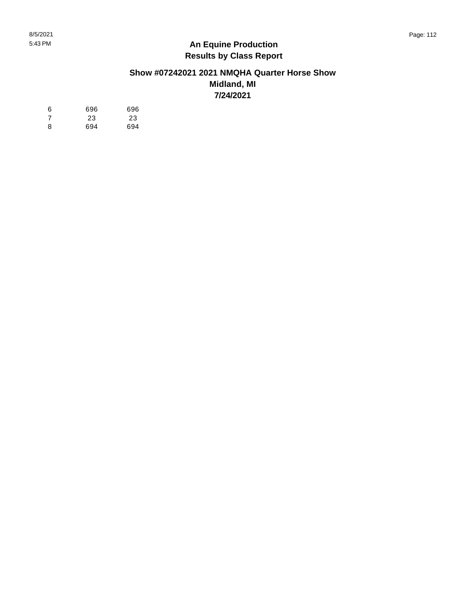#### **Show #07242021 2021 NMQHA Quarter Horse Show Midland, MI 7/24/2021**

| 6  | 696 | 696 |
|----|-----|-----|
| -7 | 23  | 23  |
| 8  | 694 | 694 |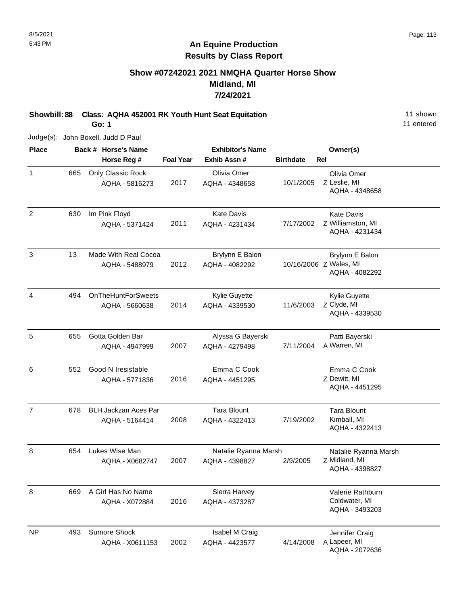# **Show #07242021 2021 NMQHA Quarter Horse Show Midland, MI 7/24/2021**

**Showbill: 88 Class: AQHA 452001 RK Youth Hunt Seat Equitation** 11 Shown 11 shown

**Go: 1**

11 entered

Judge(s): John Boxell, Judd D Paul

| <b>Place</b>   |     | Back # Horse's Name                           |                  | <b>Exhibitor's Name</b>                |                  | Owner(s)                                                    |
|----------------|-----|-----------------------------------------------|------------------|----------------------------------------|------------------|-------------------------------------------------------------|
|                |     | Horse Reg #                                   | <b>Foal Year</b> | Exhib Assn #                           | <b>Birthdate</b> | Rel                                                         |
| $\mathbf{1}$   | 665 | Only Classic Rock<br>AQHA - 5816273           | 2017             | Olivia Omer<br>AQHA - 4348658          | 10/1/2005        | Olivia Omer<br>Z Leslie, MI<br>AQHA - 4348658               |
| $\overline{2}$ | 630 | Im Pink Floyd<br>AQHA - 5371424               | 2011             | <b>Kate Davis</b><br>AQHA - 4231434    | 7/17/2002        | <b>Kate Davis</b><br>Z Williamston, MI<br>AQHA - 4231434    |
| 3              | 13  | Made With Real Cocoa<br>AQHA - 5488979        | 2012             | Brylynn E Balon<br>AQHA - 4082292      |                  | Brylynn E Balon<br>10/16/2006 Z Wales, MI<br>AQHA - 4082292 |
| 4              | 494 | <b>OnTheHuntForSweets</b><br>AQHA - 5660638   | 2014             | Kylie Guyette<br>AQHA - 4339530        | 11/6/2003        | Kylie Guyette<br>Z Clyde, MI<br>AQHA - 4339530              |
| 5              | 655 | Gotta Golden Bar<br>AQHA - 4947999            | 2007             | Alyssa G Bayerski<br>AQHA - 4279498    | 7/11/2004        | Patti Bayerski<br>A Warren, MI                              |
| 6              | 552 | Good N Iresistable<br>AQHA - 5771836          | 2016             | Emma C Cook<br>AQHA - 4451295          |                  | Emma C Cook<br>Z Dewitt, MI<br>AQHA - 4451295               |
| $\overline{7}$ | 678 | <b>BLH Jackzan Aces Par</b><br>AQHA - 5164414 | 2008             | <b>Tara Blount</b><br>AQHA - 4322413   | 7/19/2002        | <b>Tara Blount</b><br>Kimball, MI<br>AQHA - 4322413         |
| 8              | 654 | Lukes Wise Man<br>AQHA - X0682747             | 2007             | Natalie Ryanna Marsh<br>AQHA - 4398827 | 2/9/2005         | Natalie Ryanna Marsh<br>Z Midland, MI<br>AQHA - 4398827     |
| 8              | 669 | A Girl Has No Name<br>AQHA - X072884          | 2016             | Sierra Harvey<br>AQHA - 4373287        |                  | Valerie Rathburn<br>Coldwater, MI<br>AQHA - 3493203         |
| <b>NP</b>      | 493 | Sumore Shock<br>AQHA - X0611153               | 2002             | Isabel M Craig<br>AQHA - 4423577       | 4/14/2008        | Jennifer Craig<br>A Lapeer, MI<br>AQHA - 2072636            |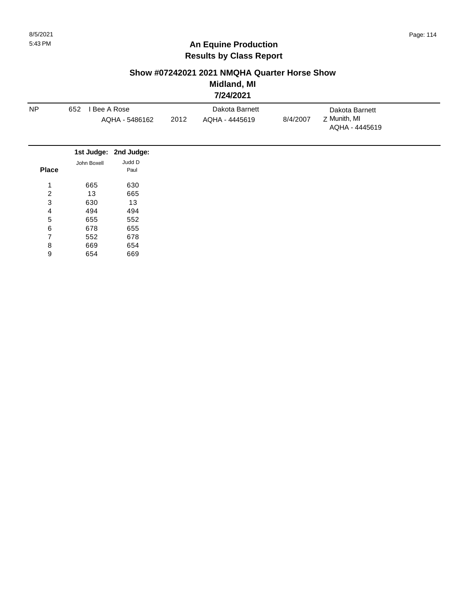#### **Show #07242021 2021 NMQHA Quarter Horse Show**

**Midland, MI 7/24/2021**

|                  |                                     |                       |                        | . <i>.</i> |          |                                |  |
|------------------|-------------------------------------|-----------------------|------------------------|------------|----------|--------------------------------|--|
| <b>NP</b>        | 652<br>Bee A Rose<br>AQHA - 5486162 |                       | Dakota Barnett         |            |          | Dakota Barnett                 |  |
|                  |                                     |                       | 2012<br>AQHA - 4445619 |            | 8/4/2007 | Z Munith, MI<br>AQHA - 4445619 |  |
|                  |                                     | 1st Judge: 2nd Judge: |                        |            |          |                                |  |
| <b>Place</b>     | John Boxell                         | Judd D<br>Paul        |                        |            |          |                                |  |
| 1                | 665                                 | 630                   |                        |            |          |                                |  |
| $\boldsymbol{2}$ | 13                                  | 665                   |                        |            |          |                                |  |
| 3                | 630                                 | 13                    |                        |            |          |                                |  |
| 4                | 494                                 | 494                   |                        |            |          |                                |  |
| 5                | 655                                 | 552                   |                        |            |          |                                |  |
| 6                | 678                                 | 655                   |                        |            |          |                                |  |
| 7                | 552                                 | 678                   |                        |            |          |                                |  |
| 8                | 669                                 | 654                   |                        |            |          |                                |  |
| 9                | 654                                 | 669                   |                        |            |          |                                |  |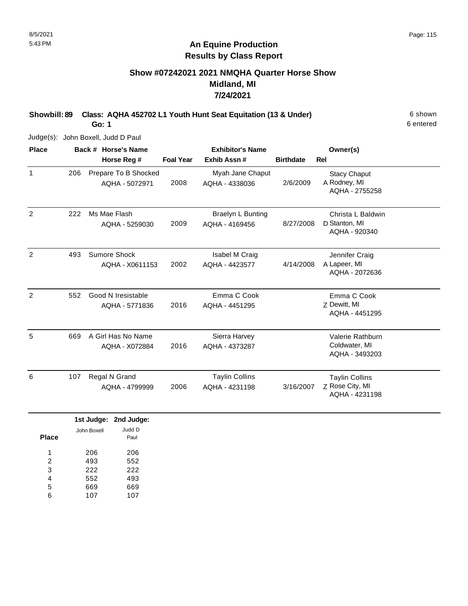# **Show #07242021 2021 NMQHA Quarter Horse Show Midland, MI 7/24/2021**

**Showbill: 89 Class: AQHA 452702 L1 Youth Hunt Seat Equitation (13 & Under)** 6 shown

**Go: 1**

Judge(s): John Boxell, Judd D Paul

| <b>Place</b>   | Back # Horse's Name |                                        | <b>Exhibitor's Name</b> |                                            |                  | Owner(s)                                                   |  |
|----------------|---------------------|----------------------------------------|-------------------------|--------------------------------------------|------------------|------------------------------------------------------------|--|
|                |                     | Horse Reg #                            | <b>Foal Year</b>        | Exhib Assn#                                | <b>Birthdate</b> | <b>Rel</b>                                                 |  |
| $\mathbf{1}$   | 206                 | Prepare To B Shocked<br>AQHA - 5072971 | 2008                    | Myah Jane Chaput<br>AQHA - 4338036         | 2/6/2009         | <b>Stacy Chaput</b><br>A Rodney, MI<br>AQHA - 2755258      |  |
| 2              | 222                 | Ms Mae Flash<br>AQHA - 5259030         | 2009                    | <b>Braelyn L Bunting</b><br>AQHA - 4169456 | 8/27/2008        | Christa L Baldwin<br>D Stanton, MI<br>AQHA - 920340        |  |
| $\overline{2}$ | 493                 | Sumore Shock<br>AQHA - X0611153        | 2002                    | Isabel M Craig<br>AQHA - 4423577           | 4/14/2008        | Jennifer Craig<br>A Lapeer, MI<br>AQHA - 2072636           |  |
| 2              | 552                 | Good N Iresistable<br>AQHA - 5771836   | 2016                    | Emma C Cook<br>AQHA - 4451295              |                  | Emma C Cook<br>Z Dewitt, MI<br>AQHA - 4451295              |  |
| 5              | 669                 | A Girl Has No Name<br>AQHA - X072884   | 2016                    | Sierra Harvey<br>AQHA - 4373287            |                  | Valerie Rathburn<br>Coldwater, MI<br>AQHA - 3493203        |  |
| 6              | 107                 | Regal N Grand<br>AQHA - 4799999        | 2006                    | <b>Taylin Collins</b><br>AQHA - 4231198    | 3/16/2007        | <b>Taylin Collins</b><br>Z Rose City, MI<br>AQHA - 4231198 |  |

|       |             | 1st Judge: 2nd Judge: |
|-------|-------------|-----------------------|
| Place | John Boxell | Judd D<br>Paul        |
| 1     | 206         | 206                   |
| 2     | 493         | 552                   |
| 3     | 222         | 222                   |
| 4     | 552         | 493                   |
| 5     | 669         | 669                   |
| 6     | 107         | 107                   |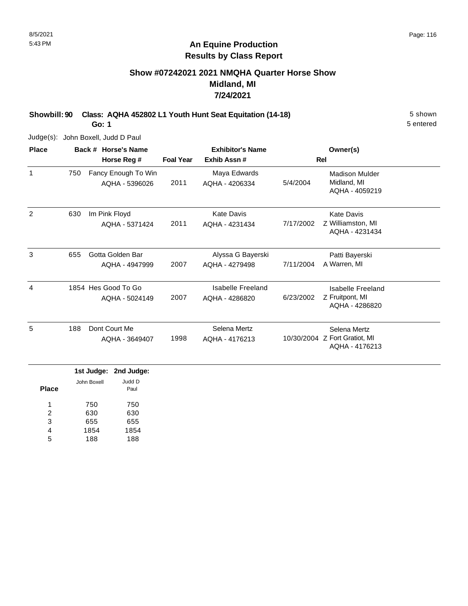# **Show #07242021 2021 NMQHA Quarter Horse Show Midland, MI 7/24/2021**

**Showbill: 90 Class: AQHA 452802 L1 Youth Hunt Seat Equitation (14-18)** 5 Shown

**Go: 1**

Judge(s): John Boxell, Judd D Paul

| <b>Place</b>   |     | Back # Horse's Name                   | <b>Exhibitor's Name</b> |                                     |           | Owner(s)                                                        |  |
|----------------|-----|---------------------------------------|-------------------------|-------------------------------------|-----------|-----------------------------------------------------------------|--|
|                |     | Horse Reg #                           | <b>Foal Year</b>        | Exhib Assn#                         |           | Rel                                                             |  |
| 1              | 750 | Fancy Enough To Win<br>AQHA - 5396026 | 2011                    | Maya Edwards<br>AQHA - 4206334      | 5/4/2004  | <b>Madison Mulder</b><br>Midland, MI<br>AQHA - 4059219          |  |
| $\overline{2}$ | 630 | Im Pink Floyd<br>AQHA - 5371424       | 2011                    | <b>Kate Davis</b><br>AQHA - 4231434 | 7/17/2002 | <b>Kate Davis</b><br>Z Williamston, MI<br>AQHA - 4231434        |  |
| 3              | 655 | Gotta Golden Bar<br>AQHA - 4947999    | 2007                    | Alyssa G Bayerski<br>AQHA - 4279498 | 7/11/2004 | Patti Bayerski<br>A Warren, MI                                  |  |
| 4              |     | 1854 Hes Good To Go<br>AQHA - 5024149 | 2007                    | Isabelle Freeland<br>AQHA - 4286820 | 6/23/2002 | Isabelle Freeland<br>Z Fruitpont, MI<br>AQHA - 4286820          |  |
| 5              | 188 | Dont Court Me<br>AQHA - 3649407       | 1998                    | Selena Mertz<br>AQHA - 4176213      |           | Selena Mertz<br>10/30/2004 Z Fort Gratiot, MI<br>AQHA - 4176213 |  |

|              |             | 1st Judge: 2nd Judge: |
|--------------|-------------|-----------------------|
| <b>Place</b> | John Boxell | Judd D<br>Paul        |
| 1            | 750         | 750                   |
| 2            | 630         | 630                   |
| 3            | 655         | 655                   |
| 4            | 1854        | 1854                  |
| 5            | 188         | 188                   |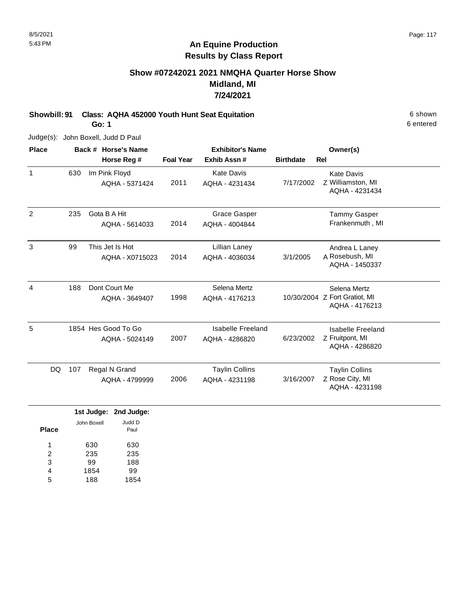# **Show #07242021 2021 NMQHA Quarter Horse Show Midland, MI 7/24/2021**

**Showbill: 91 Class: AQHA 452000 Youth Hunt Seat Equitation** 6 shown **Go: 1**

Judge(s): John Boxell, Judd D Paul

| <b>Place</b>   |           | Back # Horse's Name                   |                  | <b>Exhibitor's Name</b>                    | Owner(s)         |                                                                 |
|----------------|-----------|---------------------------------------|------------------|--------------------------------------------|------------------|-----------------------------------------------------------------|
|                |           | Horse Reg #                           | <b>Foal Year</b> | Exhib Assn#                                | <b>Birthdate</b> | <b>Rel</b>                                                      |
| $\mathbf{1}$   | 630       | Im Pink Floyd<br>AQHA - 5371424       | 2011             | <b>Kate Davis</b><br>AQHA - 4231434        | 7/17/2002        | <b>Kate Davis</b><br>Z Williamston, MI<br>AQHA - 4231434        |
| $\overline{2}$ | 235       | Gota B A Hit<br>AQHA - 5614033        | 2014             | <b>Grace Gasper</b><br>AQHA - 4004844      |                  | <b>Tammy Gasper</b><br>Frankenmuth, MI                          |
| 3              | 99        | This Jet Is Hot<br>AQHA - X0715023    | 2014             | Lillian Laney<br>AQHA - 4036034            | 3/1/2005         | Andrea L Laney<br>A Rosebush, MI<br>AQHA - 1450337              |
| 4              | 188       | Dont Court Me<br>AQHA - 3649407       | 1998             | Selena Mertz<br>AQHA - 4176213             |                  | Selena Mertz<br>10/30/2004 Z Fort Gratiot, MI<br>AQHA - 4176213 |
| 5              |           | 1854 Hes Good To Go<br>AQHA - 5024149 | 2007             | <b>Isabelle Freeland</b><br>AQHA - 4286820 | 6/23/2002        | Isabelle Freeland<br>Z Fruitpont, MI<br>AQHA - 4286820          |
|                | 107<br>DQ | Regal N Grand<br>AQHA - 4799999       | 2006             | <b>Taylin Collins</b><br>AQHA - 4231198    | 3/16/2007        | <b>Taylin Collins</b><br>Z Rose City, MI<br>AQHA - 4231198      |

|       |             | 1st Judge: 2nd Judge: |
|-------|-------------|-----------------------|
| Place | John Boxell | Judd D<br>Paul        |
| 1     | 630         | 630                   |
| 2     | 235         | 235                   |
| 3     | 99          | 188                   |
| 4     | 1854        | 99                    |
| 5     | 188         | 1854                  |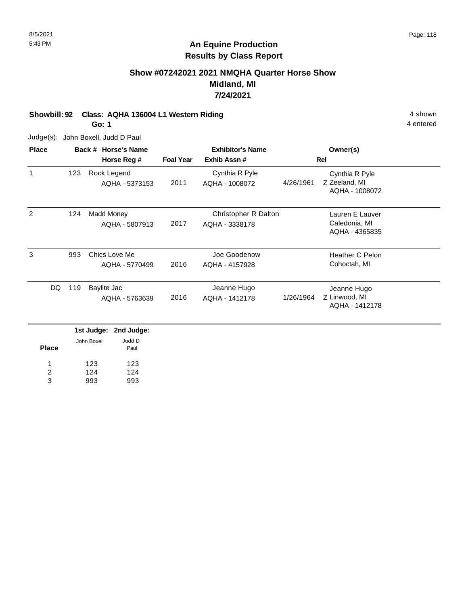# **Show #07242021 2021 NMQHA Quarter Horse Show Midland, MI 7/24/2021**

**Showbill: 92 Class: AQHA 136004 L1 Western Riding 4 shown 4 shown 4 shown** 

**Go: 1**

Judge(s): John Boxell, Judd D Paul

| <b>Place</b> |     | Back # Horse's Name                               | <b>Exhibitor's Name</b> |                                        |           | Owner(s)                                           |  |
|--------------|-----|---------------------------------------------------|-------------------------|----------------------------------------|-----------|----------------------------------------------------|--|
|              |     | Horse Reg #                                       | <b>Foal Year</b>        | Exhib Assn#                            |           | Rel                                                |  |
| 1            | 123 | Rock Legend<br>AQHA - 5373153                     | 2011                    | Cynthia R Pyle<br>AQHA - 1008072       | 4/26/1961 | Cynthia R Pyle<br>Z Zeeland, MI<br>AQHA - 1008072  |  |
| 2            | 124 | Madd Money<br>AQHA - 5807913                      | 2017                    | Christopher R Dalton<br>AQHA - 3338178 |           | Lauren E Lauver<br>Caledonia, MI<br>AQHA - 4365835 |  |
| 3            | 993 | Chics Love Me<br>AQHA - 5770499                   | 2016                    | Joe Goodenow<br>AQHA - 4157928         |           | <b>Heather C Pelon</b><br>Cohoctah, MI             |  |
| DQ           | 119 | Baylite Jac<br>AQHA - 5763639                     | 2016                    | Jeanne Hugo<br>AQHA - 1412178          | 1/26/1964 | Jeanne Hugo<br>Z Linwood, MI<br>AQHA - 1412178     |  |
|              |     | 1st Judge:<br>2nd Judge:<br>Judd D<br>John Boxell |                         |                                        |           |                                                    |  |

| Place | JULILL DUACIL | uuu v<br>Paul |
|-------|---------------|---------------|
| 1     | 123           | 123           |
| 2     | 124           | 124           |
| 3     | 993           | 993           |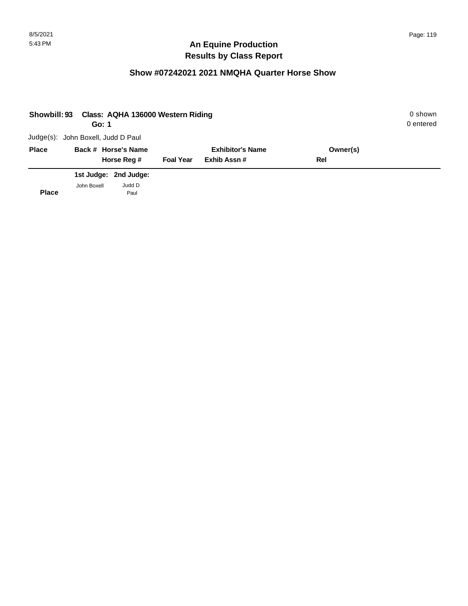# **Show #07242021 2021 NMQHA Quarter Horse Show**

| Showbill: 93 | Go: 1                              | Class: AQHA 136000 Western Riding |                  |                         |          | 0 shown<br>0 entered |
|--------------|------------------------------------|-----------------------------------|------------------|-------------------------|----------|----------------------|
|              | Judge(s): John Boxell, Judd D Paul |                                   |                  |                         |          |                      |
| <b>Place</b> |                                    | Back # Horse's Name               |                  | <b>Exhibitor's Name</b> | Owner(s) |                      |
|              |                                    | Horse Reg #                       | <b>Foal Year</b> | Exhib Assn#             | Rel      |                      |
|              |                                    | 1st Judge: 2nd Judge:             |                  |                         |          |                      |
| <b>Place</b> | John Boxell                        | Judd D<br>Paul                    |                  |                         |          |                      |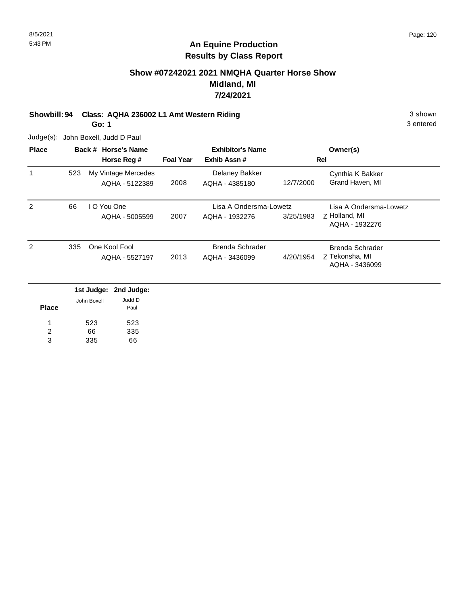# **Show #07242021 2021 NMQHA Quarter Horse Show Midland, MI 7/24/2021**

#### **Showbill: 94 Class: AQHA 236002 L1 Amt Western Riding 3 shown 3 shown** 3 shown **Go: 1**

3 entered

Judge(s): John Boxell, Judd D Paul

| <b>Place</b>   | Back # Horse's Name |             |                                       |                  | <b>Exhibitor's Name</b>          |           | Owner(s)                            |
|----------------|---------------------|-------------|---------------------------------------|------------------|----------------------------------|-----------|-------------------------------------|
|                |                     |             | Horse Reg #                           | <b>Foal Year</b> | Exhib Assn#                      |           | Rel                                 |
| 1              | 523                 |             | My Vintage Mercedes<br>AQHA - 5122389 | 2008             | Delaney Bakker<br>AQHA - 4385180 | 12/7/2000 | Cynthia K Bakker<br>Grand Haven, MI |
| 2              | 66                  |             | I O You One                           |                  | Lisa A Ondersma-Lowetz           |           | Lisa A Ondersma-Lowetz              |
|                |                     |             | AQHA - 5005599                        | 2007             | AQHA - 1932276                   | 3/25/1983 | Z Holland, MI<br>AQHA - 1932276     |
| 2              | 335                 |             | One Kool Fool                         |                  | <b>Brenda Schrader</b>           |           | <b>Brenda Schrader</b>              |
|                |                     |             | AQHA - 5527197                        | 2013             | AQHA - 3436099                   | 4/20/1954 | Z Tekonsha, MI<br>AQHA - 3436099    |
|                |                     | 1st Judge:  | 2nd Judge:                            |                  |                                  |           |                                     |
| <b>Place</b>   |                     | John Boxell | Judd D<br>Paul                        |                  |                                  |           |                                     |
|                |                     | 523         | 523                                   |                  |                                  |           |                                     |
| $\overline{c}$ |                     | 66          | 335                                   |                  |                                  |           |                                     |
| 3              |                     | 335         | 66                                    |                  |                                  |           |                                     |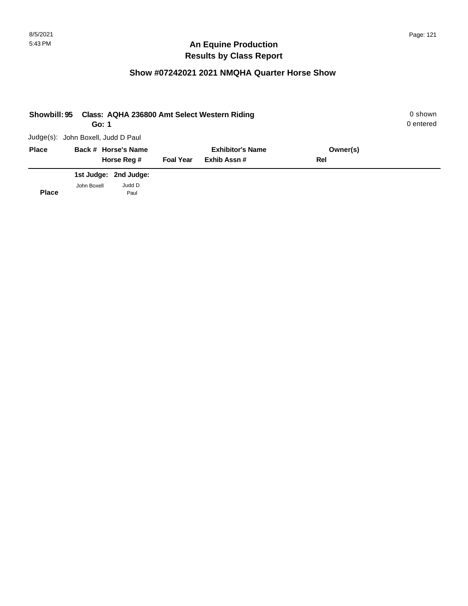# **Show #07242021 2021 NMQHA Quarter Horse Show**

| Showbill: 95 | Go: 1                              |                       |                  | Class: AQHA 236800 Amt Select Western Riding |          | 0 shown<br>0 entered |
|--------------|------------------------------------|-----------------------|------------------|----------------------------------------------|----------|----------------------|
|              | Judge(s): John Boxell, Judd D Paul |                       |                  |                                              |          |                      |
| <b>Place</b> |                                    | Back # Horse's Name   |                  | <b>Exhibitor's Name</b>                      | Owner(s) |                      |
|              |                                    | Horse Reg #           | <b>Foal Year</b> | Exhib Assn#                                  | Rel      |                      |
|              |                                    | 1st Judge: 2nd Judge: |                  |                                              |          |                      |
| <b>Place</b> | John Boxell                        | Judd D<br>Paul        |                  |                                              |          |                      |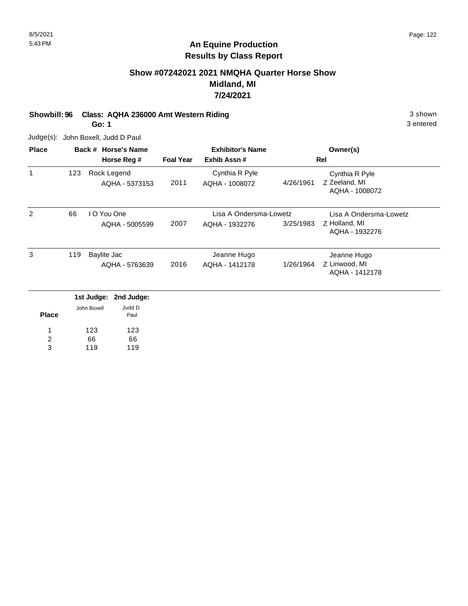## **Show #07242021 2021 NMQHA Quarter Horse Show Midland, MI 7/24/2021**

**Showbill: 96 Class: AQHA 236000 Amt Western Riding 3 shown 3 shown** 3 shown

**Go: 1**

Judge(s): John Boxell, Judd D Paul

66 119

2 3

66 119

| <b>Place</b> | Back # Horse's Name |             |                |                  | <b>Exhibitor's Name</b> |           | Owner(s)                        |
|--------------|---------------------|-------------|----------------|------------------|-------------------------|-----------|---------------------------------|
|              |                     |             | Horse Reg #    | <b>Foal Year</b> | Exhib Assn#             |           | Rel                             |
| $\mathbf{1}$ | 123                 |             | Rock Legend    |                  | Cynthia R Pyle          |           | Cynthia R Pyle                  |
|              |                     |             | AQHA - 5373153 | 2011             | AQHA - 1008072          | 4/26/1961 | Z Zeeland, MI<br>AQHA - 1008072 |
| 2            | 66                  | I O You One |                |                  | Lisa A Ondersma-Lowetz  |           | Lisa A Ondersma-Lowetz          |
|              |                     |             | AQHA - 5005599 | 2007             | AQHA - 1932276          | 3/25/1983 | Z Holland, MI<br>AQHA - 1932276 |
| 3            | 119                 | Baylite Jac |                |                  | Jeanne Hugo             |           | Jeanne Hugo                     |
|              |                     |             | AQHA - 5763639 | 2016             | AQHA - 1412178          | 1/26/1964 | Z Linwood, MI<br>AQHA - 1412178 |
|              |                     | 1st Judge:  | 2nd Judge:     |                  |                         |           |                                 |
| <b>Place</b> |                     | John Boxell | Judd D<br>Paul |                  |                         |           |                                 |
|              |                     | 123         | 123            |                  |                         |           |                                 |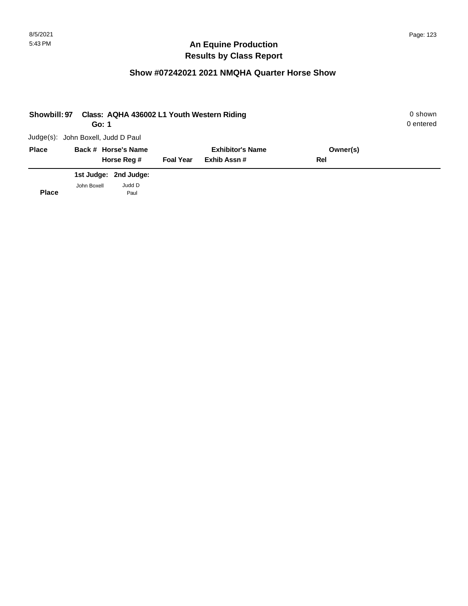## **Show #07242021 2021 NMQHA Quarter Horse Show**

| Showbill: 97 | Go: 1                              |                       |                  | Class: AQHA 436002 L1 Youth Western Riding |          | 0 shown<br>0 entered |
|--------------|------------------------------------|-----------------------|------------------|--------------------------------------------|----------|----------------------|
|              | Judge(s): John Boxell, Judd D Paul |                       |                  |                                            |          |                      |
| <b>Place</b> |                                    | Back # Horse's Name   |                  | <b>Exhibitor's Name</b>                    | Owner(s) |                      |
|              |                                    | Horse Reg #           | <b>Foal Year</b> | Exhib Assn#                                | Rel      |                      |
|              |                                    | 1st Judge: 2nd Judge: |                  |                                            |          |                      |
| <b>Place</b> | John Boxell                        | Judd D<br>Paul        |                  |                                            |          |                      |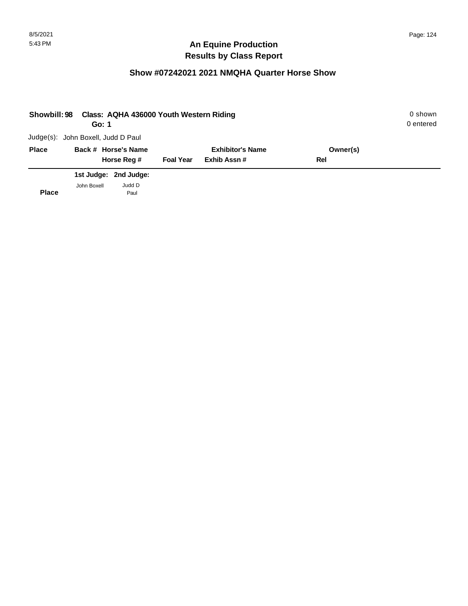## **Show #07242021 2021 NMQHA Quarter Horse Show**

| <b>Showbill: 98</b> | Go: 1                              | Class: AQHA 436000 Youth Western Riding |                  |                         |          | 0 shown<br>0 entered |
|---------------------|------------------------------------|-----------------------------------------|------------------|-------------------------|----------|----------------------|
|                     | Judge(s): John Boxell, Judd D Paul |                                         |                  |                         |          |                      |
| <b>Place</b>        |                                    | Back # Horse's Name                     |                  | <b>Exhibitor's Name</b> | Owner(s) |                      |
|                     |                                    | Horse Reg #                             | <b>Foal Year</b> | Exhib Assn#             | Rel      |                      |
|                     |                                    | 1st Judge: 2nd Judge:                   |                  |                         |          |                      |
| <b>Place</b>        | John Boxell                        | Judd D<br>Paul                          |                  |                         |          |                      |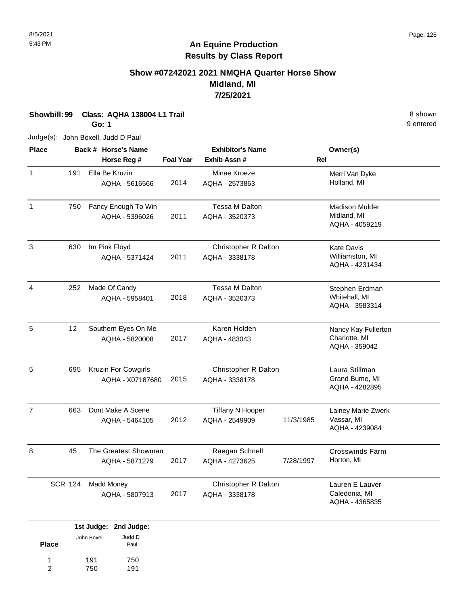# **Show #07242021 2021 NMQHA Quarter Horse Show Midland, MI 7/25/2021**

**Showbill: 99 Class: AQHA 138004 L1 Trail** 8 shown

**Go: 1**

Judge(s): John Boxell, Judd D Paul

| <b>Place</b>   |                | <b>Exhibitor's Name</b><br>Back # Horse's Name<br><b>Foal Year</b><br>Exhib Assn#<br>Horse Reg # |      |                                           |            | Owner(s)                                               |
|----------------|----------------|--------------------------------------------------------------------------------------------------|------|-------------------------------------------|------------|--------------------------------------------------------|
| $\mathbf{1}$   | 191            | Ella Be Kruzin<br>AQHA - 5616566                                                                 | 2014 | Minae Kroeze<br>AQHA - 2573863            | <b>Rel</b> | Merri Van Dyke<br>Holland, MI                          |
| $\mathbf{1}$   | 750            | Fancy Enough To Win<br>AQHA - 5396026                                                            | 2011 | <b>Tessa M Dalton</b><br>AQHA - 3520373   |            | <b>Madison Mulder</b><br>Midland, MI<br>AQHA - 4059219 |
| 3              | 630            | Im Pink Floyd<br>AQHA - 5371424                                                                  | 2011 | Christopher R Dalton<br>AQHA - 3338178    |            | <b>Kate Davis</b><br>Williamston, MI<br>AQHA - 4231434 |
| 4              | 252            | Made Of Candy<br>AQHA - 5958401                                                                  | 2018 | Tessa M Dalton<br>AQHA - 3520373          |            | Stephen Erdman<br>Whitehall, MI<br>AQHA - 3583314      |
| 5              | 12             | Southern Eyes On Me<br>AQHA - 5820008                                                            | 2017 | Karen Holden<br>AQHA - 483043             |            | Nancy Kay Fullerton<br>Charlotte, MI<br>AQHA - 359042  |
| 5              | 695            | Kruzin For Cowgirls<br>AQHA - X07187680                                                          | 2015 | Christopher R Dalton<br>AQHA - 3338178    |            | Laura Stillman<br>Grand Bume, MI<br>AQHA - 4282895     |
| $\overline{7}$ | 663            | Dont Make A Scene<br>AQHA - 5464105                                                              | 2012 | <b>Tiffany N Hooper</b><br>AQHA - 2549909 | 11/3/1985  | Lainey Marie Zwerk<br>Vassar, MI<br>AQHA - 4239084     |
| 8              | 45             | The Greatest Showman<br>AQHA - 5871279                                                           | 2017 | Raegan Schnell<br>AQHA - 4273625          | 7/28/1997  | <b>Crosswinds Farm</b><br>Horton, MI                   |
|                | <b>SCR 124</b> | <b>Madd Money</b><br>AQHA - 5807913                                                              | 2017 | Christopher R Dalton<br>AQHA - 3338178    |            | Lauren E Lauver<br>Caledonia, MI<br>AQHA - 4365835     |

|              |             | 1st Judge: 2nd Judge: |
|--------------|-------------|-----------------------|
| <b>Place</b> | John Boxell | Judd D<br>Paul        |
| 1            | 191         | 750                   |
| 2            | 750         | 191                   |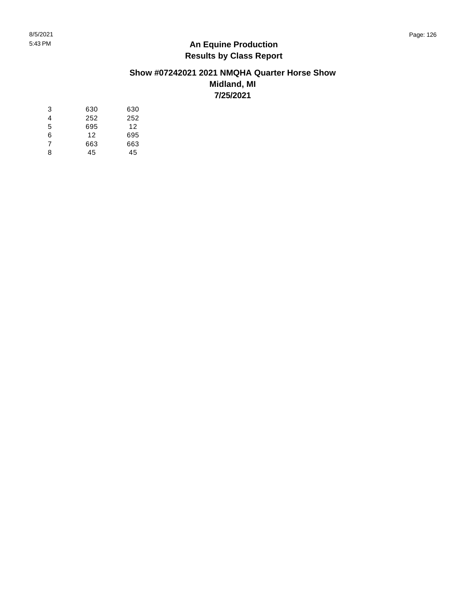#### **Show #07242021 2021 NMQHA Quarter Horse Show Midland, MI 7/25/2021**

| 3 | 630 | 630 |
|---|-----|-----|
| 4 | 252 | 252 |
| 5 | 695 | 12  |
| 6 | 12  | 695 |
| 7 | 663 | 663 |
| ጸ | 45  | 45  |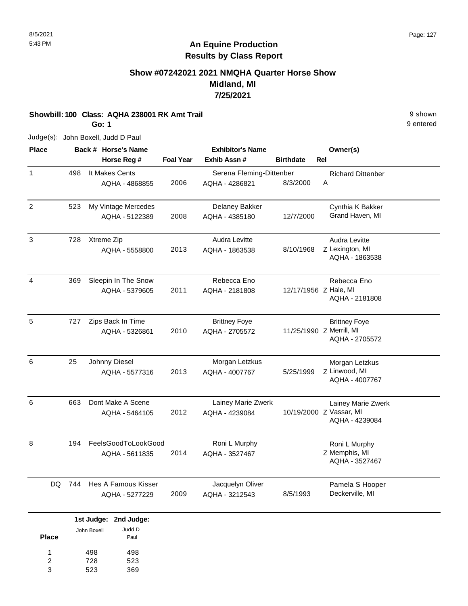# **Show #07242021 2021 NMQHA Quarter Horse Show Midland, MI 7/25/2021**

**Showbill: 100 Class: AQHA 238001 RK Amt Trail** 9 shown

**Go: 1**

Judge(s): John Boxell, Judd D Paul

| <b>Place</b>   |     | Back # Horse's Name   |                  | <b>Exhibitor's Name</b>  |                       | Owner(s)                                   |
|----------------|-----|-----------------------|------------------|--------------------------|-----------------------|--------------------------------------------|
|                |     | Horse Reg #           | <b>Foal Year</b> | Exhib Assn#              | <b>Birthdate</b>      | <b>Rel</b>                                 |
| 1              | 498 | It Makes Cents        |                  | Serena Fleming-Dittenber |                       | <b>Richard Dittenber</b>                   |
|                |     | AQHA - 4868855        | 2006             | AQHA - 4286821           | 8/3/2000              | A                                          |
| $\overline{c}$ | 523 | My Vintage Mercedes   |                  | Delaney Bakker           |                       | Cynthia K Bakker                           |
|                |     | AQHA - 5122389        | 2008             | AQHA - 4385180           | 12/7/2000             | Grand Haven, MI                            |
| 3              | 728 | Xtreme Zip            |                  | Audra Levitte            |                       | Audra Levitte                              |
|                |     | AQHA - 5558800        | 2013             | AQHA - 1863538           | 8/10/1968             | Z Lexington, MI<br>AQHA - 1863538          |
| $\overline{4}$ | 369 | Sleepin In The Snow   |                  | Rebecca Eno              |                       | Rebecca Eno                                |
|                |     | AQHA - 5379605        | 2011             | AQHA - 2181808           | 12/17/1956 Z Hale, MI | AQHA - 2181808                             |
| 5              | 727 | Zips Back In Time     |                  | <b>Brittney Foye</b>     |                       | <b>Brittney Foye</b>                       |
|                |     | AQHA - 5326861        | 2010             | AQHA - 2705572           |                       | 11/25/1990 Z Merrill, MI<br>AQHA - 2705572 |
| 6              | 25  | Johnny Diesel         |                  | Morgan Letzkus           |                       | Morgan Letzkus                             |
|                |     | AQHA - 5577316        | 2013             | AQHA - 4007767           | 5/25/1999             | Z Linwood, MI<br>AQHA - 4007767            |
| 6              | 663 | Dont Make A Scene     |                  | Lainey Marie Zwerk       |                       | Lainey Marie Zwerk                         |
|                |     | AQHA - 5464105        | 2012             | AQHA - 4239084           |                       | 10/19/2000 Z Vassar, MI<br>AQHA - 4239084  |
| 8              | 194 | FeelsGoodToLookGood   |                  | Roni L Murphy            |                       | Roni L Murphy                              |
|                |     | AQHA - 5611835        | 2014             | AQHA - 3527467           |                       | Z Memphis, MI<br>AQHA - 3527467            |
| DQ.            | 744 | Hes A Famous Kisser   |                  | Jacquelyn Oliver         |                       | Pamela S Hooper                            |
|                |     | AQHA - 5277229        | 2009             | AQHA - 3212543           | 8/5/1993              | Deckerville, MI                            |
|                |     | 1st Judge: 2nd Judge: |                  |                          |                       |                                            |

| Place | John Boxell | Judd D<br>Paul |
|-------|-------------|----------------|
| 1     | 498         | 498            |
| 2     | 728         | 523            |
| 3     | 523         | 369            |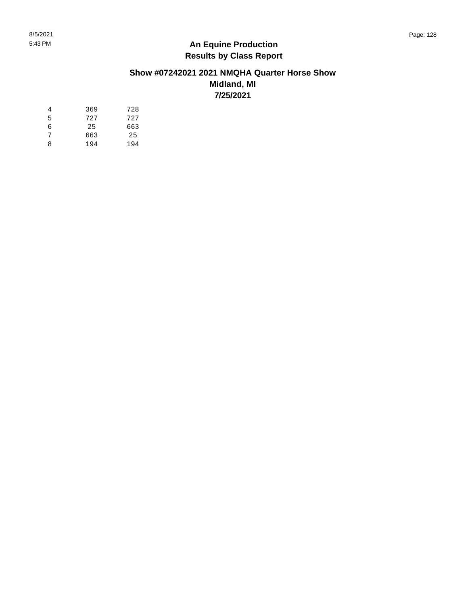#### **Show #07242021 2021 NMQHA Quarter Horse Show Midland, MI 7/25/2021**

| 4 | 369 | 728 |
|---|-----|-----|
| 5 | 727 | 727 |
| 6 | 25  | 663 |
| 7 | 663 | 25  |
| 8 | 194 | 194 |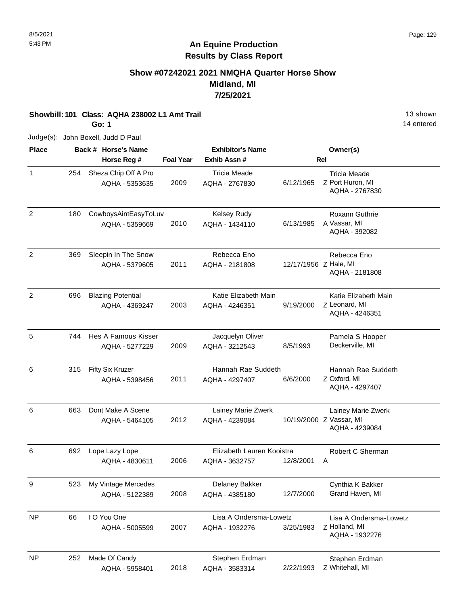14 entered

# **An Equine Production Results by Class Report**

# **Show #07242021 2021 NMQHA Quarter Horse Show Midland, MI 7/25/2021**

**Showbill: 101 Class: AQHA 238002 L1 Amt Trail 13 Shown 13 shown** 

**Go: 1**

Judge(s): John Boxell, Judd D Paul

| <b>Place</b>   |     | Back # Horse's Name                        |                  | <b>Exhibitor's Name</b>                     |                       | Owner(s)                                                        |
|----------------|-----|--------------------------------------------|------------------|---------------------------------------------|-----------------------|-----------------------------------------------------------------|
|                |     | Horse Reg #                                | <b>Foal Year</b> | Exhib Assn #                                |                       | Rel                                                             |
| $\mathbf{1}$   | 254 | Sheza Chip Off A Pro<br>AQHA - 5353635     | 2009             | <b>Tricia Meade</b><br>AQHA - 2767830       | 6/12/1965             | <b>Tricia Meade</b><br>Z Port Huron, MI<br>AQHA - 2767830       |
| $\overline{c}$ | 180 | CowboysAintEasyToLuv<br>AQHA - 5359669     | 2010             | Kelsey Rudy<br>AQHA - 1434110               | 6/13/1985             | Roxann Guthrie<br>A Vassar, MI<br>AQHA - 392082                 |
| $\overline{2}$ | 369 | Sleepin In The Snow<br>AQHA - 5379605      | 2011             | Rebecca Eno<br>AQHA - 2181808               | 12/17/1956 Z Hale, MI | Rebecca Eno<br>AQHA - 2181808                                   |
| $\overline{c}$ | 696 | <b>Blazing Potential</b><br>AQHA - 4369247 | 2003             | Katie Elizabeth Main<br>AQHA - 4246351      | 9/19/2000             | Katie Elizabeth Main<br>Z Leonard, MI<br>AQHA - 4246351         |
| 5              | 744 | Hes A Famous Kisser<br>AQHA - 5277229      | 2009             | Jacquelyn Oliver<br>AQHA - 3212543          | 8/5/1993              | Pamela S Hooper<br>Deckerville, MI                              |
| 6              | 315 | Fifty Six Kruzer<br>AQHA - 5398456         | 2011             | Hannah Rae Suddeth<br>AQHA - 4297407        | 6/6/2000              | Hannah Rae Suddeth<br>Z Oxford, MI<br>AQHA - 4297407            |
| 6              | 663 | Dont Make A Scene<br>AQHA - 5464105        | 2012             | Lainey Marie Zwerk<br>AQHA - 4239084        |                       | Lainey Marie Zwerk<br>10/19/2000 Z Vassar, MI<br>AQHA - 4239084 |
| 6              | 692 | Lope Lazy Lope<br>AQHA - 4830611           | 2006             | Elizabeth Lauren Kooistra<br>AQHA - 3632757 | 12/8/2001             | Robert C Sherman<br>A                                           |
| 9              | 523 | My Vintage Mercedes<br>AQHA - 5122389      | 2008             | Delaney Bakker<br>AQHA - 4385180            | 12/7/2000             | Cynthia K Bakker<br>Grand Haven, MI                             |
| <b>NP</b>      | 66  | I O You One<br>AQHA - 5005599              | 2007             | Lisa A Ondersma-Lowetz<br>AQHA - 1932276    | 3/25/1983             | Lisa A Ondersma-Lowetz<br>Z Holland, MI<br>AQHA - 1932276       |
| <b>NP</b>      | 252 | Made Of Candy<br>AQHA - 5958401            | 2018             | Stephen Erdman<br>AQHA - 3583314            | 2/22/1993             | Stephen Erdman<br>Z Whitehall, MI                               |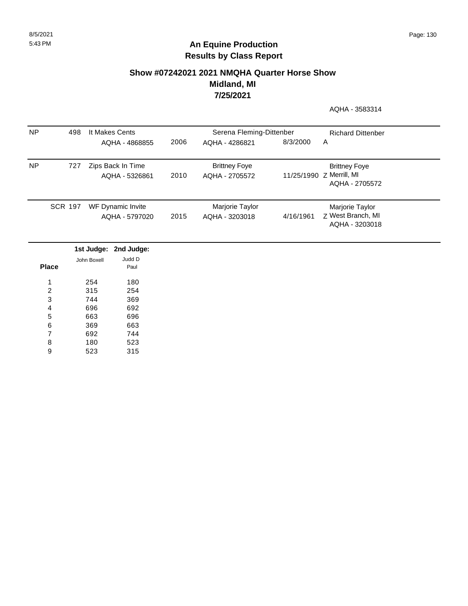## **Show #07242021 2021 NMQHA Quarter Horse Show Midland, MI 7/25/2021**

AQHA - 3583314

| NP.       | 498            | It Makes Cents                      |      | Serena Fleming-Dittenber               | <b>Richard Dittenber</b> |                                                                    |
|-----------|----------------|-------------------------------------|------|----------------------------------------|--------------------------|--------------------------------------------------------------------|
|           |                | AQHA - 4868855                      | 2006 | AQHA - 4286821                         | 8/3/2000                 | A                                                                  |
| <b>NP</b> | 727            | Zips Back In Time<br>AQHA - 5326861 | 2010 | <b>Brittney Foye</b><br>AQHA - 2705572 |                          | <b>Brittney Foye</b><br>11/25/1990 Z Merrill, MI<br>AQHA - 2705572 |
|           | <b>SCR 197</b> | WF Dynamic Invite<br>AQHA - 5797020 | 2015 | Marjorie Taylor<br>AQHA - 3203018      | 4/16/1961                | Marjorie Taylor<br>Z West Branch, MI<br>AQHA - 3203018             |

|       |             | 1st Judge: 2nd Judge: |
|-------|-------------|-----------------------|
|       | John Boxell | Judd D                |
| Place |             | Paul                  |
|       |             |                       |
| 1     | 254         | 180                   |
| 2     | 315         | 254                   |
| 3     | 744         | 369                   |
| 4     | 696         | 692                   |
| 5     | 663         | 696                   |
| 6     | 369         | 663                   |
| 7     | 692         | 744                   |
| 8     | 180         | 523                   |
| 9     | 523         | 315                   |
|       |             |                       |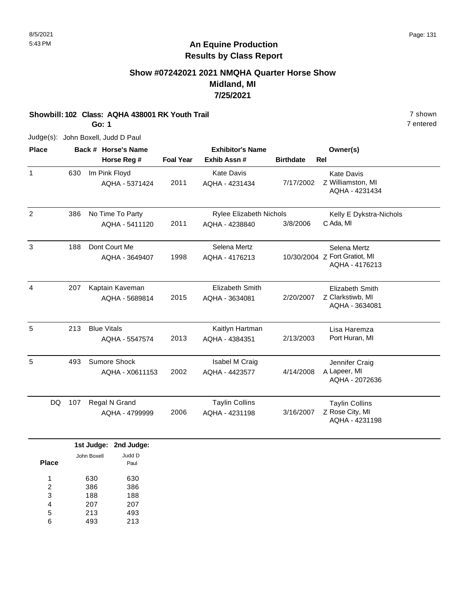#### 8/5/2021 Page: 131

# **An Equine Production Results by Class Report**

# **Show #07242021 2021 NMQHA Quarter Horse Show Midland, MI 7/25/2021**

# **Showbill: 102 Class: AQHA 438001 RK Youth Trail** 7 shown

**Go: 1**

7 entered

Judge(s): John Boxell, Judd D Paul

| <b>Place</b>   |     | Back # Horse's Name           |                  | <b>Exhibitor's Name</b> |                  | Owner(s)                                        |
|----------------|-----|-------------------------------|------------------|-------------------------|------------------|-------------------------------------------------|
|                |     | Horse Reg #                   | <b>Foal Year</b> | Exhib Assn #            | <b>Birthdate</b> | Rel                                             |
| 1              | 630 | Im Pink Floyd                 |                  | <b>Kate Davis</b>       |                  | <b>Kate Davis</b>                               |
|                |     | AQHA - 5371424                | 2011             | AQHA - 4231434          | 7/17/2002        | Z Williamston, MI<br>AQHA - 4231434             |
| 2              | 386 | No Time To Party              |                  | Rylee Elizabeth Nichols |                  | Kelly E Dykstra-Nichols                         |
|                |     | AQHA - 5411120                | 2011             | AQHA - 4238840          | 3/8/2006         | C Ada, MI                                       |
| 3              | 188 | Dont Court Me                 |                  | Selena Mertz            |                  | Selena Mertz                                    |
|                |     | AQHA - 3649407                | 1998             | AQHA - 4176213          |                  | 10/30/2004 Z Fort Gratiot, MI<br>AQHA - 4176213 |
| $\overline{4}$ | 207 | Kaptain Kaveman               |                  | <b>Elizabeth Smith</b>  |                  | <b>Elizabeth Smith</b>                          |
|                |     | AQHA - 5689814                | 2015             | AQHA - 3634081          | 2/20/2007        | Z Clarkstiwb, MI<br>AQHA - 3634081              |
| 5              | 213 | <b>Blue Vitals</b>            |                  | Kaitlyn Hartman         |                  | Lisa Haremza                                    |
|                |     | AQHA - 5547574                | 2013             | AQHA - 4384351          | 2/13/2003        | Port Huran, MI                                  |
| 5              | 493 | Sumore Shock                  |                  | Isabel M Craig          |                  | Jennifer Craig                                  |
|                |     | AQHA - X0611153               | 2002             | AQHA - 4423577          | 4/14/2008        | A Lapeer, MI<br>AQHA - 2072636                  |
| DQ             | 107 | Regal N Grand                 |                  | <b>Taylin Collins</b>   |                  | <b>Taylin Collins</b>                           |
|                |     | AQHA - 4799999                | 2006             | AQHA - 4231198          | 3/16/2007        | Z Rose City, MI<br>AQHA - 4231198               |
|                |     | 1st Judge: 2nd Judge:         |                  |                         |                  |                                                 |
| <b>Place</b>   |     | Judd D<br>John Boxell<br>Paul |                  |                         |                  |                                                 |

630 386 188 207 630 386 188 207 1 2 3 4

213 493 213 5

493 6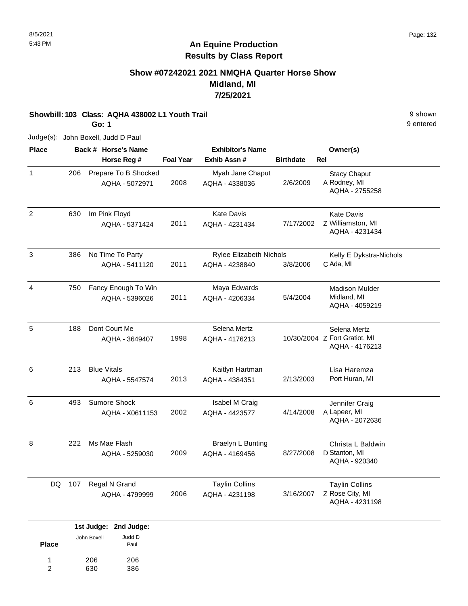# **Show #07242021 2021 NMQHA Quarter Horse Show Midland, MI 7/25/2021**

**Showbill: 103 Class: AQHA 438002 L1 Youth Trail** 9 shown

**Go: 1**

Judge(s): John Boxell, Judd D Paul

| <b>Place</b>   |           | Back # Horse's Name                    |                  | <b>Exhibitor's Name</b>                          |                  | Owner(s)                                                        |
|----------------|-----------|----------------------------------------|------------------|--------------------------------------------------|------------------|-----------------------------------------------------------------|
|                |           | Horse Reg #                            | <b>Foal Year</b> | Exhib Assn#                                      | <b>Birthdate</b> | Rel                                                             |
| $\mathbf{1}$   | 206       | Prepare To B Shocked<br>AQHA - 5072971 | 2008             | Myah Jane Chaput<br>AQHA - 4338036               | 2/6/2009         | <b>Stacy Chaput</b><br>A Rodney, MI<br>AQHA - 2755258           |
| $\overline{2}$ | 630       | Im Pink Floyd<br>AQHA - 5371424        | 2011             | <b>Kate Davis</b><br>AQHA - 4231434              | 7/17/2002        | <b>Kate Davis</b><br>Z Williamston, MI<br>AQHA - 4231434        |
| 3              | 386       | No Time To Party<br>AQHA - 5411120     | 2011             | <b>Rylee Elizabeth Nichols</b><br>AQHA - 4238840 | 3/8/2006         | Kelly E Dykstra-Nichols<br>C Ada, MI                            |
| $\overline{4}$ | 750       | Fancy Enough To Win<br>AQHA - 5396026  | 2011             | Maya Edwards<br>AQHA - 4206334                   | 5/4/2004         | <b>Madison Mulder</b><br>Midland, MI<br>AQHA - 4059219          |
| 5              | 188       | Dont Court Me<br>AQHA - 3649407        | 1998             | Selena Mertz<br>AQHA - 4176213                   |                  | Selena Mertz<br>10/30/2004 Z Fort Gratiot, MI<br>AQHA - 4176213 |
| 6              | 213       | <b>Blue Vitals</b><br>AQHA - 5547574   | 2013             | Kaitlyn Hartman<br>AQHA - 4384351                | 2/13/2003        | Lisa Haremza<br>Port Huran, MI                                  |
| 6              | 493       | <b>Sumore Shock</b><br>AQHA - X0611153 | 2002             | Isabel M Craig<br>AQHA - 4423577                 | 4/14/2008        | Jennifer Craig<br>A Lapeer, MI<br>AQHA - 2072636                |
| 8              | 222       | Ms Mae Flash<br>AQHA - 5259030         | 2009             | Braelyn L Bunting<br>AQHA - 4169456              | 8/27/2008        | Christa L Baldwin<br>D Stanton, MI<br>AQHA - 920340             |
|                | DQ<br>107 | Regal N Grand<br>AQHA - 4799999        | 2006             | <b>Taylin Collins</b><br>AQHA - 4231198          | 3/16/2007        | <b>Taylin Collins</b><br>Z Rose City, MI<br>AQHA - 4231198      |

|              |             | 1st Judge: 2nd Judge: |
|--------------|-------------|-----------------------|
| <b>Place</b> | John Boxell | Judd D<br>Paul        |
| 1            | 206         | 206                   |
| 2            | 630         | 386                   |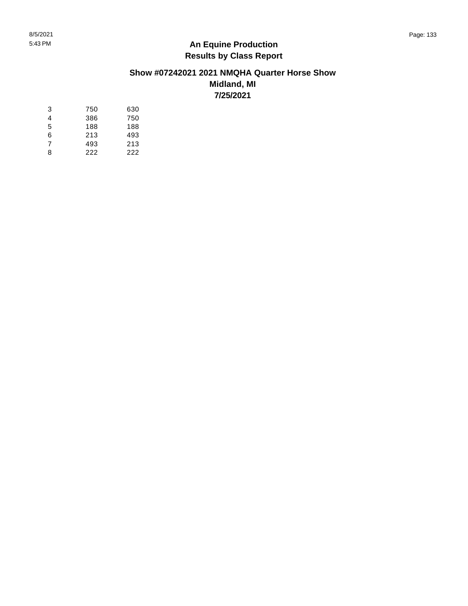# **Show #07242021 2021 NMQHA Quarter Horse Show Midland, MI**

**7/25/2021**

| 3 | 750 | 630 |
|---|-----|-----|
|   |     |     |
| 4 | 386 | 750 |
| 5 | 188 | 188 |
| 6 | 213 | 493 |
| 7 | 493 | 213 |
| 8 | 222 | 222 |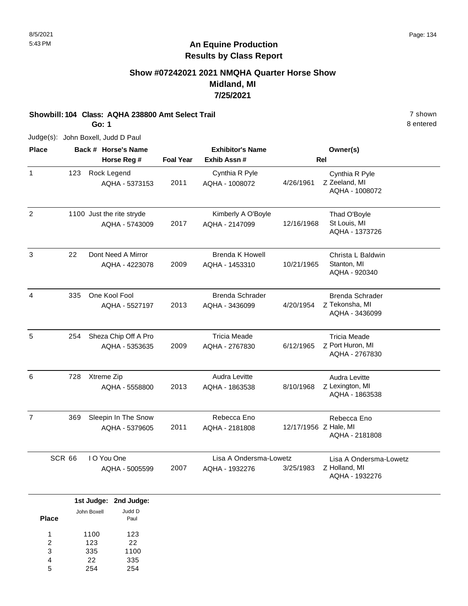# **Show #07242021 2021 NMQHA Quarter Horse Show Midland, MI 7/25/2021**

#### **Showbill: 104 Class: AQHA 238800 Amt Select Trail** 7 shown

**Go: 1**

8 entered

Judge(s): John Boxell, Judd D Paul

| <b>Place</b>   |        | Back # Horse's Name                         |                  | <b>Exhibitor's Name</b>                  |                       | Owner(s)                                                   |
|----------------|--------|---------------------------------------------|------------------|------------------------------------------|-----------------------|------------------------------------------------------------|
|                |        | Horse Reg #                                 | <b>Foal Year</b> | Exhib Assn #                             |                       | Rel                                                        |
| $\mathbf{1}$   | 123    | Rock Legend<br>AQHA - 5373153               | 2011             | Cynthia R Pyle<br>AQHA - 1008072         | 4/26/1961             | Cynthia R Pyle<br>Z Zeeland, MI<br>AQHA - 1008072          |
| $\overline{2}$ |        | 1100 Just the rite stryde<br>AQHA - 5743009 | 2017             | Kimberly A O'Boyle<br>AQHA - 2147099     | 12/16/1968            | Thad O'Boyle<br>St Louis, MI<br>AQHA - 1373726             |
| 3              | 22     | Dont Need A Mirror<br>AQHA - 4223078        | 2009             | <b>Brenda K Howell</b><br>AQHA - 1453310 | 10/21/1965            | Christa L Baldwin<br>Stanton, MI<br>AQHA - 920340          |
| 4              | 335    | One Kool Fool<br>AQHA - 5527197             | 2013             | <b>Brenda Schrader</b><br>AQHA - 3436099 | 4/20/1954             | <b>Brenda Schrader</b><br>Z Tekonsha, MI<br>AQHA - 3436099 |
| 5              | 254    | Sheza Chip Off A Pro<br>AQHA - 5353635      | 2009             | <b>Tricia Meade</b><br>AQHA - 2767830    | 6/12/1965             | <b>Tricia Meade</b><br>Z Port Huron, MI<br>AQHA - 2767830  |
| 6              | 728    | Xtreme Zip<br>AQHA - 5558800                | 2013             | Audra Levitte<br>AQHA - 1863538          | 8/10/1968             | Audra Levitte<br>Z Lexington, MI<br>AQHA - 1863538         |
| $\overline{7}$ | 369    | Sleepin In The Snow<br>AQHA - 5379605       | 2011             | Rebecca Eno<br>AQHA - 2181808            | 12/17/1956 Z Hale, MI | Rebecca Eno<br>AQHA - 2181808                              |
|                | SCR 66 | I O You One<br>AQHA - 5005599               | 2007             | Lisa A Ondersma-Lowetz<br>AQHA - 1932276 | 3/25/1983             | Lisa A Ondersma-Lowetz<br>Z Holland, MI<br>AQHA - 1932276  |

|              |             | 1st Judge: 2nd Judge: |
|--------------|-------------|-----------------------|
| <b>Place</b> | John Boxell | Judd D<br>Paul        |
| 1            | 1100        | 123                   |
| 2            | 123         | 22                    |
| 3            | 335         | 1100                  |
| 4            | 22          | 335                   |
| 5            | 254         | 254                   |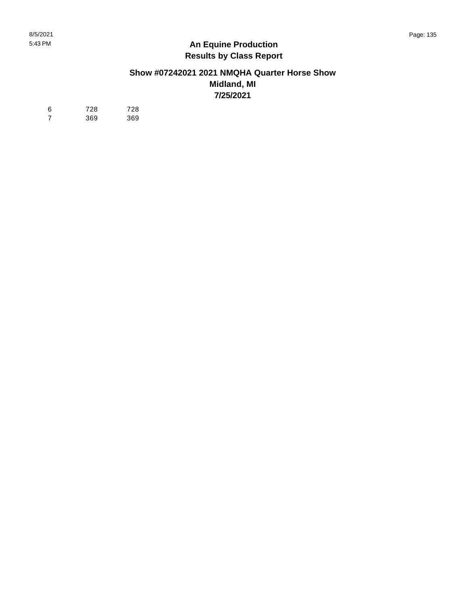#### **Show #07242021 2021 NMQHA Quarter Horse Show Midland, MI 7/25/2021**

| -6             | 728 | 728 |
|----------------|-----|-----|
| $\overline{7}$ | 369 | 369 |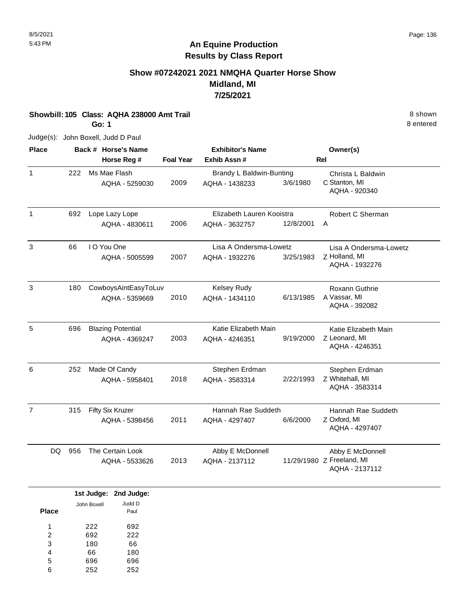# **Show #07242021 2021 NMQHA Quarter Horse Show Midland, MI 7/25/2021**

**Showbill: 105 Class: AQHA 238000 Amt Trail 8 shown 8 shown 8 shown 8 shown** 

**Go: 1**

Judge(s): John Boxell, Judd D Paul

| <b>Place</b>   |           | Back # Horse's Name      |                  | <b>Exhibitor's Name</b>   |           | Owner(s)                                    |
|----------------|-----------|--------------------------|------------------|---------------------------|-----------|---------------------------------------------|
|                |           | Horse Reg #              | <b>Foal Year</b> | Exhib Assn #              |           | <b>Rel</b>                                  |
| $\mathbf{1}$   | 222       | Ms Mae Flash             |                  | Brandy L Baldwin-Bunting  |           | Christa L Baldwin                           |
|                |           | AQHA - 5259030           | 2009             | AQHA - 1438233            | 3/6/1980  | C Stanton, MI<br>AQHA - 920340              |
| $\mathbf{1}$   | 692       | Lope Lazy Lope           |                  | Elizabeth Lauren Kooistra |           | Robert C Sherman                            |
|                |           | AQHA - 4830611           | 2006             | AQHA - 3632757            | 12/8/2001 | A                                           |
| 3              | 66        | I O You One              |                  | Lisa A Ondersma-Lowetz    |           | Lisa A Ondersma-Lowetz                      |
|                |           | AQHA - 5005599           | 2007             | AQHA - 1932276            | 3/25/1983 | Z Holland, MI<br>AQHA - 1932276             |
| 3              | 180       | CowboysAintEasyToLuv     |                  | <b>Kelsey Rudy</b>        |           | <b>Roxann Guthrie</b>                       |
|                |           | AQHA - 5359669           | 2010             | AQHA - 1434110            | 6/13/1985 | A Vassar, MI<br>AQHA - 392082               |
| 5              | 696       | <b>Blazing Potential</b> |                  | Katie Elizabeth Main      |           | Katie Elizabeth Main                        |
|                |           | AQHA - 4369247           | 2003             | AQHA - 4246351            | 9/19/2000 | Z Leonard, MI<br>AQHA - 4246351             |
| 6              | 252       | Made Of Candy            |                  | Stephen Erdman            |           | Stephen Erdman                              |
|                |           | AQHA - 5958401           | 2018             | AQHA - 3583314            | 2/22/1993 | Z Whitehall, MI<br>AQHA - 3583314           |
| $\overline{7}$ | 315       | Fifty Six Kruzer         |                  | Hannah Rae Suddeth        |           | Hannah Rae Suddeth                          |
|                |           | AQHA - 5398456           | 2011             | AQHA - 4297407            | 6/6/2000  | Z Oxford, MI<br>AQHA - 4297407              |
|                | 956<br>DQ | The Certain Look         |                  | Abby E McDonnell          |           | Abby E McDonnell                            |
|                |           | AQHA - 5533626           | 2013             | AQHA - 2137112            |           | 11/29/1980 Z Freeland, MI<br>AQHA - 2137112 |

|              |             | 1st Judge: 2nd Judge: |
|--------------|-------------|-----------------------|
|              | John Boxell | Judd D                |
| <b>Place</b> |             | Paul                  |
| и            | 222         | 692                   |
| 2            | 692         | 222                   |
| 3            | 180         | 66                    |
| 4            | 66          | 180                   |
| 5            | 696         | 696                   |
| 6            | 252         | 252                   |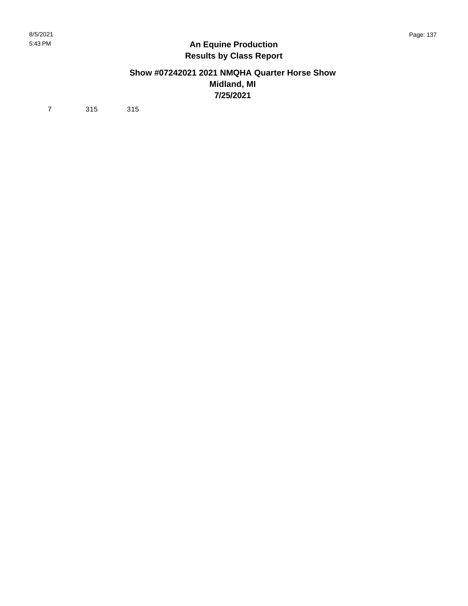#### **Show #07242021 2021 NMQHA Quarter Horse Show Midland, MI 7/25/2021**

7 315 315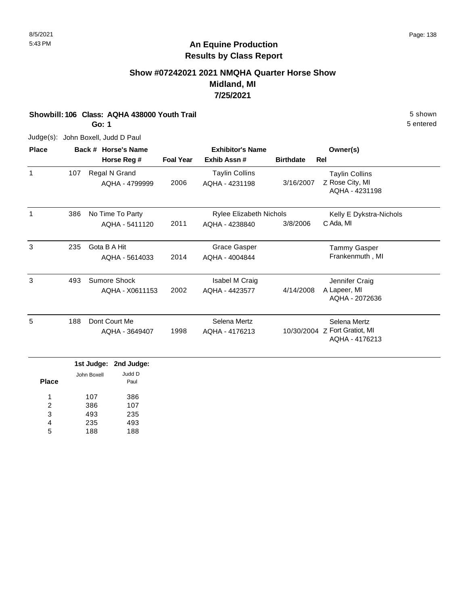# **Show #07242021 2021 NMQHA Quarter Horse Show Midland, MI 7/25/2021**

**Showbill: 106 Class: AQHA 438000 Youth Trail 5 Shown 5 Shown 5 shown 5 Shown** 

**Go: 1**

Judge(s): John Boxell, Judd D Paul

| <b>Place</b> |                         | Back # Horse's Name |                  | <b>Exhibitor's Name</b>        |                  | Owner(s)                      |
|--------------|-------------------------|---------------------|------------------|--------------------------------|------------------|-------------------------------|
|              |                         | Horse Reg #         | <b>Foal Year</b> | Exhib Assn#                    | <b>Birthdate</b> | Rel                           |
| 1            | 107                     | Regal N Grand       |                  | <b>Taylin Collins</b>          |                  | <b>Taylin Collins</b>         |
|              |                         | AQHA - 4799999      | 2006             | AQHA - 4231198                 | 3/16/2007        | Z Rose City, MI               |
|              |                         |                     |                  |                                |                  | AQHA - 4231198                |
| 1            | 386<br>No Time To Party |                     |                  | <b>Rylee Elizabeth Nichols</b> |                  | Kelly E Dykstra-Nichols       |
|              |                         | AQHA - 5411120      | 2011             | AQHA - 4238840                 | 3/8/2006         | C Ada, MI                     |
| 3            | 235                     | Gota B A Hit        |                  | <b>Grace Gasper</b>            |                  | <b>Tammy Gasper</b>           |
|              |                         | AQHA - 5614033      | 2014             | AQHA - 4004844                 |                  | Frankenmuth, MI               |
| 3            | 493                     | Sumore Shock        |                  | Isabel M Craig                 |                  | Jennifer Craig                |
|              |                         | AQHA - X0611153     | 2002             | AQHA - 4423577                 | 4/14/2008        | A Lapeer, MI                  |
|              |                         |                     |                  |                                |                  | AQHA - 2072636                |
| 5            | 188                     | Dont Court Me       |                  | Selena Mertz                   |                  | Selena Mertz                  |
|              |                         | AQHA - 3649407      | 1998             | AQHA - 4176213                 |                  | 10/30/2004 Z Fort Gratiot, MI |
|              |                         |                     |                  |                                |                  | AQHA - 4176213                |

|       |             | 1st Judge: 2nd Judge: |
|-------|-------------|-----------------------|
| Place | John Boxell | Judd D<br>Paul        |
| 1     | 107         | 386                   |
| 2     | 386         | 107                   |
| 3     | 493         | 235                   |
| 4     | 235         | 493                   |
| 5     | 188         | 188                   |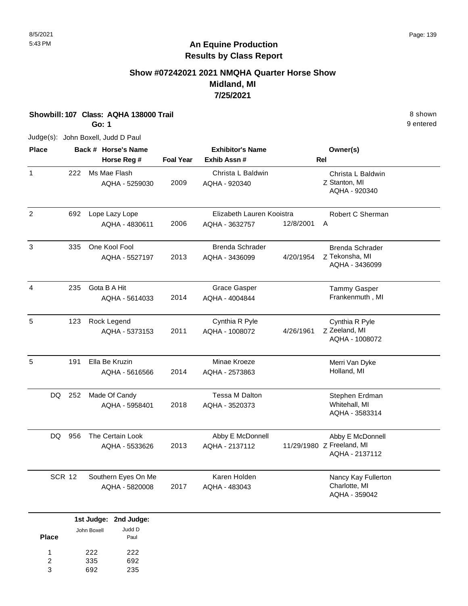# **Show #07242021 2021 NMQHA Quarter Horse Show Midland, MI 7/25/2021**

**Showbill: 107 Class: AQHA 138000 Trail** 8 shown

**Go: 1**

Judge(s): John Boxell, Judd D Paul

| <b>Place</b>   |               | Back # Horse's Name            |                  | <b>Exhibitor's Name</b>            |           | Owner(s)                                            |  |
|----------------|---------------|--------------------------------|------------------|------------------------------------|-----------|-----------------------------------------------------|--|
|                |               | Horse Reg #                    | <b>Foal Year</b> | Exhib Assn#                        |           | <b>Rel</b>                                          |  |
| $\mathbf{1}$   | 222           | Ms Mae Flash<br>AQHA - 5259030 | 2009             | Christa L Baldwin<br>AQHA - 920340 |           | Christa L Baldwin<br>Z Stanton, MI<br>AQHA - 920340 |  |
| $\overline{2}$ | 692           | Lope Lazy Lope                 |                  | Elizabeth Lauren Kooistra          |           | Robert C Sherman                                    |  |
|                |               | AQHA - 4830611                 | 2006             | AQHA - 3632757                     | 12/8/2001 | A                                                   |  |
| 3              | 335           | One Kool Fool                  |                  | Brenda Schrader                    |           | <b>Brenda Schrader</b>                              |  |
|                |               | AQHA - 5527197                 | 2013             | AQHA - 3436099                     | 4/20/1954 | Z Tekonsha, MI<br>AQHA - 3436099                    |  |
| $\overline{4}$ | 235           | Gota B A Hit                   |                  | <b>Grace Gasper</b>                |           | <b>Tammy Gasper</b>                                 |  |
|                |               | AQHA - 5614033                 | 2014             | AQHA - 4004844                     |           | Frankenmuth, MI                                     |  |
| 5              | 123           | Rock Legend                    |                  | Cynthia R Pyle                     |           | Cynthia R Pyle                                      |  |
|                |               | AQHA - 5373153                 | 2011             | AQHA - 1008072                     | 4/26/1961 | Z Zeeland, MI<br>AQHA - 1008072                     |  |
| 5              | 191           | Ella Be Kruzin                 |                  | Minae Kroeze                       |           | Merri Van Dyke                                      |  |
|                |               | AQHA - 5616566                 | 2014             | AQHA - 2573863                     |           | Holland, MI                                         |  |
| DQ             | 252           | Made Of Candy                  |                  | Tessa M Dalton                     |           | Stephen Erdman                                      |  |
|                |               | AQHA - 5958401                 | 2018             | AQHA - 3520373                     |           | Whitehall, MI<br>AQHA - 3583314                     |  |
| DQ             | 956           | The Certain Look               |                  | Abby E McDonnell                   |           | Abby E McDonnell                                    |  |
|                |               | AQHA - 5533626                 | 2013             | AQHA - 2137112                     |           | 11/29/1980 Z Freeland, MI<br>AQHA - 2137112         |  |
|                | <b>SCR 12</b> | Southern Eyes On Me            |                  | Karen Holden                       |           | Nancy Kay Fullerton                                 |  |
|                |               | AQHA - 5820008                 | 2017             | AQHA - 483043                      |           | Charlotte, MI<br>AQHA - 359042                      |  |
|                |               | 1st Judge: 2nd Judge:          |                  |                                    |           |                                                     |  |

|       |             | Judd D |
|-------|-------------|--------|
| Place | John Boxell | Paul   |
| 1     | 222         | 222    |
| 2     | 335         | 692    |
| з     | 692         | 235    |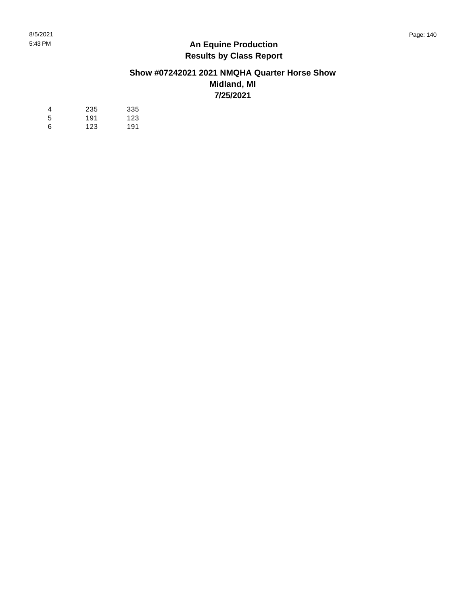#### **Show #07242021 2021 NMQHA Quarter Horse Show Midland, MI 7/25/2021**

| 4  | 235 | 335 |
|----|-----|-----|
| -5 | 191 | 123 |
| 6  | 123 | 191 |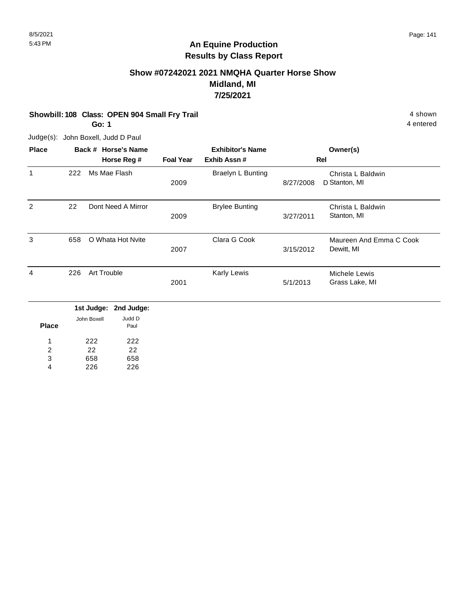# **Show #07242021 2021 NMQHA Quarter Horse Show Midland, MI 7/25/2021**

**Showbill: 108 Class: OPEN 904 Small Fry Trail 4 shown 4 shown 4 shown 4 shown** 

**Go: 1**

Judge(s): John Boxell, Judd D Paul

| <b>Place</b> |     | Back # Horse's Name |                  | <b>Exhibitor's Name</b> |           | Owner(s)                              |
|--------------|-----|---------------------|------------------|-------------------------|-----------|---------------------------------------|
|              |     | Horse Reg #         | <b>Foal Year</b> | Exhib Assn#             |           | Rel                                   |
| 1            | 222 | Ms Mae Flash        | 2009             | Braelyn L Bunting       | 8/27/2008 | Christa L Baldwin<br>D Stanton, MI    |
| 2            | 22  | Dont Need A Mirror  | 2009             | <b>Brylee Bunting</b>   | 3/27/2011 | Christa L Baldwin<br>Stanton, MI      |
| 3            | 658 | O Whata Hot Nvite   | 2007             | Clara G Cook            | 3/15/2012 | Maureen And Emma C Cook<br>Dewitt, MI |
| 4            | 226 | Art Trouble         | 2001             | Karly Lewis             | 5/1/2013  | Michele Lewis<br>Grass Lake, MI       |

|              |             | 1st Judge: 2nd Judge: |
|--------------|-------------|-----------------------|
| <b>Place</b> | John Boxell | Judd D<br>Paul        |
| 1            | 222         | 222                   |
| 2            | 22          | 22                    |
| 3            | 658         | 658                   |
|              | 226         | 226                   |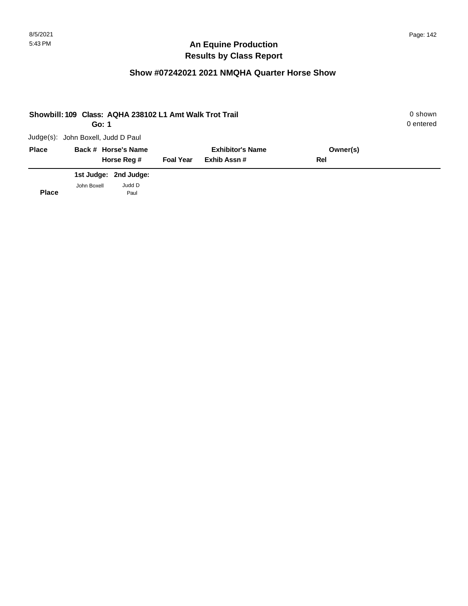# **Show #07242021 2021 NMQHA Quarter Horse Show**

| Showbill: 109 Class: AQHA 238102 L1 Amt Walk Trot Trail<br>Go: 1 |                                    |                       |                         |             |     |  |
|------------------------------------------------------------------|------------------------------------|-----------------------|-------------------------|-------------|-----|--|
|                                                                  | Judge(s): John Boxell, Judd D Paul |                       |                         |             |     |  |
| <b>Place</b>                                                     |                                    | Back # Horse's Name   | <b>Exhibitor's Name</b> | Owner(s)    |     |  |
|                                                                  |                                    | Horse Reg #           | <b>Foal Year</b>        | Exhib Assn# | Rel |  |
|                                                                  |                                    | 1st Judge: 2nd Judge: |                         |             |     |  |
| <b>Place</b>                                                     | John Boxell                        | Judd D<br>Paul        |                         |             |     |  |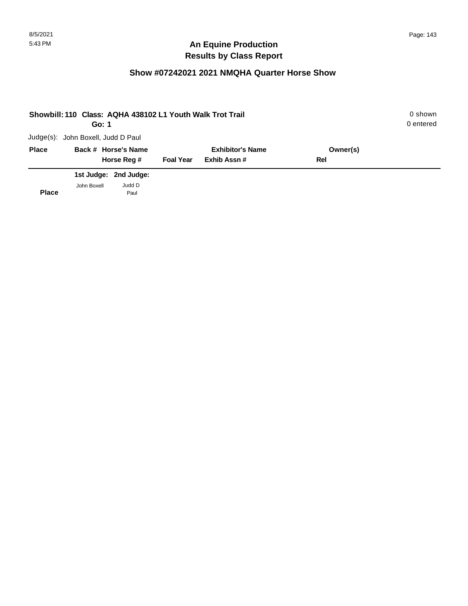## **Show #07242021 2021 NMQHA Quarter Horse Show**

| Showbill: 110 Class: AQHA 438102 L1 Youth Walk Trot Trail | 0 shown<br>0 entered               |                       |                  |                         |          |  |
|-----------------------------------------------------------|------------------------------------|-----------------------|------------------|-------------------------|----------|--|
|                                                           | Judge(s): John Boxell, Judd D Paul |                       |                  |                         |          |  |
| <b>Place</b>                                              |                                    | Back # Horse's Name   |                  | <b>Exhibitor's Name</b> | Owner(s) |  |
|                                                           |                                    | Horse Reg #           | <b>Foal Year</b> | Exhib Assn#             | Rel      |  |
|                                                           |                                    | 1st Judge: 2nd Judge: |                  |                         |          |  |
| <b>Place</b>                                              | John Boxell                        | Judd D<br>Paul        |                  |                         |          |  |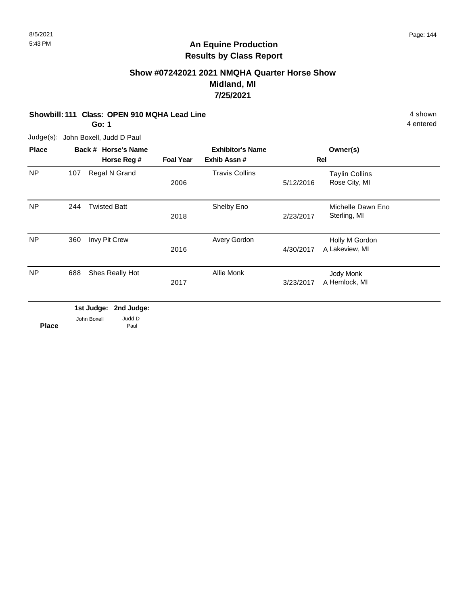# **Show #07242021 2021 NMQHA Quarter Horse Show Midland, MI 7/25/2021**

#### **Showbill: 111 Class: OPEN 910 MQHA Lead Line 4 shown** 4 shown

**Go: 1**

Judge(s): John Boxell, Judd D Paul

| <b>Place</b> |     | Back # Horse's Name   |                  | <b>Exhibitor's Name</b> |           | Owner(s)                               |  |
|--------------|-----|-----------------------|------------------|-------------------------|-----------|----------------------------------------|--|
|              |     | Horse Reg #           | <b>Foal Year</b> | Exhib Assn#             |           | Rel                                    |  |
| <b>NP</b>    | 107 | Regal N Grand         | 2006             | <b>Travis Collins</b>   | 5/12/2016 | <b>Taylin Collins</b><br>Rose City, MI |  |
| <b>NP</b>    | 244 | <b>Twisted Batt</b>   | 2018             | Shelby Eno              | 2/23/2017 | Michelle Dawn Eno<br>Sterling, MI      |  |
| <b>NP</b>    | 360 | Invy Pit Crew         | 2016             | Avery Gordon            | 4/30/2017 | Holly M Gordon<br>A Lakeview, MI       |  |
| <b>NP</b>    | 688 | Shes Really Hot       | 2017             | Allie Monk              | 3/23/2017 | Jody Monk<br>A Hemlock, MI             |  |
|              |     | 1st Judge: 2nd Judge: |                  |                         |           |                                        |  |

|              | 1st Judge: 2nd Judge |        |  |
|--------------|----------------------|--------|--|
|              | John Boxell          | Judd D |  |
| <b>Place</b> |                      | Paul   |  |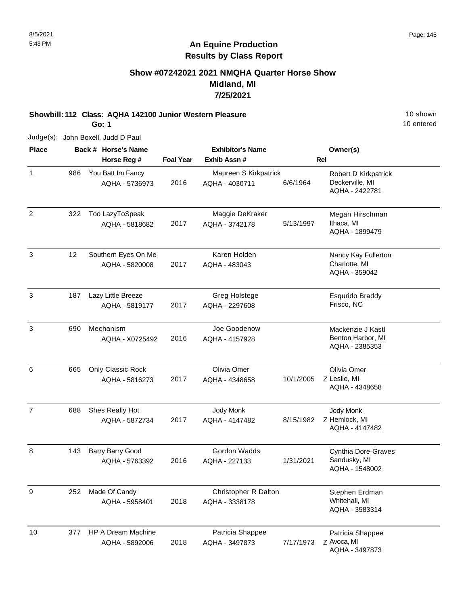#### 8/5/2021 Page: 145

## **An Equine Production Results by Class Report**

## **Show #07242021 2021 NMQHA Quarter Horse Show Midland, MI 7/25/2021**

## **Showbill: 112 Class: AQHA 142100 Junior Western Pleasure** 10 Shown

**Go: 1**

10 entered

| <b>Place</b>   |     | Back # Horse's Name                   |                  | <b>Exhibitor's Name</b>                 |           | Owner(s)                                                  |
|----------------|-----|---------------------------------------|------------------|-----------------------------------------|-----------|-----------------------------------------------------------|
|                |     | Horse Reg #                           | <b>Foal Year</b> | Exhib Assn#                             |           | <b>Rel</b>                                                |
| $\mathbf{1}$   | 986 | You Batt Im Fancy<br>AQHA - 5736973   | 2016             | Maureen S Kirkpatrick<br>AQHA - 4030711 | 6/6/1964  | Robert D Kirkpatrick<br>Deckerville, MI<br>AQHA - 2422781 |
| $\overline{2}$ | 322 | Too LazyToSpeak<br>AQHA - 5818682     | 2017             | Maggie DeKraker<br>AQHA - 3742178       | 5/13/1997 | Megan Hirschman<br>Ithaca, MI<br>AQHA - 1899479           |
| $\mathbf{3}$   | 12  | Southern Eyes On Me<br>AQHA - 5820008 | 2017             | Karen Holden<br>AQHA - 483043           |           | Nancy Kay Fullerton<br>Charlotte, MI<br>AQHA - 359042     |
| 3              | 187 | Lazy Little Breeze<br>AQHA - 5819177  | 2017             | Greg Holstege<br>AQHA - 2297608         |           | <b>Esqurido Braddy</b><br>Frisco, NC                      |
| $\mathfrak{S}$ | 690 | Mechanism<br>AQHA - X0725492          | 2016             | Joe Goodenow<br>AQHA - 4157928          |           | Mackenzie J Kastl<br>Benton Harbor, MI<br>AQHA - 2385353  |
| 6              | 665 | Only Classic Rock<br>AQHA - 5816273   | 2017             | Olivia Omer<br>AQHA - 4348658           | 10/1/2005 | Olivia Omer<br>Z Leslie, MI<br>AQHA - 4348658             |
| $\overline{7}$ | 688 | Shes Really Hot<br>AQHA - 5872734     | 2017             | Jody Monk<br>AQHA - 4147482             | 8/15/1982 | Jody Monk<br>Z Hemlock, MI<br>AQHA - 4147482              |
| 8              | 143 | Barry Barry Good<br>AQHA - 5763392    | 2016             | Gordon Wadds<br>AQHA - 227133           | 1/31/2021 | Cynthia Dore-Graves<br>Sandusky, MI<br>AQHA - 1548002     |
| 9              | 252 | Made Of Candy<br>AQHA - 5958401       | 2018             | Christopher R Dalton<br>AQHA - 3338178  |           | Stephen Erdman<br>Whitehall, MI<br>AQHA - 3583314         |
| 10             | 377 | HP A Dream Machine<br>AQHA - 5892006  | 2018             | Patricia Shappee<br>AQHA - 3497873      | 7/17/1973 | Patricia Shappee<br>Z Avoca, MI<br>AQHA - 3497873         |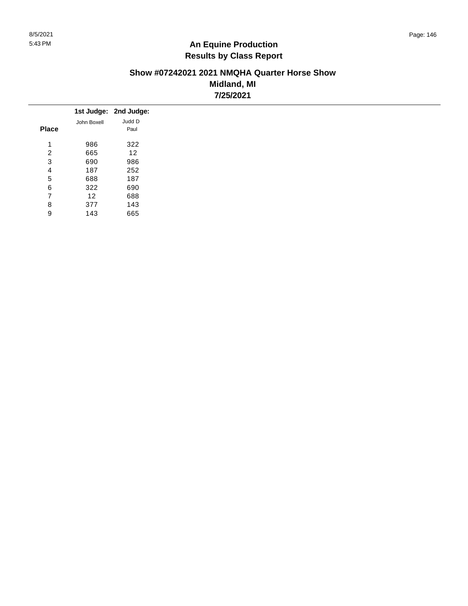#### **Show #07242021 2021 NMQHA Quarter Horse Show Midland, MI 7/25/2021**

|              |                 | 1st Judge: 2nd Judge: |
|--------------|-----------------|-----------------------|
|              | John Boxell     | Judd D                |
| <b>Place</b> |                 | Paul                  |
| 4            | 986             | 322                   |
| 2            | 665             | 12                    |
| 3            | 690             | 986                   |
| 4            | 187             | 252                   |
| 5            | 688             | 187                   |
| 6            | 322             | 690                   |
| 7            | 12 <sup>2</sup> | 688                   |
| 8            | 377             | 143                   |
| 9            | 143             | 665                   |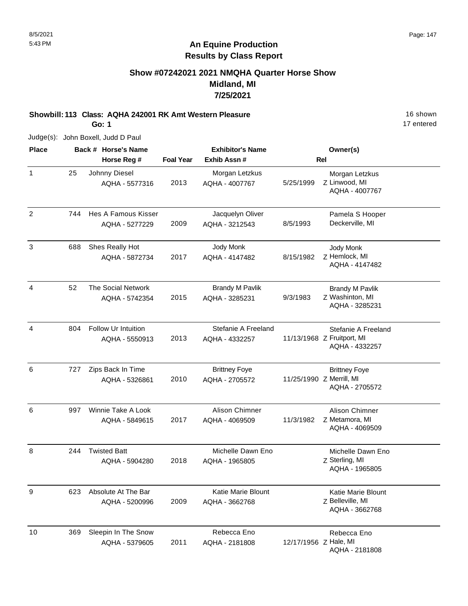## **Show #07242021 2021 NMQHA Quarter Horse Show Midland, MI 7/25/2021**

# **Showbill: 113 Class: AQHA 242001 RK Amt Western Pleasure** 16 Shown

**Go: 1**

17 entered

| <b>Place</b>   |     | Back # Horse's Name                   |                  | <b>Exhibitor's Name</b>                  |                       | Owner(s)                                                            |
|----------------|-----|---------------------------------------|------------------|------------------------------------------|-----------------------|---------------------------------------------------------------------|
|                |     | Horse Reg #                           | <b>Foal Year</b> | Exhib Assn #                             |                       | <b>Rel</b>                                                          |
| $\mathbf{1}$   | 25  | Johnny Diesel<br>AQHA - 5577316       | 2013             | Morgan Letzkus<br>AQHA - 4007767         | 5/25/1999             | Morgan Letzkus<br>Z Linwood, MI<br>AQHA - 4007767                   |
| $\overline{2}$ | 744 | Hes A Famous Kisser<br>AQHA - 5277229 | 2009             | Jacquelyn Oliver<br>AQHA - 3212543       | 8/5/1993              | Pamela S Hooper<br>Deckerville, MI                                  |
| 3              | 688 | Shes Really Hot<br>AQHA - 5872734     | 2017             | Jody Monk<br>AQHA - 4147482              | 8/15/1982             | Jody Monk<br>Z Hemlock, MI<br>AQHA - 4147482                        |
| 4              | 52  | The Social Network<br>AQHA - 5742354  | 2015             | <b>Brandy M Pavlik</b><br>AQHA - 3285231 | 9/3/1983              | <b>Brandy M Pavlik</b><br>Z Washinton, MI<br>AQHA - 3285231         |
| 4              | 804 | Follow Ur Intuition<br>AQHA - 5550913 | 2013             | Stefanie A Freeland<br>AQHA - 4332257    |                       | Stefanie A Freeland<br>11/13/1968 Z Fruitport, MI<br>AQHA - 4332257 |
| 6              | 727 | Zips Back In Time<br>AQHA - 5326861   | 2010             | <b>Brittney Foye</b><br>AQHA - 2705572   |                       | <b>Brittney Foye</b><br>11/25/1990 Z Merrill, MI<br>AQHA - 2705572  |
| 6              | 997 | Winnie Take A Look<br>AQHA - 5849615  | 2017             | Alison Chimner<br>AQHA - 4069509         | 11/3/1982             | Alison Chimner<br>Z Metamora, MI<br>AQHA - 4069509                  |
| 8              | 244 | <b>Twisted Batt</b><br>AQHA - 5904280 | 2018             | Michelle Dawn Eno<br>AQHA - 1965805      |                       | Michelle Dawn Eno<br>Z Sterling, MI<br>AQHA - 1965805               |
| y              | 623 | Absolute At The Bar<br>AQHA - 5200996 | 2009             | Katie Marie Blount<br>AQHA - 3662768     |                       | Katie Marie Blount<br>Z Belleville, MI<br>AQHA - 3662768            |
| 10             | 369 | Sleepin In The Snow<br>AQHA - 5379605 | 2011             | Rebecca Eno<br>AQHA - 2181808            | 12/17/1956 Z Hale, MI | Rebecca Eno<br>AQHA - 2181808                                       |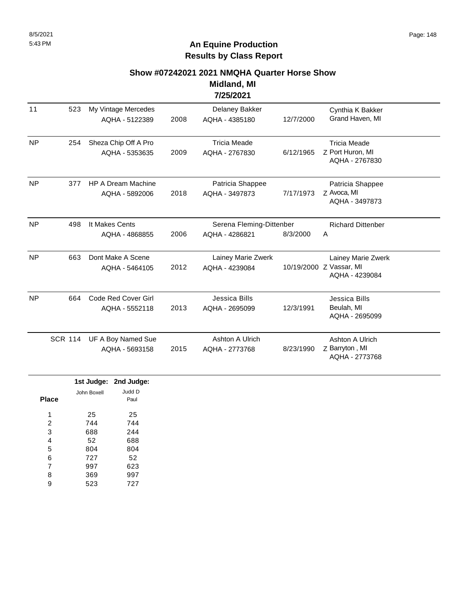# **Show #07242021 2021 NMQHA Quarter Horse Show**

**Midland, MI 7/25/2021**

| 11        | 523            | My Vintage Mercedes<br>AQHA - 5122389       | 2008 | Delaney Bakker<br>AQHA - 4385180           | 12/7/2000 | Cynthia K Bakker<br>Grand Haven, MI                             |
|-----------|----------------|---------------------------------------------|------|--------------------------------------------|-----------|-----------------------------------------------------------------|
| <b>NP</b> | 254            | Sheza Chip Off A Pro<br>AQHA - 5353635      | 2009 | <b>Tricia Meade</b><br>AQHA - 2767830      | 6/12/1965 | <b>Tricia Meade</b><br>Z Port Huron, MI<br>AQHA - 2767830       |
| <b>NP</b> | 377            | <b>HP A Dream Machine</b><br>AQHA - 5892006 | 2018 | Patricia Shappee<br>AQHA - 3497873         | 7/17/1973 | Patricia Shappee<br>Z Avoca, MI<br>AQHA - 3497873               |
| <b>NP</b> | 498            | It Makes Cents<br>AQHA - 4868855            | 2006 | Serena Fleming-Dittenber<br>AQHA - 4286821 | 8/3/2000  | <b>Richard Dittenber</b><br>A                                   |
| <b>NP</b> | 663            | Dont Make A Scene<br>AQHA - 5464105         | 2012 | Lainey Marie Zwerk<br>AQHA - 4239084       |           | Lainey Marie Zwerk<br>10/19/2000 Z Vassar, MI<br>AQHA - 4239084 |
| <b>NP</b> | 664            | Code Red Cover Girl<br>AQHA - 5552118       | 2013 | Jessica Bills<br>AQHA - 2695099            | 12/3/1991 | Jessica Bills<br>Beulah, MI<br>AQHA - 2695099                   |
|           | <b>SCR 114</b> | UF A Boy Named Sue<br>AQHA - 5693158        | 2015 | Ashton A Ulrich<br>AQHA - 2773768          | 8/23/1990 | Ashton A Ulrich<br>Z Barryton, MI<br>AQHA - 2773768             |

|                |             | 1st Judge: 2nd Judge: |
|----------------|-------------|-----------------------|
|                | John Boxell | Judd D                |
| <b>Place</b>   |             | Paul                  |
| 1              | 25          | 25                    |
| $\overline{2}$ | 744         | 744                   |
| 3              | 688         | 244                   |
| 4              | 52          | 688                   |
| 5              | 804         | 804                   |
| 6              | 727         | 52                    |
| 7              | 997         | 623                   |
| 8              | 369         | 997                   |
| 9              | 523         | 727                   |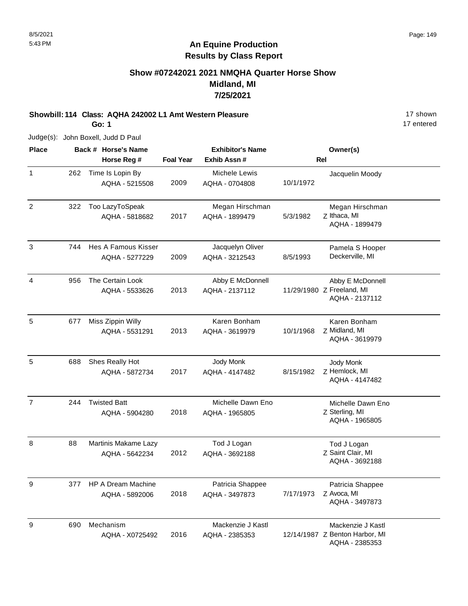## **Show #07242021 2021 NMQHA Quarter Horse Show Midland, MI 7/25/2021**

**Showbill: 114 Class: AQHA 242002 L1 Amt Western Pleasure** 17 Shown

**Go: 1**

17 entered

| <b>Place</b>   |     | Back # Horse's Name                         |                  | <b>Exhibitor's Name</b>             |           | Owner(s)                                                              |
|----------------|-----|---------------------------------------------|------------------|-------------------------------------|-----------|-----------------------------------------------------------------------|
|                |     | Horse Reg #                                 | <b>Foal Year</b> | Exhib Assn #                        |           | Rel                                                                   |
| $\mathbf{1}$   | 262 | Time Is Lopin By<br>AQHA - 5215508          | 2009             | Michele Lewis<br>AQHA - 0704808     | 10/1/1972 | Jacquelin Moody                                                       |
| $\overline{2}$ | 322 | Too LazyToSpeak<br>AQHA - 5818682           | 2017             | Megan Hirschman<br>AQHA - 1899479   | 5/3/1982  | Megan Hirschman<br>Z Ithaca, MI<br>AQHA - 1899479                     |
| $\mathfrak{S}$ | 744 | Hes A Famous Kisser<br>AQHA - 5277229       | 2009             | Jacquelyn Oliver<br>AQHA - 3212543  | 8/5/1993  | Pamela S Hooper<br>Deckerville, MI                                    |
| 4              | 956 | The Certain Look<br>AQHA - 5533626          | 2013             | Abby E McDonnell<br>AQHA - 2137112  |           | Abby E McDonnell<br>11/29/1980 Z Freeland, MI<br>AQHA - 2137112       |
| 5              | 677 | Miss Zippin Willy<br>AQHA - 5531291         | 2013             | Karen Bonham<br>AQHA - 3619979      | 10/1/1968 | Karen Bonham<br>Z Midland, MI<br>AQHA - 3619979                       |
| 5              | 688 | Shes Really Hot<br>AQHA - 5872734           | 2017             | Jody Monk<br>AQHA - 4147482         | 8/15/1982 | Jody Monk<br>Z Hemlock, MI<br>AQHA - 4147482                          |
| $\overline{7}$ | 244 | <b>Twisted Batt</b><br>AQHA - 5904280       | 2018             | Michelle Dawn Eno<br>AQHA - 1965805 |           | Michelle Dawn Eno<br>Z Sterling, MI<br>AQHA - 1965805                 |
| 8              | 88  | Martinis Makame Lazy<br>AQHA - 5642234      | 2012             | Tod J Logan<br>AQHA - 3692188       |           | Tod J Logan<br>Z Saint Clair, MI<br>AQHA - 3692188                    |
| 9              | 377 | <b>HP A Dream Machine</b><br>AQHA - 5892006 | 2018             | Patricia Shappee<br>AQHA - 3497873  | 7/17/1973 | Patricia Shappee<br>Z Avoca, MI<br>AQHA - 3497873                     |
| 9              | 690 | Mechanism<br>AQHA - X0725492                | 2016             | Mackenzie J Kastl<br>AQHA - 2385353 |           | Mackenzie J Kastl<br>12/14/1987 Z Benton Harbor, MI<br>AQHA - 2385353 |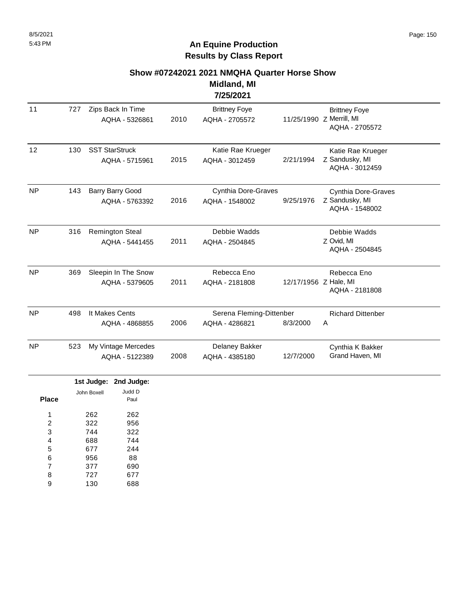# **An Equine Production Results by Class Report**

#### **Show #07242021 2021 NMQHA Quarter Horse Show**

**Midland, MI 7/25/2021**

|                       |     |                                  |                                          |      | 772372021                                  |                       |                                                                    |
|-----------------------|-----|----------------------------------|------------------------------------------|------|--------------------------------------------|-----------------------|--------------------------------------------------------------------|
| 11                    | 727 |                                  | Zips Back In Time<br>AQHA - 5326861      | 2010 | <b>Brittney Foye</b><br>AQHA - 2705572     |                       | <b>Brittney Foye</b><br>11/25/1990 Z Merrill, MI<br>AQHA - 2705572 |
| 12                    | 130 |                                  | <b>SST StarStruck</b><br>AQHA - 5715961  | 2015 | Katie Rae Krueger<br>AQHA - 3012459        | 2/21/1994             | Katie Rae Krueger<br>Z Sandusky, MI<br>AQHA - 3012459              |
| <b>NP</b>             | 143 |                                  | Barry Barry Good<br>AQHA - 5763392       | 2016 | Cynthia Dore-Graves<br>AQHA - 1548002      | 9/25/1976             | Cynthia Dore-Graves<br>Z Sandusky, MI<br>AQHA - 1548002            |
| <b>NP</b>             | 316 |                                  | <b>Remington Steal</b><br>AQHA - 5441455 | 2011 | Debbie Wadds<br>AQHA - 2504845             |                       | Debbie Wadds<br>Z Ovid, MI<br>AQHA - 2504845                       |
| <b>NP</b>             | 369 |                                  | Sleepin In The Snow<br>AQHA - 5379605    | 2011 | Rebecca Eno<br>AQHA - 2181808              | 12/17/1956 Z Hale, MI | Rebecca Eno<br>AQHA - 2181808                                      |
| <b>NP</b>             | 498 | It Makes Cents<br>AQHA - 4868855 |                                          | 2006 | Serena Fleming-Dittenber<br>AQHA - 4286821 | 8/3/2000              | <b>Richard Dittenber</b><br>Α                                      |
| <b>NP</b>             | 523 |                                  | My Vintage Mercedes<br>AQHA - 5122389    | 2008 | Delaney Bakker<br>AQHA - 4385180           | 12/7/2000             | Cynthia K Bakker<br>Grand Haven, MI                                |
| <b>Place</b>          |     | John Boxell                      | 1st Judge: 2nd Judge:<br>Judd D<br>Paul  |      |                                            |                       |                                                                    |
| 1<br>2<br>3<br>4<br>5 |     | 262<br>322<br>744<br>688<br>677  | 262<br>956<br>322<br>744<br>244          |      |                                            |                       |                                                                    |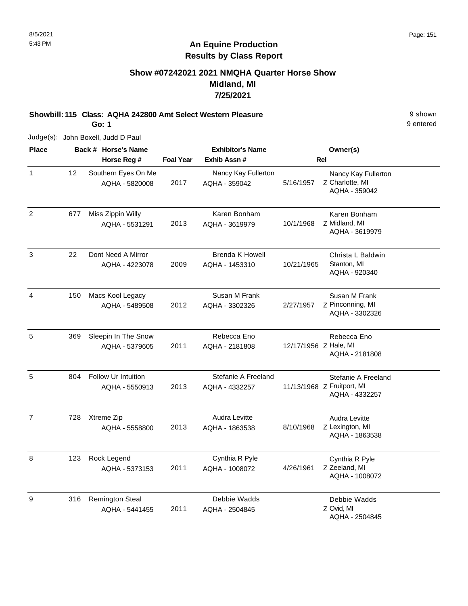## **Show #07242021 2021 NMQHA Quarter Horse Show Midland, MI 7/25/2021**

**Showbill: 115 Class: AQHA 242800 Amt Select Western Pleasure** 9 shown

**Go: 1**

Judge(s): John Boxell, Judd D Paul

| <b>Place</b>   |     | Back # Horse's Name                          |                  | <b>Exhibitor's Name</b>                  | Owner(s)              |                                                                     |  |
|----------------|-----|----------------------------------------------|------------------|------------------------------------------|-----------------------|---------------------------------------------------------------------|--|
|                |     | Horse Reg #                                  | <b>Foal Year</b> | Exhib Assn #                             | <b>Rel</b>            |                                                                     |  |
| $\mathbf{1}$   | 12  | Southern Eyes On Me<br>AQHA - 5820008        | 2017             | Nancy Kay Fullerton<br>AQHA - 359042     | 5/16/1957             | Nancy Kay Fullerton<br>Z Charlotte, MI<br>AQHA - 359042             |  |
| $\overline{2}$ | 677 | Miss Zippin Willy<br>AQHA - 5531291          | 2013             | Karen Bonham<br>AQHA - 3619979           | 10/1/1968             | Karen Bonham<br>Z Midland, MI<br>AQHA - 3619979                     |  |
| $\mathbf{3}$   | 22  | Dont Need A Mirror<br>AQHA - 4223078         | 2009             | <b>Brenda K Howell</b><br>AQHA - 1453310 | 10/21/1965            | Christa L Baldwin<br>Stanton, MI<br>AQHA - 920340                   |  |
| 4              | 150 | Macs Kool Legacy<br>AQHA - 5489508           | 2012             | Susan M Frank<br>AQHA - 3302326          | 2/27/1957             | Susan M Frank<br>Z Pinconning, MI<br>AQHA - 3302326                 |  |
| 5              | 369 | Sleepin In The Snow<br>AQHA - 5379605        | 2011             | Rebecca Eno<br>AQHA - 2181808            | 12/17/1956 Z Hale, MI | Rebecca Eno<br>AQHA - 2181808                                       |  |
| 5              | 804 | <b>Follow Ur Intuition</b><br>AQHA - 5550913 | 2013             | Stefanie A Freeland<br>AQHA - 4332257    |                       | Stefanie A Freeland<br>11/13/1968 Z Fruitport, MI<br>AQHA - 4332257 |  |
| $\overline{7}$ | 728 | Xtreme Zip<br>AQHA - 5558800                 | 2013             | Audra Levitte<br>AQHA - 1863538          | 8/10/1968             | Audra Levitte<br>Z Lexington, MI<br>AQHA - 1863538                  |  |
| 8              | 123 | Rock Legend<br>AQHA - 5373153                | 2011             | Cynthia R Pyle<br>AQHA - 1008072         | 4/26/1961             | Cynthia R Pyle<br>Z Zeeland, MI<br>AQHA - 1008072                   |  |
| 9              | 316 | <b>Remington Steal</b><br>AQHA - 5441455     | 2011             | Debbie Wadds<br>AQHA - 2504845           |                       | Debbie Wadds<br>Z Ovid, MI<br>AQHA - 2504845                        |  |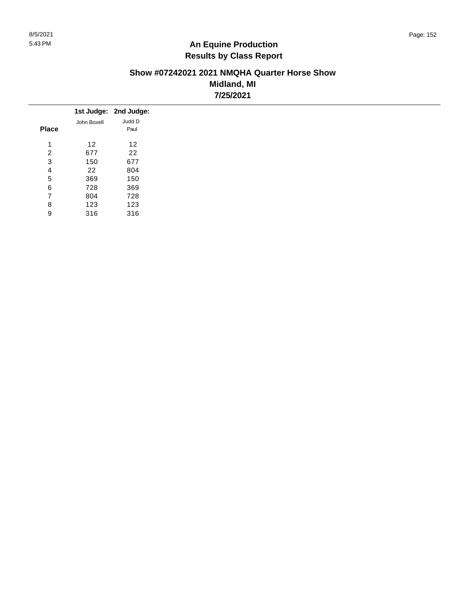#### **Show #07242021 2021 NMQHA Quarter Horse Show Midland, MI 7/25/2021**

|              |             | 1st Judge: 2nd Judge: |
|--------------|-------------|-----------------------|
|              | John Boxell | Judd D                |
| <b>Place</b> |             | Paul                  |
| 4            | 12          | 12                    |
| 2            | 677         | 22                    |
| 3            | 150         | 677                   |
| 4            | 22          | 804                   |
| 5            | 369         | 150                   |
| 6            | 728         | 369                   |
| 7            | 804         | 728                   |
| 8            | 123         | 123                   |
| 9            | 316         | 316                   |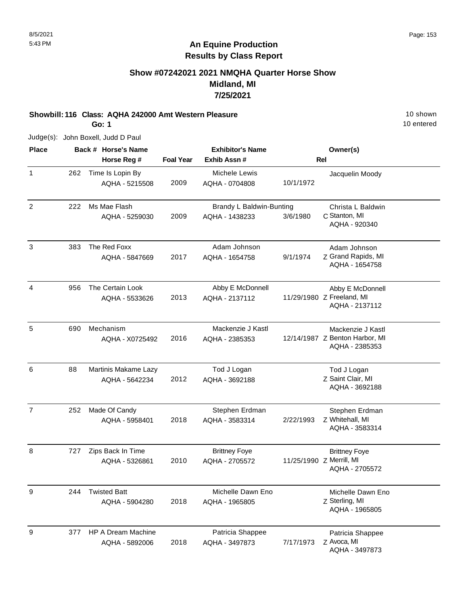## **Show #07242021 2021 NMQHA Quarter Horse Show Midland, MI 7/25/2021**

#### **Showbill: 116 Class: AQHA 242000 Amt Western Pleasure** 10 Shown 10 shown **Go: 1**

10 entered

| <b>Place</b>   |     | Back # Horse's Name                         |                  | <b>Exhibitor's Name</b>                    |           | Owner(s)                                                              |
|----------------|-----|---------------------------------------------|------------------|--------------------------------------------|-----------|-----------------------------------------------------------------------|
|                |     | Horse Reg #                                 | <b>Foal Year</b> | Exhib Assn #                               |           | <b>Rel</b>                                                            |
| 1              | 262 | Time Is Lopin By<br>AQHA - 5215508          | 2009             | Michele Lewis<br>AQHA - 0704808            | 10/1/1972 | Jacquelin Moody                                                       |
| $\overline{2}$ | 222 | Ms Mae Flash<br>AQHA - 5259030              | 2009             | Brandy L Baldwin-Bunting<br>AQHA - 1438233 | 3/6/1980  | Christa L Baldwin<br>C Stanton, MI<br>AQHA - 920340                   |
| 3              | 383 | The Red Foxx<br>AQHA - 5847669              | 2017             | Adam Johnson<br>AQHA - 1654758             | 9/1/1974  | Adam Johnson<br>Z Grand Rapids, MI<br>AQHA - 1654758                  |
| 4              | 956 | The Certain Look<br>AQHA - 5533626          | 2013             | Abby E McDonnell<br>AQHA - 2137112         |           | Abby E McDonnell<br>11/29/1980 Z Freeland, MI<br>AQHA - 2137112       |
| 5              | 690 | Mechanism<br>AQHA - X0725492                | 2016             | Mackenzie J Kastl<br>AQHA - 2385353        |           | Mackenzie J Kastl<br>12/14/1987 Z Benton Harbor, MI<br>AQHA - 2385353 |
| 6              | 88  | Martinis Makame Lazy<br>AQHA - 5642234      | 2012             | Tod J Logan<br>AQHA - 3692188              |           | Tod J Logan<br>Z Saint Clair, MI<br>AQHA - 3692188                    |
| $\overline{7}$ | 252 | Made Of Candy<br>AQHA - 5958401             | 2018             | Stephen Erdman<br>AQHA - 3583314           | 2/22/1993 | Stephen Erdman<br>Z Whitehall, MI<br>AQHA - 3583314                   |
| 8              | 727 | Zips Back In Time<br>AQHA - 5326861         | 2010             | <b>Brittney Foye</b><br>AQHA - 2705572     |           | <b>Brittney Foye</b><br>11/25/1990 Z Merrill, MI<br>AQHA - 2705572    |
| 9              | 244 | <b>Twisted Batt</b><br>AQHA - 5904280       | 2018             | Michelle Dawn Eno<br>AQHA - 1965805        |           | Michelle Dawn Eno<br>Z Sterling, MI<br>AQHA - 1965805                 |
| 9              | 377 | <b>HP A Dream Machine</b><br>AQHA - 5892006 | 2018             | Patricia Shappee<br>AQHA - 3497873         | 7/17/1973 | Patricia Shappee<br>Z Avoca, MI<br>AQHA - 3497873                     |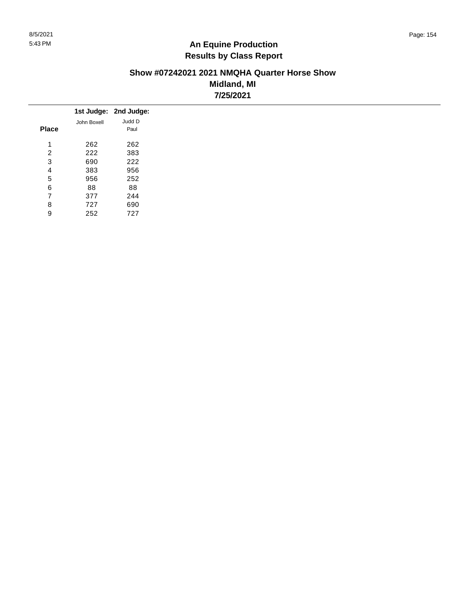#### **Show #07242021 2021 NMQHA Quarter Horse Show Midland, MI 7/25/2021**

|              |             | 1st Judge: 2nd Judge: |
|--------------|-------------|-----------------------|
|              | John Boxell | Judd D                |
| <b>Place</b> |             | Paul                  |
| 4            | 262         | 262                   |
| 2            | 222         | 383                   |
| 3            | 690         | 222                   |
| 4            | 383         | 956                   |
| 5            | 956         | 252                   |
| 6            | 88          | 88                    |
| 7            | 377         | 244                   |
| 8            | 727         | 690                   |
| 9            | 252         | 727                   |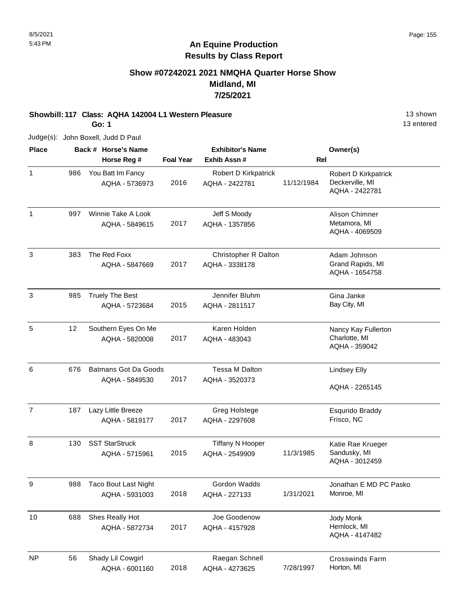## **Show #07242021 2021 NMQHA Quarter Horse Show Midland, MI 7/25/2021**

## **Showbill: 117 Class: AQHA 142004 L1 Western Pleasure** 13 Shown

**Go: 1**

13 entered

| <b>Place</b>   |     | Back # Horse's Name                           |                  | <b>Exhibitor's Name</b>                   |            | Owner(s)                                                  |
|----------------|-----|-----------------------------------------------|------------------|-------------------------------------------|------------|-----------------------------------------------------------|
|                |     | Horse Reg #                                   | <b>Foal Year</b> | Exhib Assn#                               | Rel        |                                                           |
| $\mathbf{1}$   | 986 | You Batt Im Fancy<br>AQHA - 5736973           | 2016             | Robert D Kirkpatrick<br>AQHA - 2422781    | 11/12/1984 | Robert D Kirkpatrick<br>Deckerville, MI<br>AQHA - 2422781 |
| $\mathbf{1}$   | 997 | Winnie Take A Look<br>AQHA - 5849615          | 2017             | Jeff S Moody<br>AQHA - 1357856            |            | Alison Chimner<br>Metamora, MI<br>AQHA - 4069509          |
| 3              | 383 | The Red Foxx<br>AQHA - 5847669                | 2017             | Christopher R Dalton<br>AQHA - 3338178    |            | Adam Johnson<br>Grand Rapids, MI<br>AQHA - 1654758        |
| 3              | 985 | <b>Truely The Best</b><br>AQHA - 5723684      | 2015             | Jennifer Bluhm<br>AQHA - 2811517          |            | Gina Janke<br>Bay City, MI                                |
| 5              | 12  | Southern Eyes On Me<br>AQHA - 5820008         | 2017             | Karen Holden<br>AQHA - 483043             |            | Nancy Kay Fullerton<br>Charlotte, MI<br>AQHA - 359042     |
| 6              | 676 | <b>Batmans Got Da Goods</b><br>AQHA - 5849530 | 2017             | Tessa M Dalton<br>AQHA - 3520373          |            | <b>Lindsey Elly</b><br>AQHA - 2265145                     |
| $\overline{7}$ | 187 | Lazy Little Breeze<br>AQHA - 5819177          | 2017             | Greg Holstege<br>AQHA - 2297608           |            | <b>Esqurido Braddy</b><br>Frisco, NC                      |
| 8              | 130 | <b>SST StarStruck</b><br>AQHA - 5715961       | 2015             | <b>Tiffany N Hooper</b><br>AQHA - 2549909 | 11/3/1985  | Katie Rae Krueger<br>Sandusky, MI<br>AQHA - 3012459       |
| 9              | 988 | <b>Taco Bout Last Night</b><br>AQHA - 5931003 | 2018             | Gordon Wadds<br>AQHA - 227133             | 1/31/2021  | Jonathan E MD PC Pasko<br>Monroe, MI                      |
| 10             | 688 | Shes Really Hot<br>AQHA - 5872734             | 2017             | Joe Goodenow<br>AQHA - 4157928            |            | Jody Monk<br>Hemlock, MI<br>AQHA - 4147482                |
| <b>NP</b>      | 56  | Shady Lil Cowgirl<br>AQHA - 6001160           | 2018             | Raegan Schnell<br>AQHA - 4273625          | 7/28/1997  | <b>Crosswinds Farm</b><br>Horton, MI                      |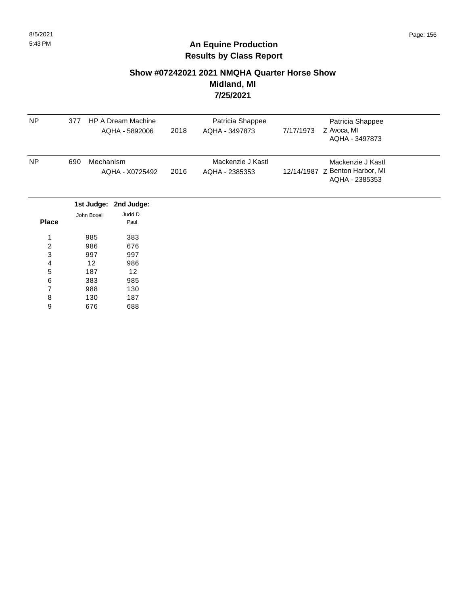#### **Show #07242021 2021 NMQHA Quarter Horse Show Midland, MI 7/25/2021**

| <b>NP</b>               | 377         | HP A Dream Machine<br>AQHA - 5892006 | 2018 | Patricia Shappee<br>AQHA - 3497873  | 7/17/1973 | Patricia Shappee<br>Z Avoca, MI<br>AQHA - 3497873                     |
|-------------------------|-------------|--------------------------------------|------|-------------------------------------|-----------|-----------------------------------------------------------------------|
| <b>NP</b>               | 690         | Mechanism<br>AQHA - X0725492         | 2016 | Mackenzie J Kastl<br>AQHA - 2385353 |           | Mackenzie J Kastl<br>12/14/1987 Z Benton Harbor, MI<br>AQHA - 2385353 |
|                         |             | 1st Judge: 2nd Judge:                |      |                                     |           |                                                                       |
| <b>Place</b>            | John Boxell | Judd D<br>Paul                       |      |                                     |           |                                                                       |
| 1                       | 985         | 383                                  |      |                                     |           |                                                                       |
| $\overline{\mathbf{c}}$ | 986         | 676                                  |      |                                     |           |                                                                       |
| 3                       | 997         | 997                                  |      |                                     |           |                                                                       |
| 4                       | 12          | 986                                  |      |                                     |           |                                                                       |
| 5                       | 187         | 12                                   |      |                                     |           |                                                                       |
| 6                       | 383         | 985                                  |      |                                     |           |                                                                       |
| 7                       | 988         | 130                                  |      |                                     |           |                                                                       |
| 8                       | 130         | 187                                  |      |                                     |           |                                                                       |
| $\boldsymbol{9}$        | 676         | 688                                  |      |                                     |           |                                                                       |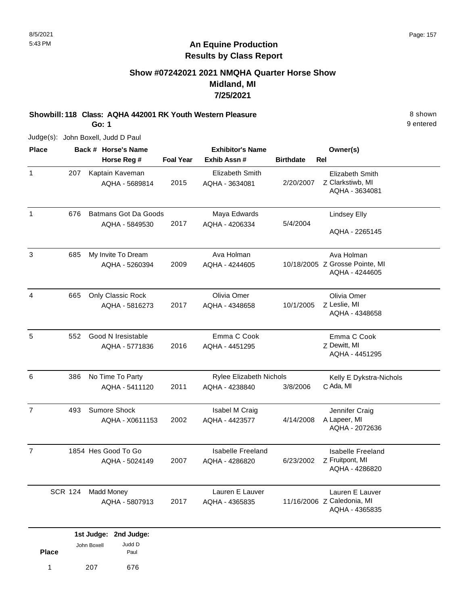**Place**

1 207 676

Paul

## **An Equine Production Results by Class Report**

## **Show #07242021 2021 NMQHA Quarter Horse Show Midland, MI 7/25/2021**

**Showbill: 118 Class: AQHA 442001 RK Youth Western Pleasure** 8 shown **Go: 1**

9 entered

|                |                | Back # Horse's Name                           |                  | <b>Exhibitor's Name</b>                          |                  | Owner(s)                                                        |
|----------------|----------------|-----------------------------------------------|------------------|--------------------------------------------------|------------------|-----------------------------------------------------------------|
|                |                | Horse Reg #                                   | <b>Foal Year</b> | Exhib Assn#                                      | <b>Birthdate</b> | Rel                                                             |
| $\mathbf{1}$   | 207            | Kaptain Kaveman<br>AQHA - 5689814             | 2015             | <b>Elizabeth Smith</b><br>AQHA - 3634081         | 2/20/2007        | Elizabeth Smith<br>Z Clarkstiwb, MI<br>AQHA - 3634081           |
| $\mathbf{1}$   | 676            | <b>Batmans Got Da Goods</b><br>AQHA - 5849530 | 2017             | Maya Edwards<br>AQHA - 4206334                   | 5/4/2004         | Lindsey Elly<br>AQHA - 2265145                                  |
| 3              | 685            | My Invite To Dream<br>AQHA - 5260394          | 2009             | Ava Holman<br>AQHA - 4244605                     |                  | Ava Holman<br>10/18/2005 Z Grosse Pointe, MI<br>AQHA - 4244605  |
| 4              | 665            | Only Classic Rock<br>AQHA - 5816273           | 2017             | Olivia Omer<br>AQHA - 4348658                    | 10/1/2005        | Olivia Omer<br>Z Leslie, MI<br>AQHA - 4348658                   |
| 5              | 552            | Good N Iresistable<br>AQHA - 5771836          | 2016             | Emma C Cook<br>AQHA - 4451295                    |                  | Emma C Cook<br>Z Dewitt, MI<br>AQHA - 4451295                   |
| 6              | 386            | No Time To Party<br>AQHA - 5411120            | 2011             | <b>Rylee Elizabeth Nichols</b><br>AQHA - 4238840 | 3/8/2006         | Kelly E Dykstra-Nichols<br>C Ada, MI                            |
| $\overline{7}$ | 493            | Sumore Shock<br>AQHA - X0611153               | 2002             | Isabel M Craig<br>AQHA - 4423577                 | 4/14/2008        | Jennifer Craig<br>A Lapeer, MI<br>AQHA - 2072636                |
| $\overline{7}$ |                | 1854 Hes Good To Go<br>AQHA - 5024149         | 2007             | <b>Isabelle Freeland</b><br>AQHA - 4286820       | 6/23/2002        | <b>Isabelle Freeland</b><br>Z Fruitpont, MI<br>AQHA - 4286820   |
|                | <b>SCR 124</b> | <b>Madd Money</b><br>AQHA - 5807913           | 2017             | Lauren E Lauver<br>AQHA - 4365835                |                  | Lauren E Lauver<br>11/16/2006 Z Caledonia, MI<br>AQHA - 4365835 |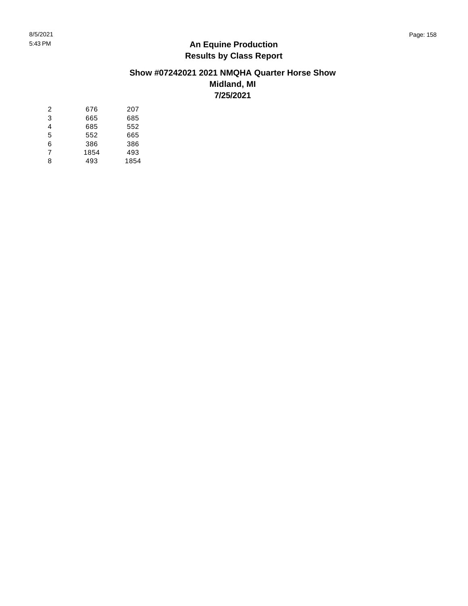#### **Show #07242021 2021 NMQHA Quarter Horse Show Midland, MI 7/25/2021**

| 2 | 676  | 207  |
|---|------|------|
| 3 | 665  | 685  |
| 4 | 685  | 552  |
| 5 | 552  | 665  |
| 6 | 386  | 386  |
| 7 | 1854 | 493  |
| 8 | 493  | 1854 |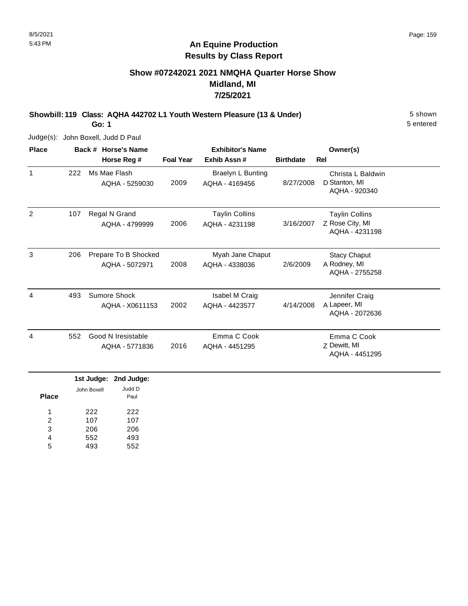## **Show #07242021 2021 NMQHA Quarter Horse Show Midland, MI 7/25/2021**

**Showbill: 119 Class: AQHA 442702 L1 Youth Western Pleasure (13 & Under)** 5 shown

**Go: 1**

Judge(s): John Boxell, Judd D Paul

| <b>Place</b> |     | Back # Horse's Name                    | <b>Exhibitor's Name</b> |                                         |                  | Owner(s)                                                   |  |
|--------------|-----|----------------------------------------|-------------------------|-----------------------------------------|------------------|------------------------------------------------------------|--|
|              |     | Horse Reg #                            | <b>Foal Year</b>        | Exhib Assn#                             | <b>Birthdate</b> | Rel                                                        |  |
| $\mathbf{1}$ | 222 | Ms Mae Flash<br>AQHA - 5259030         | 2009                    | Braelyn L Bunting<br>AQHA - 4169456     | 8/27/2008        | Christa L Baldwin<br>D Stanton, MI<br>AQHA - 920340        |  |
| 2            | 107 | Regal N Grand<br>AQHA - 4799999        | 2006                    | <b>Taylin Collins</b><br>AQHA - 4231198 | 3/16/2007        | <b>Taylin Collins</b><br>Z Rose City, MI<br>AQHA - 4231198 |  |
| 3            | 206 | Prepare To B Shocked<br>AQHA - 5072971 | 2008                    | Myah Jane Chaput<br>AQHA - 4338036      | 2/6/2009         | <b>Stacy Chaput</b><br>A Rodney, MI<br>AQHA - 2755258      |  |
| 4            | 493 | Sumore Shock<br>AQHA - X0611153        | 2002                    | Isabel M Craig<br>AQHA - 4423577        | 4/14/2008        | Jennifer Craig<br>A Lapeer, MI<br>AQHA - 2072636           |  |
| 4            | 552 | Good N Iresistable<br>AQHA - 5771836   | 2016                    | Emma C Cook<br>AQHA - 4451295           |                  | Emma C Cook<br>Z Dewitt, MI<br>AQHA - 4451295              |  |

|              |             | 1st Judge: 2nd Judge: |
|--------------|-------------|-----------------------|
| <b>Place</b> | John Boxell | Judd D<br>Paul        |
| 1            | 222         | 222                   |
| 2            | 107         | 107                   |
| 3            | 206         | 206                   |
|              | 552         | 493                   |
| 5            | 493         | 552                   |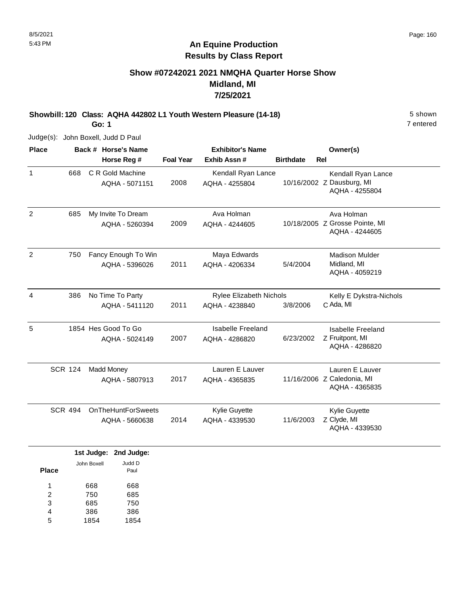## **Show #07242021 2021 NMQHA Quarter Horse Show Midland, MI 7/25/2021**

**Showbill: 120 Class: AQHA 442802 L1 Youth Western Pleasure (14-18)** 5 Shown

**Go: 1**

Judge(s): John Boxell, Judd D Paul

| <b>Place</b>   |                | Back # Horse's Name       | <b>Exhibitor's Name</b> |                                |                  |            | Owner(s)                       |
|----------------|----------------|---------------------------|-------------------------|--------------------------------|------------------|------------|--------------------------------|
|                |                | Horse Reg #               | <b>Foal Year</b>        | Exhib Assn#                    | <b>Birthdate</b> | <b>Rel</b> |                                |
| $\mathbf{1}$   | 668            | C R Gold Machine          |                         | Kendall Ryan Lance             |                  |            | Kendall Ryan Lance             |
|                |                | AQHA - 5071151            | 2008                    | AQHA - 4255804                 |                  |            | 10/16/2002 Z Dausburg, MI      |
|                |                |                           |                         |                                |                  |            | AQHA - 4255804                 |
| $\overline{2}$ | 685            | My Invite To Dream        |                         | Ava Holman                     |                  |            | Ava Holman                     |
|                |                | AQHA - 5260394            | 2009                    | AQHA - 4244605                 |                  |            | 10/18/2005 Z Grosse Pointe, MI |
|                |                |                           |                         |                                |                  |            | AQHA - 4244605                 |
| $\overline{c}$ | 750            | Fancy Enough To Win       |                         | Maya Edwards                   |                  |            | <b>Madison Mulder</b>          |
|                |                | AQHA - 5396026            | 2011                    | AQHA - 4206334                 | 5/4/2004         |            | Midland, MI                    |
|                |                |                           |                         |                                |                  |            | AQHA - 4059219                 |
| 4              | 386            | No Time To Party          |                         | <b>Rylee Elizabeth Nichols</b> |                  |            | Kelly E Dykstra-Nichols        |
|                |                | AQHA - 5411120            | 2011                    | AQHA - 4238840                 | 3/8/2006         |            | C Ada, MI                      |
| 5              |                | 1854 Hes Good To Go       |                         | Isabelle Freeland              |                  |            | <b>Isabelle Freeland</b>       |
|                |                | AQHA - 5024149            | 2007                    | AQHA - 4286820                 | 6/23/2002        |            | Z Fruitpont, MI                |
|                |                |                           |                         |                                |                  |            | AQHA - 4286820                 |
|                | <b>SCR 124</b> | <b>Madd Money</b>         |                         | Lauren E Lauver                |                  |            | Lauren E Lauver                |
|                |                | AQHA - 5807913            | 2017                    | AQHA - 4365835                 |                  |            | 11/16/2006 Z Caledonia, MI     |
|                |                |                           |                         |                                |                  |            | AQHA - 4365835                 |
|                | <b>SCR 494</b> | <b>OnTheHuntForSweets</b> |                         | Kylie Guyette                  |                  |            | Kylie Guyette                  |
|                |                | AQHA - 5660638            | 2014                    | AQHA - 4339530                 | 11/6/2003        |            | Z Clyde, MI                    |
|                |                |                           |                         |                                |                  |            | AQHA - 4339530                 |
|                |                | 1st Judge: 2nd Judge:     |                         |                                |                  |            |                                |

|              |             | ist Judge. Znu Judge. |
|--------------|-------------|-----------------------|
| <b>Place</b> | John Boxell | Judd D<br>Paul        |
| 1            | 668         | 668                   |
| 2            | 750         | 685                   |
| 3            | 685         | 750                   |
| 4            | 386         | 386                   |
| 5            | 1854        | 1854                  |
|              |             |                       |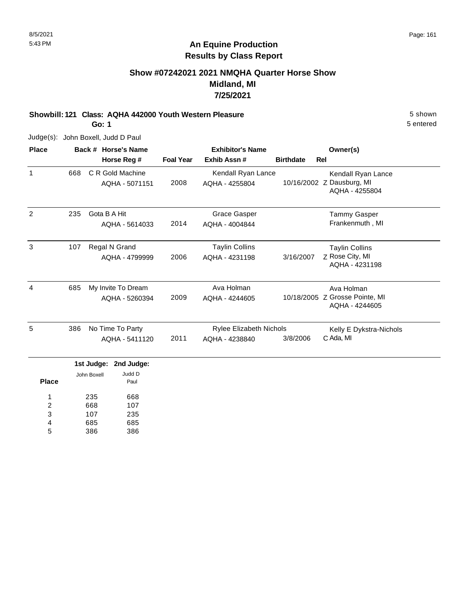## **Show #07242021 2021 NMQHA Quarter Horse Show Midland, MI 7/25/2021**

**Showbill: 121 Class: AQHA 442000 Youth Western Pleasure** 5 shown

**Go: 1**

Judge(s): John Boxell, Judd D Paul

| <b>Place</b> |     | Back # Horse's Name |                  | <b>Exhibitor's Name</b> |                  | Owner(s)                                         |
|--------------|-----|---------------------|------------------|-------------------------|------------------|--------------------------------------------------|
|              |     | Horse Reg #         | <b>Foal Year</b> | Exhib Assn#             | <b>Birthdate</b> | Rel                                              |
| 1            | 668 | C R Gold Machine    |                  | Kendall Ryan Lance      |                  | Kendall Ryan Lance                               |
|              |     | AQHA - 5071151      | 2008             | AQHA - 4255804          | 10/16/2002       | Z Dausburg, MI<br>AQHA - 4255804                 |
| 2            | 235 | Gota B A Hit        |                  | <b>Grace Gasper</b>     |                  | <b>Tammy Gasper</b>                              |
|              |     | AQHA - 5614033      | 2014             | AQHA - 4004844          |                  | Frankenmuth, MI                                  |
| 3            | 107 | Regal N Grand       |                  | <b>Taylin Collins</b>   |                  | <b>Taylin Collins</b>                            |
|              |     | AQHA - 4799999      | 2006             | AQHA - 4231198          | 3/16/2007        | Z Rose City, MI<br>AQHA - 4231198                |
| 4            | 685 | My Invite To Dream  |                  | Ava Holman              |                  | Ava Holman                                       |
|              |     | AQHA - 5260394      | 2009             | AQHA - 4244605          |                  | 10/18/2005 Z Grosse Pointe, MI<br>AQHA - 4244605 |
| 5            | 386 | No Time To Party    |                  | Rylee Elizabeth Nichols |                  | Kelly E Dykstra-Nichols                          |
|              |     | AQHA - 5411120      | 2011             | AQHA - 4238840          | 3/8/2006         | C Ada, MI                                        |

| <b>Place</b> | John Boxell | Judd D<br>Paul |
|--------------|-------------|----------------|
| 1            | 235         | 668            |
| 2            | 668         | 107            |
| 3            | 107         | 235            |
| 4            | 685         | 685            |
| 5            | 386         | 386            |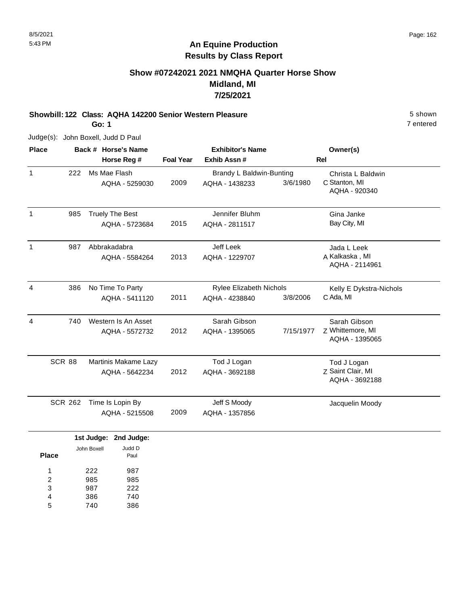#### 8/5/2021 Page: 162

7 entered

## **An Equine Production Results by Class Report**

## **Show #07242021 2021 NMQHA Quarter Horse Show Midland, MI 7/25/2021**

## **Showbill: 122 Class: AQHA 142200 Senior Western Pleasure** 5 shown

**Go: 1**

| <b>Place</b> |                |             | Back # Horse's Name    | <b>Exhibitor's Name</b> |                                |           | Owner(s)                           |
|--------------|----------------|-------------|------------------------|-------------------------|--------------------------------|-----------|------------------------------------|
|              |                |             | Horse Reg #            | <b>Foal Year</b>        | Exhib Assn #                   |           | <b>Rel</b>                         |
| $\mathbf{1}$ | 222            |             | Ms Mae Flash           |                         | Brandy L Baldwin-Bunting       |           | Christa L Baldwin                  |
|              |                |             | AQHA - 5259030         | 2009                    | AQHA - 1438233                 | 3/6/1980  | C Stanton, MI                      |
|              |                |             |                        |                         |                                |           | AQHA - 920340                      |
| $\mathbf{1}$ | 985            |             | <b>Truely The Best</b> |                         | Jennifer Bluhm                 |           | Gina Janke                         |
|              |                |             | AQHA - 5723684         | 2015                    | AQHA - 2811517                 |           | Bay City, MI                       |
| $\mathbf{1}$ | 987            |             | Abbrakadabra           |                         | Jeff Leek                      |           | Jada L Leek                        |
|              |                |             | AQHA - 5584264         | 2013                    | AQHA - 1229707                 |           | A Kalkaska, MI                     |
|              |                |             |                        |                         |                                |           | AQHA - 2114961                     |
| 4            | 386            |             | No Time To Party       |                         | <b>Rylee Elizabeth Nichols</b> |           | Kelly E Dykstra-Nichols            |
|              |                |             | AQHA - 5411120         | 2011                    | AQHA - 4238840                 | 3/8/2006  | C Ada, MI                          |
| 4            | 740            |             | Western Is An Asset    |                         | Sarah Gibson                   |           | Sarah Gibson                       |
|              |                |             | AQHA - 5572732         | 2012                    | AQHA - 1395065                 | 7/15/1977 | Z Whittemore, MI<br>AQHA - 1395065 |
|              | <b>SCR 88</b>  |             | Martinis Makame Lazy   |                         | Tod J Logan                    |           | Tod J Logan                        |
|              |                |             | AQHA - 5642234         | 2012                    | AQHA - 3692188                 |           | Z Saint Clair, MI                  |
|              |                |             |                        |                         |                                |           | AQHA - 3692188                     |
|              | <b>SCR 262</b> |             | Time Is Lopin By       |                         | Jeff S Moody                   |           | Jacquelin Moody                    |
|              |                |             | AQHA - 5215508         | 2009                    | AQHA - 1357856                 |           |                                    |
|              |                | 1st Judge:  | 2nd Judge:             |                         |                                |           |                                    |
|              |                | John Boxell | Judd D                 |                         |                                |           |                                    |
| <b>Place</b> |                |             | Paul                   |                         |                                |           |                                    |
| 1            |                | 222         | 987                    |                         |                                |           |                                    |
| 2            |                | 985         | 985                    |                         |                                |           |                                    |
| 3<br>4       |                | 987<br>386  | 222<br>740             |                         |                                |           |                                    |
| 5            |                | 740         | 386                    |                         |                                |           |                                    |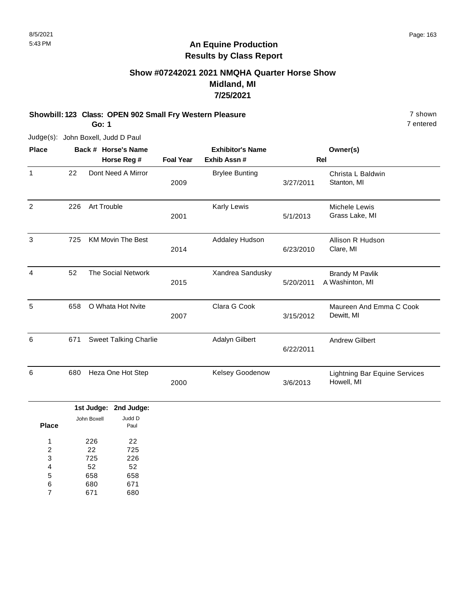### **Show #07242021 2021 NMQHA Quarter Horse Show Midland, MI 7/25/2021**

# **Showbill: 123 Class: OPEN 902 Small Fry Western Pleasure** 7 shown

**Go: 1**

Judge(s): John Boxell, Judd D Paul

| <b>Place</b>   |     | Back # Horse's Name          |                  | <b>Exhibitor's Name</b> |           | Owner(s)                                           |
|----------------|-----|------------------------------|------------------|-------------------------|-----------|----------------------------------------------------|
|                |     | Horse Reg #                  | <b>Foal Year</b> | Exhib Assn #            |           | <b>Rel</b>                                         |
| $\mathbf{1}$   | 22  | Dont Need A Mirror           | 2009             | <b>Brylee Bunting</b>   | 3/27/2011 | Christa L Baldwin<br>Stanton, MI                   |
| 2              | 226 | Art Trouble                  | 2001             | Karly Lewis             | 5/1/2013  | Michele Lewis<br>Grass Lake, MI                    |
| 3              | 725 | <b>KM Movin The Best</b>     | 2014             | Addaley Hudson          | 6/23/2010 | Allison R Hudson<br>Clare, MI                      |
| $\overline{4}$ | 52  | <b>The Social Network</b>    | 2015             | Xandrea Sandusky        | 5/20/2011 | <b>Brandy M Pavlik</b><br>A Washinton, MI          |
| 5              | 658 | O Whata Hot Nvite            | 2007             | Clara G Cook            | 3/15/2012 | Maureen And Emma C Cook<br>Dewitt, MI              |
| 6              | 671 | <b>Sweet Talking Charlie</b> |                  | Adalyn Gilbert          | 6/22/2011 | <b>Andrew Gilbert</b>                              |
| 6              | 680 | Heza One Hot Step            | 2000             | Kelsey Goodenow         | 3/6/2013  | <b>Lightning Bar Equine Services</b><br>Howell, MI |

|              |             | 1st Judge: 2nd Judge: |
|--------------|-------------|-----------------------|
|              | John Boxell | Judd D                |
| <b>Place</b> |             | Paul                  |
| 1            | 226         | 22                    |
| 2            | 22          | 725                   |
| 3            | 725         | 226                   |
| 4            | 52          | 52                    |
| 5            | 658         | 658                   |
| 6            | 680         | 671                   |
| 7            | 671         | 680                   |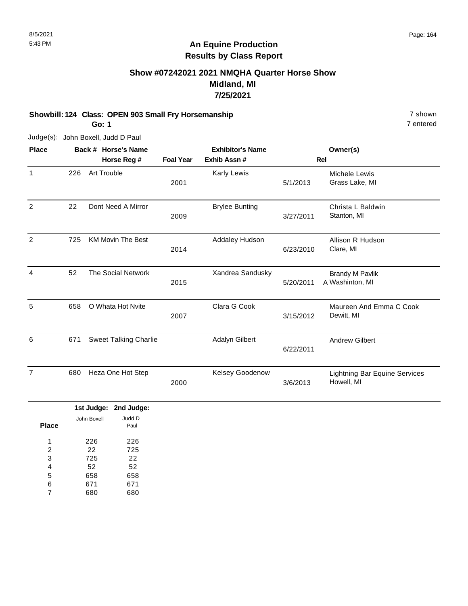## **Show #07242021 2021 NMQHA Quarter Horse Show Midland, MI 7/25/2021**

# **Showbill: 124 Class: OPEN 903 Small Fry Horsemanship** 7 shown

**Go: 1**

7 entered

| <b>Place</b>   |     | Back # Horse's Name          |                  | <b>Exhibitor's Name</b> |           | Owner(s)                                           |
|----------------|-----|------------------------------|------------------|-------------------------|-----------|----------------------------------------------------|
|                |     | Horse Reg #                  | <b>Foal Year</b> | Exhib Assn#             |           | <b>Rel</b>                                         |
| $\mathbf{1}$   | 226 | Art Trouble                  | 2001             | Karly Lewis             | 5/1/2013  | Michele Lewis<br>Grass Lake, MI                    |
| $\overline{2}$ | 22  | Dont Need A Mirror           | 2009             | <b>Brylee Bunting</b>   | 3/27/2011 | Christa L Baldwin<br>Stanton, MI                   |
| 2              | 725 | <b>KM Movin The Best</b>     | 2014             | Addaley Hudson          | 6/23/2010 | Allison R Hudson<br>Clare, MI                      |
| 4              | 52  | <b>The Social Network</b>    | 2015             | Xandrea Sandusky        | 5/20/2011 | <b>Brandy M Pavlik</b><br>A Washinton, MI          |
| 5              | 658 | O Whata Hot Nvite            | 2007             | Clara G Cook            | 3/15/2012 | Maureen And Emma C Cook<br>Dewitt, MI              |
| 6              | 671 | <b>Sweet Talking Charlie</b> |                  | Adalyn Gilbert          | 6/22/2011 | <b>Andrew Gilbert</b>                              |
| 7              | 680 | Heza One Hot Step            | 2000             | Kelsey Goodenow         | 3/6/2013  | <b>Lightning Bar Equine Services</b><br>Howell, MI |

|       |             | 1st Judge: 2nd Judge: |
|-------|-------------|-----------------------|
| Place | John Boxell | Judd D<br>Paul        |
| 1     | 226         | 226                   |
| 2     | 22          | 725                   |
| 3     | 725         | 22                    |
| 4     | 52          | 52                    |
| 5     | 658         | 658                   |
| 6     | 671         | 671                   |
|       | 680         | 680                   |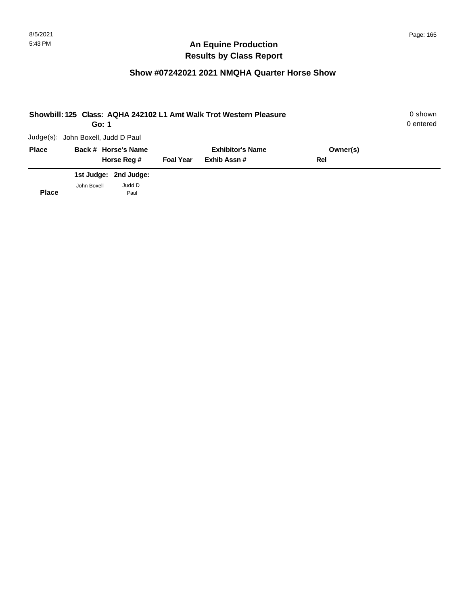| Showbill: 125 Class: AQHA 242102 L1 Amt Walk Trot Western Pleasure<br>Go: 1 |                                    |                       |                  |                         |          |  |
|-----------------------------------------------------------------------------|------------------------------------|-----------------------|------------------|-------------------------|----------|--|
|                                                                             | Judge(s): John Boxell, Judd D Paul |                       |                  |                         |          |  |
| <b>Place</b>                                                                |                                    | Back # Horse's Name   |                  | <b>Exhibitor's Name</b> | Owner(s) |  |
|                                                                             |                                    | Horse Reg #           | <b>Foal Year</b> | Exhib Assn#             | Rel      |  |
|                                                                             |                                    | 1st Judge: 2nd Judge: |                  |                         |          |  |
| <b>Place</b>                                                                | John Boxell                        | Judd D<br>Paul        |                  |                         |          |  |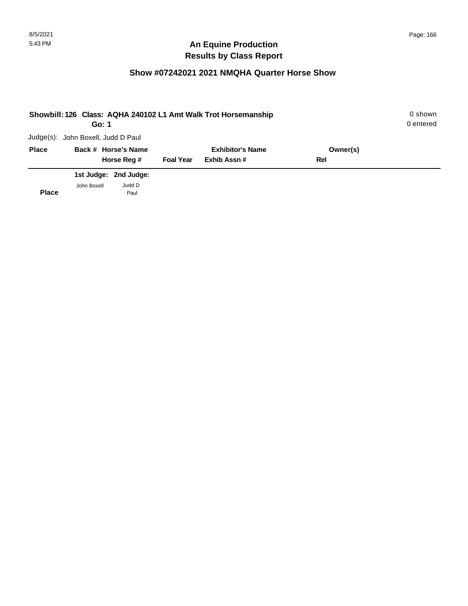| Showbill: 126 Class: AQHA 240102 L1 Amt Walk Trot Horsemanship<br>Go: 1 |                                    |                  |                         |          |  |  |
|-------------------------------------------------------------------------|------------------------------------|------------------|-------------------------|----------|--|--|
|                                                                         | Judge(s): John Boxell, Judd D Paul |                  |                         |          |  |  |
| <b>Place</b>                                                            | Back # Horse's Name                |                  | <b>Exhibitor's Name</b> | Owner(s) |  |  |
|                                                                         | Horse Reg #                        | <b>Foal Year</b> | Exhib Assn#             | Rel      |  |  |
|                                                                         | 1st Judge: 2nd Judge:              |                  |                         |          |  |  |
| <b>Place</b>                                                            | Judd D<br>John Boxell<br>Paul      |                  |                         |          |  |  |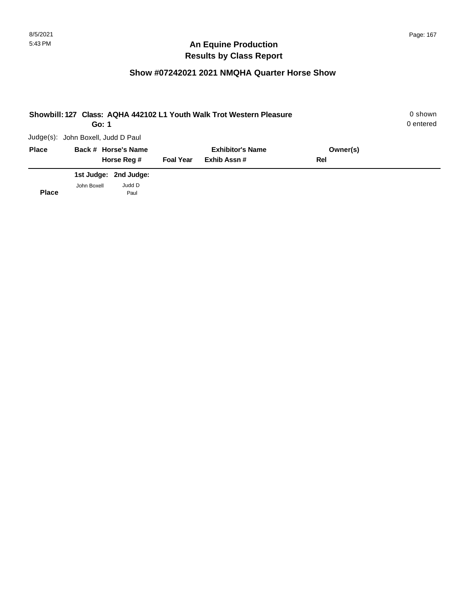| Showbill: 127 Class: AQHA 442102 L1 Youth Walk Trot Western Pleasure<br>Go: 1 |                                    |                       |                  |                         |          |  |
|-------------------------------------------------------------------------------|------------------------------------|-----------------------|------------------|-------------------------|----------|--|
|                                                                               | Judge(s): John Boxell, Judd D Paul |                       |                  |                         |          |  |
| <b>Place</b>                                                                  |                                    | Back # Horse's Name   |                  | <b>Exhibitor's Name</b> | Owner(s) |  |
|                                                                               |                                    | Horse Reg #           | <b>Foal Year</b> | Exhib Assn#             | Rel      |  |
|                                                                               |                                    | 1st Judge: 2nd Judge: |                  |                         |          |  |
| <b>Place</b>                                                                  | John Boxell                        | Judd D<br>Paul        |                  |                         |          |  |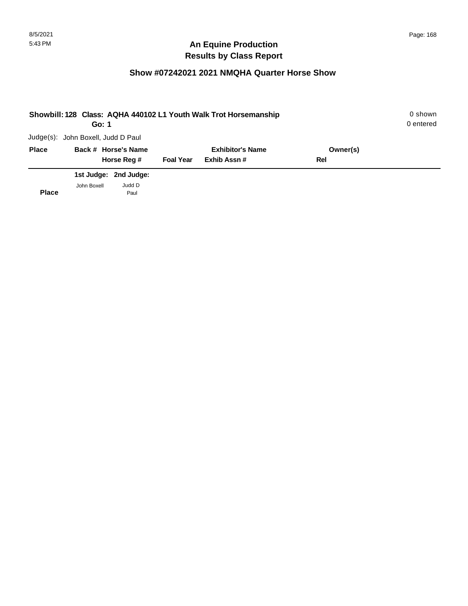| Showbill: 128 Class: AQHA 440102 L1 Youth Walk Trot Horsemanship<br>Go: 1 |                                    |                       |                  |                         |          |  |
|---------------------------------------------------------------------------|------------------------------------|-----------------------|------------------|-------------------------|----------|--|
|                                                                           | Judge(s): John Boxell, Judd D Paul |                       |                  |                         |          |  |
| <b>Place</b>                                                              |                                    | Back # Horse's Name   |                  | <b>Exhibitor's Name</b> | Owner(s) |  |
|                                                                           |                                    | Horse Reg #           | <b>Foal Year</b> | Exhib Assn#             | Rel      |  |
|                                                                           |                                    | 1st Judge: 2nd Judge: |                  |                         |          |  |
| <b>Place</b>                                                              | John Boxell                        | Judd D<br>Paul        |                  |                         |          |  |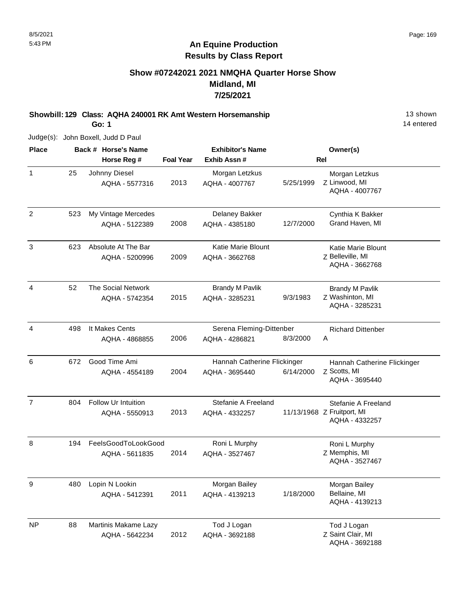#### **Show #07242021 2021 NMQHA Quarter Horse Show Midland, MI 7/25/2021**

**Showbill: 129 Class: AQHA 240001 RK Amt Western Horsemanship 13 Shown 13 shown** 

**Go: 1**

Judge(s): John Boxell, Judd D Paul

**Back # Horse's Name Place Owner(s) Horse Reg # Exhib Assn # Foal Year Rel Exhibitor's Name** 1 Z Linwood, MI Morgan Letzkus AQHA - 4007767 2013 Johnny Diesel AQHA - 5577316 Morgan Letzkus AQHA - 4007767 5/25/1999 25 2 523 My Vintage Mercedes **Delaney Bakker** Cynthia K Bakker 2008 AQHA - 4385180 12/7/2000 Grand Haven, MI AQHA - 5122389 Delaney Bakker 523 3 Z Belleville, MI Katie Marie Blount AQHA - 3662768 2009 Absolute At The Bar AQHA - 5200996 Katie Marie Blount AQHA - 3662768 623 4 Z Washinton, MI Brandy M Pavlik AQHA - 3285231 2015 The Social Network AQHA - 5742354 Brandy M Pavlik AQHA - 3285231 9/3/1983 52 4 A Richard Dittenber 2006 It Makes Cents AQHA - 4868855 Serena Fleming-Dittenber AQHA - 4286821 8/3/2000 498 6 Z Scotts, MI Hannah Catherine Flickinger AQHA - 3695440 2004 Good Time Ami AQHA - 4554189 Hannah Catherine Flickinger AQHA - 3695440 6/14/2000 672 7 Z Fruitport, MI Stefanie A Freeland AQHA - 4332257 2013 Follow Ur Intuition AQHA - 5550913 Stefanie A Freeland AQHA - 4332257 804 8 Z Memphis, MI Roni L Murphy AQHA - 3527467 2014 FeelsGoodToLookGood AQHA - 5611835 Roni L Murphy AQHA - 3527467 194 9 Morgan Bailey Lopin N Lookin Bellaine, MI AQHA - 4139213 2011 AQHA - 5412391 Morgan Bailey AQHA - 4139213 1/18/2000 480 NP Z Saint Clair, MI Tod J Logan AQHA - 3692188 2012 Martinis Makame Lazy AQHA - 5642234 Tod J Logan AQHA - 3692188 88

8/5/2021 Page: 169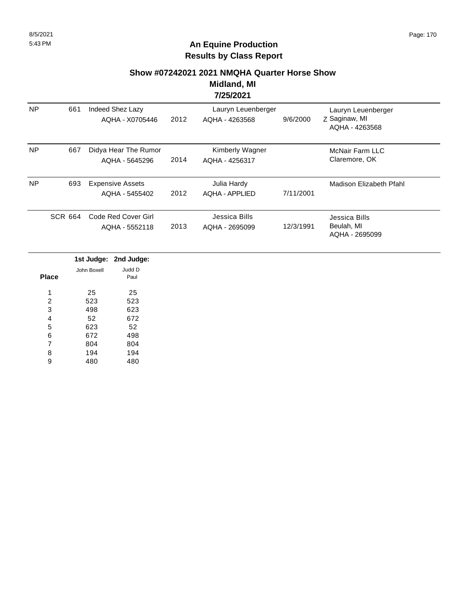#### **Show #07242021 2021 NMQHA Quarter Horse Show**

#### **Midland, MI 7/25/2021**

|           |                |                                           |      | . <i>.</i>                           |           |                                                       |
|-----------|----------------|-------------------------------------------|------|--------------------------------------|-----------|-------------------------------------------------------|
| <b>NP</b> | 661            | Indeed Shez Lazy<br>AQHA - X0705446       | 2012 | Lauryn Leuenberger<br>AQHA - 4263568 | 9/6/2000  | Lauryn Leuenberger<br>Z Saginaw, MI<br>AQHA - 4263568 |
| <b>NP</b> | 667            | Didya Hear The Rumor<br>AQHA - 5645296    | 2014 | Kimberly Wagner<br>AQHA - 4256317    |           | <b>McNair Farm LLC</b><br>Claremore, OK               |
| <b>NP</b> | 693            | <b>Expensive Assets</b><br>AQHA - 5455402 | 2012 | Julia Hardy<br>AQHA - APPLIED        | 7/11/2001 | Madison Elizabeth Pfahl                               |
|           | <b>SCR 664</b> | Code Red Cover Girl<br>AQHA - 5552118     | 2013 | Jessica Bills<br>AQHA - 2695099      | 12/3/1991 | Jessica Bills<br>Beulah, MI<br>AQHA - 2695099         |

|       |             | 1st Judge: 2nd Judge: |
|-------|-------------|-----------------------|
|       | John Boxell | Judd D                |
| Place |             | Paul                  |
| 1     | 25          | 25                    |
|       |             |                       |
| 2     | 523         | 523                   |
| 3     | 498         | 623                   |
| 4     | 52          | 672                   |
| 5     | 623         | 52                    |
| 6     | 672         | 498                   |
| 7     | 804         | 804                   |
| 8     | 194         | 194                   |
| 9     | 480         | 480                   |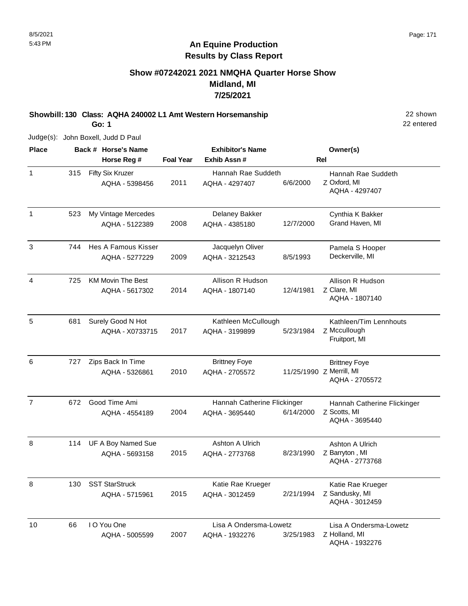#### **Show #07242021 2021 NMQHA Quarter Horse Show Midland, MI 7/25/2021**

**Showbill: 130 Class: AQHA 240002 L1 Amt Western Horsemanship** 22 shown

**Go: 1**

Judge(s): John Boxell, Judd D Paul

**Back # Horse's Name Place Owner(s) Horse Reg # Exhib Assn # Foal Year Rel Exhibitor's Name** 1 Z Oxford, MI Hannah Rae Suddeth AQHA - 4297407 2011 Fifty Six Kruzer AQHA - 5398456 Hannah Rae Suddeth AQHA - 4297407 6/6/2000 315 1 523 My Vintage Mercedes **1. Example 20 Fernand Containst A Bakker** 65 Cynthia K Bakker 2008 AQHA - 4385180 12/7/2000 Grand Haven, MI AQHA - 5122389 Delaney Bakker 523 3 744 Hes A Famous Kisser **Brangela S Hooper** Jacquelyn Oliver **Pamela S Hooper** 2009 Deckerville, MI AQHA - 3212543 8/5/1993 Hes A Famous Kisser AQHA - 5277229 Jacquelyn Oliver 744 4 Z Clare, MI Allison R Hudson AQHA - 1807140 2014 KM Movin The Best AQHA - 5617302 Allison R Hudson AQHA - 1807140 12/4/1981 725 5 Z Mccullough Kathleen/Tim Lennhouts Fruitport, MI 2017 Surely Good N Hot AQHA - X0733715 Kathleen McCullough AQHA - 3199899 5/23/1984 681 6 Z Merrill, MI Brittney Foye AQHA - 2705572 2010 Zips Back In Time AQHA - 5326861 Brittney Foye AQHA - 2705572 727 7 Z Scotts, MI Hannah Catherine Flickinger AQHA - 3695440 2004 672 Good Time Ami AQHA - 4554189 Hannah Catherine Flickinger AQHA - 3695440 6/14/2000 8 Z Barryton , MI Ashton A Ulrich AQHA - 2773768 2015 UF A Boy Named Sue AQHA - 5693158 Ashton A Ulrich AQHA - 2773768 8/23/1990 114 8 Z Sandusky, MI Katie Rae Krueger AQHA - 3012459 2015 SST StarStruck AQHA - 5715961 Katie Rae Krueger AQHA - 3012459 2/21/1994 130 10 Z Holland, MI Lisa A Ondersma-Lowetz AQHA - 1932276 2007 I O You One AQHA - 5005599 Lisa A Ondersma-Lowetz AQHA - 1932276 3/25/1983 66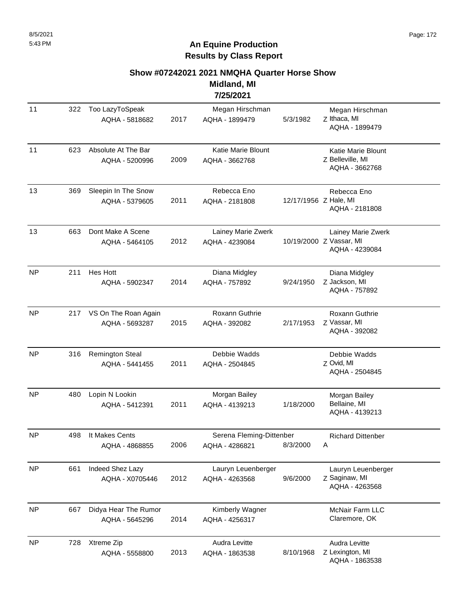#### **Show #07242021 2021 NMQHA Quarter Horse Show**

**Midland, MI 7/25/2021**

| 11        | 322 | Too LazyToSpeak<br>AQHA - 5818682        | 2017 | Megan Hirschman<br>AQHA - 1899479          | 5/3/1982              | Megan Hirschman<br>Z Ithaca, MI<br>AQHA - 1899479               |
|-----------|-----|------------------------------------------|------|--------------------------------------------|-----------------------|-----------------------------------------------------------------|
| 11        | 623 | Absolute At The Bar<br>AQHA - 5200996    | 2009 | Katie Marie Blount<br>AQHA - 3662768       |                       | Katie Marie Blount<br>Z Belleville, MI<br>AQHA - 3662768        |
| 13        | 369 | Sleepin In The Snow<br>AQHA - 5379605    | 2011 | Rebecca Eno<br>AQHA - 2181808              | 12/17/1956 Z Hale, MI | Rebecca Eno<br>AQHA - 2181808                                   |
| 13        | 663 | Dont Make A Scene<br>AQHA - 5464105      | 2012 | Lainey Marie Zwerk<br>AQHA - 4239084       |                       | Lainey Marie Zwerk<br>10/19/2000 Z Vassar, MI<br>AQHA - 4239084 |
| NP        | 211 | <b>Hes Hott</b><br>AQHA - 5902347        | 2014 | Diana Midgley<br>AQHA - 757892             | 9/24/1950             | Diana Midgley<br>Z Jackson, MI<br>AQHA - 757892                 |
| NP        | 217 | VS On The Roan Again<br>AQHA - 5693287   | 2015 | Roxann Guthrie<br>AQHA - 392082            | 2/17/1953             | Roxann Guthrie<br>Z Vassar, MI<br>AQHA - 392082                 |
| <b>NP</b> | 316 | <b>Remington Steal</b><br>AQHA - 5441455 | 2011 | Debbie Wadds<br>AQHA - 2504845             |                       | Debbie Wadds<br>Z Ovid, MI<br>AQHA - 2504845                    |
| <b>NP</b> | 480 | Lopin N Lookin<br>AQHA - 5412391         | 2011 | Morgan Bailey<br>AQHA - 4139213            | 1/18/2000             | Morgan Bailey<br>Bellaine, MI<br>AQHA - 4139213                 |
| <b>NP</b> | 498 | It Makes Cents<br>AQHA - 4868855         | 2006 | Serena Fleming-Dittenber<br>AQHA - 4286821 | 8/3/2000              | <b>Richard Dittenber</b><br>Α                                   |
| <b>NP</b> | 661 | Indeed Shez Lazy<br>AQHA - X0705446      | 2012 | Lauryn Leuenberger<br>AQHA - 4263568       | 9/6/2000              | Lauryn Leuenberger<br>Z Saginaw, MI<br>AQHA - 4263568           |
| <b>NP</b> | 667 | Didya Hear The Rumor<br>AQHA - 5645296   | 2014 | Kimberly Wagner<br>AQHA - 4256317          |                       | McNair Farm LLC<br>Claremore, OK                                |
| <b>NP</b> | 728 | Xtreme Zip<br>AQHA - 5558800             | 2013 | Audra Levitte<br>AQHA - 1863538            | 8/10/1968             | Audra Levitte<br>Z Lexington, MI<br>AQHA - 1863538              |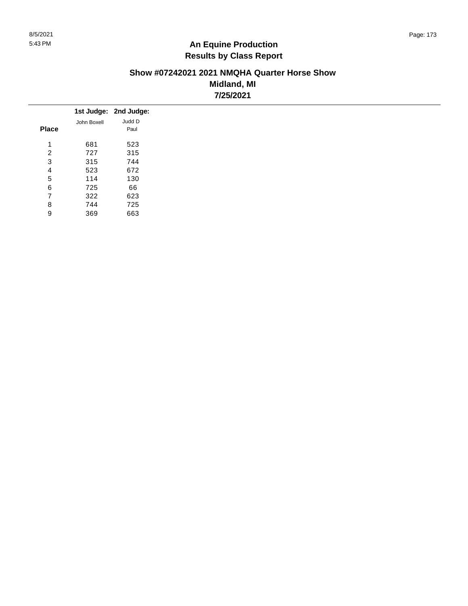#### **Show #07242021 2021 NMQHA Quarter Horse Show Midland, MI 7/25/2021**

|              |             | 1st Judge: 2nd Judge: |
|--------------|-------------|-----------------------|
|              | John Boxell | Judd D                |
| <b>Place</b> |             | Paul                  |
| 1            | 681         | 523                   |
| 2            | 727         | 315                   |
| 3            | 315         | 744                   |
| 4            | 523         | 672                   |
| 5            | 114         | 130                   |
| 6            | 725         | 66                    |
| 7            | 322         | 623                   |
| 8            | 744         | 725                   |
| 9            | 369         | 663                   |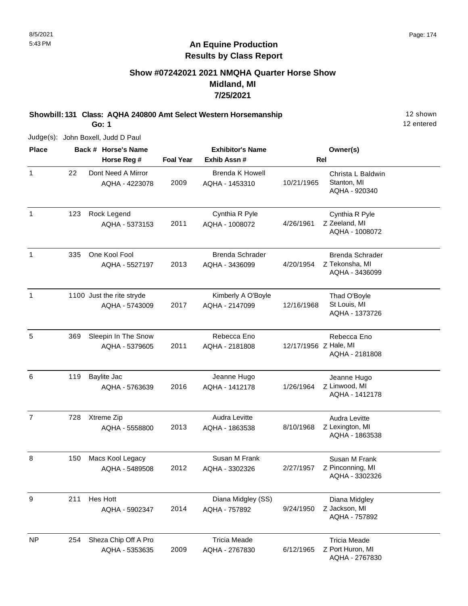#### **Show #07242021 2021 NMQHA Quarter Horse Show Midland, MI 7/25/2021**

**Showbill: 131 Class: AQHA 240800 Amt Select Western Horsemanship** 12 shown

**Go: 1**

AQHA - 5353635

**Back # Horse's Name Place Owner(s) Horse Reg # Exhib Assn # Foal Year Rel Exhibitor's Name** 1 1 22 Dont Need A Mirror **1 Christa L Baldwin** Brenda K Howell **Christa L Baldwin** Stanton, MI AQHA - 920340 2009 Dont Need A Mirror AQHA - 4223078 Brenda K Howell AQHA - 1453310 10/21/1965 22 1 Z Zeeland, MI Cynthia R Pyle AQHA - 1008072 2011 Rock Legend AQHA - 5373153 Cynthia R Pyle AQHA - 1008072 4/26/1961 123 1 Z Tekonsha, MI Brenda Schrader AQHA - 3436099 2013 One Kool Fool AQHA - 5527197 Brenda Schrader AQHA - 3436099 4/20/1954 335 1 1100 Just the rite stryde **1100 For the Stryde Strute Container** Scribberly A O'Boyle 1100 Just the rite stryde St Louis, MI AQHA - 1373726 2017 AQHA - 5743009 Kimberly A O'Boyle AQHA - 2147099 12/16/1968 5 Z Hale, MI Rebecca Eno AQHA - 2181808 2011 Sleepin In The Snow AQHA - 5379605 Rebecca Eno AQHA - 2181808 369 6 Z Linwood, MI Jeanne Hugo AQHA - 1412178 2016 Baylite Jac AQHA - 5763639 Jeanne Hugo AQHA - 1412178 1/26/1964 119 7 Z Lexington, MI Audra Levitte AQHA - 1863538 2013 Xtreme Zip AQHA - 5558800 Audra Levitte AQHA - 1863538 8/10/1968 728 8 Z Pinconning, MI Susan M Frank AQHA - 3302326 2012 Macs Kool Legacy AQHA - 5489508 Susan M Frank AQHA - 3302326 2/27/1957 150 9 Z Jackson, MI Diana Midgley AQHA - 757892 2014 Hes Hott AQHA - 5902347 Diana Midgley (SS) AQHA - 757892 9/24/1950 211 NP Z Port Huron, MI Tricia Meade 2009 Sheza Chip Off A Pro Tricia Meade AQHA - 2767830 6/12/1965 254

12 entered

AQHA - 2767830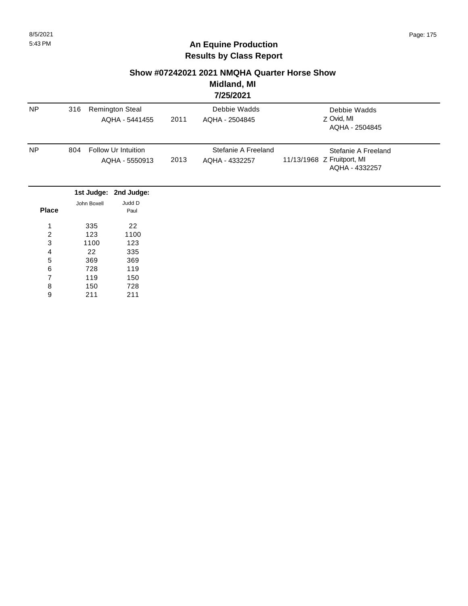#### **Show #07242021 2021 NMQHA Quarter Horse Show**

#### **Midland, MI 7/25/2021**

|                  |                |                        |      | 174974941           |                                              |
|------------------|----------------|------------------------|------|---------------------|----------------------------------------------|
| <b>NP</b>        | 316            | <b>Remington Steal</b> |      | Debbie Wadds        | Debbie Wadds                                 |
|                  |                | AQHA - 5441455         | 2011 | AQHA - 2504845      | Z Ovid, MI                                   |
|                  |                |                        |      |                     | AQHA - 2504845                               |
| <b>NP</b>        | 804            | Follow Ur Intuition    |      | Stefanie A Freeland | Stefanie A Freeland                          |
|                  | AQHA - 5550913 |                        | 2013 | AQHA - 4332257      | 11/13/1968 Z Fruitport, MI<br>AQHA - 4332257 |
|                  |                | 1st Judge: 2nd Judge:  |      |                     |                                              |
|                  | John Boxell    | Judd D                 |      |                     |                                              |
| <b>Place</b>     |                | Paul                   |      |                     |                                              |
| 1                | 335            | 22                     |      |                     |                                              |
| $\boldsymbol{2}$ | 123            | 1100                   |      |                     |                                              |
| 3                | 1100           | 123                    |      |                     |                                              |
| 4                | 22             | 335                    |      |                     |                                              |
| 5                | 369            | 369                    |      |                     |                                              |
| $\,6\,$          | 728            | 119                    |      |                     |                                              |
| 7                | 119            | 150                    |      |                     |                                              |
| 8                | 150            | 728                    |      |                     |                                              |
| 9                | 211            | 211                    |      |                     |                                              |
|                  |                |                        |      |                     |                                              |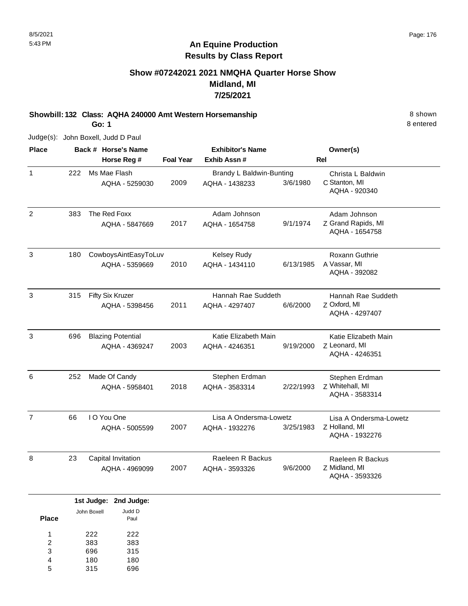#### **Show #07242021 2021 NMQHA Quarter Horse Show Midland, MI 7/25/2021**

**Showbill: 132 Class: AQHA 240000 Amt Western Horsemanship** 8 Shown **Go: 1**

Judge(s): John Boxell, Judd D Paul

**Back # Horse's Name Place Owner(s) Horse Reg # Exhib Assn # Foal Year Rel Exhibitor's Name** 1 C Stanton, MI Christa L Baldwin AQHA - 920340 2009 Ms Mae Flash AQHA - 5259030 Brandy L Baldwin-Bunting AQHA - 1438233 3/6/1980 222 2 Z Grand Rapids, MI Adam Johnson AQHA - 1654758 2017 The Red Foxx AQHA - 5847669 Adam Johnson AQHA - 1654758 9/1/1974 383 3 A Vassar, MI Roxann Guthrie AQHA - 392082 2010 CowboysAintEasyToLuv AQHA - 5359669 Kelsey Rudy AQHA - 1434110 6/13/1985 180 3 Z Oxford, MI Hannah Rae Suddeth AQHA - 4297407 2011 Fifty Six Kruzer AQHA - 5398456 Hannah Rae Suddeth AQHA - 4297407 6/6/2000 315 3 Z Leonard, MI Katie Elizabeth Main AQHA - 4246351 2003 Blazing Potential AQHA - 4369247 Katie Elizabeth Main AQHA - 4246351 9/19/2000 696 6 Z Whitehall, MI Stephen Erdman AQHA - 3583314 2018 Made Of Candy AQHA - 5958401 Stephen Erdman AQHA - 3583314 2/22/1993 252 7 Z Holland, MI Lisa A Ondersma-Lowetz AQHA - 1932276 2007 I O You One AQHA - 5005599 Lisa A Ondersma-Lowetz AQHA - 1932276 3/25/1983 66 8 Z Midland, MI Raeleen R Backus AQHA - 3593326 2007 Capital Invitation AQHA - 4969099 Raeleen R Backus AQHA - 3593326 9/6/2000 23

|       |             | 1st Judge: 2nd Judge: |
|-------|-------------|-----------------------|
| Place | John Boxell | Judd D<br>Paul        |
| 1     | 222         | 222                   |
| 2     | 383         | 383                   |
| 3     | 696         | 315                   |
| 4     | 180         | 180                   |
| 5     | 315         | 16                    |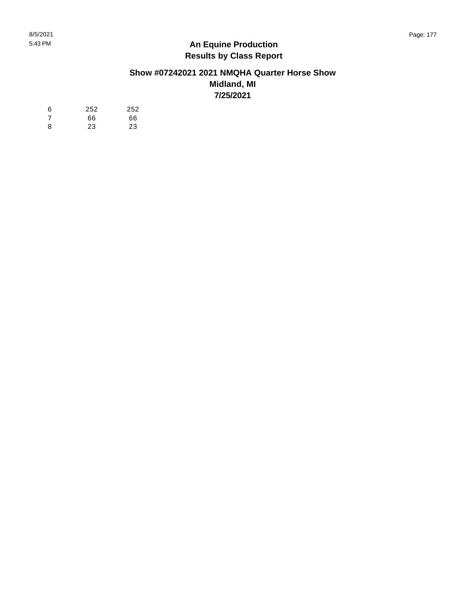#### **Show #07242021 2021 NMQHA Quarter Horse Show Midland, MI 7/25/2021**

| 6  | 252 | 252 |
|----|-----|-----|
| -7 | 66  | 66  |
| 8  | 23  | 23  |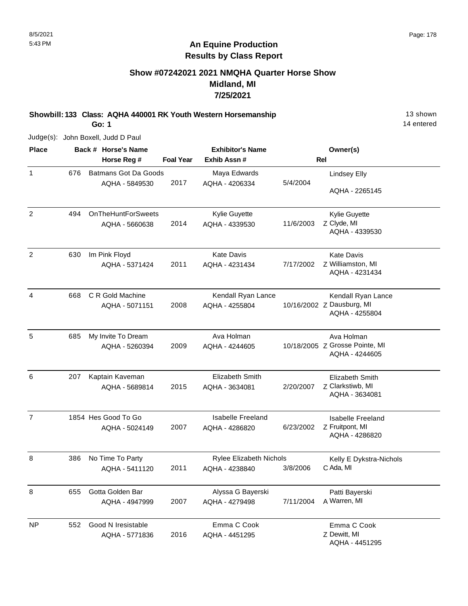#### **Show #07242021 2021 NMQHA Quarter Horse Show Midland, MI 7/25/2021**

**Showbill: 133 Class: AQHA 440001 RK Youth Western Horsemanship** 13 Shown

**Go: 1**

Judge(s): John Boxell, Judd D Paul

| <b>Place</b>   |     | Back # Horse's Name                         |                  | <b>Exhibitor's Name</b>                    |            | Owner(s)                                                          |
|----------------|-----|---------------------------------------------|------------------|--------------------------------------------|------------|-------------------------------------------------------------------|
|                |     | Horse Reg #                                 | <b>Foal Year</b> | Exhib Assn#                                | <b>Rel</b> |                                                                   |
| $\mathbf{1}$   | 676 | <b>Batmans Got Da Goods</b>                 |                  | Maya Edwards                               |            | <b>Lindsey Elly</b>                                               |
|                |     | AQHA - 5849530                              | 2017             | AQHA - 4206334                             | 5/4/2004   | AQHA - 2265145                                                    |
| $\overline{2}$ | 494 | <b>OnTheHuntForSweets</b><br>AQHA - 5660638 | 2014             | Kylie Guyette<br>AQHA - 4339530            | 11/6/2003  | Kylie Guyette<br>Z Clyde, MI<br>AQHA - 4339530                    |
| $\overline{2}$ | 630 | Im Pink Floyd<br>AQHA - 5371424             | 2011             | <b>Kate Davis</b><br>AQHA - 4231434        | 7/17/2002  | <b>Kate Davis</b><br>Z Williamston, MI<br>AQHA - 4231434          |
| 4              | 668 | C R Gold Machine<br>AQHA - 5071151          | 2008             | Kendall Ryan Lance<br>AQHA - 4255804       |            | Kendall Ryan Lance<br>10/16/2002 Z Dausburg, MI<br>AQHA - 4255804 |
| 5              | 685 | My Invite To Dream<br>AQHA - 5260394        | 2009             | Ava Holman<br>AQHA - 4244605               |            | Ava Holman<br>10/18/2005 Z Grosse Pointe, MI<br>AQHA - 4244605    |
| 6              | 207 | Kaptain Kaveman<br>AQHA - 5689814           | 2015             | Elizabeth Smith<br>AQHA - 3634081          | 2/20/2007  | Elizabeth Smith<br>Z Clarkstiwb, MI<br>AQHA - 3634081             |
| $\overline{7}$ |     | 1854 Hes Good To Go<br>AQHA - 5024149       | 2007             | <b>Isabelle Freeland</b><br>AQHA - 4286820 | 6/23/2002  | <b>Isabelle Freeland</b><br>Z Fruitpont, MI<br>AQHA - 4286820     |
| 8              | 386 | No Time To Party<br>AQHA - 5411120          | 2011             | Rylee Elizabeth Nichols<br>AQHA - 4238840  | 3/8/2006   | Kelly E Dykstra-Nichols<br>C Ada, MI                              |
| 8              | 655 | Gotta Golden Bar<br>AQHA - 4947999          | 2007             | Alyssa G Bayerski<br>AQHA - 4279498        | 7/11/2004  | Patti Bayerski<br>A Warren, MI                                    |
| <b>NP</b>      | 552 | Good N Iresistable<br>AQHA - 5771836        | 2016             | Emma C Cook<br>AQHA - 4451295              |            | Emma C Cook<br>Z Dewitt, MI<br>AQHA - 4451295                     |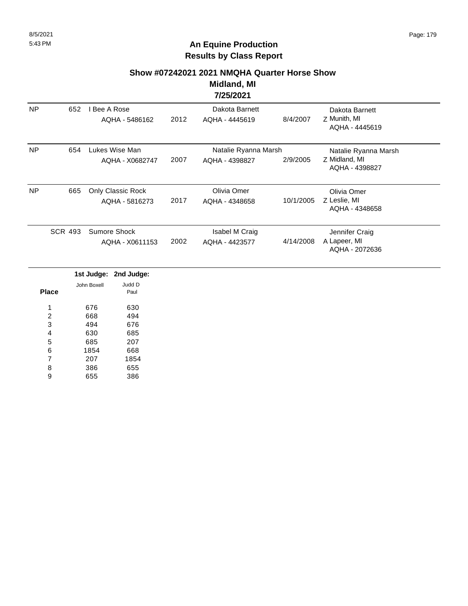# **An Equine Production Results by Class Report**

#### **Show #07242021 2021 NMQHA Quarter Horse Show**

#### **Midland, MI 7/25/2021**

|                                                   |                       |                |                   |                      | 772372021                      |           |                                 |
|---------------------------------------------------|-----------------------|----------------|-------------------|----------------------|--------------------------------|-----------|---------------------------------|
| <b>NP</b>                                         | 652                   | l Bee A Rose   |                   |                      | Dakota Barnett                 |           | Dakota Barnett                  |
|                                                   |                       |                | AQHA - 5486162    | 2012                 | AQHA - 4445619                 | 8/4/2007  | Z Munith, MI<br>AQHA - 4445619  |
| <b>NP</b><br>654                                  |                       | Lukes Wise Man |                   | Natalie Ryanna Marsh |                                |           | Natalie Ryanna Marsh            |
|                                                   |                       |                | AQHA - X0682747   | 2007                 | AQHA - 4398827                 | 2/9/2005  | Z Midland, MI<br>AQHA - 4398827 |
| <b>NP</b>                                         | 665                   |                | Only Classic Rock |                      | Olivia Omer                    |           | Olivia Omer                     |
|                                                   |                       |                | AQHA - 5816273    | 2017                 | AQHA - 4348658                 | 10/1/2005 | Z Leslie, MI<br>AQHA - 4348658  |
| <b>SCR 493</b><br>Sumore Shock<br>AQHA - X0611153 |                       |                |                   |                      | Isabel M Craig                 |           | Jennifer Craig                  |
|                                                   |                       | 2002           | AQHA - 4423577    | 4/14/2008            | A Lapeer, MI<br>AQHA - 2072636 |           |                                 |
|                                                   |                       | 1st Judge:     | 2nd Judge:        |                      |                                |           |                                 |
| <b>Place</b>                                      |                       | John Boxell    | Judd D<br>Paul    |                      |                                |           |                                 |
| 1                                                 | 676                   |                | 630               |                      |                                |           |                                 |
|                                                   | $\overline{c}$<br>668 |                | 494               |                      |                                |           |                                 |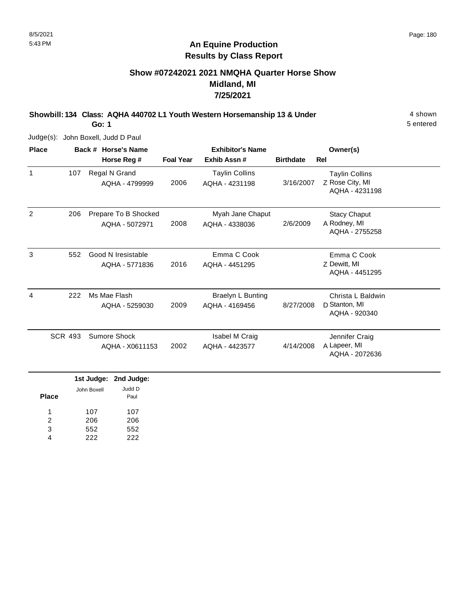## **Show #07242021 2021 NMQHA Quarter Horse Show Midland, MI 7/25/2021**

**Showbill: 134 Class: AQHA 440702 L1 Youth Western Horsemanship 13 & Under** 4 shown

**Go: 1**

Judge(s): John Boxell, Judd D Paul

| <b>Place</b> |                | Back # Horse's Name                    | <b>Exhibitor's Name</b> |                                            |                  | Owner(s)                                                   |
|--------------|----------------|----------------------------------------|-------------------------|--------------------------------------------|------------------|------------------------------------------------------------|
|              |                | Horse Reg #                            | <b>Foal Year</b>        | Exhib Assn#                                | <b>Birthdate</b> | Rel                                                        |
| 1            | 107            | Regal N Grand<br>AQHA - 4799999        | 2006                    | <b>Taylin Collins</b><br>AQHA - 4231198    | 3/16/2007        | <b>Taylin Collins</b><br>Z Rose City, MI<br>AQHA - 4231198 |
| 2            | 206            | Prepare To B Shocked<br>AQHA - 5072971 | 2008                    | Myah Jane Chaput<br>AQHA - 4338036         | 2/6/2009         | <b>Stacy Chaput</b><br>A Rodney, MI<br>AQHA - 2755258      |
| 3            | 552            | Good N Iresistable<br>AQHA - 5771836   | 2016                    | Emma C Cook<br>AQHA - 4451295              |                  | Emma C Cook<br>Z Dewitt, MI<br>AQHA - 4451295              |
| 4            | 222            | Ms Mae Flash<br>AQHA - 5259030         | 2009                    | <b>Braelyn L Bunting</b><br>AQHA - 4169456 | 8/27/2008        | Christa L Baldwin<br>D Stanton, MI<br>AQHA - 920340        |
|              | <b>SCR 493</b> | Sumore Shock<br>AQHA - X0611153        | 2002                    | Isabel M Craig<br>AQHA - 4423577           | 4/14/2008        | Jennifer Craig<br>A Lapeer, MI<br>AQHA - 2072636           |

|              |             | 1st Judge: 2nd Judge: |
|--------------|-------------|-----------------------|
| <b>Place</b> | John Boxell | Judd D<br>Paul        |
| 1            | 107         | 107                   |
| 2            | 206         | 206                   |
| 3            | 552         | 552                   |
|              | 222         | 222                   |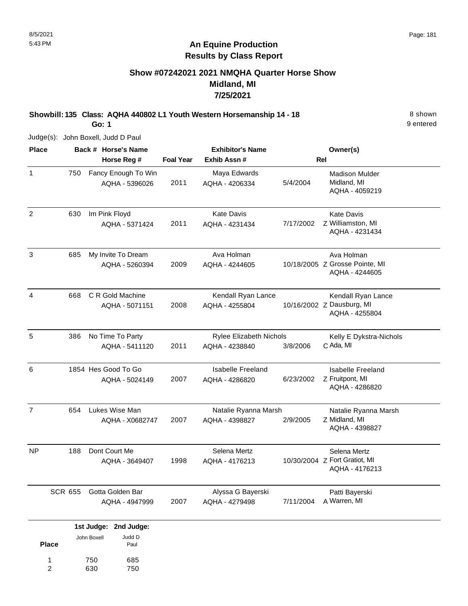### **Show #07242021 2021 NMQHA Quarter Horse Show Midland, MI 7/25/2021**

**Showbill: 135 Class: AQHA 440802 L1 Youth Western Horsemanship 14 - 18** 8 Shown

**Go: 1**

Judge(s): John Boxell, Judd D Paul

| <b>Place</b>   |                | Back # Horse's Name                               |                  | <b>Exhibitor's Name</b>                    |           | Owner(s)                                                          |
|----------------|----------------|---------------------------------------------------|------------------|--------------------------------------------|-----------|-------------------------------------------------------------------|
|                |                | Horse Reg #                                       | <b>Foal Year</b> | Exhib Assn #                               |           | Rel                                                               |
| $\mathbf{1}$   | 750            | Fancy Enough To Win<br>AQHA - 5396026             | 2011             | Maya Edwards<br>AQHA - 4206334             | 5/4/2004  | <b>Madison Mulder</b><br>Midland, MI<br>AQHA - 4059219            |
| $\overline{c}$ | 630            | Im Pink Floyd<br>AQHA - 5371424                   | 2011             | <b>Kate Davis</b><br>AQHA - 4231434        | 7/17/2002 | <b>Kate Davis</b><br>Z Williamston, MI<br>AQHA - 4231434          |
| 3              | 685            | My Invite To Dream<br>AQHA - 5260394              | 2009             | Ava Holman<br>AQHA - 4244605               |           | Ava Holman<br>10/18/2005 Z Grosse Pointe, MI<br>AQHA - 4244605    |
| 4              | 668            | C R Gold Machine<br>AQHA - 5071151                | 2008             | Kendall Ryan Lance<br>AQHA - 4255804       |           | Kendall Ryan Lance<br>10/16/2002 Z Dausburg, MI<br>AQHA - 4255804 |
| 5              | 386            | No Time To Party<br>AQHA - 5411120                | 2011             | Rylee Elizabeth Nichols<br>AQHA - 4238840  | 3/8/2006  | Kelly E Dykstra-Nichols<br>C Ada, MI                              |
| 6              |                | 1854 Hes Good To Go<br>AQHA - 5024149             | 2007             | <b>Isabelle Freeland</b><br>AQHA - 4286820 | 6/23/2002 | <b>Isabelle Freeland</b><br>Z Fruitpont, MI<br>AQHA - 4286820     |
| $\overline{7}$ | 654            | Lukes Wise Man<br>AQHA - X0682747                 | 2007             | Natalie Ryanna Marsh<br>AQHA - 4398827     | 2/9/2005  | Natalie Ryanna Marsh<br>Z Midland, MI<br>AQHA - 4398827           |
| <b>NP</b>      | 188            | Dont Court Me<br>AQHA - 3649407                   | 1998             | Selena Mertz<br>AQHA - 4176213             |           | Selena Mertz<br>10/30/2004 Z Fort Gratiot, MI<br>AQHA - 4176213   |
|                | <b>SCR 655</b> | Gotta Golden Bar<br>AQHA - 4947999                | 2007             | Alyssa G Bayerski<br>AQHA - 4279498        | 7/11/2004 | Patti Bayerski<br>A Warren, MI                                    |
|                |                | 1st Judge: 2nd Judge:<br>. U ppul.<br>lohn Boyell |                  |                                            |           |                                                                   |

685 750

750 630

**Place**

1 2

9 entered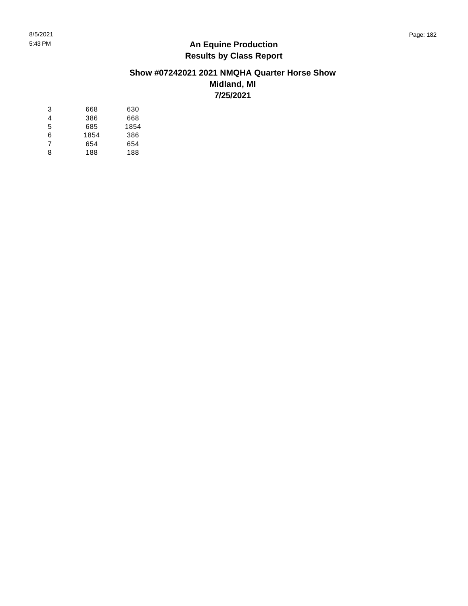### **Show #07242021 2021 NMQHA Quarter Horse Show Midland, MI 7/25/2021**

| 3 | 668  | 630  |
|---|------|------|
| 4 | 386  | 668  |
| 5 | 685  | 1854 |
| 6 | 1854 | 386  |
| 7 | 654  | 654  |
| 8 | 188  | 188  |
|   |      |      |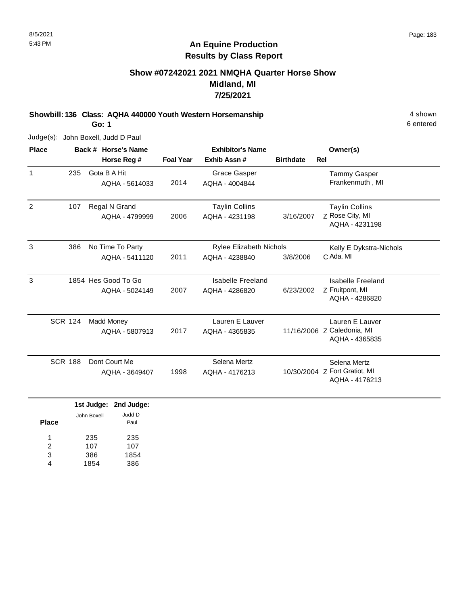## **Show #07242021 2021 NMQHA Quarter Horse Show Midland, MI 7/25/2021**

**Showbill: 136 Class: AQHA 440000 Youth Western Horsemanship** 4 shown **Go: 1**

Judge(s): John Boxell, Judd D Paul

| <b>Place</b>   |                | Back # Horse's Name           |                  | <b>Exhibitor's Name</b>        |                  | Owner(s)                                        |
|----------------|----------------|-------------------------------|------------------|--------------------------------|------------------|-------------------------------------------------|
|                |                | Horse Reg #                   | <b>Foal Year</b> | Exhib Assn#                    | <b>Birthdate</b> | Rel                                             |
| $\mathbf{1}$   | 235            | Gota B A Hit                  |                  | <b>Grace Gasper</b>            |                  | <b>Tammy Gasper</b>                             |
|                |                | AQHA - 5614033                | 2014             | AQHA - 4004844                 |                  | Frankenmuth, MI                                 |
| $\overline{2}$ | 107            | Regal N Grand                 |                  | <b>Taylin Collins</b>          |                  | <b>Taylin Collins</b>                           |
|                |                | AQHA - 4799999                | 2006             | AQHA - 4231198                 | 3/16/2007        | Z Rose City, MI<br>AQHA - 4231198               |
| 3              | 386            | No Time To Party              |                  | <b>Rylee Elizabeth Nichols</b> |                  | Kelly E Dykstra-Nichols                         |
|                |                | AQHA - 5411120                | 2011             | AQHA - 4238840                 | 3/8/2006         | C Ada, MI                                       |
| 3              |                | 1854 Hes Good To Go           |                  | <b>Isabelle Freeland</b>       |                  | Isabelle Freeland                               |
|                |                | AQHA - 5024149                | 2007             | AQHA - 4286820                 | 6/23/2002        | Z Fruitpont, MI<br>AQHA - 4286820               |
|                | <b>SCR 124</b> | <b>Madd Money</b>             |                  | Lauren E Lauver                |                  | Lauren E Lauver                                 |
|                |                | AQHA - 5807913                | 2017             | AQHA - 4365835                 |                  | 11/16/2006 Z Caledonia, MI<br>AQHA - 4365835    |
|                | <b>SCR 188</b> | Dont Court Me                 |                  | Selena Mertz                   |                  | Selena Mertz                                    |
|                |                | AQHA - 3649407                | 1998             | AQHA - 4176213                 |                  | 10/30/2004 Z Fort Gratiot, MI<br>AQHA - 4176213 |
|                |                | 1st Judge:<br>2nd Judge:      |                  |                                |                  |                                                 |
| <b>Place</b>   |                | Judd D<br>John Boxell<br>Paul |                  |                                |                  |                                                 |

235 107 386 1854 235 107 1854 386 1 2 3 4

6 entered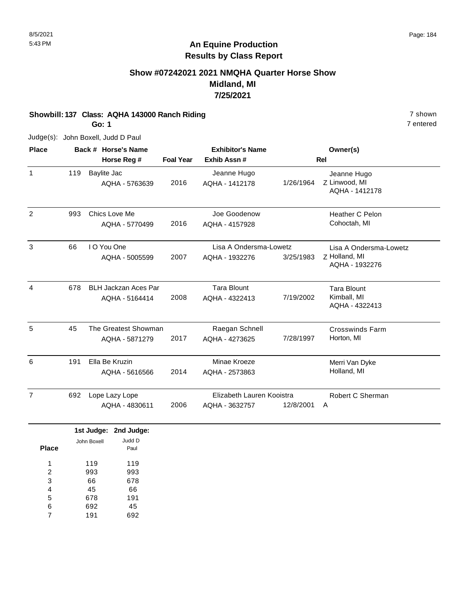## **Show #07242021 2021 NMQHA Quarter Horse Show Midland, MI 7/25/2021**

# **Showbill: 137 Class: AQHA 143000 Ranch Riding 7 shown** 7 shown

**Go: 1**

Judge(s): John Boxell, Judd D Paul

| <b>Place</b>   |                       | Back # Horse's Name             |                  | <b>Exhibitor's Name</b>        |           | Owner(s)                                       |
|----------------|-----------------------|---------------------------------|------------------|--------------------------------|-----------|------------------------------------------------|
|                |                       | Horse Reg #                     | <b>Foal Year</b> | Exhib Assn #                   |           | <b>Rel</b>                                     |
| $\mathbf{1}$   | 119                   | Baylite Jac<br>AQHA - 5763639   | 2016             | Jeanne Hugo<br>AQHA - 1412178  | 1/26/1964 | Jeanne Hugo<br>Z Linwood, MI<br>AQHA - 1412178 |
| 2              | 993                   | Chics Love Me<br>AQHA - 5770499 | 2016             | Joe Goodenow<br>AQHA - 4157928 |           | Heather C Pelon<br>Cohoctah, MI                |
| 3              | 66                    | I O You One                     |                  | Lisa A Ondersma-Lowetz         |           | Lisa A Ondersma-Lowetz                         |
|                |                       | AQHA - 5005599                  | 2007             | AQHA - 1932276                 | 3/25/1983 | Z Holland, MI<br>AQHA - 1932276                |
| 4              | 678                   | <b>BLH Jackzan Aces Par</b>     |                  | <b>Tara Blount</b>             |           | <b>Tara Blount</b>                             |
|                |                       | AQHA - 5164414                  | 2008             | AQHA - 4322413                 | 7/19/2002 | Kimball, MI<br>AQHA - 4322413                  |
| 5              | 45                    | The Greatest Showman            |                  | Raegan Schnell                 |           | <b>Crosswinds Farm</b>                         |
|                |                       | AQHA - 5871279                  | 2017             | AQHA - 4273625                 | 7/28/1997 | Horton, MI                                     |
| 6              | 191                   | Ella Be Kruzin                  |                  | Minae Kroeze                   |           | Merri Van Dyke                                 |
|                |                       | AQHA - 5616566                  | 2014             | AQHA - 2573863                 |           | Holland, MI                                    |
| $\overline{7}$ | 692<br>Lope Lazy Lope |                                 |                  | Elizabeth Lauren Kooistra      |           | Robert C Sherman                               |
|                |                       | AQHA - 4830611                  | 2006             | AQHA - 3632757                 | 12/8/2001 | A                                              |
|                |                       | 1st Judge:<br>2nd Judge:        |                  |                                |           |                                                |
| <b>Place</b>   |                       | Judd D<br>John Boxell<br>Paul   |                  |                                |           |                                                |

119 993 66 45 678 692 119 993 678 66 191 45 1 2 3 4 5 6

191 692 7

7 entered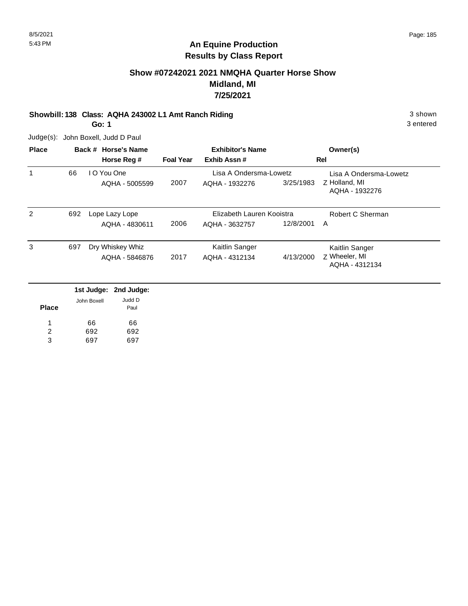3 entered

## **An Equine Production Results by Class Report**

## **Show #07242021 2021 NMQHA Quarter Horse Show Midland, MI 7/25/2021**

### **Showbill: 138 Class: AQHA 243002 L1 Amt Ranch Riding 3 shown 3 shown** 3 shown

**Go: 1**

| <b>Place</b> |     |             | Back # Horse's Name |                  | <b>Exhibitor's Name</b>   |           | Owner(s)                        |
|--------------|-----|-------------|---------------------|------------------|---------------------------|-----------|---------------------------------|
|              |     |             | Horse Reg #         | <b>Foal Year</b> | Exhib Assn#               |           | Rel                             |
| 1            | 66  |             | I O You One         |                  | Lisa A Ondersma-Lowetz    |           | Lisa A Ondersma-Lowetz          |
|              |     |             | AQHA - 5005599      | 2007             | AQHA - 1932276            | 3/25/1983 | Z Holland, MI<br>AQHA - 1932276 |
| 2            | 692 |             | Lope Lazy Lope      |                  | Elizabeth Lauren Kooistra |           | Robert C Sherman                |
|              |     |             | AQHA - 4830611      | 2006             | AQHA - 3632757            | 12/8/2001 | A                               |
| 3            | 697 |             | Dry Whiskey Whiz    |                  | Kaitlin Sanger            |           | Kaitlin Sanger                  |
|              |     |             | AQHA - 5846876      | 2017             | AQHA - 4312134            | 4/13/2000 | Z Wheeler, MI<br>AQHA - 4312134 |
|              |     | 1st Judge:  | 2nd Judge:          |                  |                           |           |                                 |
| <b>Place</b> |     | John Boxell | Judd D<br>Paul      |                  |                           |           |                                 |
|              |     | 66          | 66                  |                  |                           |           |                                 |
| 2            |     | 692         | 692                 |                  |                           |           |                                 |
| 3            |     | 697         | 697                 |                  |                           |           |                                 |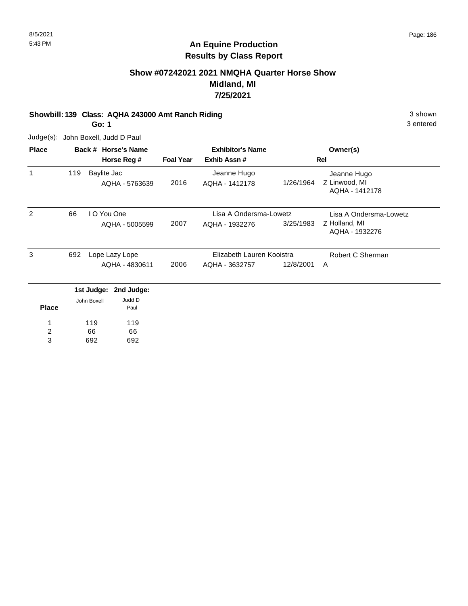## **An Equine Production Results by Class Report**

## **Show #07242021 2021 NMQHA Quarter Horse Show Midland, MI 7/25/2021**

### **Showbill: 139 Class: AQHA 243000 Amt Ranch Riding 3 shown 3 shown** 3 shown

**Go: 1**

3 entered

| <b>Place</b>        |     |             | Back # Horse's Name           |                  | <b>Exhibitor's Name</b>       |           | Owner(s)                                       |
|---------------------|-----|-------------|-------------------------------|------------------|-------------------------------|-----------|------------------------------------------------|
|                     |     |             | Horse Reg #                   | <b>Foal Year</b> | Exhib Assn#                   |           | Rel                                            |
| $\mathbf{1}$        | 119 |             | Baylite Jac<br>AQHA - 5763639 | 2016             | Jeanne Hugo<br>AQHA - 1412178 | 1/26/1964 | Jeanne Hugo<br>Z Linwood, MI<br>AQHA - 1412178 |
| 2                   | 66  |             | I O You One                   |                  | Lisa A Ondersma-Lowetz        |           | Lisa A Ondersma-Lowetz                         |
|                     |     |             | AQHA - 5005599                | 2007             | AQHA - 1932276                | 3/25/1983 | Z Holland, MI<br>AQHA - 1932276                |
| 3                   | 692 |             | Lope Lazy Lope                |                  | Elizabeth Lauren Kooistra     |           | Robert C Sherman                               |
|                     |     |             | AQHA - 4830611                | 2006             | AQHA - 3632757                | 12/8/2001 | A                                              |
|                     |     |             | 1st Judge: 2nd Judge:         |                  |                               |           |                                                |
| <b>Place</b>        |     | John Boxell | Judd D<br>Paul                |                  |                               |           |                                                |
|                     |     | 119         | 119                           |                  |                               |           |                                                |
| $\overline{c}$<br>3 |     | 66<br>692   | 66<br>692                     |                  |                               |           |                                                |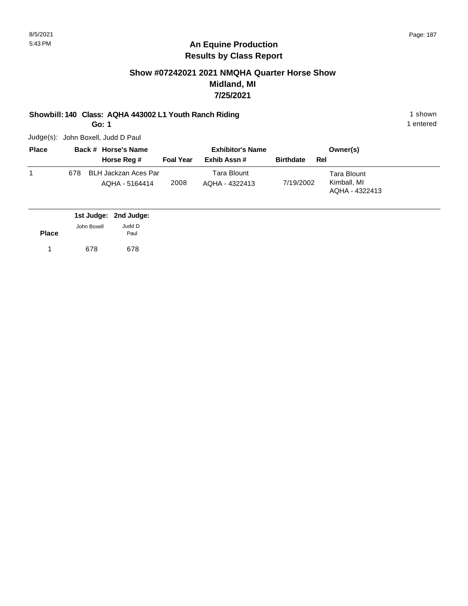## **An Equine Production Results by Class Report**

## **Show #07242021 2021 NMQHA Quarter Horse Show Midland, MI 7/25/2021**

### **Showbill: 140 Class: AQHA 443002 L1 Youth Ranch Riding** 1 Shown 1 shown

**Go: 1**

1 entered

| <b>Place</b> |     | Back # Horse's Name                    |                  | <b>Exhibitor's Name</b>       |                  | Owner(s)                                     |
|--------------|-----|----------------------------------------|------------------|-------------------------------|------------------|----------------------------------------------|
|              |     | Horse Reg #                            | <b>Foal Year</b> | Exhib Assn#                   | <b>Birthdate</b> | Rel                                          |
|              | 678 | BLH Jackzan Aces Par<br>AQHA - 5164414 | 2008             | Tara Blount<br>AQHA - 4322413 | 7/19/2002        | Tara Blount<br>Kimball, MI<br>AQHA - 4322413 |

|              |             | 1st Judge: 2nd Judge: |
|--------------|-------------|-----------------------|
|              | John Boxell | Judd D                |
| <b>Place</b> |             | Paul                  |
| $\mathbf{1}$ | 678         | 678                   |